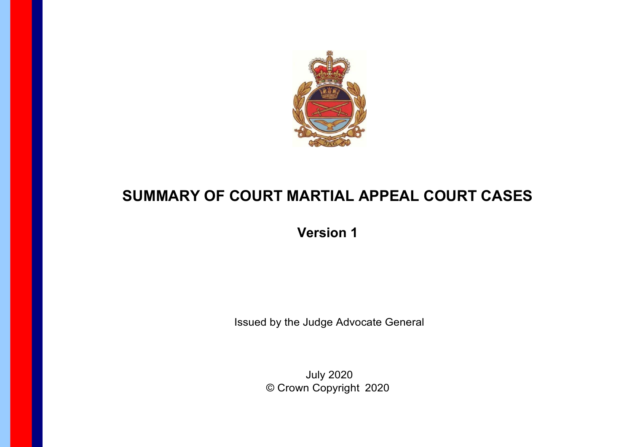

## **SUMMARY OF COURT MARTIAL APPEAL COURT CASES**

**Version 1** 

Issued by the Judge Advocate General

July 2020 © Crown Copyright 2020

**Page 1**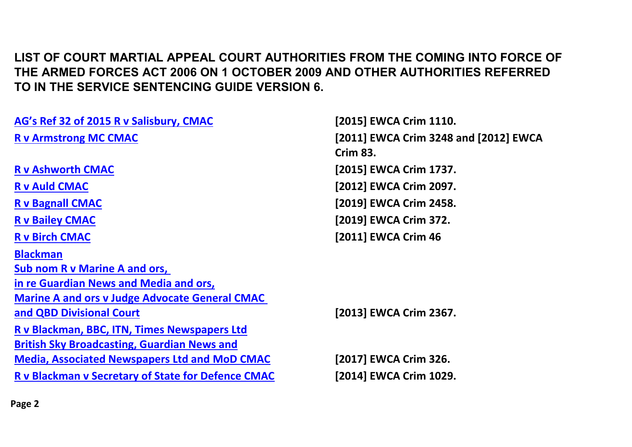## **LIST OF COURT MARTIAL APPEAL COURT AUTHORITIES FROM THE COMING INTO FORCE OF THE ARMED FORCES ACT 2006 ON 1 OCTOBER 2009 AND OTHER AUTHORITIES REFERRED TO IN THE SERVICE SENTENCING GUIDE VERSION 6.**

| AG's Ref 32 of 2015 R v Salisbury, CMAC                   | [2015] EWCA Crim 1110.                |
|-----------------------------------------------------------|---------------------------------------|
| <b>R v Armstrong MC CMAC</b>                              | [2011] EWCA Crim 3248 and [2012] EWCA |
|                                                           | <b>Crim 83.</b>                       |
| <b>R v Ashworth CMAC</b>                                  | [2015] EWCA Crim 1737.                |
| <b>R v Auld CMAC</b>                                      | [2012] EWCA Crim 2097.                |
| <b>R v Bagnall CMAC</b>                                   | [2019] EWCA Crim 2458.                |
| <b>R v Bailey CMAC</b>                                    | [2019] EWCA Crim 372.                 |
| <b>R v Birch CMAC</b>                                     | [2011] EWCA Crim 46                   |
| <b>Blackman</b>                                           |                                       |
| <b>Sub nom R v Marine A and ors,</b>                      |                                       |
| in re Guardian News and Media and ors,                    |                                       |
| <b>Marine A and ors v Judge Advocate General CMAC</b>     |                                       |
| and QBD Divisional Court                                  | [2013] EWCA Crim 2367.                |
| R v Blackman, BBC, ITN, Times Newspapers Ltd              |                                       |
| <b>British Sky Broadcasting, Guardian News and</b>        |                                       |
| <b>Media, Associated Newspapers Ltd and MoD CMAC</b>      | [2017] EWCA Crim 326.                 |
| <b>R v Blackman v Secretary of State for Defence CMAC</b> | [2014] EWCA Crim 1029.                |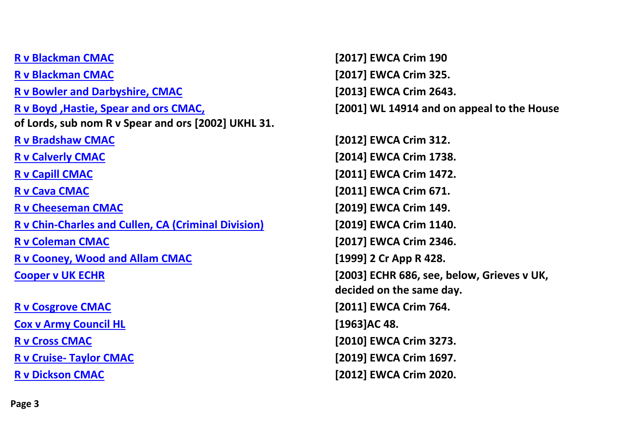**[R v Blackman CMAC](#page-26-0) [2017] EWCA Crim 190 [R v Blackman CMAC](#page-32-0) [2017] EWCA Crim 325. [R v Bowler and Darbyshire, CMAC](#page-35-0) [2013] EWCA Crim 2643. [R v Boyd ,Hastie, Spear and ors CMAC,](#page-36-0) [2001] WL 14914 and on appeal to the House of Lords, sub nom R v Spear and ors [2002] UKHL 31. [R v Bradshaw CMAC](#page-37-0) [2012] EWCA Crim 312. [R v Calverly CMAC](#page-39-0) [2014] EWCA Crim 1738. [R v Capill CMAC](#page-41-0) [2011] EWCA Crim 1472. [R v Cava CMAC](#page-42-0) [2011] EWCA Crim 671. [R v Cheeseman CMAC](#page-44-0) [2019] EWCA Crim 149. [R v Chin-Charles and Cullen, CA \(Criminal Division\)](#page-45-0) [2019] EWCA Crim 1140. [R v Coleman CMAC](#page-46-0) [2017] EWCA Crim 2346. [R v Cooney, Wood and Allam CMAC](#page-48-0) [1999] 2 Cr App R 428. [Cooper v UK ECHR](#page-49-0) [2003] ECHR 686, see, below, Grieves v UK, [R v Cosgrove CMAC](#page-54-0) [2011] EWCA Crim 764. [Cox v Army Council HL](#page-55-0) [1963]AC 48. [R v Cross CMAC](#page-56-0) [2010] EWCA Crim 3273. R v Cruise- [Taylor CMAC](#page-57-0) [2019] EWCA Crim 1697. [R v Dickson CMAC](#page-59-0) [2012] EWCA Crim 2020.**

**decided on the same day.**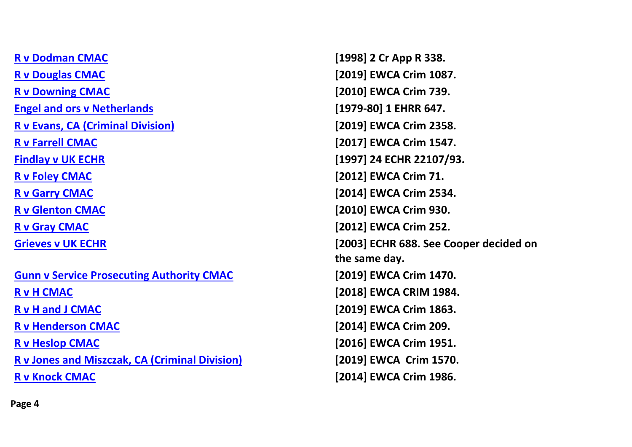**[R v Dodman CMAC](#page-60-0) [1998] 2 Cr App R 338. [R v Douglas CMAC](#page-62-0) [2019] EWCA Crim 1087. [R v Downing CMAC](#page-64-0) [2010] EWCA Crim 739. [Engel and ors v Netherlands](#page-65-0) [1979-80] 1 EHRR 647. [R v Evans, CA \(Criminal Division\)](#page-68-0) [2019] EWCA Crim 2358. [R v Farrell CMAC](#page-69-0) [2017] EWCA Crim 1547. [Findlay v UK ECHR](#page-70-0) [1997] 24 ECHR 22107/93. [R v Foley CMAC](#page-72-0) [2012] EWCA Crim 71. [R v Garry CMAC](#page-73-0) [2014] EWCA Crim 2534. [R v Glenton CMAC](#page-75-0) [2010] EWCA Crim 930. [R v Gray CMAC](#page-77-0) [2012] EWCA Crim 252. [Gunn v Service Prosecuting Authority CMAC](#page-80-0) [2019] EWCA Crim 1470.** 

**[R v Jones and Miszczak, CA \(Criminal Division\)](#page-87-0) [2019] EWCA Crim 1570.**

**[Grieves v UK ECHR](#page-78-0) [2003] ECHR 688. See Cooper decided on the same day. [R v H CMAC](#page-81-0) [2018] EWCA CRIM 1984. [R v H and J CMAC](#page-82-0) [2019] EWCA Crim 1863. [R v Henderson CMAC](#page-83-0) [2014] EWCA Crim 209. [R v Heslop CMAC](#page-85-0) [2016] EWCA Crim 1951. [R v Knock CMAC](#page-88-0) [2014] EWCA Crim 1986.**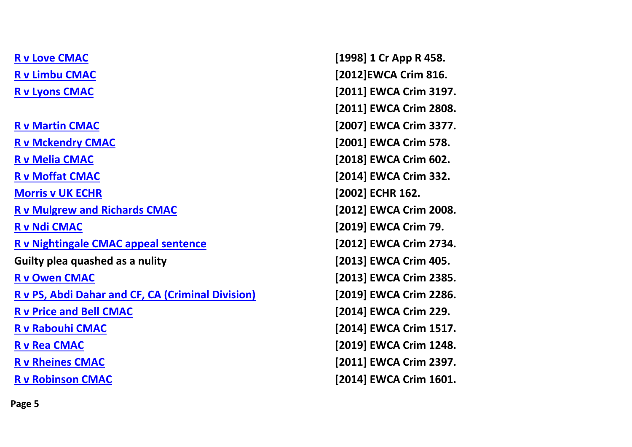**[R v Martin CMAC](#page-96-0) [2007] EWCA Crim 3377. [R v Mckendry CMAC](#page-97-0) [2001] EWCA Crim 578. [R v Melia CMAC](#page-98-0) [2018] EWCA Crim 602. [R v Moffat CMAC](#page-99-0) [2014] EWCA Crim 332. [Morris v UK ECHR](#page-101-0) [2002] ECHR 162. [R v Mulgrew and Richards CMAC](#page-102-0) [2012] EWCA Crim 2008. [R v Ndi CMAC](#page-103-0) [2019] EWCA Crim 79. [R v Nightingale CMAC appeal sentence](#page-104-0) [2012] EWCA Crim 2734.** Guilty plea quashed as a nulity **EXEC 2013** EWCA Crim 405. **[R v Owen CMAC](#page-106-0) [2013] EWCA Crim 2385. [R v PS, Abdi Dahar and CF, CA \(Criminal Division\)](#page-107-0) [2019] EWCA Crim 2286. [R v Price and Bell CMAC](#page-113-0) [2014] EWCA Crim 229. [R v Rabouhi CMAC](#page-119-0) [2014] EWCA Crim 1517. [R v Rea CMAC](#page-120-0) [2019] EWCA Crim 1248. [R v Rheines CMAC](#page-121-0) [2011] EWCA Crim 2397. [R v Robinson CMAC](#page-122-0) [2014] EWCA Crim 1601.** 

**[R v Love CMAC](#page-91-0) [1998] 1 Cr App R 458. [R v Limbu CMAC](#page-89-0) [2012]EWCA Crim 816. [R v Lyons CMAC](#page-92-0) [2011] EWCA Crim 3197. [2011] EWCA Crim 2808.**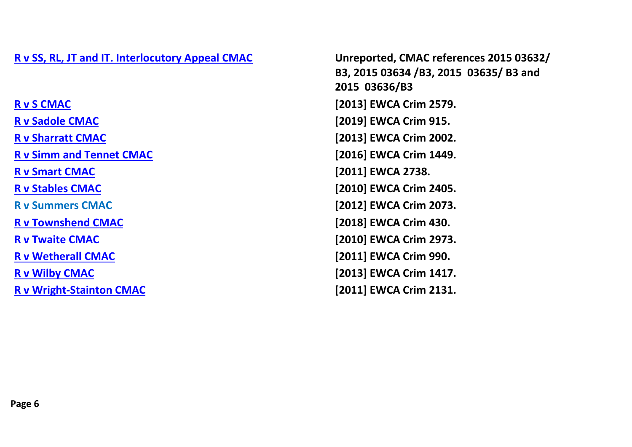## **[R v SS, RL, JT and IT. Interlocutory Appeal CMAC](#page-123-0) Unreported, CMAC references 2015 03632/**

**[R v S CMAC](#page-125-0) [2013] EWCA Crim 2579. [R v Sadole](#page-124-0) CMAC [2019] EWCA Crim 915. [R v Sharratt CMAC](#page-126-0) [2013] EWCA Crim 2002. [R v Simm and Tennet CMAC](#page-127-0) [2016] EWCA Crim 1449. [R v Smart CMAC](#page-128-0) [2011] EWCA 2738. [R v Stables CMAC](#page-129-0) [2010] EWCA Crim 2405. R v Summers CMAC [2012] EWCA Crim 2073. [R v Townshend CMAC](#page-131-0) [2018] EWCA Crim 430. [R v Twaite CMAC](#page-133-0) [2010] EWCA Crim 2973. [R v Wetherall CMAC](#page-135-0) [2011] EWCA Crim 990. [R v Wilby CMAC](#page-136-0) [2013] EWCA Crim 1417.**

**B3, 2015 03634 /B3, 2015 03635/ B3 and 2015 03636/B3 [R v Wright-Stainton CMAC](#page-137-0) [2011] EWCA Crim 2131.**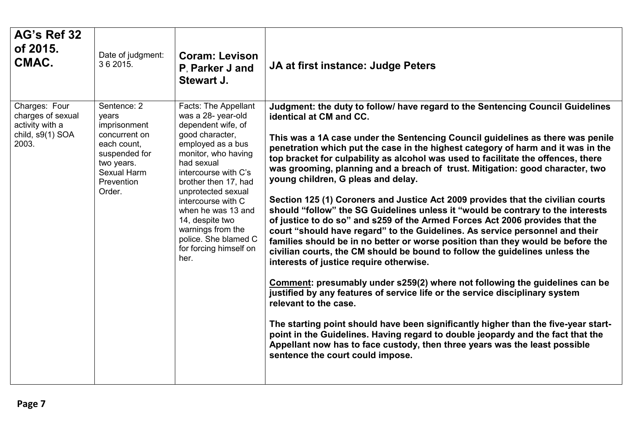<span id="page-6-0"></span>

| AG's Ref 32<br>of 2015.<br>CMAC.                                                   | Date of judgment:<br>3 6 2015.                                                                                                             | <b>Coram: Levison</b><br>P. Parker J and<br>Stewart J.                                                                                                                                                                                                                                                                                                            | JA at first instance: Judge Peters                                                                                                                                                                                                                                                                                                                                                                                                                                                                                                                                                                                                                                                                                                                                                                                                                                                                                                                                                                                                                                                                                                                                                                                                                                                                                                                                                                                                                                                                                                |
|------------------------------------------------------------------------------------|--------------------------------------------------------------------------------------------------------------------------------------------|-------------------------------------------------------------------------------------------------------------------------------------------------------------------------------------------------------------------------------------------------------------------------------------------------------------------------------------------------------------------|-----------------------------------------------------------------------------------------------------------------------------------------------------------------------------------------------------------------------------------------------------------------------------------------------------------------------------------------------------------------------------------------------------------------------------------------------------------------------------------------------------------------------------------------------------------------------------------------------------------------------------------------------------------------------------------------------------------------------------------------------------------------------------------------------------------------------------------------------------------------------------------------------------------------------------------------------------------------------------------------------------------------------------------------------------------------------------------------------------------------------------------------------------------------------------------------------------------------------------------------------------------------------------------------------------------------------------------------------------------------------------------------------------------------------------------------------------------------------------------------------------------------------------------|
| Charges: Four<br>charges of sexual<br>activity with a<br>child, s9(1) SOA<br>2003. | Sentence: 2<br>years<br>imprisonment<br>concurrent on<br>each count,<br>suspended for<br>two years.<br>Sexual Harm<br>Prevention<br>Order. | Facts: The Appellant<br>was a 28- year-old<br>dependent wife, of<br>good character,<br>employed as a bus<br>monitor, who having<br>had sexual<br>intercourse with C's<br>brother then 17, had<br>unprotected sexual<br>intercourse with C<br>when he was 13 and<br>14, despite two<br>warnings from the<br>police. She blamed C<br>for forcing himself on<br>her. | Judgment: the duty to follow/ have regard to the Sentencing Council Guidelines<br>identical at CM and CC.<br>This was a 1A case under the Sentencing Council guidelines as there was penile<br>penetration which put the case in the highest category of harm and it was in the<br>top bracket for culpability as alcohol was used to facilitate the offences, there<br>was grooming, planning and a breach of trust. Mitigation: good character, two<br>young children, G pleas and delay.<br>Section 125 (1) Coroners and Justice Act 2009 provides that the civilian courts<br>should "follow" the SG Guidelines unless it "would be contrary to the interests<br>of justice to do so" and s259 of the Armed Forces Act 2006 provides that the<br>court "should have regard" to the Guidelines. As service personnel and their<br>families should be in no better or worse position than they would be before the<br>civilian courts, the CM should be bound to follow the guidelines unless the<br>interests of justice require otherwise.<br>Comment: presumably under s259(2) where not following the guidelines can be<br>justified by any features of service life or the service disciplinary system<br>relevant to the case.<br>The starting point should have been significantly higher than the five-year start-<br>point in the Guidelines. Having regard to double jeopardy and the fact that the<br>Appellant now has to face custody, then three years was the least possible<br>sentence the court could impose. |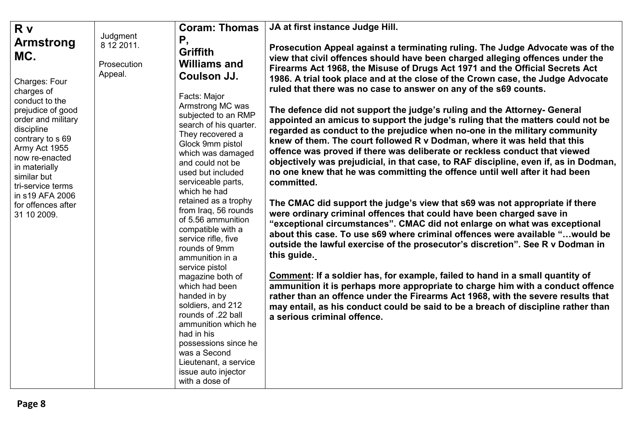<span id="page-7-0"></span>

| R <sub>v</sub>                                                                                                                                                                                                                                                                                        |                                                  | <b>Coram: Thomas</b>                                                                                                                                                                                                                                                                                                                                                                                                                                                                                                                                                                                                                                                                                                 | JA at first instance Judge Hill.                                                                                                                                                                                                                                                                                                                                                                                                                                                                                                                                                                                                                                                                                                                                                                                                                                                                                                                                                                                                                                                                                                                                                                                                                                                                                                                                                                                                                                                                                                                                                                                                                                                                                                                                                                   |
|-------------------------------------------------------------------------------------------------------------------------------------------------------------------------------------------------------------------------------------------------------------------------------------------------------|--------------------------------------------------|----------------------------------------------------------------------------------------------------------------------------------------------------------------------------------------------------------------------------------------------------------------------------------------------------------------------------------------------------------------------------------------------------------------------------------------------------------------------------------------------------------------------------------------------------------------------------------------------------------------------------------------------------------------------------------------------------------------------|----------------------------------------------------------------------------------------------------------------------------------------------------------------------------------------------------------------------------------------------------------------------------------------------------------------------------------------------------------------------------------------------------------------------------------------------------------------------------------------------------------------------------------------------------------------------------------------------------------------------------------------------------------------------------------------------------------------------------------------------------------------------------------------------------------------------------------------------------------------------------------------------------------------------------------------------------------------------------------------------------------------------------------------------------------------------------------------------------------------------------------------------------------------------------------------------------------------------------------------------------------------------------------------------------------------------------------------------------------------------------------------------------------------------------------------------------------------------------------------------------------------------------------------------------------------------------------------------------------------------------------------------------------------------------------------------------------------------------------------------------------------------------------------------------|
| <b>Armstrong</b><br>MC.<br>Charges: Four<br>charges of<br>conduct to the<br>prejudice of good<br>order and military<br>discipline<br>contrary to s 69<br>Army Act 1955<br>now re-enacted<br>in materially<br>similar but<br>tri-service terms<br>in s19 AFA 2006<br>for offences after<br>31 10 2009. | Judgment<br>8 12 2011.<br>Prosecution<br>Appeal. | Ρ,<br><b>Griffith</b><br><b>Williams and</b><br>Coulson JJ.<br>Facts: Major<br>Armstrong MC was<br>subjected to an RMP<br>search of his quarter.<br>They recovered a<br>Glock 9mm pistol<br>which was damaged<br>and could not be<br>used but included<br>serviceable parts,<br>which he had<br>retained as a trophy<br>from Iraq, 56 rounds<br>of 5.56 ammunition<br>compatible with a<br>service rifle, five<br>rounds of 9mm<br>ammunition in a<br>service pistol<br>magazine both of<br>which had been<br>handed in by<br>soldiers, and 212<br>rounds of .22 ball<br>ammunition which he<br>had in his<br>possessions since he<br>was a Second<br>Lieutenant, a service<br>issue auto injector<br>with a dose of | Prosecution Appeal against a terminating ruling. The Judge Advocate was of the<br>view that civil offences should have been charged alleging offences under the<br>Firearms Act 1968, the Misuse of Drugs Act 1971 and the Official Secrets Act<br>1986. A trial took place and at the close of the Crown case, the Judge Advocate<br>ruled that there was no case to answer on any of the s69 counts.<br>The defence did not support the judge's ruling and the Attorney- General<br>appointed an amicus to support the judge's ruling that the matters could not be<br>regarded as conduct to the prejudice when no-one in the military community<br>knew of them. The court followed R v Dodman, where it was held that this<br>offence was proved if there was deliberate or reckless conduct that viewed<br>objectively was prejudicial, in that case, to RAF discipline, even if, as in Dodman,<br>no one knew that he was committing the offence until well after it had been<br>committed.<br>The CMAC did support the judge's view that s69 was not appropriate if there<br>were ordinary criminal offences that could have been charged save in<br>"exceptional circumstances". CMAC did not enlarge on what was exceptional<br>about this case. To use s69 where criminal offences were available "would be<br>outside the lawful exercise of the prosecutor's discretion". See R v Dodman in<br>this guide.<br>Comment: If a soldier has, for example, failed to hand in a small quantity of<br>ammunition it is perhaps more appropriate to charge him with a conduct offence<br>rather than an offence under the Firearms Act 1968, with the severe results that<br>may entail, as his conduct could be said to be a breach of discipline rather than<br>a serious criminal offence. |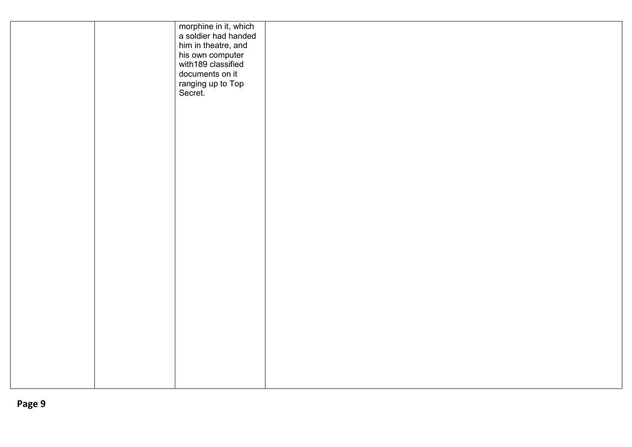|  | morphine in it, which<br>a soldier had handed<br>him in theatre, and<br>his own computer<br>with189 classified<br>documents on it<br>ranging up to Top<br>Secret. |  |  |
|--|-------------------------------------------------------------------------------------------------------------------------------------------------------------------|--|--|
|  |                                                                                                                                                                   |  |  |
|  |                                                                                                                                                                   |  |  |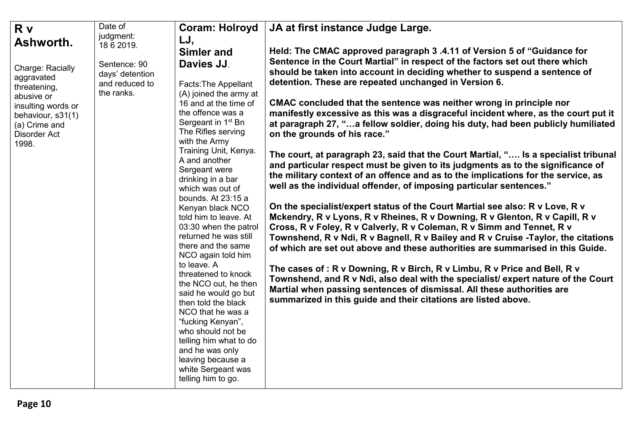<span id="page-9-0"></span>

| <b>R</b> v<br>Ashworth.                                                                                                                                                                                                                                                                                                                                                                                                                   | Date of<br>judgment:<br>18 6 2019.      | <b>Coram: Holroyd</b><br>LJ,<br><b>Simler and</b>                                                                                                                                                                                                                                                                                                                                                                                                                                                                                                                                                                                                                             | JA at first instance Judge Large.<br>Held: The CMAC approved paragraph 3.4.11 of Version 5 of "Guidance for                                                                                                                                                                                                                                                                                                                                                                                                                                                                                                                                                                                                                                                                                                                                                                          |  |
|-------------------------------------------------------------------------------------------------------------------------------------------------------------------------------------------------------------------------------------------------------------------------------------------------------------------------------------------------------------------------------------------------------------------------------------------|-----------------------------------------|-------------------------------------------------------------------------------------------------------------------------------------------------------------------------------------------------------------------------------------------------------------------------------------------------------------------------------------------------------------------------------------------------------------------------------------------------------------------------------------------------------------------------------------------------------------------------------------------------------------------------------------------------------------------------------|--------------------------------------------------------------------------------------------------------------------------------------------------------------------------------------------------------------------------------------------------------------------------------------------------------------------------------------------------------------------------------------------------------------------------------------------------------------------------------------------------------------------------------------------------------------------------------------------------------------------------------------------------------------------------------------------------------------------------------------------------------------------------------------------------------------------------------------------------------------------------------------|--|
| Davies JJ.<br>Sentence: 90<br>Charge: Racially<br>days' detention<br>aggravated<br>and reduced to<br><b>Facts: The Appellant</b><br>threatening,<br>the ranks.<br>abusive or<br>16 and at the time of<br>insulting words or<br>the offence was a<br>behaviour, s31(1)<br>Sergeant in 1 <sup>st</sup> Bn<br>(a) Crime and<br>The Rifles serving<br><b>Disorder Act</b><br>with the Army<br>1998.<br>Training Unit, Kenya.<br>A and another | (A) joined the army at<br>Sergeant were | Sentence in the Court Martial" in respect of the factors set out there which<br>should be taken into account in deciding whether to suspend a sentence of<br>detention. These are repeated unchanged in Version 6.<br>CMAC concluded that the sentence was neither wrong in principle nor<br>manifestly excessive as this was a disgraceful incident where, as the court put it<br>at paragraph 27, "a fellow soldier, doing his duty, had been publicly humiliated<br>on the grounds of his race."<br>The court, at paragraph 23, said that the Court Martial, " Is a specialist tribunal<br>and particular respect must be given to its judgments as to the significance of |                                                                                                                                                                                                                                                                                                                                                                                                                                                                                                                                                                                                                                                                                                                                                                                                                                                                                      |  |
|                                                                                                                                                                                                                                                                                                                                                                                                                                           |                                         | drinking in a bar<br>which was out of<br>bounds. At 23:15 a<br>Kenyan black NCO<br>told him to leave. At<br>03:30 when the patrol<br>returned he was still<br>there and the same<br>NCO again told him<br>to leave. A<br>threatened to knock<br>the NCO out, he then<br>said he would go but<br>then told the black<br>NCO that he was a<br>"fucking Kenyan",<br>who should not be<br>telling him what to do<br>and he was only<br>leaving because a<br>white Sergeant was<br>telling him to go.                                                                                                                                                                              | the military context of an offence and as to the implications for the service, as<br>well as the individual offender, of imposing particular sentences."<br>On the specialist/expert status of the Court Martial see also: R v Love, R v<br>Mckendry, R v Lyons, R v Rheines, R v Downing, R v Glenton, R v Capill, R v<br>Cross, R v Foley, R v Calverly, R v Coleman, R v Simm and Tennet, R v<br>Townshend, R v Ndi, R v Bagnell, R v Bailey and R v Cruise -Taylor, the citations<br>of which are set out above and these authorities are summarised in this Guide.<br>The cases of: R v Downing, R v Birch, R v Limbu, R v Price and Bell, R v<br>Townshend, and R v Ndi, also deal with the specialist/ expert nature of the Court<br>Martial when passing sentences of dismissal. All these authorities are<br>summarized in this guide and their citations are listed above. |  |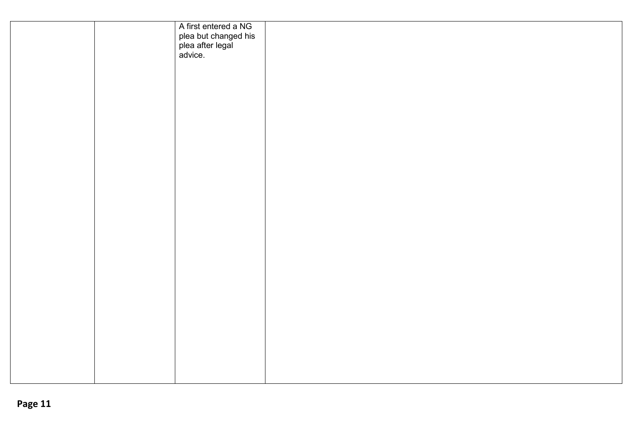|  | A first entered a NG<br>plea but changed his<br>plea after legal<br>advice. |  |  |
|--|-----------------------------------------------------------------------------|--|--|
|  |                                                                             |  |  |
|  |                                                                             |  |  |
|  |                                                                             |  |  |
|  |                                                                             |  |  |
|  |                                                                             |  |  |
|  |                                                                             |  |  |
|  |                                                                             |  |  |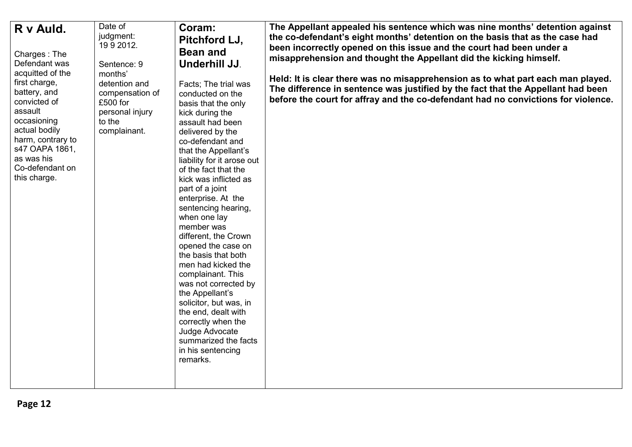<span id="page-11-0"></span>

| R v Auld.<br>Charges: The<br>Defendant was<br>acquitted of the<br>first charge,<br>battery, and<br>convicted of<br>assault<br>occasioning<br>actual bodily<br>harm, contrary to<br>s47 OAPA 1861,<br>as was his<br>Co-defendant on<br>this charge. | Date of<br>judgment:<br>1992012.<br>Sentence: 9<br>months'<br>detention and<br>compensation of<br>£500 for<br>personal injury<br>to the<br>complainant. | Coram:<br>Pitchford LJ,<br><b>Bean and</b><br>Underhill JJ.<br>Facts; The trial was<br>conducted on the<br>basis that the only<br>kick during the<br>assault had been<br>delivered by the<br>co-defendant and<br>that the Appellant's<br>liability for it arose out<br>of the fact that the<br>kick was inflicted as<br>part of a joint<br>enterprise. At the<br>sentencing hearing,<br>when one lay<br>member was<br>different, the Crown<br>opened the case on<br>the basis that both<br>men had kicked the<br>complainant. This<br>was not corrected by<br>the Appellant's<br>solicitor, but was, in<br>the end, dealt with<br>correctly when the<br>Judge Advocate<br>summarized the facts<br>in his sentencing<br>remarks. | The Appellant appealed his sentence which was nine months' detention against<br>the co-defendant's eight months' detention on the basis that as the case had<br>been incorrectly opened on this issue and the court had been under a<br>misapprehension and thought the Appellant did the kicking himself.<br>Held: It is clear there was no misapprehension as to what part each man played.<br>The difference in sentence was justified by the fact that the Appellant had been<br>before the court for affray and the co-defendant had no convictions for violence. |
|----------------------------------------------------------------------------------------------------------------------------------------------------------------------------------------------------------------------------------------------------|---------------------------------------------------------------------------------------------------------------------------------------------------------|---------------------------------------------------------------------------------------------------------------------------------------------------------------------------------------------------------------------------------------------------------------------------------------------------------------------------------------------------------------------------------------------------------------------------------------------------------------------------------------------------------------------------------------------------------------------------------------------------------------------------------------------------------------------------------------------------------------------------------|------------------------------------------------------------------------------------------------------------------------------------------------------------------------------------------------------------------------------------------------------------------------------------------------------------------------------------------------------------------------------------------------------------------------------------------------------------------------------------------------------------------------------------------------------------------------|
|----------------------------------------------------------------------------------------------------------------------------------------------------------------------------------------------------------------------------------------------------|---------------------------------------------------------------------------------------------------------------------------------------------------------|---------------------------------------------------------------------------------------------------------------------------------------------------------------------------------------------------------------------------------------------------------------------------------------------------------------------------------------------------------------------------------------------------------------------------------------------------------------------------------------------------------------------------------------------------------------------------------------------------------------------------------------------------------------------------------------------------------------------------------|------------------------------------------------------------------------------------------------------------------------------------------------------------------------------------------------------------------------------------------------------------------------------------------------------------------------------------------------------------------------------------------------------------------------------------------------------------------------------------------------------------------------------------------------------------------------|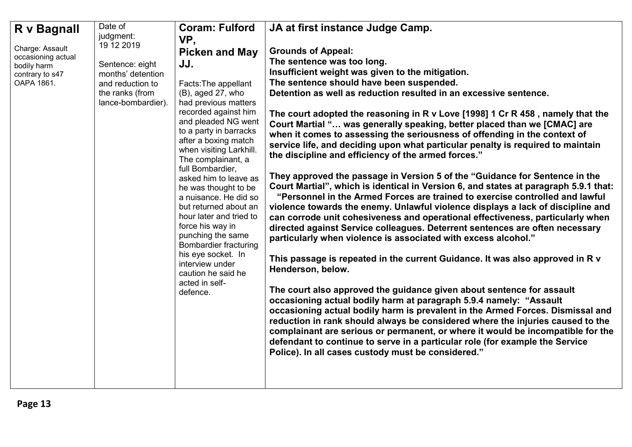<span id="page-12-0"></span>

| R v Bagnall                    | Date of            | <b>Coram: Fulford</b>                             | JA at first instance Judge Camp.                                                     |
|--------------------------------|--------------------|---------------------------------------------------|--------------------------------------------------------------------------------------|
|                                | judgment:          | VP,                                               |                                                                                      |
| Charge: Assault                | 19 12 2019         | <b>Picken and May</b>                             | <b>Grounds of Appeal:</b>                                                            |
| occasioning actual             | Sentence: eight    | JJ.                                               | The sentence was too long.                                                           |
| bodily harm<br>contrary to s47 | months' detention  |                                                   | Insufficient weight was given to the mitigation.                                     |
| OAPA 1861.                     | and reduction to   | Facts: The appellant                              | The sentence should have been suspended.                                             |
|                                | the ranks (from    | (B), aged 27, who                                 | Detention as well as reduction resulted in an excessive sentence.                    |
|                                | lance-bombardier). | had previous matters                              |                                                                                      |
|                                |                    | recorded against him                              | The court adopted the reasoning in R v Love [1998] 1 Cr R 458, namely that the       |
|                                |                    | and pleaded NG went                               | Court Martial " was generally speaking, better placed than we [CMAC] are             |
|                                |                    | to a party in barracks                            | when it comes to assessing the seriousness of offending in the context of            |
|                                |                    | after a boxing match                              | service life, and deciding upon what particular penalty is required to maintain      |
|                                |                    | when visiting Larkhill.<br>The complainant, a     | the discipline and efficiency of the armed forces."                                  |
|                                |                    | full Bombardier,                                  |                                                                                      |
|                                |                    | asked him to leave as                             | They approved the passage in Version 5 of the "Guidance for Sentence in the          |
|                                |                    | he was thought to be                              | Court Martial", which is identical in Version 6, and states at paragraph 5.9.1 that: |
|                                |                    | a nuisance. He did so                             | "Personnel in the Armed Forces are trained to exercise controlled and lawful         |
|                                |                    | but returned about an                             | violence towards the enemy. Unlawful violence displays a lack of discipline and      |
|                                |                    | hour later and tried to                           | can corrode unit cohesiveness and operational effectiveness, particularly when       |
|                                |                    | force his way in                                  | directed against Service colleagues. Deterrent sentences are often necessary         |
|                                |                    | punching the same<br><b>Bombardier fracturing</b> | particularly when violence is associated with excess alcohol."                       |
|                                |                    | his eye socket. In                                |                                                                                      |
|                                |                    | interview under                                   | This passage is repeated in the current Guidance. It was also approved in R v        |
|                                |                    | caution he said he                                | Henderson, below.                                                                    |
|                                |                    | acted in self-                                    |                                                                                      |
|                                |                    | defence.                                          | The court also approved the guidance given about sentence for assault                |
|                                |                    |                                                   | occasioning actual bodily harm at paragraph 5.9.4 namely: "Assault                   |
|                                |                    |                                                   | occasioning actual bodily harm is prevalent in the Armed Forces. Dismissal and       |
|                                |                    |                                                   | reduction in rank should always be considered where the injuries caused to the       |
|                                |                    |                                                   | complainant are serious or permanent, or where it would be incompatible for the      |
|                                |                    |                                                   | defendant to continue to serve in a particular role (for example the Service         |
|                                |                    |                                                   | Police). In all cases custody must be considered."                                   |
|                                |                    |                                                   |                                                                                      |
|                                |                    |                                                   |                                                                                      |
|                                |                    |                                                   |                                                                                      |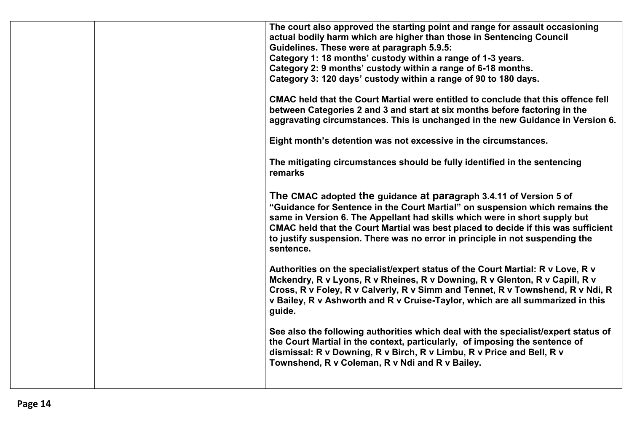| The court also approved the starting point and range for assault occasioning<br>actual bodily harm which are higher than those in Sentencing Council<br>Guidelines. These were at paragraph 5.9.5:<br>Category 1: 18 months' custody within a range of 1-3 years.<br>Category 2: 9 months' custody within a range of 6-18 months.<br>Category 3: 120 days' custody within a range of 90 to 180 days.<br>CMAC held that the Court Martial were entitled to conclude that this offence fell<br>between Categories 2 and 3 and start at six months before factoring in the<br>aggravating circumstances. This is unchanged in the new Guidance in Version 6.<br>Eight month's detention was not excessive in the circumstances.<br>The mitigating circumstances should be fully identified in the sentencing |
|-----------------------------------------------------------------------------------------------------------------------------------------------------------------------------------------------------------------------------------------------------------------------------------------------------------------------------------------------------------------------------------------------------------------------------------------------------------------------------------------------------------------------------------------------------------------------------------------------------------------------------------------------------------------------------------------------------------------------------------------------------------------------------------------------------------|
| remarks<br>The CMAC adopted the guidance at paragraph 3.4.11 of Version 5 of<br>"Guidance for Sentence in the Court Martial" on suspension which remains the<br>same in Version 6. The Appellant had skills which were in short supply but<br>CMAC held that the Court Martial was best placed to decide if this was sufficient<br>to justify suspension. There was no error in principle in not suspending the<br>sentence.<br>Authorities on the specialist/expert status of the Court Martial: R v Love, R v<br>Mckendry, R v Lyons, R v Rheines, R v Downing, R v Glenton, R v Capill, R v                                                                                                                                                                                                            |
| Cross, R v Foley, R v Calverly, R v Simm and Tennet, R v Townshend, R v Ndi, R<br>v Bailey, R v Ashworth and R v Cruise-Taylor, which are all summarized in this<br>guide.<br>See also the following authorities which deal with the specialist/expert status of<br>the Court Martial in the context, particularly, of imposing the sentence of<br>dismissal: R v Downing, R v Birch, R v Limbu, R v Price and Bell, R v<br>Townshend, R v Coleman, R v Ndi and R v Bailey.                                                                                                                                                                                                                                                                                                                               |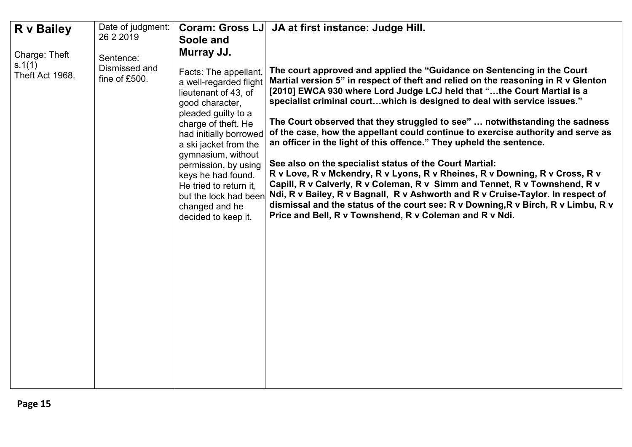<span id="page-14-0"></span>

| Date of judgment:                                                                                                                                                      | <b>Coram: Gross LJ</b>                                                                                                                                                                                                                                                                                                                                                                                                                                                                                                                                                                                                                                                                                                                                                                                                                                                                                                                                                                                                                                                                                                                                                                                                                                                                                                                            |
|------------------------------------------------------------------------------------------------------------------------------------------------------------------------|---------------------------------------------------------------------------------------------------------------------------------------------------------------------------------------------------------------------------------------------------------------------------------------------------------------------------------------------------------------------------------------------------------------------------------------------------------------------------------------------------------------------------------------------------------------------------------------------------------------------------------------------------------------------------------------------------------------------------------------------------------------------------------------------------------------------------------------------------------------------------------------------------------------------------------------------------------------------------------------------------------------------------------------------------------------------------------------------------------------------------------------------------------------------------------------------------------------------------------------------------------------------------------------------------------------------------------------------------|
| <b>R</b> v Bailey                                                                                                                                                      | JA at first instance: Judge Hill.                                                                                                                                                                                                                                                                                                                                                                                                                                                                                                                                                                                                                                                                                                                                                                                                                                                                                                                                                                                                                                                                                                                                                                                                                                                                                                                 |
| 26 2 2019<br>Soole and<br>Murray JJ.<br>Charge: Theft<br>Sentence:<br>s.1(1)<br>Dismissed and<br>Theft Act 1968.<br>fine of £500.<br>good character,<br>changed and he | The court approved and applied the "Guidance on Sentencing in the Court<br>Facts: The appellant,<br>Martial version 5" in respect of theft and relied on the reasoning in R v Glenton<br>a well-regarded flight<br>[2010] EWCA 930 where Lord Judge LCJ held that "the Court Martial is a<br>lieutenant of 43, of<br>specialist criminal courtwhich is designed to deal with service issues."<br>pleaded guilty to a<br>The Court observed that they struggled to see"  notwithstanding the sadness<br>charge of theft. He<br>of the case, how the appellant could continue to exercise authority and serve as<br>had initially borrowed<br>an officer in the light of this offence." They upheld the sentence.<br>a ski jacket from the<br>gymnasium, without<br>See also on the specialist status of the Court Martial:<br>permission, by using<br>R v Love, R v Mckendry, R v Lyons, R v Rheines, R v Downing, R v Cross, R v<br>keys he had found.<br>Capill, R v Calverly, R v Coleman, R v Simm and Tennet, R v Townshend, R v<br>He tried to return it,<br>Ndi, R v Bailey, R v Bagnall, R v Ashworth and R v Cruise-Taylor. In respect of<br>but the lock had been<br>dismissal and the status of the court see: R v Downing, R v Birch, R v Limbu, R v<br>Price and Bell, R v Townshend, R v Coleman and R v Ndi.<br>decided to keep it. |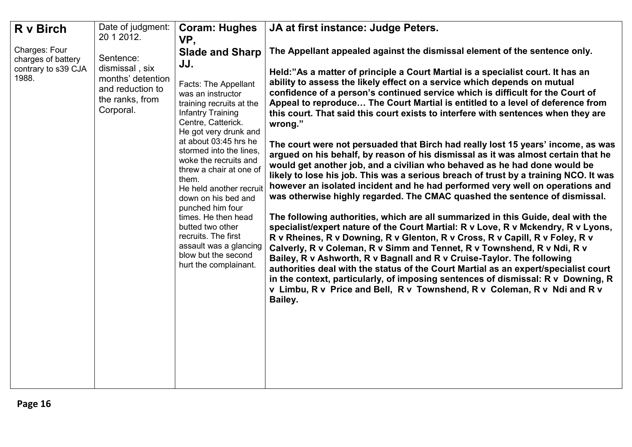<span id="page-15-0"></span>

| R v Birch                                                           | Date of judgment:<br>20 1 2012.                                                                      | <b>Coram: Hughes</b><br>VP,                                                                                                                                                                                                                                                                                                                                                                                                                                                                                                 | JA at first instance: Judge Peters.                                                                                                                                                                                                                                                                                                                                                                                                                                                                                                                                                                                                                                                                                                                                                                                                                                                                                                                                                                                                                                                                                                                                                                                                                                                                                                                                                                                                                                                                                                                                                                                                                                                                        |
|---------------------------------------------------------------------|------------------------------------------------------------------------------------------------------|-----------------------------------------------------------------------------------------------------------------------------------------------------------------------------------------------------------------------------------------------------------------------------------------------------------------------------------------------------------------------------------------------------------------------------------------------------------------------------------------------------------------------------|------------------------------------------------------------------------------------------------------------------------------------------------------------------------------------------------------------------------------------------------------------------------------------------------------------------------------------------------------------------------------------------------------------------------------------------------------------------------------------------------------------------------------------------------------------------------------------------------------------------------------------------------------------------------------------------------------------------------------------------------------------------------------------------------------------------------------------------------------------------------------------------------------------------------------------------------------------------------------------------------------------------------------------------------------------------------------------------------------------------------------------------------------------------------------------------------------------------------------------------------------------------------------------------------------------------------------------------------------------------------------------------------------------------------------------------------------------------------------------------------------------------------------------------------------------------------------------------------------------------------------------------------------------------------------------------------------------|
| Charges: Four<br>charges of battery<br>contrary to s39 CJA<br>1988. | Sentence:<br>dismissal, six<br>months' detention<br>and reduction to<br>the ranks, from<br>Corporal. | <b>Slade and Sharp</b><br>JJ.<br><b>Facts: The Appellant</b><br>was an instructor<br>training recruits at the<br><b>Infantry Training</b><br>Centre, Catterick.<br>He got very drunk and<br>at about 03:45 hrs he<br>stormed into the lines,<br>woke the recruits and<br>threw a chair at one of<br>them.<br>He held another recruit<br>down on his bed and<br>punched him four<br>times. He then head<br>butted two other<br>recruits. The first<br>assault was a glancing<br>blow but the second<br>hurt the complainant. | The Appellant appealed against the dismissal element of the sentence only.<br>Held:"As a matter of principle a Court Martial is a specialist court. It has an<br>ability to assess the likely effect on a service which depends on mutual<br>confidence of a person's continued service which is difficult for the Court of<br>Appeal to reproduce The Court Martial is entitled to a level of deference from<br>this court. That said this court exists to interfere with sentences when they are<br>wrong."<br>The court were not persuaded that Birch had really lost 15 years' income, as was<br>argued on his behalf, by reason of his dismissal as it was almost certain that he<br>would get another job, and a civilian who behaved as he had done would be<br>likely to lose his job. This was a serious breach of trust by a training NCO. It was<br>however an isolated incident and he had performed very well on operations and<br>was otherwise highly regarded. The CMAC quashed the sentence of dismissal.<br>The following authorities, which are all summarized in this Guide, deal with the<br>specialist/expert nature of the Court Martial: R v Love, R v Mckendry, R v Lyons,<br>R v Rheines, R v Downing, R v Glenton, R v Cross, R v Capill, R v Foley, R v<br>Calverly, R v Coleman, R v Simm and Tennet, R v Townshend, R v Ndi, R v<br>Bailey, R v Ashworth, R v Bagnall and R v Cruise-Taylor. The following<br>authorities deal with the status of the Court Martial as an expert/specialist court<br>in the context, particularly, of imposing sentences of dismissal: R v Downing, R<br>v Limbu, R v Price and Bell, R v Townshend, R v Coleman, R v Ndi and R v<br>Bailey. |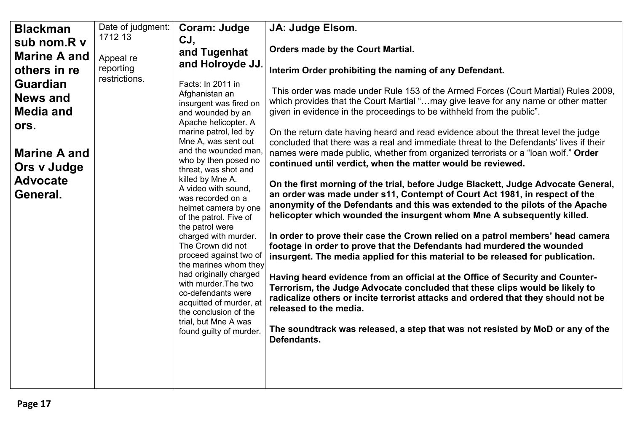<span id="page-16-0"></span>

| <b>Blackman</b>     | Date of judgment: | Coram: Judge                                     | JA: Judge Elsom.                                                                                                                                                             |
|---------------------|-------------------|--------------------------------------------------|------------------------------------------------------------------------------------------------------------------------------------------------------------------------------|
| sub nom.R v         | 1712 13           | CJ,                                              |                                                                                                                                                                              |
| <b>Marine A and</b> | Appeal re         | and Tugenhat                                     | Orders made by the Court Martial.                                                                                                                                            |
| others in re        | reporting         | and Holroyde JJ.                                 | Interim Order prohibiting the naming of any Defendant.                                                                                                                       |
| <b>Guardian</b>     | restrictions.     |                                                  |                                                                                                                                                                              |
|                     |                   | Facts: In 2011 in<br>Afghanistan an              | This order was made under Rule 153 of the Armed Forces (Court Martial) Rules 2009,                                                                                           |
| <b>News and</b>     |                   | insurgent was fired on                           | which provides that the Court Martial "may give leave for any name or other matter                                                                                           |
| <b>Media and</b>    |                   | and wounded by an                                | given in evidence in the proceedings to be withheld from the public".                                                                                                        |
| ors.                |                   | Apache helicopter. A                             |                                                                                                                                                                              |
|                     |                   | marine patrol, led by<br>Mne A, was sent out     | On the return date having heard and read evidence about the threat level the judge<br>concluded that there was a real and immediate threat to the Defendants' lives if their |
| <b>Marine A and</b> |                   | and the wounded man                              | names were made public, whether from organized terrorists or a "loan wolf." Order                                                                                            |
| Ors v Judge         |                   | who by then posed no                             | continued until verdict, when the matter would be reviewed.                                                                                                                  |
|                     |                   | threat, was shot and<br>killed by Mne A.         |                                                                                                                                                                              |
| <b>Advocate</b>     |                   | A video with sound,                              | On the first morning of the trial, before Judge Blackett, Judge Advocate General,                                                                                            |
| General.            |                   | was recorded on a                                | an order was made under s11, Contempt of Court Act 1981, in respect of the<br>anonymity of the Defendants and this was extended to the pilots of the Apache                  |
|                     |                   | helmet camera by one<br>of the patrol. Five of   | helicopter which wounded the insurgent whom Mne A subsequently killed.                                                                                                       |
|                     |                   | the patrol were                                  |                                                                                                                                                                              |
|                     |                   | charged with murder.                             | In order to prove their case the Crown relied on a patrol members' head camera                                                                                               |
|                     |                   | The Crown did not                                | footage in order to prove that the Defendants had murdered the wounded                                                                                                       |
|                     |                   | proceed against two of<br>the marines whom they  | insurgent. The media applied for this material to be released for publication.                                                                                               |
|                     |                   | had originally charged                           | Having heard evidence from an official at the Office of Security and Counter-                                                                                                |
|                     |                   | with murder. The two                             | Terrorism, the Judge Advocate concluded that these clips would be likely to                                                                                                  |
|                     |                   | co-defendants were                               | radicalize others or incite terrorist attacks and ordered that they should not be                                                                                            |
|                     |                   | acquitted of murder, at<br>the conclusion of the | released to the media.                                                                                                                                                       |
|                     |                   | trial, but Mne A was                             |                                                                                                                                                                              |
|                     |                   | found guilty of murder.                          | The soundtrack was released, a step that was not resisted by MoD or any of the                                                                                               |
|                     |                   |                                                  | Defendants.                                                                                                                                                                  |
|                     |                   |                                                  |                                                                                                                                                                              |
|                     |                   |                                                  |                                                                                                                                                                              |
|                     |                   |                                                  |                                                                                                                                                                              |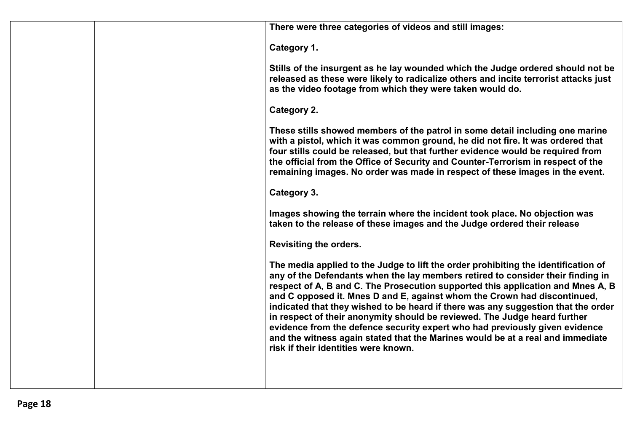| There were three categories of videos and still images:                                                                                                                                                                                                                                                                                                                                                                                                                                                                                                                                                                                                                                                         |
|-----------------------------------------------------------------------------------------------------------------------------------------------------------------------------------------------------------------------------------------------------------------------------------------------------------------------------------------------------------------------------------------------------------------------------------------------------------------------------------------------------------------------------------------------------------------------------------------------------------------------------------------------------------------------------------------------------------------|
| Category 1.                                                                                                                                                                                                                                                                                                                                                                                                                                                                                                                                                                                                                                                                                                     |
| Stills of the insurgent as he lay wounded which the Judge ordered should not be<br>released as these were likely to radicalize others and incite terrorist attacks just<br>as the video footage from which they were taken would do.                                                                                                                                                                                                                                                                                                                                                                                                                                                                            |
| Category 2.                                                                                                                                                                                                                                                                                                                                                                                                                                                                                                                                                                                                                                                                                                     |
| These stills showed members of the patrol in some detail including one marine<br>with a pistol, which it was common ground, he did not fire. It was ordered that<br>four stills could be released, but that further evidence would be required from<br>the official from the Office of Security and Counter-Terrorism in respect of the<br>remaining images. No order was made in respect of these images in the event.                                                                                                                                                                                                                                                                                         |
| Category 3.                                                                                                                                                                                                                                                                                                                                                                                                                                                                                                                                                                                                                                                                                                     |
| Images showing the terrain where the incident took place. No objection was<br>taken to the release of these images and the Judge ordered their release                                                                                                                                                                                                                                                                                                                                                                                                                                                                                                                                                          |
| <b>Revisiting the orders.</b>                                                                                                                                                                                                                                                                                                                                                                                                                                                                                                                                                                                                                                                                                   |
| The media applied to the Judge to lift the order prohibiting the identification of<br>any of the Defendants when the lay members retired to consider their finding in<br>respect of A, B and C. The Prosecution supported this application and Mnes A, B<br>and C opposed it. Mnes D and E, against whom the Crown had discontinued,<br>indicated that they wished to be heard if there was any suggestion that the order<br>in respect of their anonymity should be reviewed. The Judge heard further<br>evidence from the defence security expert who had previously given evidence<br>and the witness again stated that the Marines would be at a real and immediate<br>risk if their identities were known. |
|                                                                                                                                                                                                                                                                                                                                                                                                                                                                                                                                                                                                                                                                                                                 |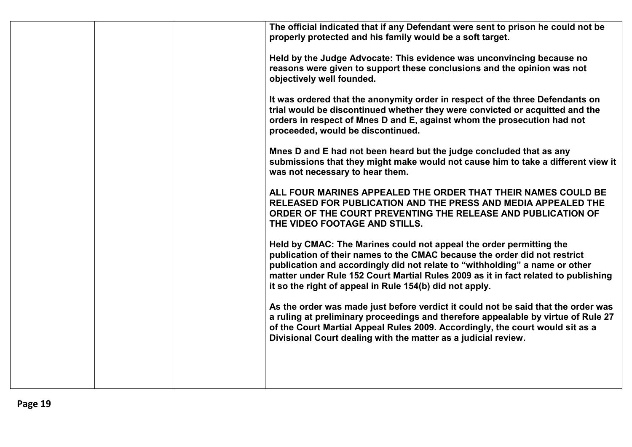| The official indicated that if any Defendant were sent to prison he could not be<br>properly protected and his family would be a soft target.                                                                                                                                                                                                                                    |
|----------------------------------------------------------------------------------------------------------------------------------------------------------------------------------------------------------------------------------------------------------------------------------------------------------------------------------------------------------------------------------|
| Held by the Judge Advocate: This evidence was unconvincing because no<br>reasons were given to support these conclusions and the opinion was not<br>objectively well founded.                                                                                                                                                                                                    |
| It was ordered that the anonymity order in respect of the three Defendants on<br>trial would be discontinued whether they were convicted or acquitted and the<br>orders in respect of Mnes D and E, against whom the prosecution had not<br>proceeded, would be discontinued.                                                                                                    |
| Mnes D and E had not been heard but the judge concluded that as any<br>submissions that they might make would not cause him to take a different view it<br>was not necessary to hear them.                                                                                                                                                                                       |
| ALL FOUR MARINES APPEALED THE ORDER THAT THEIR NAMES COULD BE<br>RELEASED FOR PUBLICATION AND THE PRESS AND MEDIA APPEALED THE<br>ORDER OF THE COURT PREVENTING THE RELEASE AND PUBLICATION OF<br>THE VIDEO FOOTAGE AND STILLS.                                                                                                                                                  |
| Held by CMAC: The Marines could not appeal the order permitting the<br>publication of their names to the CMAC because the order did not restrict<br>publication and accordingly did not relate to "withholding" a name or other<br>matter under Rule 152 Court Martial Rules 2009 as it in fact related to publishing<br>it so the right of appeal in Rule 154(b) did not apply. |
| As the order was made just before verdict it could not be said that the order was<br>a ruling at preliminary proceedings and therefore appealable by virtue of Rule 27<br>of the Court Martial Appeal Rules 2009. Accordingly, the court would sit as a<br>Divisional Court dealing with the matter as a judicial review.                                                        |
|                                                                                                                                                                                                                                                                                                                                                                                  |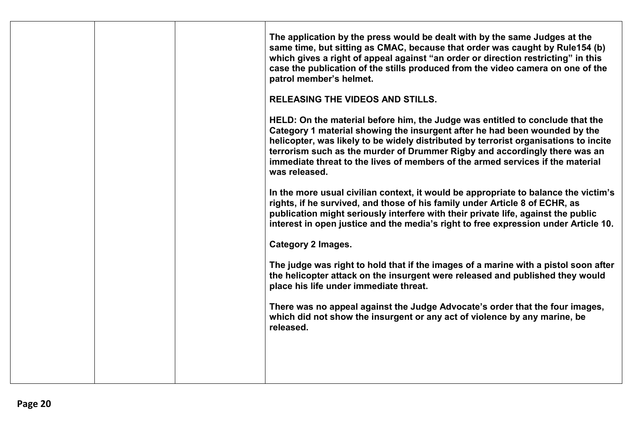|  | The application by the press would be dealt with by the same Judges at the<br>same time, but sitting as CMAC, because that order was caught by Rule154 (b)<br>which gives a right of appeal against "an order or direction restricting" in this<br>case the publication of the stills produced from the video camera on one of the<br>patrol member's helmet.<br><b>RELEASING THE VIDEOS AND STILLS.</b><br>HELD: On the material before him, the Judge was entitled to conclude that the<br>Category 1 material showing the insurgent after he had been wounded by the<br>helicopter, was likely to be widely distributed by terrorist organisations to incite<br>terrorism such as the murder of Drummer Rigby and accordingly there was an<br>immediate threat to the lives of members of the armed services if the material<br>was released.<br>In the more usual civilian context, it would be appropriate to balance the victim's<br>rights, if he survived, and those of his family under Article 8 of ECHR, as<br>publication might seriously interfere with their private life, against the public<br>interest in open justice and the media's right to free expression under Article 10.<br><b>Category 2 Images.</b><br>The judge was right to hold that if the images of a marine with a pistol soon after<br>the helicopter attack on the insurgent were released and published they would<br>place his life under immediate threat.<br>There was no appeal against the Judge Advocate's order that the four images,<br>which did not show the insurgent or any act of violence by any marine, be<br>released. |
|--|-----------------------------------------------------------------------------------------------------------------------------------------------------------------------------------------------------------------------------------------------------------------------------------------------------------------------------------------------------------------------------------------------------------------------------------------------------------------------------------------------------------------------------------------------------------------------------------------------------------------------------------------------------------------------------------------------------------------------------------------------------------------------------------------------------------------------------------------------------------------------------------------------------------------------------------------------------------------------------------------------------------------------------------------------------------------------------------------------------------------------------------------------------------------------------------------------------------------------------------------------------------------------------------------------------------------------------------------------------------------------------------------------------------------------------------------------------------------------------------------------------------------------------------------------------------------------------------------------------------------------------|
|  |                                                                                                                                                                                                                                                                                                                                                                                                                                                                                                                                                                                                                                                                                                                                                                                                                                                                                                                                                                                                                                                                                                                                                                                                                                                                                                                                                                                                                                                                                                                                                                                                                             |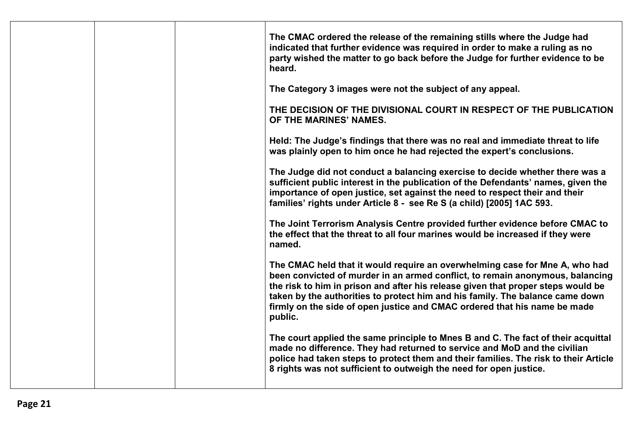|  | The CMAC ordered the release of the remaining stills where the Judge had<br>indicated that further evidence was required in order to make a ruling as no<br>party wished the matter to go back before the Judge for further evidence to be<br>heard.                                                                                                                                                                      |
|--|---------------------------------------------------------------------------------------------------------------------------------------------------------------------------------------------------------------------------------------------------------------------------------------------------------------------------------------------------------------------------------------------------------------------------|
|  | The Category 3 images were not the subject of any appeal.                                                                                                                                                                                                                                                                                                                                                                 |
|  | THE DECISION OF THE DIVISIONAL COURT IN RESPECT OF THE PUBLICATION<br>OF THE MARINES' NAMES.                                                                                                                                                                                                                                                                                                                              |
|  | Held: The Judge's findings that there was no real and immediate threat to life<br>was plainly open to him once he had rejected the expert's conclusions.                                                                                                                                                                                                                                                                  |
|  | The Judge did not conduct a balancing exercise to decide whether there was a<br>sufficient public interest in the publication of the Defendants' names, given the<br>importance of open justice, set against the need to respect their and their<br>families' rights under Article 8 - see Re S (a child) [2005] 1AC 593.                                                                                                 |
|  | The Joint Terrorism Analysis Centre provided further evidence before CMAC to<br>the effect that the threat to all four marines would be increased if they were<br>named.                                                                                                                                                                                                                                                  |
|  | The CMAC held that it would require an overwhelming case for Mne A, who had<br>been convicted of murder in an armed conflict, to remain anonymous, balancing<br>the risk to him in prison and after his release given that proper steps would be<br>taken by the authorities to protect him and his family. The balance came down<br>firmly on the side of open justice and CMAC ordered that his name be made<br>public. |
|  | The court applied the same principle to Mnes B and C. The fact of their acquittal<br>made no difference. They had returned to service and MoD and the civilian<br>police had taken steps to protect them and their families. The risk to their Article<br>8 rights was not sufficient to outweigh the need for open justice.                                                                                              |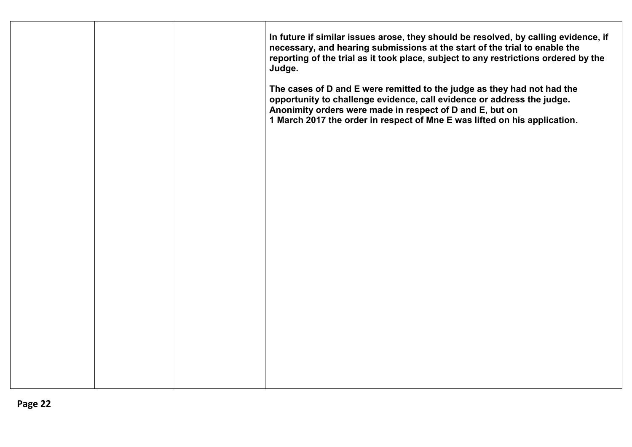|  | In future if similar issues arose, they should be resolved, by calling evidence, if<br>necessary, and hearing submissions at the start of the trial to enable the<br>reporting of the trial as it took place, subject to any restrictions ordered by the<br>Judge.<br>The cases of D and E were remitted to the judge as they had not had the<br>opportunity to challenge evidence, call evidence or address the judge.<br>Anonimity orders were made in respect of D and E, but on<br>1 March 2017 the order in respect of Mne E was lifted on his application. |
|--|------------------------------------------------------------------------------------------------------------------------------------------------------------------------------------------------------------------------------------------------------------------------------------------------------------------------------------------------------------------------------------------------------------------------------------------------------------------------------------------------------------------------------------------------------------------|
|  |                                                                                                                                                                                                                                                                                                                                                                                                                                                                                                                                                                  |
|  |                                                                                                                                                                                                                                                                                                                                                                                                                                                                                                                                                                  |
|  |                                                                                                                                                                                                                                                                                                                                                                                                                                                                                                                                                                  |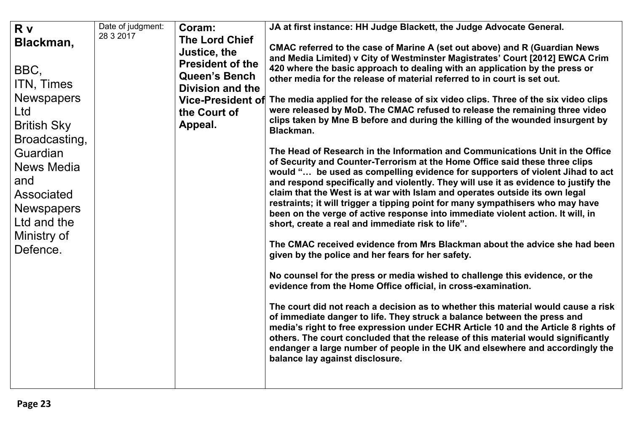<span id="page-22-0"></span>

| Blackman,<br>BBC,<br>ITN, Times<br><b>Newspapers</b><br>Ltd<br><b>British Sky</b><br>Broadcasting,<br>Guardian<br>News Media<br>and<br><b>Associated</b><br><b>Newspapers</b><br>Ltd and the<br>Ministry of<br>Defence. | 28 3 2017 | <b>The Lord Chief</b><br>Justice, the<br><b>President of the</b><br><b>Queen's Bench</b><br><b>Division and the</b><br><b>Vice-President of</b><br>the Court of<br>Appeal. | CMAC referred to the case of Marine A (set out above) and R (Guardian News<br>and Media Limited) v City of Westminster Magistrates' Court [2012] EWCA Crim<br>420 where the basic approach to dealing with an application by the press or<br>other media for the release of material referred to in court is set out.<br>The media applied for the release of six video clips. Three of the six video clips<br>were released by MoD. The CMAC refused to release the remaining three video<br>clips taken by Mne B before and during the killing of the wounded insurgent by<br>Blackman.<br>The Head of Research in the Information and Communications Unit in the Office<br>of Security and Counter-Terrorism at the Home Office said these three clips<br>would " be used as compelling evidence for supporters of violent Jihad to act<br>and respond specifically and violently. They will use it as evidence to justify the<br>claim that the West is at war with Islam and operates outside its own legal<br>restraints; it will trigger a tipping point for many sympathisers who may have<br>been on the verge of active response into immediate violent action. It will, in<br>short, create a real and immediate risk to life".<br>The CMAC received evidence from Mrs Blackman about the advice she had been<br>given by the police and her fears for her safety.<br>No counsel for the press or media wished to challenge this evidence, or the<br>evidence from the Home Office official, in cross-examination.<br>The court did not reach a decision as to whether this material would cause a risk<br>of immediate danger to life. They struck a balance between the press and<br>media's right to free expression under ECHR Article 10 and the Article 8 rights of<br>others. The court concluded that the release of this material would significantly<br>endanger a large number of people in the UK and elsewhere and accordingly the<br>balance lay against disclosure. |
|-------------------------------------------------------------------------------------------------------------------------------------------------------------------------------------------------------------------------|-----------|----------------------------------------------------------------------------------------------------------------------------------------------------------------------------|-----------------------------------------------------------------------------------------------------------------------------------------------------------------------------------------------------------------------------------------------------------------------------------------------------------------------------------------------------------------------------------------------------------------------------------------------------------------------------------------------------------------------------------------------------------------------------------------------------------------------------------------------------------------------------------------------------------------------------------------------------------------------------------------------------------------------------------------------------------------------------------------------------------------------------------------------------------------------------------------------------------------------------------------------------------------------------------------------------------------------------------------------------------------------------------------------------------------------------------------------------------------------------------------------------------------------------------------------------------------------------------------------------------------------------------------------------------------------------------------------------------------------------------------------------------------------------------------------------------------------------------------------------------------------------------------------------------------------------------------------------------------------------------------------------------------------------------------------------------------------------------------------------------------------------------------------------------------------------------------------|
|-------------------------------------------------------------------------------------------------------------------------------------------------------------------------------------------------------------------------|-----------|----------------------------------------------------------------------------------------------------------------------------------------------------------------------------|-----------------------------------------------------------------------------------------------------------------------------------------------------------------------------------------------------------------------------------------------------------------------------------------------------------------------------------------------------------------------------------------------------------------------------------------------------------------------------------------------------------------------------------------------------------------------------------------------------------------------------------------------------------------------------------------------------------------------------------------------------------------------------------------------------------------------------------------------------------------------------------------------------------------------------------------------------------------------------------------------------------------------------------------------------------------------------------------------------------------------------------------------------------------------------------------------------------------------------------------------------------------------------------------------------------------------------------------------------------------------------------------------------------------------------------------------------------------------------------------------------------------------------------------------------------------------------------------------------------------------------------------------------------------------------------------------------------------------------------------------------------------------------------------------------------------------------------------------------------------------------------------------------------------------------------------------------------------------------------------------|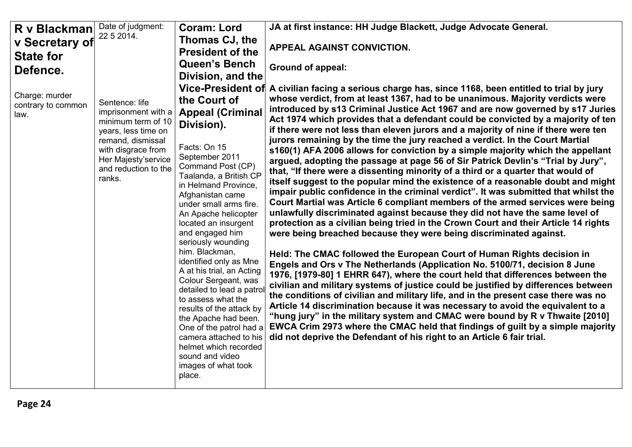<span id="page-23-0"></span>

| R v Blackman                                 | Date of judgment:                                                                                                                                                                      | <b>Coram: Lord</b>                                                                                                                                                                                                                                                                                                                                                                                                                                                                                                                                                                                                                                                          | JA at first instance: HH Judge Blackett, Judge Advocate General.                                                                                                                                                                                                                                                                                                                                                                                                                                                                                                                                                                                                                                                                                                                                                                                                                                                                                                                                                                                                                                                                                                                                                                                                                                                                                                                                                                                                                                                                                                                                                                                                                                                                                                                                                                                                                                                                                                                                                                            |
|----------------------------------------------|----------------------------------------------------------------------------------------------------------------------------------------------------------------------------------------|-----------------------------------------------------------------------------------------------------------------------------------------------------------------------------------------------------------------------------------------------------------------------------------------------------------------------------------------------------------------------------------------------------------------------------------------------------------------------------------------------------------------------------------------------------------------------------------------------------------------------------------------------------------------------------|---------------------------------------------------------------------------------------------------------------------------------------------------------------------------------------------------------------------------------------------------------------------------------------------------------------------------------------------------------------------------------------------------------------------------------------------------------------------------------------------------------------------------------------------------------------------------------------------------------------------------------------------------------------------------------------------------------------------------------------------------------------------------------------------------------------------------------------------------------------------------------------------------------------------------------------------------------------------------------------------------------------------------------------------------------------------------------------------------------------------------------------------------------------------------------------------------------------------------------------------------------------------------------------------------------------------------------------------------------------------------------------------------------------------------------------------------------------------------------------------------------------------------------------------------------------------------------------------------------------------------------------------------------------------------------------------------------------------------------------------------------------------------------------------------------------------------------------------------------------------------------------------------------------------------------------------------------------------------------------------------------------------------------------------|
| v Secretary of<br><b>State for</b>           | 22 5 2014.                                                                                                                                                                             | Thomas CJ, the<br><b>President of the</b>                                                                                                                                                                                                                                                                                                                                                                                                                                                                                                                                                                                                                                   | <b>APPEAL AGAINST CONVICTION.</b>                                                                                                                                                                                                                                                                                                                                                                                                                                                                                                                                                                                                                                                                                                                                                                                                                                                                                                                                                                                                                                                                                                                                                                                                                                                                                                                                                                                                                                                                                                                                                                                                                                                                                                                                                                                                                                                                                                                                                                                                           |
| Defence.                                     |                                                                                                                                                                                        | <b>Queen's Bench</b><br>Division, and the                                                                                                                                                                                                                                                                                                                                                                                                                                                                                                                                                                                                                                   | <b>Ground of appeal:</b>                                                                                                                                                                                                                                                                                                                                                                                                                                                                                                                                                                                                                                                                                                                                                                                                                                                                                                                                                                                                                                                                                                                                                                                                                                                                                                                                                                                                                                                                                                                                                                                                                                                                                                                                                                                                                                                                                                                                                                                                                    |
| Charge: murder<br>contrary to common<br>law. | Sentence: life<br>imprisonment with a<br>minimum term of 10<br>years, less time on<br>remand, dismissal<br>with disgrace from<br>Her Majesty'service<br>and reduction to the<br>ranks. | <b>Vice-President of</b><br>the Court of<br><b>Appeal (Criminal</b><br>Division).<br>Facts: On 15<br>September 2011<br>Command Post (CP)<br>Taalanda, a British CP<br>in Helmand Province,<br>Afghanistan came<br>under small arms fire.<br>An Apache helicopter<br>located an insurgent<br>and engaged him<br>seriously wounding<br>him. Blackman,<br>identified only as Mne<br>A at his trial, an Acting<br>Colour Sergeant, was<br>detailed to lead a patrol<br>to assess what the<br>results of the attack by<br>the Apache had been.<br>One of the patrol had a<br>camera attached to his<br>helmet which recorded<br>sound and video<br>images of what took<br>place. | A civilian facing a serious charge has, since 1168, been entitled to trial by jury<br>whose verdict, from at least 1367, had to be unanimous. Majority verdicts were<br>introduced by s13 Criminal Justice Act 1967 and are now governed by s17 Juries<br>Act 1974 which provides that a defendant could be convicted by a majority of ten<br>if there were not less than eleven jurors and a majority of nine if there were ten<br>jurors remaining by the time the jury reached a verdict. In the Court Martial<br>s160(1) AFA 2006 allows for conviction by a simple majority which the appellant<br>argued, adopting the passage at page 56 of Sir Patrick Devlin's "Trial by Jury",<br>that, "If there were a dissenting minority of a third or a quarter that would of<br>itself suggest to the popular mind the existence of a reasonable doubt and might<br>impair public confidence in the criminal verdict". It was submitted that whilst the<br>Court Martial was Article 6 compliant members of the armed services were being<br>unlawfully discriminated against because they did not have the same level of<br>protection as a civilian being tried in the Crown Court and their Article 14 rights<br>were being breached because they were being discriminated against.<br>Held: The CMAC followed the European Court of Human Rights decision in<br>Engels and Ors v The Netherlands (Application No. 5100/71, decision 8 June<br>1976, [1979-80] 1 EHRR 647), where the court held that differences between the<br>civilian and military systems of justice could be justified by differences between<br>the conditions of civilian and military life, and in the present case there was no<br>Article 14 discrimination because it was necessary to avoid the equivalent to a<br>"hung jury" in the military system and CMAC were bound by R v Thwaite [2010]<br>EWCA Crim 2973 where the CMAC held that findings of guilt by a simple majority<br>did not deprive the Defendant of his right to an Article 6 fair trial. |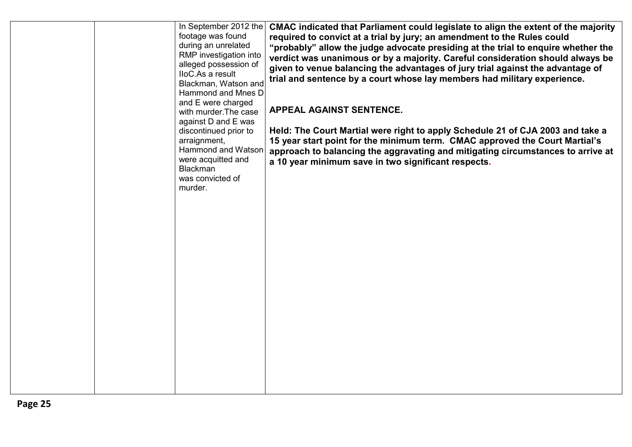|  | In September 2012 the<br>footage was found<br>during an unrelated<br>RMP investigation into<br>alleged possession of<br>IloC.As a result<br>Blackman, Watson and<br>Hammond and Mnes D<br>and E were charged<br>with murder. The case<br>against D and E was<br>discontinued prior to<br>arraignment,<br>Hammond and Watson<br>were acquitted and<br><b>Blackman</b><br>was convicted of<br>murder. | CMAC indicated that Parliament could legislate to align the extent of the majority<br>required to convict at a trial by jury; an amendment to the Rules could<br>"probably" allow the judge advocate presiding at the trial to enquire whether the<br>verdict was unanimous or by a majority. Careful consideration should always be<br>given to venue balancing the advantages of jury trial against the advantage of<br>trial and sentence by a court whose lay members had military experience.<br>APPEAL AGAINST SENTENCE.<br>Held: The Court Martial were right to apply Schedule 21 of CJA 2003 and take a<br>15 year start point for the minimum term. CMAC approved the Court Martial's<br>approach to balancing the aggravating and mitigating circumstances to arrive at<br>a 10 year minimum save in two significant respects. |
|--|-----------------------------------------------------------------------------------------------------------------------------------------------------------------------------------------------------------------------------------------------------------------------------------------------------------------------------------------------------------------------------------------------------|-------------------------------------------------------------------------------------------------------------------------------------------------------------------------------------------------------------------------------------------------------------------------------------------------------------------------------------------------------------------------------------------------------------------------------------------------------------------------------------------------------------------------------------------------------------------------------------------------------------------------------------------------------------------------------------------------------------------------------------------------------------------------------------------------------------------------------------------|
|  |                                                                                                                                                                                                                                                                                                                                                                                                     |                                                                                                                                                                                                                                                                                                                                                                                                                                                                                                                                                                                                                                                                                                                                                                                                                                           |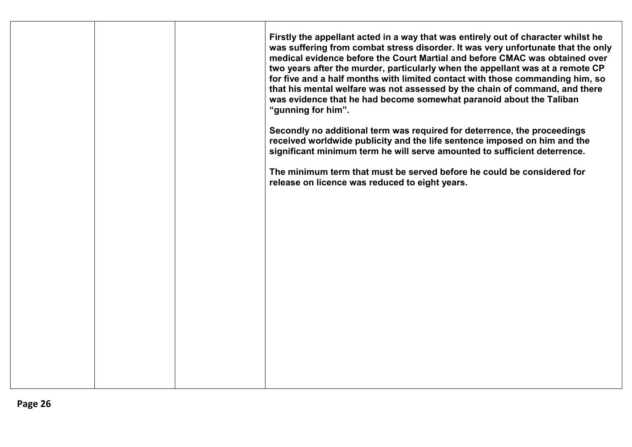|  | Firstly the appellant acted in a way that was entirely out of character whilst he<br>was suffering from combat stress disorder. It was very unfortunate that the only<br>medical evidence before the Court Martial and before CMAC was obtained over<br>two years after the murder, particularly when the appellant was at a remote CP<br>for five and a half months with limited contact with those commanding him, so<br>that his mental welfare was not assessed by the chain of command, and there<br>was evidence that he had become somewhat paranoid about the Taliban<br>"gunning for him".<br>Secondly no additional term was required for deterrence, the proceedings<br>received worldwide publicity and the life sentence imposed on him and the<br>significant minimum term he will serve amounted to sufficient deterrence.<br>The minimum term that must be served before he could be considered for<br>release on licence was reduced to eight years. |
|--|-----------------------------------------------------------------------------------------------------------------------------------------------------------------------------------------------------------------------------------------------------------------------------------------------------------------------------------------------------------------------------------------------------------------------------------------------------------------------------------------------------------------------------------------------------------------------------------------------------------------------------------------------------------------------------------------------------------------------------------------------------------------------------------------------------------------------------------------------------------------------------------------------------------------------------------------------------------------------|
|  |                                                                                                                                                                                                                                                                                                                                                                                                                                                                                                                                                                                                                                                                                                                                                                                                                                                                                                                                                                       |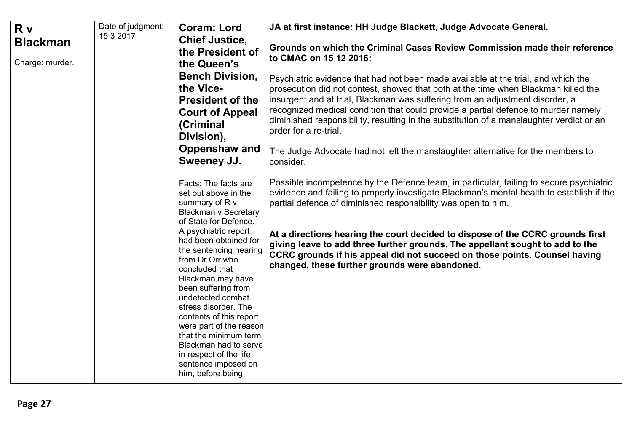<span id="page-26-0"></span>

| R v             | Date of judgment: | <b>Coram: Lord</b>                                                                                                                                                                                                                                                                                                                                                                  | JA at first instance: HH Judge Blackett, Judge Advocate General.                                                                                                                                                                                                                                                                                                                                                                                                                                                                                       |
|-----------------|-------------------|-------------------------------------------------------------------------------------------------------------------------------------------------------------------------------------------------------------------------------------------------------------------------------------------------------------------------------------------------------------------------------------|--------------------------------------------------------------------------------------------------------------------------------------------------------------------------------------------------------------------------------------------------------------------------------------------------------------------------------------------------------------------------------------------------------------------------------------------------------------------------------------------------------------------------------------------------------|
| <b>Blackman</b> | 15 3 2017         | <b>Chief Justice,</b>                                                                                                                                                                                                                                                                                                                                                               | Grounds on which the Criminal Cases Review Commission made their reference                                                                                                                                                                                                                                                                                                                                                                                                                                                                             |
| Charge: murder. |                   | the President of<br>the Queen's                                                                                                                                                                                                                                                                                                                                                     | to CMAC on 15 12 2016:                                                                                                                                                                                                                                                                                                                                                                                                                                                                                                                                 |
|                 |                   | <b>Bench Division,</b><br>the Vice-<br><b>President of the</b><br><b>Court of Appeal</b><br>(Criminal<br>Division),<br>Oppenshaw and                                                                                                                                                                                                                                                | Psychiatric evidence that had not been made available at the trial, and which the<br>prosecution did not contest, showed that both at the time when Blackman killed the<br>insurgent and at trial, Blackman was suffering from an adjustment disorder, a<br>recognized medical condition that could provide a partial defence to murder namely<br>diminished responsibility, resulting in the substitution of a manslaughter verdict or an<br>order for a re-trial.<br>The Judge Advocate had not left the manslaughter alternative for the members to |
|                 |                   | <b>Sweeney JJ.</b>                                                                                                                                                                                                                                                                                                                                                                  | consider.                                                                                                                                                                                                                                                                                                                                                                                                                                                                                                                                              |
|                 |                   | Facts: The facts are<br>set out above in the<br>summary of R v<br><b>Blackman v Secretary</b><br>of State for Defence.                                                                                                                                                                                                                                                              | Possible incompetence by the Defence team, in particular, failing to secure psychiatric<br>evidence and failing to properly investigate Blackman's mental health to establish if the<br>partial defence of diminished responsibility was open to him.                                                                                                                                                                                                                                                                                                  |
|                 |                   | A psychiatric report<br>had been obtained for<br>the sentencing hearing<br>from Dr Orr who<br>concluded that<br>Blackman may have<br>been suffering from<br>undetected combat<br>stress disorder. The<br>contents of this report<br>were part of the reason<br>that the minimum term<br>Blackman had to serve<br>in respect of the life<br>sentence imposed on<br>him, before being | At a directions hearing the court decided to dispose of the CCRC grounds first<br>giving leave to add three further grounds. The appellant sought to add to the<br>CCRC grounds if his appeal did not succeed on those points. Counsel having<br>changed, these further grounds were abandoned.                                                                                                                                                                                                                                                        |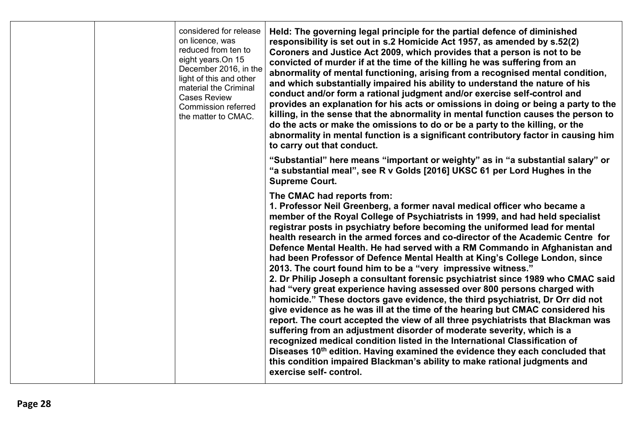| considered for release<br>on licence, was<br>reduced from ten to<br>eight years.On 15<br>December 2016, in the<br>light of this and other<br>material the Criminal<br><b>Cases Review</b><br><b>Commission referred</b><br>the matter to CMAC. | Held: The governing legal principle for the partial defence of diminished<br>responsibility is set out in s.2 Homicide Act 1957, as amended by s.52(2)<br>Coroners and Justice Act 2009, which provides that a person is not to be<br>convicted of murder if at the time of the killing he was suffering from an<br>abnormality of mental functioning, arising from a recognised mental condition,<br>and which substantially impaired his ability to understand the nature of his<br>conduct and/or form a rational judgment and/or exercise self-control and<br>provides an explanation for his acts or omissions in doing or being a party to the<br>killing, in the sense that the abnormality in mental function causes the person to<br>do the acts or make the omissions to do or be a party to the killing, or the<br>abnormality in mental function is a significant contributory factor in causing him<br>to carry out that conduct.                                                                                                                                                                                                                                                                                                                                                                                                                          |
|------------------------------------------------------------------------------------------------------------------------------------------------------------------------------------------------------------------------------------------------|-------------------------------------------------------------------------------------------------------------------------------------------------------------------------------------------------------------------------------------------------------------------------------------------------------------------------------------------------------------------------------------------------------------------------------------------------------------------------------------------------------------------------------------------------------------------------------------------------------------------------------------------------------------------------------------------------------------------------------------------------------------------------------------------------------------------------------------------------------------------------------------------------------------------------------------------------------------------------------------------------------------------------------------------------------------------------------------------------------------------------------------------------------------------------------------------------------------------------------------------------------------------------------------------------------------------------------------------------------------------------|
|                                                                                                                                                                                                                                                | "Substantial" here means "important or weighty" as in "a substantial salary" or<br>"a substantial meal", see R v Golds [2016] UKSC 61 per Lord Hughes in the<br><b>Supreme Court.</b>                                                                                                                                                                                                                                                                                                                                                                                                                                                                                                                                                                                                                                                                                                                                                                                                                                                                                                                                                                                                                                                                                                                                                                                   |
|                                                                                                                                                                                                                                                | The CMAC had reports from:<br>1. Professor Neil Greenberg, a former naval medical officer who became a<br>member of the Royal College of Psychiatrists in 1999, and had held specialist<br>registrar posts in psychiatry before becoming the uniformed lead for mental<br>health research in the armed forces and co-director of the Academic Centre for<br>Defence Mental Health. He had served with a RM Commando in Afghanistan and<br>had been Professor of Defence Mental Health at King's College London, since<br>2013. The court found him to be a "very impressive witness."<br>2. Dr Philip Joseph a consultant forensic psychiatrist since 1989 who CMAC said<br>had "very great experience having assessed over 800 persons charged with<br>homicide." These doctors gave evidence, the third psychiatrist, Dr Orr did not<br>give evidence as he was ill at the time of the hearing but CMAC considered his<br>report. The court accepted the view of all three psychiatrists that Blackman was<br>suffering from an adjustment disorder of moderate severity, which is a<br>recognized medical condition listed in the International Classification of<br>Diseases 10 <sup>th</sup> edition. Having examined the evidence they each concluded that<br>this condition impaired Blackman's ability to make rational judgments and<br>exercise self-control. |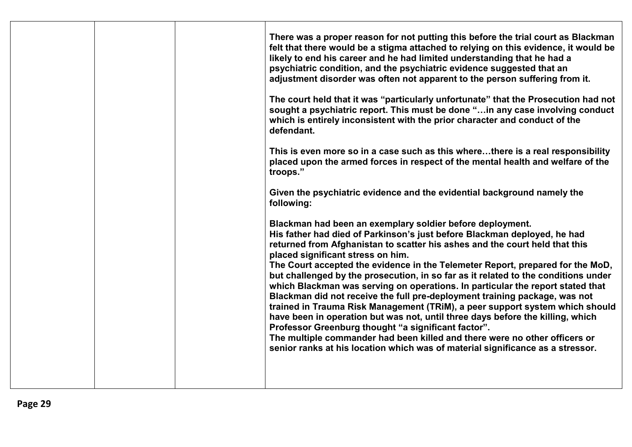| There was a proper reason for not putting this before the trial court as Blackman<br>felt that there would be a stigma attached to relying on this evidence, it would be<br>likely to end his career and he had limited understanding that he had a<br>psychiatric condition, and the psychiatric evidence suggested that an<br>adjustment disorder was often not apparent to the person suffering from it.<br>The court held that it was "particularly unfortunate" that the Prosecution had not<br>sought a psychiatric report. This must be done "in any case involving conduct<br>which is entirely inconsistent with the prior character and conduct of the<br>defendant.<br>This is even more so in a case such as this wherethere is a real responsibility<br>placed upon the armed forces in respect of the mental health and welfare of the<br>troops."<br>Given the psychiatric evidence and the evidential background namely the                                                              |
|----------------------------------------------------------------------------------------------------------------------------------------------------------------------------------------------------------------------------------------------------------------------------------------------------------------------------------------------------------------------------------------------------------------------------------------------------------------------------------------------------------------------------------------------------------------------------------------------------------------------------------------------------------------------------------------------------------------------------------------------------------------------------------------------------------------------------------------------------------------------------------------------------------------------------------------------------------------------------------------------------------|
| following:<br>Blackman had been an exemplary soldier before deployment.<br>His father had died of Parkinson's just before Blackman deployed, he had<br>returned from Afghanistan to scatter his ashes and the court held that this<br>placed significant stress on him.<br>The Court accepted the evidence in the Telemeter Report, prepared for the MoD,<br>but challenged by the prosecution, in so far as it related to the conditions under<br>which Blackman was serving on operations. In particular the report stated that<br>Blackman did not receive the full pre-deployment training package, was not<br>trained in Trauma Risk Management (TRiM), a peer support system which should<br>have been in operation but was not, until three days before the killing, which<br>Professor Greenburg thought "a significant factor".<br>The multiple commander had been killed and there were no other officers or<br>senior ranks at his location which was of material significance as a stressor. |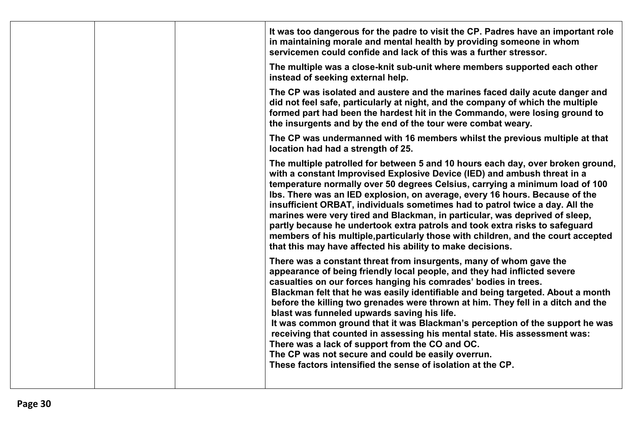|  | It was too dangerous for the padre to visit the CP. Padres have an important role<br>in maintaining morale and mental health by providing someone in whom<br>servicemen could confide and lack of this was a further stressor.                                                                                                                                                                                                                                                                                                                                                                                                                                                                                                                                               |
|--|------------------------------------------------------------------------------------------------------------------------------------------------------------------------------------------------------------------------------------------------------------------------------------------------------------------------------------------------------------------------------------------------------------------------------------------------------------------------------------------------------------------------------------------------------------------------------------------------------------------------------------------------------------------------------------------------------------------------------------------------------------------------------|
|  | The multiple was a close-knit sub-unit where members supported each other<br>instead of seeking external help.                                                                                                                                                                                                                                                                                                                                                                                                                                                                                                                                                                                                                                                               |
|  | The CP was isolated and austere and the marines faced daily acute danger and<br>did not feel safe, particularly at night, and the company of which the multiple<br>formed part had been the hardest hit in the Commando, were losing ground to<br>the insurgents and by the end of the tour were combat weary.                                                                                                                                                                                                                                                                                                                                                                                                                                                               |
|  | The CP was undermanned with 16 members whilst the previous multiple at that<br>location had had a strength of 25.                                                                                                                                                                                                                                                                                                                                                                                                                                                                                                                                                                                                                                                            |
|  | The multiple patrolled for between 5 and 10 hours each day, over broken ground,<br>with a constant Improvised Explosive Device (IED) and ambush threat in a<br>temperature normally over 50 degrees Celsius, carrying a minimum load of 100<br>Ibs. There was an IED explosion, on average, every 16 hours. Because of the<br>insufficient ORBAT, individuals sometimes had to patrol twice a day. All the<br>marines were very tired and Blackman, in particular, was deprived of sleep,<br>partly because he undertook extra patrols and took extra risks to safeguard<br>members of his multiple, particularly those with children, and the court accepted<br>that this may have affected his ability to make decisions.                                                  |
|  | There was a constant threat from insurgents, many of whom gave the<br>appearance of being friendly local people, and they had inflicted severe<br>casualties on our forces hanging his comrades' bodies in trees.<br>Blackman felt that he was easily identifiable and being targeted. About a month<br>before the killing two grenades were thrown at him. They fell in a ditch and the<br>blast was funneled upwards saving his life.<br>It was common ground that it was Blackman's perception of the support he was<br>receiving that counted in assessing his mental state. His assessment was:<br>There was a lack of support from the CO and OC.<br>The CP was not secure and could be easily overrun.<br>These factors intensified the sense of isolation at the CP. |
|  |                                                                                                                                                                                                                                                                                                                                                                                                                                                                                                                                                                                                                                                                                                                                                                              |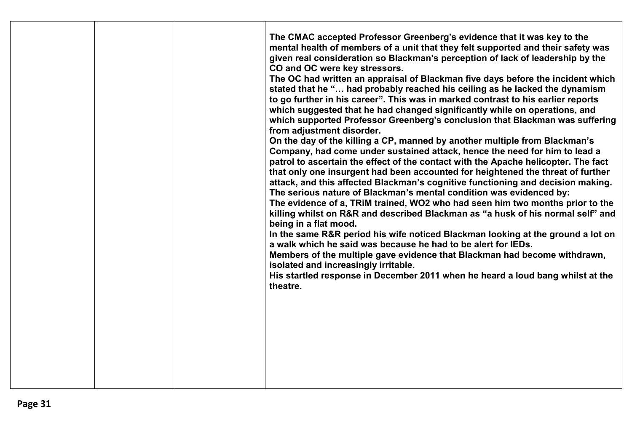|  | The CMAC accepted Professor Greenberg's evidence that it was key to the<br>mental health of members of a unit that they felt supported and their safety was<br>given real consideration so Blackman's perception of lack of leadership by the<br>CO and OC were key stressors.<br>The OC had written an appraisal of Blackman five days before the incident which<br>stated that he " had probably reached his ceiling as he lacked the dynamism<br>to go further in his career". This was in marked contrast to his earlier reports<br>which suggested that he had changed significantly while on operations, and<br>which supported Professor Greenberg's conclusion that Blackman was suffering<br>from adjustment disorder.<br>On the day of the killing a CP, manned by another multiple from Blackman's<br>Company, had come under sustained attack, hence the need for him to lead a<br>patrol to ascertain the effect of the contact with the Apache helicopter. The fact<br>that only one insurgent had been accounted for heightened the threat of further<br>attack, and this affected Blackman's cognitive functioning and decision making.<br>The serious nature of Blackman's mental condition was evidenced by:<br>The evidence of a, TRiM trained, WO2 who had seen him two months prior to the<br>killing whilst on R&R and described Blackman as "a husk of his normal self" and<br>being in a flat mood.<br>In the same R&R period his wife noticed Blackman looking at the ground a lot on<br>a walk which he said was because he had to be alert for IEDs.<br>Members of the multiple gave evidence that Blackman had become withdrawn,<br>isolated and increasingly irritable.<br>His startled response in December 2011 when he heard a loud bang whilst at the<br>theatre. |
|--|----------------------------------------------------------------------------------------------------------------------------------------------------------------------------------------------------------------------------------------------------------------------------------------------------------------------------------------------------------------------------------------------------------------------------------------------------------------------------------------------------------------------------------------------------------------------------------------------------------------------------------------------------------------------------------------------------------------------------------------------------------------------------------------------------------------------------------------------------------------------------------------------------------------------------------------------------------------------------------------------------------------------------------------------------------------------------------------------------------------------------------------------------------------------------------------------------------------------------------------------------------------------------------------------------------------------------------------------------------------------------------------------------------------------------------------------------------------------------------------------------------------------------------------------------------------------------------------------------------------------------------------------------------------------------------------------------------------------------------------------------------------------------------------------------|
|--|----------------------------------------------------------------------------------------------------------------------------------------------------------------------------------------------------------------------------------------------------------------------------------------------------------------------------------------------------------------------------------------------------------------------------------------------------------------------------------------------------------------------------------------------------------------------------------------------------------------------------------------------------------------------------------------------------------------------------------------------------------------------------------------------------------------------------------------------------------------------------------------------------------------------------------------------------------------------------------------------------------------------------------------------------------------------------------------------------------------------------------------------------------------------------------------------------------------------------------------------------------------------------------------------------------------------------------------------------------------------------------------------------------------------------------------------------------------------------------------------------------------------------------------------------------------------------------------------------------------------------------------------------------------------------------------------------------------------------------------------------------------------------------------------------|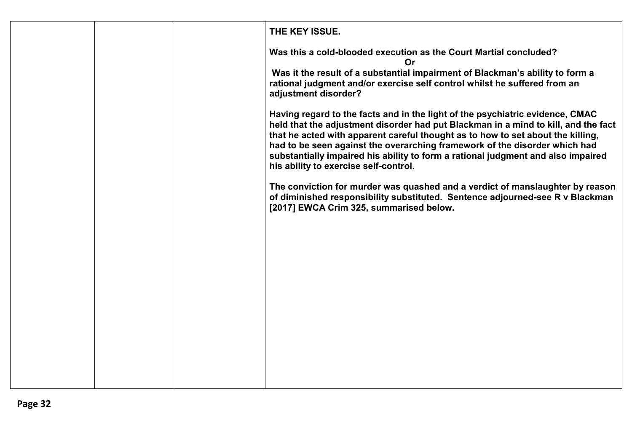|  | THE KEY ISSUE.                                                                                                                                                                                                                                                                                                                                                                                                                                                    |
|--|-------------------------------------------------------------------------------------------------------------------------------------------------------------------------------------------------------------------------------------------------------------------------------------------------------------------------------------------------------------------------------------------------------------------------------------------------------------------|
|  | Was this a cold-blooded execution as the Court Martial concluded?<br>Or                                                                                                                                                                                                                                                                                                                                                                                           |
|  | Was it the result of a substantial impairment of Blackman's ability to form a<br>rational judgment and/or exercise self control whilst he suffered from an<br>adjustment disorder?                                                                                                                                                                                                                                                                                |
|  | Having regard to the facts and in the light of the psychiatric evidence, CMAC<br>held that the adjustment disorder had put Blackman in a mind to kill, and the fact<br>that he acted with apparent careful thought as to how to set about the killing,<br>had to be seen against the overarching framework of the disorder which had<br>substantially impaired his ability to form a rational judgment and also impaired<br>his ability to exercise self-control. |
|  | The conviction for murder was quashed and a verdict of manslaughter by reason<br>of diminished responsibility substituted. Sentence adjourned-see R v Blackman<br>[2017] EWCA Crim 325, summarised below.                                                                                                                                                                                                                                                         |
|  |                                                                                                                                                                                                                                                                                                                                                                                                                                                                   |
|  |                                                                                                                                                                                                                                                                                                                                                                                                                                                                   |
|  |                                                                                                                                                                                                                                                                                                                                                                                                                                                                   |
|  |                                                                                                                                                                                                                                                                                                                                                                                                                                                                   |
|  |                                                                                                                                                                                                                                                                                                                                                                                                                                                                   |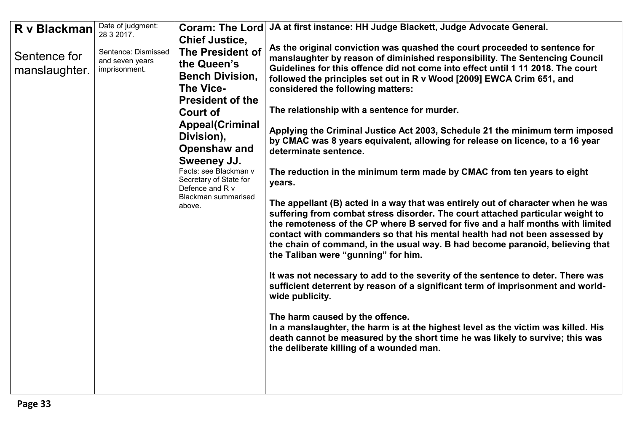<span id="page-32-0"></span>

| R v Blackman<br>Sentence for<br>manslaughter. | Date of judgment:<br>28 3 2017.<br>Sentence: Dismissed<br>and seven years<br>imprisonment. | <b>Chief Justice,</b><br><b>The President of</b><br>the Queen's<br><b>Bench Division,</b><br>The Vice-<br><b>President of the</b><br><b>Court of</b><br><b>Appeal(Criminal</b><br>Division),<br><b>Openshaw and</b><br>Sweeney JJ.<br>Facts: see Blackman v<br>Secretary of State for<br>Defence and R v<br>Blackman summarised<br>above. | Coram: The Lord   JA at first instance: HH Judge Blackett, Judge Advocate General.<br>As the original conviction was quashed the court proceeded to sentence for<br>manslaughter by reason of diminished responsibility. The Sentencing Council<br>Guidelines for this offence did not come into effect until 1 11 2018. The court<br>followed the principles set out in R v Wood [2009] EWCA Crim 651, and<br>considered the following matters:<br>The relationship with a sentence for murder.<br>Applying the Criminal Justice Act 2003, Schedule 21 the minimum term imposed<br>by CMAC was 8 years equivalent, allowing for release on licence, to a 16 year<br>determinate sentence.<br>The reduction in the minimum term made by CMAC from ten years to eight<br>years.<br>The appellant (B) acted in a way that was entirely out of character when he was<br>suffering from combat stress disorder. The court attached particular weight to<br>the remoteness of the CP where B served for five and a half months with limited<br>contact with commanders so that his mental health had not been assessed by<br>the chain of command, in the usual way. B had become paranoid, believing that<br>the Taliban were "gunning" for him.<br>It was not necessary to add to the severity of the sentence to deter. There was<br>sufficient deterrent by reason of a significant term of imprisonment and world-<br>wide publicity.<br>The harm caused by the offence.<br>In a manslaughter, the harm is at the highest level as the victim was killed. His<br>death cannot be measured by the short time he was likely to survive; this was<br>the deliberate killing of a wounded man. |
|-----------------------------------------------|--------------------------------------------------------------------------------------------|-------------------------------------------------------------------------------------------------------------------------------------------------------------------------------------------------------------------------------------------------------------------------------------------------------------------------------------------|--------------------------------------------------------------------------------------------------------------------------------------------------------------------------------------------------------------------------------------------------------------------------------------------------------------------------------------------------------------------------------------------------------------------------------------------------------------------------------------------------------------------------------------------------------------------------------------------------------------------------------------------------------------------------------------------------------------------------------------------------------------------------------------------------------------------------------------------------------------------------------------------------------------------------------------------------------------------------------------------------------------------------------------------------------------------------------------------------------------------------------------------------------------------------------------------------------------------------------------------------------------------------------------------------------------------------------------------------------------------------------------------------------------------------------------------------------------------------------------------------------------------------------------------------------------------------------------------------------------------------------------------------------------------------------------------|
|-----------------------------------------------|--------------------------------------------------------------------------------------------|-------------------------------------------------------------------------------------------------------------------------------------------------------------------------------------------------------------------------------------------------------------------------------------------------------------------------------------------|--------------------------------------------------------------------------------------------------------------------------------------------------------------------------------------------------------------------------------------------------------------------------------------------------------------------------------------------------------------------------------------------------------------------------------------------------------------------------------------------------------------------------------------------------------------------------------------------------------------------------------------------------------------------------------------------------------------------------------------------------------------------------------------------------------------------------------------------------------------------------------------------------------------------------------------------------------------------------------------------------------------------------------------------------------------------------------------------------------------------------------------------------------------------------------------------------------------------------------------------------------------------------------------------------------------------------------------------------------------------------------------------------------------------------------------------------------------------------------------------------------------------------------------------------------------------------------------------------------------------------------------------------------------------------------------------|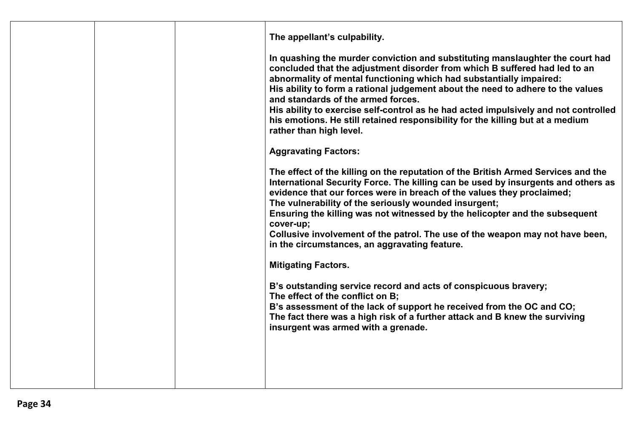|  | The appellant's culpability.<br>In quashing the murder conviction and substituting manslaughter the court had<br>concluded that the adjustment disorder from which B suffered had led to an<br>abnormality of mental functioning which had substantially impaired:<br>His ability to form a rational judgement about the need to adhere to the values<br>and standards of the armed forces.<br>His ability to exercise self-control as he had acted impulsively and not controlled<br>his emotions. He still retained responsibility for the killing but at a medium<br>rather than high level.<br><b>Aggravating Factors:</b><br>The effect of the killing on the reputation of the British Armed Services and the<br>International Security Force. The killing can be used by insurgents and others as<br>evidence that our forces were in breach of the values they proclaimed;<br>The vulnerability of the seriously wounded insurgent;<br>Ensuring the killing was not witnessed by the helicopter and the subsequent<br>cover-up;<br>Collusive involvement of the patrol. The use of the weapon may not have been,<br>in the circumstances, an aggravating feature.<br><b>Mitigating Factors.</b><br>B's outstanding service record and acts of conspicuous bravery;<br>The effect of the conflict on B;<br>B's assessment of the lack of support he received from the OC and CO;<br>The fact there was a high risk of a further attack and B knew the surviving<br>insurgent was armed with a grenade. |
|--|---------------------------------------------------------------------------------------------------------------------------------------------------------------------------------------------------------------------------------------------------------------------------------------------------------------------------------------------------------------------------------------------------------------------------------------------------------------------------------------------------------------------------------------------------------------------------------------------------------------------------------------------------------------------------------------------------------------------------------------------------------------------------------------------------------------------------------------------------------------------------------------------------------------------------------------------------------------------------------------------------------------------------------------------------------------------------------------------------------------------------------------------------------------------------------------------------------------------------------------------------------------------------------------------------------------------------------------------------------------------------------------------------------------------------------------------------------------------------------------------------------------|
|  |                                                                                                                                                                                                                                                                                                                                                                                                                                                                                                                                                                                                                                                                                                                                                                                                                                                                                                                                                                                                                                                                                                                                                                                                                                                                                                                                                                                                                                                                                                               |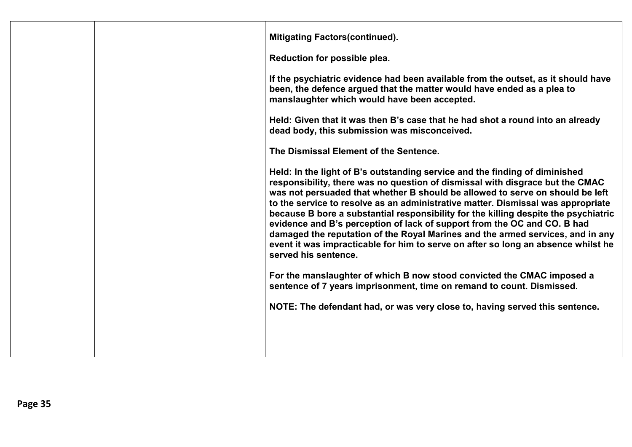|  | <b>Mitigating Factors (continued).</b><br>Reduction for possible plea.<br>If the psychiatric evidence had been available from the outset, as it should have<br>been, the defence argued that the matter would have ended as a plea to<br>manslaughter which would have been accepted.<br>Held: Given that it was then B's case that he had shot a round into an already<br>dead body, this submission was misconceived.<br>The Dismissal Element of the Sentence.<br>Held: In the light of B's outstanding service and the finding of diminished<br>responsibility, there was no question of dismissal with disgrace but the CMAC<br>was not persuaded that whether B should be allowed to serve on should be left<br>to the service to resolve as an administrative matter. Dismissal was appropriate<br>because B bore a substantial responsibility for the killing despite the psychiatric<br>evidence and B's perception of lack of support from the OC and CO. B had<br>damaged the reputation of the Royal Marines and the armed services, and in any<br>event it was impracticable for him to serve on after so long an absence whilst he<br>served his sentence.<br>For the manslaughter of which B now stood convicted the CMAC imposed a<br>sentence of 7 years imprisonment, time on remand to count. Dismissed.<br>NOTE: The defendant had, or was very close to, having served this sentence. |
|--|------------------------------------------------------------------------------------------------------------------------------------------------------------------------------------------------------------------------------------------------------------------------------------------------------------------------------------------------------------------------------------------------------------------------------------------------------------------------------------------------------------------------------------------------------------------------------------------------------------------------------------------------------------------------------------------------------------------------------------------------------------------------------------------------------------------------------------------------------------------------------------------------------------------------------------------------------------------------------------------------------------------------------------------------------------------------------------------------------------------------------------------------------------------------------------------------------------------------------------------------------------------------------------------------------------------------------------------------------------------------------------------------------------|
|  |                                                                                                                                                                                                                                                                                                                                                                                                                                                                                                                                                                                                                                                                                                                                                                                                                                                                                                                                                                                                                                                                                                                                                                                                                                                                                                                                                                                                            |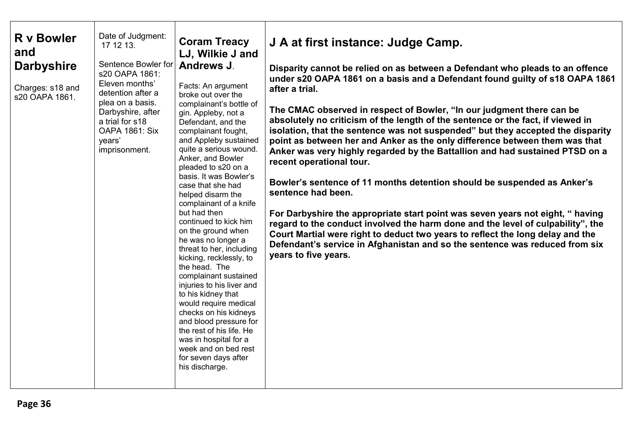<span id="page-35-0"></span>

| Date of Judgment:<br><b>R</b> v Bowler<br>17 12 13.<br>and<br>Sentence Bowler for<br><b>Darbyshire</b><br>s20 OAPA 1861:<br>Eleven months'<br>Charges: s18 and<br>detention after a<br>s20 OAPA 1861.<br>plea on a basis.<br>Darbyshire, after<br>a trial for s18<br><b>OAPA 1861: Six</b><br>years'<br>imprisonment. | <b>Coram Treacy</b><br>LJ, Wilkie J and<br><b>Andrews J.</b><br>Facts: An argument<br>broke out over the<br>complainant's bottle of<br>gin. Appleby, not a<br>Defendant, and the<br>complainant fought,<br>and Appleby sustained<br>quite a serious wound.<br>Anker, and Bowler<br>pleaded to s20 on a<br>basis. It was Bowler's<br>case that she had<br>helped disarm the<br>complainant of a knife<br>but had then<br>continued to kick him<br>on the ground when<br>he was no longer a<br>threat to her, including<br>kicking, recklessly, to<br>the head. The<br>complainant sustained<br>injuries to his liver and<br>to his kidney that<br>would require medical<br>checks on his kidneys<br>and blood pressure for<br>the rest of his life. He<br>was in hospital for a<br>week and on bed rest<br>for seven days after<br>his discharge. | J A at first instance: Judge Camp.<br>Disparity cannot be relied on as between a Defendant who pleads to an offence<br>under s20 OAPA 1861 on a basis and a Defendant found guilty of s18 OAPA 1861<br>after a trial.<br>The CMAC observed in respect of Bowler, "In our judgment there can be<br>absolutely no criticism of the length of the sentence or the fact, if viewed in<br>isolation, that the sentence was not suspended" but they accepted the disparity<br>point as between her and Anker as the only difference between them was that<br>Anker was very highly regarded by the Battallion and had sustained PTSD on a<br>recent operational tour.<br>Bowler's sentence of 11 months detention should be suspended as Anker's<br>sentence had been.<br>For Darbyshire the appropriate start point was seven years not eight, "having<br>regard to the conduct involved the harm done and the level of culpability", the<br>Court Martial were right to deduct two years to reflect the long delay and the<br>Defendant's service in Afghanistan and so the sentence was reduced from six<br>years to five years. |
|-----------------------------------------------------------------------------------------------------------------------------------------------------------------------------------------------------------------------------------------------------------------------------------------------------------------------|--------------------------------------------------------------------------------------------------------------------------------------------------------------------------------------------------------------------------------------------------------------------------------------------------------------------------------------------------------------------------------------------------------------------------------------------------------------------------------------------------------------------------------------------------------------------------------------------------------------------------------------------------------------------------------------------------------------------------------------------------------------------------------------------------------------------------------------------------|-------------------------------------------------------------------------------------------------------------------------------------------------------------------------------------------------------------------------------------------------------------------------------------------------------------------------------------------------------------------------------------------------------------------------------------------------------------------------------------------------------------------------------------------------------------------------------------------------------------------------------------------------------------------------------------------------------------------------------------------------------------------------------------------------------------------------------------------------------------------------------------------------------------------------------------------------------------------------------------------------------------------------------------------------------------------------------------------------------------------------------|
|-----------------------------------------------------------------------------------------------------------------------------------------------------------------------------------------------------------------------------------------------------------------------------------------------------------------------|--------------------------------------------------------------------------------------------------------------------------------------------------------------------------------------------------------------------------------------------------------------------------------------------------------------------------------------------------------------------------------------------------------------------------------------------------------------------------------------------------------------------------------------------------------------------------------------------------------------------------------------------------------------------------------------------------------------------------------------------------------------------------------------------------------------------------------------------------|-------------------------------------------------------------------------------------------------------------------------------------------------------------------------------------------------------------------------------------------------------------------------------------------------------------------------------------------------------------------------------------------------------------------------------------------------------------------------------------------------------------------------------------------------------------------------------------------------------------------------------------------------------------------------------------------------------------------------------------------------------------------------------------------------------------------------------------------------------------------------------------------------------------------------------------------------------------------------------------------------------------------------------------------------------------------------------------------------------------------------------|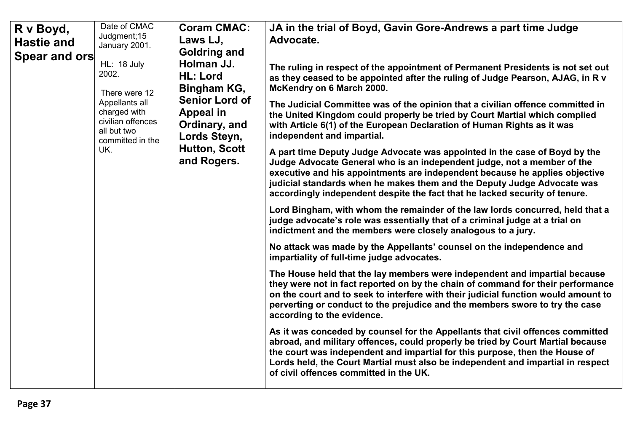| R v Boyd,<br><b>Hastie and</b><br>Spear and ors | Date of CMAC<br>Judgment; 15<br>January 2001.<br>HL: 18 July<br>2002.<br>There were 12<br>Appellants all<br>charged with<br>civilian offences<br>all but two<br>committed in the<br>UK. | <b>Coram CMAC:</b><br>Laws LJ,<br><b>Goldring and</b><br>Holman JJ.<br><b>HL: Lord</b><br>Bingham KG,<br><b>Senior Lord of</b><br><b>Appeal in</b><br>Ordinary, and<br>Lords Steyn,<br><b>Hutton, Scott</b><br>and Rogers. | JA in the trial of Boyd, Gavin Gore-Andrews a part time Judge<br>Advocate.<br>The ruling in respect of the appointment of Permanent Presidents is not set out<br>as they ceased to be appointed after the ruling of Judge Pearson, AJAG, in R v<br>McKendry on 6 March 2000.<br>The Judicial Committee was of the opinion that a civilian offence committed in<br>the United Kingdom could properly be tried by Court Martial which complied<br>with Article 6(1) of the European Declaration of Human Rights as it was<br>independent and impartial.<br>A part time Deputy Judge Advocate was appointed in the case of Boyd by the<br>Judge Advocate General who is an independent judge, not a member of the<br>executive and his appointments are independent because he applies objective<br>judicial standards when he makes them and the Deputy Judge Advocate was<br>accordingly independent despite the fact that he lacked security of tenure.<br>Lord Bingham, with whom the remainder of the law lords concurred, held that a<br>judge advocate's role was essentially that of a criminal judge at a trial on<br>indictment and the members were closely analogous to a jury.<br>No attack was made by the Appellants' counsel on the independence and<br>impartiality of full-time judge advocates.<br>The House held that the lay members were independent and impartial because<br>they were not in fact reported on by the chain of command for their performance<br>on the court and to seek to interfere with their judicial function would amount to<br>perverting or conduct to the prejudice and the members swore to try the case<br>according to the evidence.<br>As it was conceded by counsel for the Appellants that civil offences committed<br>abroad, and military offences, could properly be tried by Court Martial because<br>the court was independent and impartial for this purpose, then the House of<br>Lords held, the Court Martial must also be independent and impartial in respect<br>of civil offences committed in the UK. |
|-------------------------------------------------|-----------------------------------------------------------------------------------------------------------------------------------------------------------------------------------------|----------------------------------------------------------------------------------------------------------------------------------------------------------------------------------------------------------------------------|-----------------------------------------------------------------------------------------------------------------------------------------------------------------------------------------------------------------------------------------------------------------------------------------------------------------------------------------------------------------------------------------------------------------------------------------------------------------------------------------------------------------------------------------------------------------------------------------------------------------------------------------------------------------------------------------------------------------------------------------------------------------------------------------------------------------------------------------------------------------------------------------------------------------------------------------------------------------------------------------------------------------------------------------------------------------------------------------------------------------------------------------------------------------------------------------------------------------------------------------------------------------------------------------------------------------------------------------------------------------------------------------------------------------------------------------------------------------------------------------------------------------------------------------------------------------------------------------------------------------------------------------------------------------------------------------------------------------------------------------------------------------------------------------------------------------------------------------------------------------------------------------------------------------------------------------------------------------------------------------------------------------------------------------------------------------------|
|-------------------------------------------------|-----------------------------------------------------------------------------------------------------------------------------------------------------------------------------------------|----------------------------------------------------------------------------------------------------------------------------------------------------------------------------------------------------------------------------|-----------------------------------------------------------------------------------------------------------------------------------------------------------------------------------------------------------------------------------------------------------------------------------------------------------------------------------------------------------------------------------------------------------------------------------------------------------------------------------------------------------------------------------------------------------------------------------------------------------------------------------------------------------------------------------------------------------------------------------------------------------------------------------------------------------------------------------------------------------------------------------------------------------------------------------------------------------------------------------------------------------------------------------------------------------------------------------------------------------------------------------------------------------------------------------------------------------------------------------------------------------------------------------------------------------------------------------------------------------------------------------------------------------------------------------------------------------------------------------------------------------------------------------------------------------------------------------------------------------------------------------------------------------------------------------------------------------------------------------------------------------------------------------------------------------------------------------------------------------------------------------------------------------------------------------------------------------------------------------------------------------------------------------------------------------------------|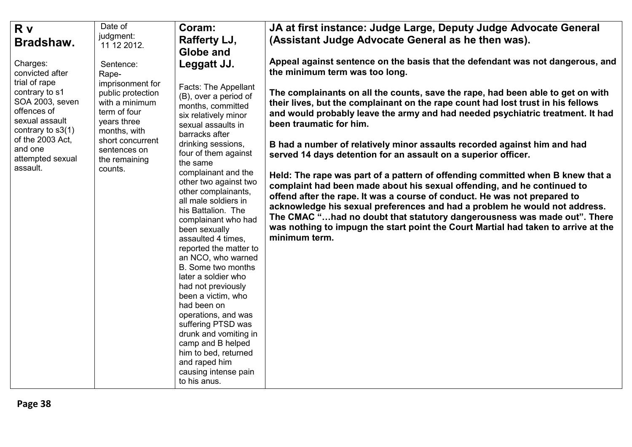| R v<br>Bradshaw.                                                                                                                                                                                         | Date of<br>judgment:<br>11 12 2012.                                                                                                                                                          | Coram:<br>Rafferty LJ,<br>Globe and                                                                                                                                                                                                                                                                                                                                                                                                                                                                                                                                                                                                                                                                                                | JA at first instance: Judge Large, Deputy Judge Advocate General<br>(Assistant Judge Advocate General as he then was).                                                                                                                                                                                                                                                                                                                                                                                                                                                                                                                                                                                                                                                                                                                                                                                                                                                                                                                                        |
|----------------------------------------------------------------------------------------------------------------------------------------------------------------------------------------------------------|----------------------------------------------------------------------------------------------------------------------------------------------------------------------------------------------|------------------------------------------------------------------------------------------------------------------------------------------------------------------------------------------------------------------------------------------------------------------------------------------------------------------------------------------------------------------------------------------------------------------------------------------------------------------------------------------------------------------------------------------------------------------------------------------------------------------------------------------------------------------------------------------------------------------------------------|---------------------------------------------------------------------------------------------------------------------------------------------------------------------------------------------------------------------------------------------------------------------------------------------------------------------------------------------------------------------------------------------------------------------------------------------------------------------------------------------------------------------------------------------------------------------------------------------------------------------------------------------------------------------------------------------------------------------------------------------------------------------------------------------------------------------------------------------------------------------------------------------------------------------------------------------------------------------------------------------------------------------------------------------------------------|
| Charges:<br>convicted after<br>trial of rape<br>contrary to s1<br>SOA 2003, seven<br>offences of<br>sexual assault<br>contrary to $s3(1)$<br>of the 2003 Act,<br>and one<br>attempted sexual<br>assault. | Sentence:<br>Rape-<br>imprisonment for<br>public protection<br>with a minimum<br>term of four<br>years three<br>months, with<br>short concurrent<br>sentences on<br>the remaining<br>counts. | Leggatt JJ.<br>Facts: The Appellant<br>(B), over a period of<br>months, committed<br>six relatively minor<br>sexual assaults in<br>barracks after<br>drinking sessions,<br>four of them against<br>the same<br>complainant and the<br>other two against two<br>other complainants,<br>all male soldiers in<br>his Battalion. The<br>complainant who had<br>been sexually<br>assaulted 4 times,<br>reported the matter to<br>an NCO, who warned<br>B. Some two months<br>later a soldier who<br>had not previously<br>been a victim, who<br>had been on<br>operations, and was<br>suffering PTSD was<br>drunk and vomiting in<br>camp and B helped<br>him to bed, returned<br>and raped him<br>causing intense pain<br>to his anus. | Appeal against sentence on the basis that the defendant was not dangerous, and<br>the minimum term was too long.<br>The complainants on all the counts, save the rape, had been able to get on with<br>their lives, but the complainant on the rape count had lost trust in his fellows<br>and would probably leave the army and had needed psychiatric treatment. It had<br>been traumatic for him.<br>B had a number of relatively minor assaults recorded against him and had<br>served 14 days detention for an assault on a superior officer.<br>Held: The rape was part of a pattern of offending committed when B knew that a<br>complaint had been made about his sexual offending, and he continued to<br>offend after the rape. It was a course of conduct. He was not prepared to<br>acknowledge his sexual preferences and had a problem he would not address.<br>The CMAC "had no doubt that statutory dangerousness was made out". There<br>was nothing to impugn the start point the Court Martial had taken to arrive at the<br>minimum term. |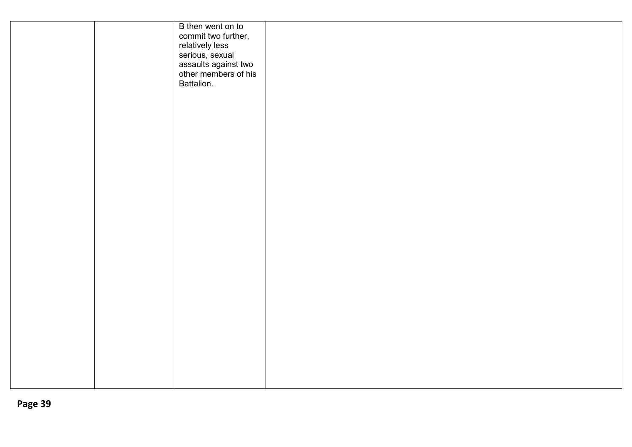|  | B then went on to<br>commit two further,<br>relatively less<br>serious, sexual<br>assaults against two<br>other members of his<br>Battalion. |  |  |
|--|----------------------------------------------------------------------------------------------------------------------------------------------|--|--|
|  |                                                                                                                                              |  |  |
|  |                                                                                                                                              |  |  |
|  |                                                                                                                                              |  |  |
|  |                                                                                                                                              |  |  |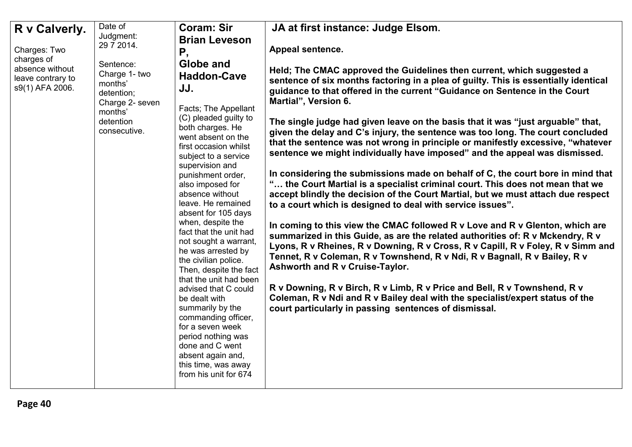| R v Calverly.<br>Charges: Two<br>charges of<br>absence without<br>leave contrary to<br>s9(1) AFA 2006. | Date of<br>Judgment:<br>29 7 2014.<br>Sentence:<br>Charge 1- two<br>months'<br>detention;<br>Charge 2- seven<br>months'<br>detention<br>consecutive. | <b>Coram: Sir</b><br><b>Brian Leveson</b><br>Ρ,<br>Globe and<br><b>Haddon-Cave</b><br>JJ.<br>Facts; The Appellant<br>(C) pleaded guilty to<br>both charges. He<br>went absent on the<br>first occasion whilst<br>subject to a service<br>supervision and<br>punishment order,<br>also imposed for<br>absence without<br>leave. He remained<br>absent for 105 days<br>when, despite the<br>fact that the unit had<br>not sought a warrant,<br>he was arrested by<br>the civilian police.<br>Then, despite the fact<br>that the unit had been<br>advised that C could<br>be dealt with<br>summarily by the<br>commanding officer, | JA at first instance: Judge Elsom.<br>Appeal sentence.<br>Held; The CMAC approved the Guidelines then current, which suggested a<br>sentence of six months factoring in a plea of guilty. This is essentially identical<br>guidance to that offered in the current "Guidance on Sentence in the Court<br>Martial", Version 6.<br>The single judge had given leave on the basis that it was "just arguable" that,<br>given the delay and C's injury, the sentence was too long. The court concluded<br>that the sentence was not wrong in principle or manifestly excessive, "whatever<br>sentence we might individually have imposed" and the appeal was dismissed.<br>In considering the submissions made on behalf of C, the court bore in mind that<br>" the Court Martial is a specialist criminal court. This does not mean that we<br>accept blindly the decision of the Court Martial, but we must attach due respect<br>to a court which is designed to deal with service issues".<br>In coming to this view the CMAC followed R v Love and R v Glenton, which are<br>summarized in this Guide, as are the related authorities of: R v Mckendry, R v<br>Lyons, R v Rheines, R v Downing, R v Cross, R v Capill, R v Foley, R v Simm and<br>Tennet, R v Coleman, R v Townshend, R v Ndi, R v Bagnall, R v Bailey, R v<br><b>Ashworth and R v Cruise-Taylor.</b><br>R v Downing, R v Birch, R v Limb, R v Price and Bell, R v Townshend, R v<br>Coleman, R v Ndi and R v Bailey deal with the specialist/expert status of the<br>court particularly in passing sentences of dismissal. |
|--------------------------------------------------------------------------------------------------------|------------------------------------------------------------------------------------------------------------------------------------------------------|---------------------------------------------------------------------------------------------------------------------------------------------------------------------------------------------------------------------------------------------------------------------------------------------------------------------------------------------------------------------------------------------------------------------------------------------------------------------------------------------------------------------------------------------------------------------------------------------------------------------------------|----------------------------------------------------------------------------------------------------------------------------------------------------------------------------------------------------------------------------------------------------------------------------------------------------------------------------------------------------------------------------------------------------------------------------------------------------------------------------------------------------------------------------------------------------------------------------------------------------------------------------------------------------------------------------------------------------------------------------------------------------------------------------------------------------------------------------------------------------------------------------------------------------------------------------------------------------------------------------------------------------------------------------------------------------------------------------------------------------------------------------------------------------------------------------------------------------------------------------------------------------------------------------------------------------------------------------------------------------------------------------------------------------------------------------------------------------------------------------------------------------------------------------------------------------------------------------------------------|
|                                                                                                        |                                                                                                                                                      | for a seven week<br>period nothing was<br>done and C went<br>absent again and,<br>this time, was away<br>from his unit for 674                                                                                                                                                                                                                                                                                                                                                                                                                                                                                                  |                                                                                                                                                                                                                                                                                                                                                                                                                                                                                                                                                                                                                                                                                                                                                                                                                                                                                                                                                                                                                                                                                                                                                                                                                                                                                                                                                                                                                                                                                                                                                                                              |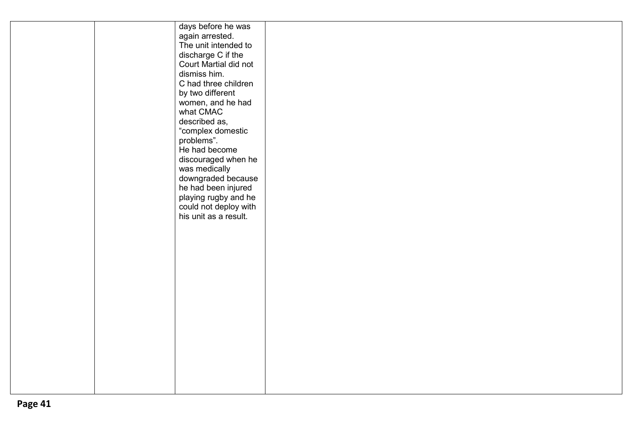|  | days before he was    |  |  |
|--|-----------------------|--|--|
|  | again arrested.       |  |  |
|  | The unit intended to  |  |  |
|  | discharge C if the    |  |  |
|  | Court Martial did not |  |  |
|  | dismiss him.          |  |  |
|  | C had three children  |  |  |
|  | by two different      |  |  |
|  | women, and he had     |  |  |
|  | what CMAC             |  |  |
|  | described as,         |  |  |
|  | "complex domestic     |  |  |
|  | problems".            |  |  |
|  | He had become         |  |  |
|  | discouraged when he   |  |  |
|  | was medically         |  |  |
|  | downgraded because    |  |  |
|  | he had been injured   |  |  |
|  | playing rugby and he  |  |  |
|  | could not deploy with |  |  |
|  | his unit as a result. |  |  |
|  |                       |  |  |
|  |                       |  |  |
|  |                       |  |  |
|  |                       |  |  |
|  |                       |  |  |
|  |                       |  |  |
|  |                       |  |  |
|  |                       |  |  |
|  |                       |  |  |
|  |                       |  |  |
|  |                       |  |  |
|  |                       |  |  |
|  |                       |  |  |
|  |                       |  |  |
|  |                       |  |  |
|  |                       |  |  |
|  |                       |  |  |
|  |                       |  |  |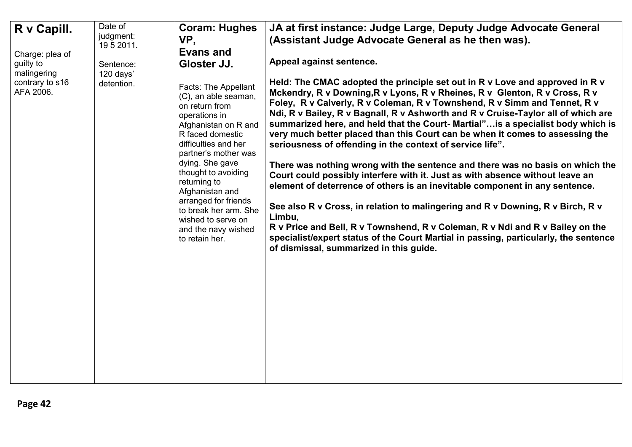| R v Capill.<br>Charge: plea of<br>guilty to<br>malingering<br>contrary to s16<br>AFA 2006. | Date of<br>judgment:<br>19 5 2011.<br>Sentence:<br>120 days'<br>detention. | <b>Coram: Hughes</b><br>VP,<br><b>Evans and</b><br>Gloster JJ.<br>Facts: The Appellant<br>(C), an able seaman,<br>on return from<br>operations in<br>Afghanistan on R and<br>R faced domestic<br>difficulties and her<br>partner's mother was<br>dying. She gave<br>thought to avoiding<br>returning to<br>Afghanistan and<br>arranged for friends<br>to break her arm. She<br>wished to serve on<br>and the navy wished<br>to retain her. | JA at first instance: Judge Large, Deputy Judge Advocate General<br>(Assistant Judge Advocate General as he then was).<br>Appeal against sentence.<br>Held: The CMAC adopted the principle set out in R v Love and approved in R v<br>Mckendry, R v Downing, R v Lyons, R v Rheines, R v Glenton, R v Cross, R v<br>Foley, R v Calverly, R v Coleman, R v Townshend, R v Simm and Tennet, R v<br>Ndi, R v Bailey, R v Bagnall, R v Ashworth and R v Cruise-Taylor all of which are<br>summarized here, and held that the Court-Martial" is a specialist body which is<br>very much better placed than this Court can be when it comes to assessing the<br>seriousness of offending in the context of service life".<br>There was nothing wrong with the sentence and there was no basis on which the<br>Court could possibly interfere with it. Just as with absence without leave an<br>element of deterrence of others is an inevitable component in any sentence.<br>See also R v Cross, in relation to malingering and R v Downing, R v Birch, R v<br>Limbu,<br>R v Price and Bell, R v Townshend, R v Coleman, R v Ndi and R v Bailey on the<br>specialist/expert status of the Court Martial in passing, particularly, the sentence<br>of dismissal, summarized in this guide. |
|--------------------------------------------------------------------------------------------|----------------------------------------------------------------------------|--------------------------------------------------------------------------------------------------------------------------------------------------------------------------------------------------------------------------------------------------------------------------------------------------------------------------------------------------------------------------------------------------------------------------------------------|--------------------------------------------------------------------------------------------------------------------------------------------------------------------------------------------------------------------------------------------------------------------------------------------------------------------------------------------------------------------------------------------------------------------------------------------------------------------------------------------------------------------------------------------------------------------------------------------------------------------------------------------------------------------------------------------------------------------------------------------------------------------------------------------------------------------------------------------------------------------------------------------------------------------------------------------------------------------------------------------------------------------------------------------------------------------------------------------------------------------------------------------------------------------------------------------------------------------------------------------------------------------------------------|
|                                                                                            |                                                                            |                                                                                                                                                                                                                                                                                                                                                                                                                                            |                                                                                                                                                                                                                                                                                                                                                                                                                                                                                                                                                                                                                                                                                                                                                                                                                                                                                                                                                                                                                                                                                                                                                                                                                                                                                      |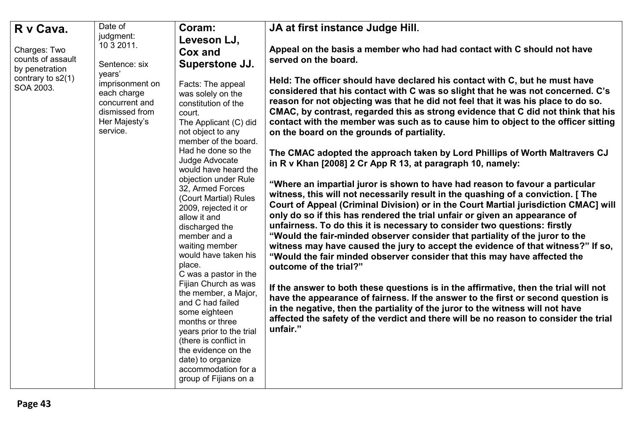|                                     | Date of                                                                                         |                                                                                                                                                                                                                                                       |                                                                                                                                                                                                                                                                                                                                                                                                                                                                                                                                                                                                                                                                                              |
|-------------------------------------|-------------------------------------------------------------------------------------------------|-------------------------------------------------------------------------------------------------------------------------------------------------------------------------------------------------------------------------------------------------------|----------------------------------------------------------------------------------------------------------------------------------------------------------------------------------------------------------------------------------------------------------------------------------------------------------------------------------------------------------------------------------------------------------------------------------------------------------------------------------------------------------------------------------------------------------------------------------------------------------------------------------------------------------------------------------------------|
| R v Cava.                           | judgment:                                                                                       | Coram:                                                                                                                                                                                                                                                | JA at first instance Judge Hill.                                                                                                                                                                                                                                                                                                                                                                                                                                                                                                                                                                                                                                                             |
|                                     | 10 3 2011.                                                                                      | Leveson LJ,                                                                                                                                                                                                                                           |                                                                                                                                                                                                                                                                                                                                                                                                                                                                                                                                                                                                                                                                                              |
| Charges: Two                        |                                                                                                 | Cox and                                                                                                                                                                                                                                               | Appeal on the basis a member who had had contact with C should not have                                                                                                                                                                                                                                                                                                                                                                                                                                                                                                                                                                                                                      |
| counts of assault<br>by penetration | Sentence: six<br>vears'                                                                         | Superstone JJ.                                                                                                                                                                                                                                        | served on the board.                                                                                                                                                                                                                                                                                                                                                                                                                                                                                                                                                                                                                                                                         |
| contrary to $s2(1)$<br>SOA 2003.    | imprisonment on<br>each charge<br>concurrent and<br>dismissed from<br>Her Majesty's<br>service. | Facts: The appeal<br>was solely on the<br>constitution of the<br>court.<br>The Applicant (C) did<br>not object to any<br>member of the board.                                                                                                         | Held: The officer should have declared his contact with C, but he must have<br>considered that his contact with C was so slight that he was not concerned. C's<br>reason for not objecting was that he did not feel that it was his place to do so.<br>CMAC, by contrast, regarded this as strong evidence that C did not think that his<br>contact with the member was such as to cause him to object to the officer sitting<br>on the board on the grounds of partiality.                                                                                                                                                                                                                  |
|                                     |                                                                                                 | Had he done so the<br>Judge Advocate<br>would have heard the                                                                                                                                                                                          | The CMAC adopted the approach taken by Lord Phillips of Worth Maltravers CJ<br>in R v Khan [2008] 2 Cr App R 13, at paragraph 10, namely:                                                                                                                                                                                                                                                                                                                                                                                                                                                                                                                                                    |
|                                     |                                                                                                 | objection under Rule<br>32, Armed Forces<br>(Court Martial) Rules<br>2009, rejected it or<br>allow it and<br>discharged the<br>member and a<br>waiting member<br>would have taken his<br>place.<br>C was a pastor in the                              | "Where an impartial juror is shown to have had reason to favour a particular<br>witness, this will not necessarily result in the quashing of a conviction. [ The<br>Court of Appeal (Criminal Division) or in the Court Martial jurisdiction CMAC] will<br>only do so if this has rendered the trial unfair or given an appearance of<br>unfairness. To do this it is necessary to consider two questions: firstly<br>"Would the fair-minded observer consider that partiality of the juror to the<br>witness may have caused the jury to accept the evidence of that witness?" If so,<br>"Would the fair minded observer consider that this may have affected the<br>outcome of the trial?" |
|                                     |                                                                                                 | Fijian Church as was<br>the member, a Major,<br>and C had failed<br>some eighteen<br>months or three<br>years prior to the trial<br>(there is conflict in<br>the evidence on the<br>date) to organize<br>accommodation for a<br>group of Fijians on a | If the answer to both these questions is in the affirmative, then the trial will not<br>have the appearance of fairness. If the answer to the first or second question is<br>in the negative, then the partiality of the juror to the witness will not have<br>affected the safety of the verdict and there will be no reason to consider the trial<br>unfair."                                                                                                                                                                                                                                                                                                                              |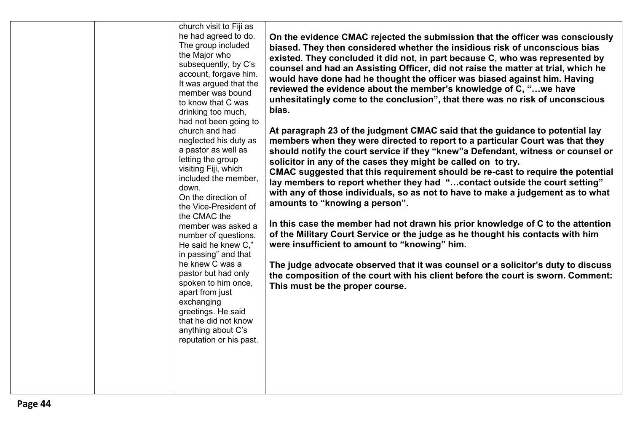| church visit to Fiji as<br>he had agreed to do.<br>The group included<br>the Major who<br>subsequently, by C's<br>account, forgave him.<br>It was argued that the<br>member was bound<br>to know that C was<br>drinking too much,<br>had not been going to<br>church and had<br>neglected his duty as<br>a pastor as well as<br>letting the group<br>visiting Fiji, which<br>included the member,<br>down.<br>On the direction of<br>the Vice-President of<br>the CMAC the<br>member was asked a<br>number of questions.<br>He said he knew C,"<br>in passing" and that<br>he knew C was a<br>pastor but had only<br>spoken to him once,<br>apart from just<br>exchanging<br>greetings. He said<br>that he did not know<br>anything about C's<br>reputation or his past. | On the evidence CMAC rejected the submission that the officer was consciously<br>biased. They then considered whether the insidious risk of unconscious bias<br>existed. They concluded it did not, in part because C, who was represented by<br>counsel and had an Assisting Officer, did not raise the matter at trial, which he<br>would have done had he thought the officer was biased against him. Having<br>reviewed the evidence about the member's knowledge of C, "we have<br>unhesitatingly come to the conclusion", that there was no risk of unconscious<br>bias.<br>At paragraph 23 of the judgment CMAC said that the guidance to potential lay<br>members when they were directed to report to a particular Court was that they<br>should notify the court service if they "knew" a Defendant, witness or counsel or<br>solicitor in any of the cases they might be called on to try.<br>CMAC suggested that this requirement should be re-cast to require the potential<br>lay members to report whether they had "contact outside the court setting"<br>with any of those individuals, so as not to have to make a judgement as to what<br>amounts to "knowing a person".<br>In this case the member had not drawn his prior knowledge of C to the attention<br>of the Military Court Service or the judge as he thought his contacts with him<br>were insufficient to amount to "knowing" him.<br>The judge advocate observed that it was counsel or a solicitor's duty to discuss<br>the composition of the court with his client before the court is sworn. Comment:<br>This must be the proper course. |
|--------------------------------------------------------------------------------------------------------------------------------------------------------------------------------------------------------------------------------------------------------------------------------------------------------------------------------------------------------------------------------------------------------------------------------------------------------------------------------------------------------------------------------------------------------------------------------------------------------------------------------------------------------------------------------------------------------------------------------------------------------------------------|------------------------------------------------------------------------------------------------------------------------------------------------------------------------------------------------------------------------------------------------------------------------------------------------------------------------------------------------------------------------------------------------------------------------------------------------------------------------------------------------------------------------------------------------------------------------------------------------------------------------------------------------------------------------------------------------------------------------------------------------------------------------------------------------------------------------------------------------------------------------------------------------------------------------------------------------------------------------------------------------------------------------------------------------------------------------------------------------------------------------------------------------------------------------------------------------------------------------------------------------------------------------------------------------------------------------------------------------------------------------------------------------------------------------------------------------------------------------------------------------------------------------------------------------------------------------------------------------------------------------------|
|--------------------------------------------------------------------------------------------------------------------------------------------------------------------------------------------------------------------------------------------------------------------------------------------------------------------------------------------------------------------------------------------------------------------------------------------------------------------------------------------------------------------------------------------------------------------------------------------------------------------------------------------------------------------------------------------------------------------------------------------------------------------------|------------------------------------------------------------------------------------------------------------------------------------------------------------------------------------------------------------------------------------------------------------------------------------------------------------------------------------------------------------------------------------------------------------------------------------------------------------------------------------------------------------------------------------------------------------------------------------------------------------------------------------------------------------------------------------------------------------------------------------------------------------------------------------------------------------------------------------------------------------------------------------------------------------------------------------------------------------------------------------------------------------------------------------------------------------------------------------------------------------------------------------------------------------------------------------------------------------------------------------------------------------------------------------------------------------------------------------------------------------------------------------------------------------------------------------------------------------------------------------------------------------------------------------------------------------------------------------------------------------------------------|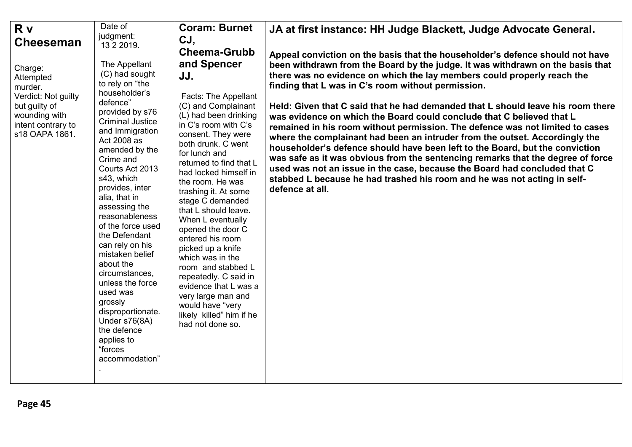| R v                 | Date of                 | <b>Coram: Burnet</b>     | JA at first instance: HH Judge Blackett, Judge Advocate General.                |
|---------------------|-------------------------|--------------------------|---------------------------------------------------------------------------------|
|                     | judgment:               | CJ,                      |                                                                                 |
| <b>Cheeseman</b>    | 13 2 2019.              |                          |                                                                                 |
|                     |                         | <b>Cheema-Grubb</b>      | Appeal conviction on the basis that the householder's defence should not have   |
| Charge:             | The Appellant           | and Spencer              | been withdrawn from the Board by the judge. It was withdrawn on the basis that  |
| Attempted           | (C) had sought          | JJ.                      | there was no evidence on which the lay members could properly reach the         |
| murder.             | to rely on "the         |                          | finding that L was in C's room without permission.                              |
| Verdict: Not guilty | householder's           | Facts: The Appellant     |                                                                                 |
| but guilty of       | defence"                | (C) and Complainant      | Held: Given that C said that he had demanded that L should leave his room there |
| wounding with       | provided by s76         | (L) had been drinking    |                                                                                 |
| intent contrary to  | <b>Criminal Justice</b> | in C's room with C's     | was evidence on which the Board could conclude that C believed that L           |
| s18 OAPA 1861.      | and Immigration         | consent. They were       | remained in his room without permission. The defence was not limited to cases   |
|                     | Act 2008 as             | both drunk. C went       | where the complainant had been an intruder from the outset. Accordingly the     |
|                     | amended by the          |                          | householder's defence should have been left to the Board, but the conviction    |
|                     | Crime and               | for lunch and            | was safe as it was obvious from the sentencing remarks that the degree of force |
|                     | Courts Act 2013         | returned to find that L  | used was not an issue in the case, because the Board had concluded that C       |
|                     | s43, which              | had locked himself in    | stabbed L because he had trashed his room and he was not acting in self-        |
|                     | provides, inter         | the room. He was         | defence at all.                                                                 |
|                     | alia, that in           | trashing it. At some     |                                                                                 |
|                     | assessing the           | stage C demanded         |                                                                                 |
|                     | reasonableness          | that L should leave.     |                                                                                 |
|                     | of the force used       | When L eventually        |                                                                                 |
|                     | the Defendant           | opened the door C        |                                                                                 |
|                     | can rely on his         | entered his room         |                                                                                 |
|                     | mistaken belief         | picked up a knife        |                                                                                 |
|                     | about the               | which was in the         |                                                                                 |
|                     | circumstances,          | room and stabbed L       |                                                                                 |
|                     | unless the force        | repeatedly. C said in    |                                                                                 |
|                     | used was                | evidence that L was a    |                                                                                 |
|                     | grossly                 | very large man and       |                                                                                 |
|                     | disproportionate.       | would have "very         |                                                                                 |
|                     | Under s76(8A)           | likely killed" him if he |                                                                                 |
|                     | the defence             | had not done so.         |                                                                                 |
|                     | applies to              |                          |                                                                                 |
|                     | "forces                 |                          |                                                                                 |
|                     | accommodation"          |                          |                                                                                 |
|                     |                         |                          |                                                                                 |
|                     |                         |                          |                                                                                 |
|                     |                         |                          |                                                                                 |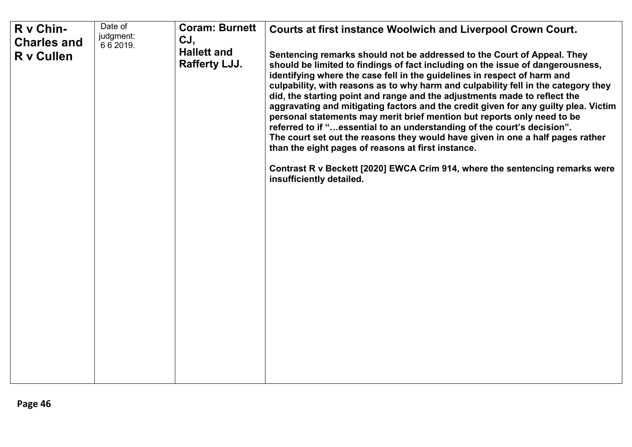| R v Chin-                        | Date of                | <b>Coram: Burnett</b>                      | <b>Courts at first instance Woolwich and Liverpool Crown Court.</b>                                                                                                                                                                                                                                                                                                                                                                                                                                                                                                                                                                                                                                                                                                                                                                                                                                       |
|----------------------------------|------------------------|--------------------------------------------|-----------------------------------------------------------------------------------------------------------------------------------------------------------------------------------------------------------------------------------------------------------------------------------------------------------------------------------------------------------------------------------------------------------------------------------------------------------------------------------------------------------------------------------------------------------------------------------------------------------------------------------------------------------------------------------------------------------------------------------------------------------------------------------------------------------------------------------------------------------------------------------------------------------|
| <b>Charles and</b><br>R v Cullen | judgment:<br>6 6 2019. | CJ,<br><b>Hallett and</b><br>Rafferty LJJ. | Sentencing remarks should not be addressed to the Court of Appeal. They<br>should be limited to findings of fact including on the issue of dangerousness,<br>identifying where the case fell in the guidelines in respect of harm and<br>culpability, with reasons as to why harm and culpability fell in the category they<br>did, the starting point and range and the adjustments made to reflect the<br>aggravating and mitigating factors and the credit given for any guilty plea. Victim<br>personal statements may merit brief mention but reports only need to be<br>referred to if "essential to an understanding of the court's decision".<br>The court set out the reasons they would have given in one a half pages rather<br>than the eight pages of reasons at first instance.<br>Contrast R v Beckett [2020] EWCA Crim 914, where the sentencing remarks were<br>insufficiently detailed. |
|                                  |                        |                                            |                                                                                                                                                                                                                                                                                                                                                                                                                                                                                                                                                                                                                                                                                                                                                                                                                                                                                                           |
|                                  |                        |                                            |                                                                                                                                                                                                                                                                                                                                                                                                                                                                                                                                                                                                                                                                                                                                                                                                                                                                                                           |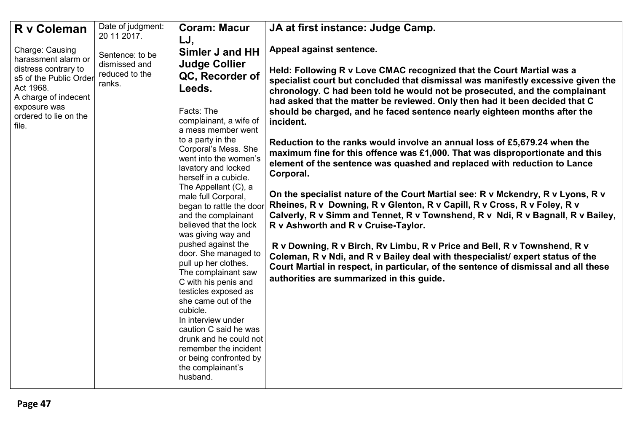| R v Coleman                                                                                                                                                                     | Date of judgment:<br>20 11 2017.                             | <b>Coram: Macur</b><br>LJ,                                                                                                                                                                                                                                                                                                                                                                                                                                                                                                                                                                                                                                                                                                                              | JA at first instance: Judge Camp.                                                                                                                                                                                                                                                                                                                                                                                                                                                                                                                                                                                                                                                                                                                                                                                                                                                                                                                                                                                                                                                                                                                                                                                                                                                              |
|---------------------------------------------------------------------------------------------------------------------------------------------------------------------------------|--------------------------------------------------------------|---------------------------------------------------------------------------------------------------------------------------------------------------------------------------------------------------------------------------------------------------------------------------------------------------------------------------------------------------------------------------------------------------------------------------------------------------------------------------------------------------------------------------------------------------------------------------------------------------------------------------------------------------------------------------------------------------------------------------------------------------------|------------------------------------------------------------------------------------------------------------------------------------------------------------------------------------------------------------------------------------------------------------------------------------------------------------------------------------------------------------------------------------------------------------------------------------------------------------------------------------------------------------------------------------------------------------------------------------------------------------------------------------------------------------------------------------------------------------------------------------------------------------------------------------------------------------------------------------------------------------------------------------------------------------------------------------------------------------------------------------------------------------------------------------------------------------------------------------------------------------------------------------------------------------------------------------------------------------------------------------------------------------------------------------------------|
| Charge: Causing<br>harassment alarm or<br>distress contrary to<br>s5 of the Public Order<br>Act 1968.<br>A charge of indecent<br>exposure was<br>ordered to lie on the<br>file. | Sentence: to be<br>dismissed and<br>reduced to the<br>ranks. | Simler J and HH<br><b>Judge Collier</b><br>QC, Recorder of<br>Leeds.<br>Facts: The<br>complainant, a wife of<br>a mess member went<br>to a party in the<br>Corporal's Mess. She<br>went into the women's<br>lavatory and locked<br>herself in a cubicle.<br>The Appellant (C), a<br>male full Corporal,<br>began to rattle the door<br>and the complainant<br>believed that the lock<br>was giving way and<br>pushed against the<br>door. She managed to<br>pull up her clothes.<br>The complainant saw<br>C with his penis and<br>testicles exposed as<br>she came out of the<br>cubicle.<br>In interview under<br>caution C said he was<br>drunk and he could not<br>remember the incident<br>or being confronted by<br>the complainant's<br>husband. | Appeal against sentence.<br>Held: Following R v Love CMAC recognized that the Court Martial was a<br>specialist court but concluded that dismissal was manifestly excessive given the<br>chronology. C had been told he would not be prosecuted, and the complainant<br>had asked that the matter be reviewed. Only then had it been decided that C<br>should be charged, and he faced sentence nearly eighteen months after the<br>incident.<br>Reduction to the ranks would involve an annual loss of £5,679.24 when the<br>maximum fine for this offence was £1,000. That was disproportionate and this<br>element of the sentence was quashed and replaced with reduction to Lance<br>Corporal.<br>On the specialist nature of the Court Martial see: R v Mckendry, R v Lyons, R v<br>Rheines, R v Downing, R v Glenton, R v Capill, R v Cross, R v Foley, R v<br>Calverly, R v Simm and Tennet, R v Townshend, R v Ndi, R v Bagnall, R v Bailey,<br>R v Ashworth and R v Cruise-Taylor.<br>R v Downing, R v Birch, Rv Limbu, R v Price and Bell, R v Townshend, R v<br>Coleman, R v Ndi, and R v Bailey deal with thespecialist/ expert status of the<br>Court Martial in respect, in particular, of the sentence of dismissal and all these<br>authorities are summarized in this guide. |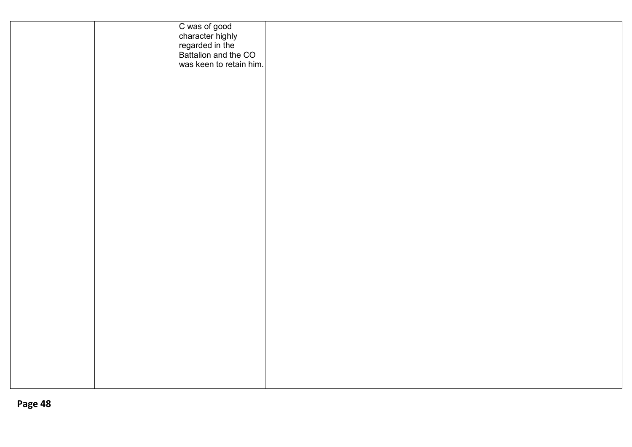|  | C was of good<br>character highly<br>regarded in the<br>Battalion and the CO<br>was keen to retain him. |  |  |
|--|---------------------------------------------------------------------------------------------------------|--|--|
|  |                                                                                                         |  |  |
|  |                                                                                                         |  |  |
|  |                                                                                                         |  |  |
|  |                                                                                                         |  |  |
|  |                                                                                                         |  |  |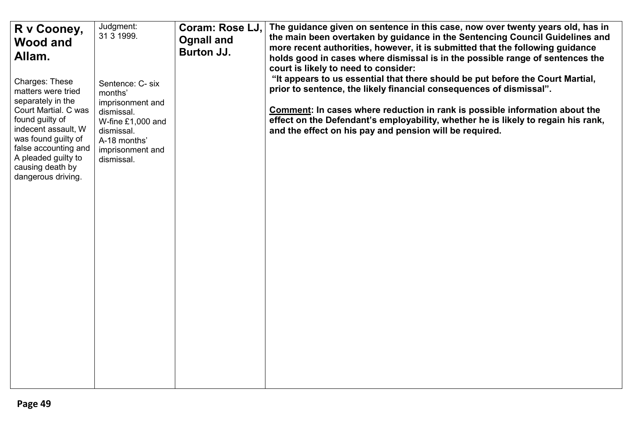| R v Cooney,<br><b>Wood and</b><br>Allam.                                                                                                                                                                                                    | Judgment:<br>31 3 1999.                                                                                                                              | Coram: Rose LJ,<br><b>Ognall and</b><br>Burton JJ. | The guidance given on sentence in this case, now over twenty years old, has in<br>the main been overtaken by guidance in the Sentencing Council Guidelines and<br>more recent authorities, however, it is submitted that the following guidance<br>holds good in cases where dismissal is in the possible range of sentences the<br>court is likely to need to consider:             |
|---------------------------------------------------------------------------------------------------------------------------------------------------------------------------------------------------------------------------------------------|------------------------------------------------------------------------------------------------------------------------------------------------------|----------------------------------------------------|--------------------------------------------------------------------------------------------------------------------------------------------------------------------------------------------------------------------------------------------------------------------------------------------------------------------------------------------------------------------------------------|
| Charges: These<br>matters were tried<br>separately in the<br>Court Martial. C was<br>found guilty of<br>indecent assault, W<br>was found guilty of<br>false accounting and<br>A pleaded guilty to<br>causing death by<br>dangerous driving. | Sentence: C- six<br>months'<br>imprisonment and<br>dismissal.<br>W-fine $£1,000$ and<br>dismissal.<br>A-18 months'<br>imprisonment and<br>dismissal. |                                                    | "It appears to us essential that there should be put before the Court Martial,<br>prior to sentence, the likely financial consequences of dismissal".<br>Comment: In cases where reduction in rank is possible information about the<br>effect on the Defendant's employability, whether he is likely to regain his rank,<br>and the effect on his pay and pension will be required. |
|                                                                                                                                                                                                                                             |                                                                                                                                                      |                                                    |                                                                                                                                                                                                                                                                                                                                                                                      |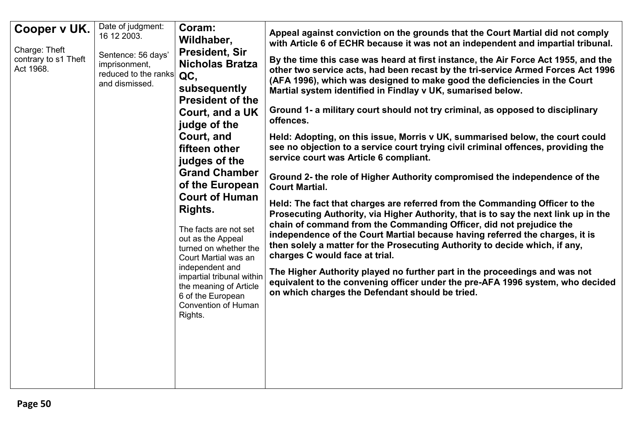| Cooper v UK.<br>Charge: Theft<br>contrary to s1 Theft<br>Act 1968. | Date of judgment:<br>16 12 2003.<br>Sentence: 56 days'<br>imprisonment,<br>reduced to the ranks<br>and dismissed. | Coram:<br>Wildhaber,<br><b>President, Sir</b><br><b>Nicholas Bratza</b><br>QC,<br>subsequently<br><b>President of the</b><br><b>Court, and a UK</b><br>judge of the<br>Court, and<br>fifteen other<br>judges of the<br><b>Grand Chamber</b><br>of the European<br><b>Court of Human</b><br><b>Rights.</b><br>The facts are not set<br>out as the Appeal<br>turned on whether the<br>Court Martial was an<br>independent and<br>impartial tribunal within<br>the meaning of Article<br>6 of the European<br><b>Convention of Human</b><br>Rights. | Appeal against conviction on the grounds that the Court Martial did not comply<br>with Article 6 of ECHR because it was not an independent and impartial tribunal.<br>By the time this case was heard at first instance, the Air Force Act 1955, and the<br>other two service acts, had been recast by the tri-service Armed Forces Act 1996<br>(AFA 1996), which was designed to make good the deficiencies in the Court<br>Martial system identified in Findlay v UK, sumarised below.<br>Ground 1- a military court should not try criminal, as opposed to disciplinary<br>offences.<br>Held: Adopting, on this issue, Morris v UK, summarised below, the court could<br>see no objection to a service court trying civil criminal offences, providing the<br>service court was Article 6 compliant.<br>Ground 2- the role of Higher Authority compromised the independence of the<br><b>Court Martial.</b><br>Held: The fact that charges are referred from the Commanding Officer to the<br>Prosecuting Authority, via Higher Authority, that is to say the next link up in the<br>chain of command from the Commanding Officer, did not prejudice the<br>independence of the Court Martial because having referred the charges, it is<br>then solely a matter for the Prosecuting Authority to decide which, if any,<br>charges C would face at trial.<br>The Higher Authority played no further part in the proceedings and was not<br>equivalent to the convening officer under the pre-AFA 1996 system, who decided<br>on which charges the Defendant should be tried. |
|--------------------------------------------------------------------|-------------------------------------------------------------------------------------------------------------------|--------------------------------------------------------------------------------------------------------------------------------------------------------------------------------------------------------------------------------------------------------------------------------------------------------------------------------------------------------------------------------------------------------------------------------------------------------------------------------------------------------------------------------------------------|---------------------------------------------------------------------------------------------------------------------------------------------------------------------------------------------------------------------------------------------------------------------------------------------------------------------------------------------------------------------------------------------------------------------------------------------------------------------------------------------------------------------------------------------------------------------------------------------------------------------------------------------------------------------------------------------------------------------------------------------------------------------------------------------------------------------------------------------------------------------------------------------------------------------------------------------------------------------------------------------------------------------------------------------------------------------------------------------------------------------------------------------------------------------------------------------------------------------------------------------------------------------------------------------------------------------------------------------------------------------------------------------------------------------------------------------------------------------------------------------------------------------------------------------------------------------------------|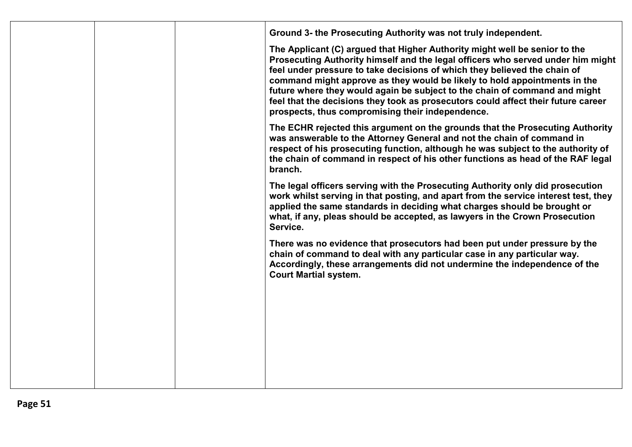|  | Ground 3- the Prosecuting Authority was not truly independent.                                                                                                                                                                                                                                                                                                                                                                                                                                                                                 |
|--|------------------------------------------------------------------------------------------------------------------------------------------------------------------------------------------------------------------------------------------------------------------------------------------------------------------------------------------------------------------------------------------------------------------------------------------------------------------------------------------------------------------------------------------------|
|  | The Applicant (C) argued that Higher Authority might well be senior to the<br>Prosecuting Authority himself and the legal officers who served under him might<br>feel under pressure to take decisions of which they believed the chain of<br>command might approve as they would be likely to hold appointments in the<br>future where they would again be subject to the chain of command and might<br>feel that the decisions they took as prosecutors could affect their future career<br>prospects, thus compromising their independence. |
|  | The ECHR rejected this argument on the grounds that the Prosecuting Authority<br>was answerable to the Attorney General and not the chain of command in<br>respect of his prosecuting function, although he was subject to the authority of<br>the chain of command in respect of his other functions as head of the RAF legal<br>branch.                                                                                                                                                                                                      |
|  | The legal officers serving with the Prosecuting Authority only did prosecution<br>work whilst serving in that posting, and apart from the service interest test, they<br>applied the same standards in deciding what charges should be brought or<br>what, if any, pleas should be accepted, as lawyers in the Crown Prosecution<br>Service.                                                                                                                                                                                                   |
|  | There was no evidence that prosecutors had been put under pressure by the<br>chain of command to deal with any particular case in any particular way.<br>Accordingly, these arrangements did not undermine the independence of the<br><b>Court Martial system.</b>                                                                                                                                                                                                                                                                             |
|  |                                                                                                                                                                                                                                                                                                                                                                                                                                                                                                                                                |
|  |                                                                                                                                                                                                                                                                                                                                                                                                                                                                                                                                                |
|  |                                                                                                                                                                                                                                                                                                                                                                                                                                                                                                                                                |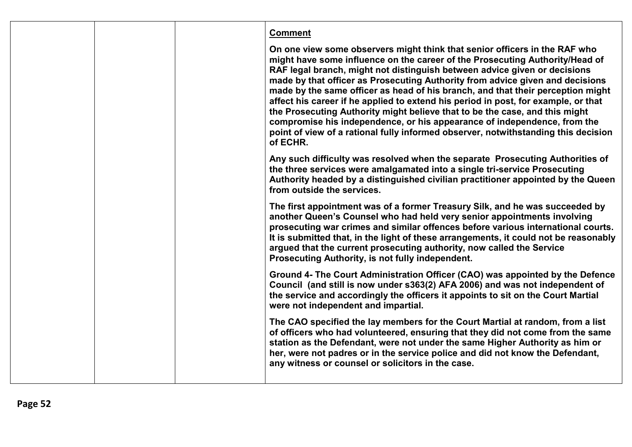|  | <b>Comment</b>                                                                                                                                                                                                                                                                                                                                                                                                                                                                                                                                                                                                                                                                                                                                                 |
|--|----------------------------------------------------------------------------------------------------------------------------------------------------------------------------------------------------------------------------------------------------------------------------------------------------------------------------------------------------------------------------------------------------------------------------------------------------------------------------------------------------------------------------------------------------------------------------------------------------------------------------------------------------------------------------------------------------------------------------------------------------------------|
|  | On one view some observers might think that senior officers in the RAF who<br>might have some influence on the career of the Prosecuting Authority/Head of<br>RAF legal branch, might not distinguish between advice given or decisions<br>made by that officer as Prosecuting Authority from advice given and decisions<br>made by the same officer as head of his branch, and that their perception might<br>affect his career if he applied to extend his period in post, for example, or that<br>the Prosecuting Authority might believe that to be the case, and this might<br>compromise his independence, or his appearance of independence, from the<br>point of view of a rational fully informed observer, notwithstanding this decision<br>of ECHR. |
|  | Any such difficulty was resolved when the separate Prosecuting Authorities of<br>the three services were amalgamated into a single tri-service Prosecuting<br>Authority headed by a distinguished civilian practitioner appointed by the Queen<br>from outside the services.                                                                                                                                                                                                                                                                                                                                                                                                                                                                                   |
|  | The first appointment was of a former Treasury Silk, and he was succeeded by<br>another Queen's Counsel who had held very senior appointments involving<br>prosecuting war crimes and similar offences before various international courts.<br>It is submitted that, in the light of these arrangements, it could not be reasonably<br>argued that the current prosecuting authority, now called the Service<br>Prosecuting Authority, is not fully independent.                                                                                                                                                                                                                                                                                               |
|  | Ground 4- The Court Administration Officer (CAO) was appointed by the Defence<br>Council (and still is now under s363(2) AFA 2006) and was not independent of<br>the service and accordingly the officers it appoints to sit on the Court Martial<br>were not independent and impartial.                                                                                                                                                                                                                                                                                                                                                                                                                                                                       |
|  | The CAO specified the lay members for the Court Martial at random, from a list<br>of officers who had volunteered, ensuring that they did not come from the same<br>station as the Defendant, were not under the same Higher Authority as him or<br>her, were not padres or in the service police and did not know the Defendant,<br>any witness or counsel or solicitors in the case.                                                                                                                                                                                                                                                                                                                                                                         |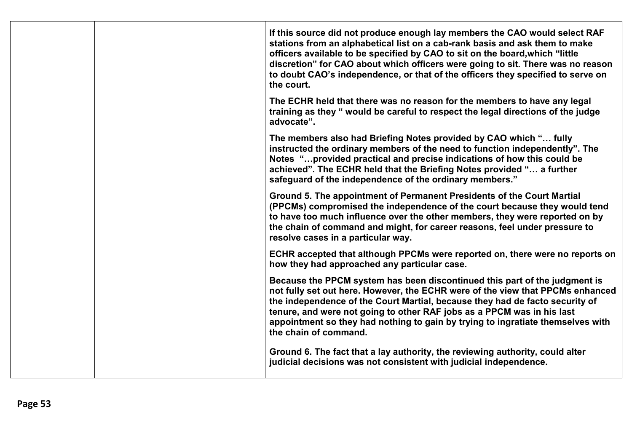|  | If this source did not produce enough lay members the CAO would select RAF<br>stations from an alphabetical list on a cab-rank basis and ask them to make<br>officers available to be specified by CAO to sit on the board, which "little<br>discretion" for CAO about which officers were going to sit. There was no reason<br>to doubt CAO's independence, or that of the officers they specified to serve on<br>the court.      |
|--|------------------------------------------------------------------------------------------------------------------------------------------------------------------------------------------------------------------------------------------------------------------------------------------------------------------------------------------------------------------------------------------------------------------------------------|
|  | The ECHR held that there was no reason for the members to have any legal<br>training as they " would be careful to respect the legal directions of the judge<br>advocate".                                                                                                                                                                                                                                                         |
|  | The members also had Briefing Notes provided by CAO which " fully<br>instructed the ordinary members of the need to function independently". The<br>Notes "provided practical and precise indications of how this could be<br>achieved". The ECHR held that the Briefing Notes provided " a further<br>safeguard of the independence of the ordinary members."                                                                     |
|  | Ground 5. The appointment of Permanent Presidents of the Court Martial<br>(PPCMs) compromised the independence of the court because they would tend<br>to have too much influence over the other members, they were reported on by<br>the chain of command and might, for career reasons, feel under pressure to<br>resolve cases in a particular way.                                                                             |
|  | ECHR accepted that although PPCMs were reported on, there were no reports on<br>how they had approached any particular case.                                                                                                                                                                                                                                                                                                       |
|  | Because the PPCM system has been discontinued this part of the judgment is<br>not fully set out here. However, the ECHR were of the view that PPCMs enhanced<br>the independence of the Court Martial, because they had de facto security of<br>tenure, and were not going to other RAF jobs as a PPCM was in his last<br>appointment so they had nothing to gain by trying to ingratiate themselves with<br>the chain of command. |
|  | Ground 6. The fact that a lay authority, the reviewing authority, could alter<br>judicial decisions was not consistent with judicial independence.                                                                                                                                                                                                                                                                                 |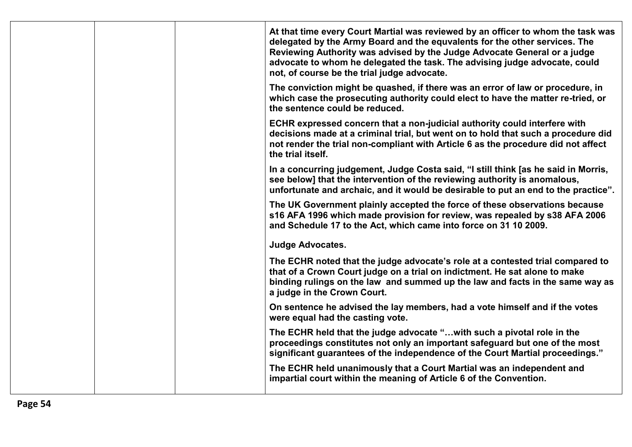| At that time every Court Martial was reviewed by an officer to whom the task was<br>delegated by the Army Board and the equvalents for the other services. The<br>Reviewing Authority was advised by the Judge Advocate General or a judge<br>advocate to whom he delegated the task. The advising judge advocate, could<br>not, of course be the trial judge advocate. |  |
|-------------------------------------------------------------------------------------------------------------------------------------------------------------------------------------------------------------------------------------------------------------------------------------------------------------------------------------------------------------------------|--|
| The conviction might be quashed, if there was an error of law or procedure, in<br>which case the prosecuting authority could elect to have the matter re-tried, or<br>the sentence could be reduced.                                                                                                                                                                    |  |
| ECHR expressed concern that a non-judicial authority could interfere with<br>decisions made at a criminal trial, but went on to hold that such a procedure did<br>not render the trial non-compliant with Article 6 as the procedure did not affect<br>the trial itself.                                                                                                |  |
| In a concurring judgement, Judge Costa said, "I still think [as he said in Morris,<br>see below] that the intervention of the reviewing authority is anomalous,<br>unfortunate and archaic, and it would be desirable to put an end to the practice".                                                                                                                   |  |
| The UK Government plainly accepted the force of these observations because<br>s16 AFA 1996 which made provision for review, was repealed by s38 AFA 2006<br>and Schedule 17 to the Act, which came into force on 31 10 2009.                                                                                                                                            |  |
| <b>Judge Advocates.</b>                                                                                                                                                                                                                                                                                                                                                 |  |
| The ECHR noted that the judge advocate's role at a contested trial compared to<br>that of a Crown Court judge on a trial on indictment. He sat alone to make<br>binding rulings on the law and summed up the law and facts in the same way as<br>a judge in the Crown Court.                                                                                            |  |
| On sentence he advised the lay members, had a vote himself and if the votes<br>were equal had the casting vote.                                                                                                                                                                                                                                                         |  |
| The ECHR held that the judge advocate " with such a pivotal role in the<br>proceedings constitutes not only an important safeguard but one of the most<br>significant guarantees of the independence of the Court Martial proceedings."                                                                                                                                 |  |
| The ECHR held unanimously that a Court Martial was an independent and<br>impartial court within the meaning of Article 6 of the Convention.                                                                                                                                                                                                                             |  |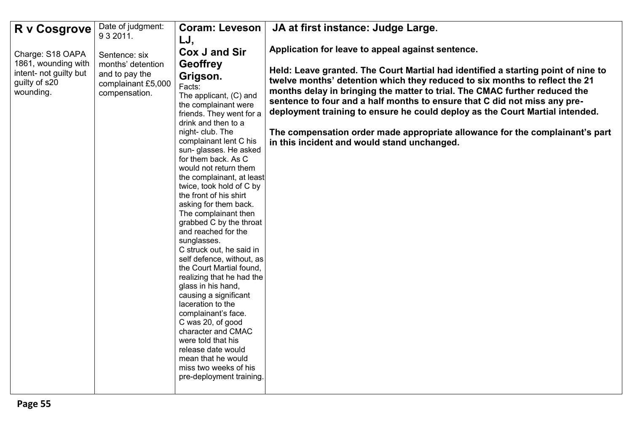| R v Cosgrove                                         | Date of judgment:                                     | <b>Coram: Leveson</b>                                 | JA at first instance: Judge Large.                                                                                                                               |
|------------------------------------------------------|-------------------------------------------------------|-------------------------------------------------------|------------------------------------------------------------------------------------------------------------------------------------------------------------------|
|                                                      | 9 3 2011.                                             | LJ,                                                   |                                                                                                                                                                  |
| Charge: S18 OAPA                                     | Sentence: six                                         | Cox J and Sir                                         | Application for leave to appeal against sentence.                                                                                                                |
| 1861, wounding with                                  | months' detention                                     | <b>Geoffrey</b>                                       |                                                                                                                                                                  |
| intent- not guilty but<br>guilty of s20<br>wounding. | and to pay the<br>complainant £5,000<br>compensation. | Grigson.                                              | Held: Leave granted. The Court Martial had identified a starting point of nine to<br>twelve months' detention which they reduced to six months to reflect the 21 |
|                                                      |                                                       | Facts:                                                | months delay in bringing the matter to trial. The CMAC further reduced the                                                                                       |
|                                                      |                                                       | The applicant, (C) and<br>the complainant were        | sentence to four and a half months to ensure that C did not miss any pre-                                                                                        |
|                                                      |                                                       | friends. They went for a                              | deployment training to ensure he could deploy as the Court Martial intended.                                                                                     |
|                                                      |                                                       | drink and then to a                                   |                                                                                                                                                                  |
|                                                      |                                                       | night-club. The<br>complainant lent C his             | The compensation order made appropriate allowance for the complainant's part<br>in this incident and would stand unchanged.                                      |
|                                                      |                                                       | sun- glasses. He asked                                |                                                                                                                                                                  |
|                                                      |                                                       | for them back. As C<br>would not return them          |                                                                                                                                                                  |
|                                                      |                                                       | the complainant, at least                             |                                                                                                                                                                  |
|                                                      |                                                       | twice, took hold of C by                              |                                                                                                                                                                  |
|                                                      |                                                       | the front of his shirt<br>asking for them back.       |                                                                                                                                                                  |
|                                                      |                                                       | The complainant then                                  |                                                                                                                                                                  |
|                                                      |                                                       | grabbed C by the throat                               |                                                                                                                                                                  |
|                                                      |                                                       | and reached for the<br>sunglasses.                    |                                                                                                                                                                  |
|                                                      |                                                       | C struck out, he said in                              |                                                                                                                                                                  |
|                                                      |                                                       | self defence, without, as                             |                                                                                                                                                                  |
|                                                      |                                                       | the Court Martial found,<br>realizing that he had the |                                                                                                                                                                  |
|                                                      |                                                       | glass in his hand,                                    |                                                                                                                                                                  |
|                                                      |                                                       | causing a significant                                 |                                                                                                                                                                  |
|                                                      |                                                       | laceration to the<br>complainant's face.              |                                                                                                                                                                  |
|                                                      |                                                       | C was 20, of good                                     |                                                                                                                                                                  |
|                                                      |                                                       | character and CMAC<br>were told that his              |                                                                                                                                                                  |
|                                                      |                                                       | release date would                                    |                                                                                                                                                                  |
|                                                      |                                                       | mean that he would                                    |                                                                                                                                                                  |
|                                                      |                                                       | miss two weeks of his<br>pre-deployment training.     |                                                                                                                                                                  |
|                                                      |                                                       |                                                       |                                                                                                                                                                  |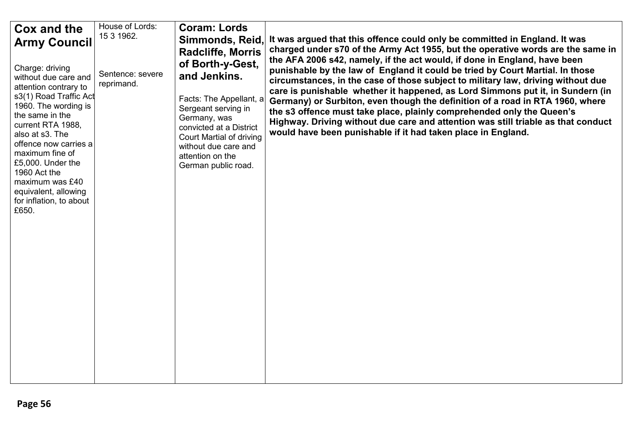| Cox and the<br><b>Army Council</b>                                                                                                                                                                                                                                                                                                            | House of Lords:<br>15 3 1962.  | <b>Coram: Lords</b><br>Simmonds, Reid,<br><b>Radcliffe, Morris</b>                                                                                                                                                                  | It was argued that this offence could only be committed in England. It was<br>charged under s70 of the Army Act 1955, but the operative words are the same in<br>the AFA 2006 s42, namely, if the act would, if done in England, have been                                                                                                                                                                                                                                                                                                                         |
|-----------------------------------------------------------------------------------------------------------------------------------------------------------------------------------------------------------------------------------------------------------------------------------------------------------------------------------------------|--------------------------------|-------------------------------------------------------------------------------------------------------------------------------------------------------------------------------------------------------------------------------------|--------------------------------------------------------------------------------------------------------------------------------------------------------------------------------------------------------------------------------------------------------------------------------------------------------------------------------------------------------------------------------------------------------------------------------------------------------------------------------------------------------------------------------------------------------------------|
| Charge: driving<br>without due care and<br>attention contrary to<br>s3(1) Road Traffic Act<br>1960. The wording is<br>the same in the<br>current RTA 1988,<br>also at s3. The<br>offence now carries a<br>maximum fine of<br>£5,000. Under the<br>1960 Act the<br>maximum was £40<br>equivalent, allowing<br>for inflation, to about<br>£650. | Sentence: severe<br>reprimand. | of Borth-y-Gest,<br>and Jenkins.<br>Facts: The Appellant, a<br>Sergeant serving in<br>Germany, was<br>convicted at a District<br><b>Court Martial of driving</b><br>without due care and<br>attention on the<br>German public road. | punishable by the law of England it could be tried by Court Martial. In those<br>circumstances, in the case of those subject to military law, driving without due<br>care is punishable whether it happened, as Lord Simmons put it, in Sundern (in<br>Germany) or Surbiton, even though the definition of a road in RTA 1960, where<br>the s3 offence must take place, plainly comprehended only the Queen's<br>Highway. Driving without due care and attention was still triable as that conduct<br>would have been punishable if it had taken place in England. |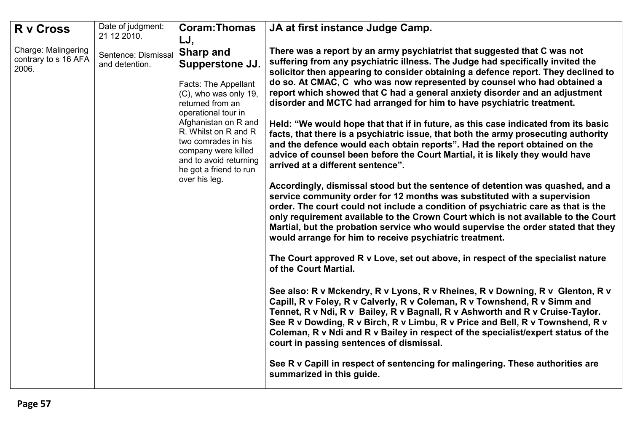| <b>R</b> v Cross                                            | Date of judgment:<br>21 12 2010.      | <b>Coram:Thomas</b>                                                                                                                                                                                                                                                                                       | JA at first instance Judge Camp.                                                                                                                                                                                                                                                                                                                                                                                                                                                                                                                                                                                                                                                                                                                                                                                                                                                                                                                                                                                                                                                                                                                                                                                                                                                                                                                                                                                                                                                                                                                                                                                                                                                                                                                                                                                                                                                                                                                                                                                                                      |
|-------------------------------------------------------------|---------------------------------------|-----------------------------------------------------------------------------------------------------------------------------------------------------------------------------------------------------------------------------------------------------------------------------------------------------------|-------------------------------------------------------------------------------------------------------------------------------------------------------------------------------------------------------------------------------------------------------------------------------------------------------------------------------------------------------------------------------------------------------------------------------------------------------------------------------------------------------------------------------------------------------------------------------------------------------------------------------------------------------------------------------------------------------------------------------------------------------------------------------------------------------------------------------------------------------------------------------------------------------------------------------------------------------------------------------------------------------------------------------------------------------------------------------------------------------------------------------------------------------------------------------------------------------------------------------------------------------------------------------------------------------------------------------------------------------------------------------------------------------------------------------------------------------------------------------------------------------------------------------------------------------------------------------------------------------------------------------------------------------------------------------------------------------------------------------------------------------------------------------------------------------------------------------------------------------------------------------------------------------------------------------------------------------------------------------------------------------------------------------------------------------|
| <b>Charge: Malingering</b><br>contrary to s 16 AFA<br>2006. | Sentence: Dismissal<br>and detention. | LJ,<br><b>Sharp and</b><br>Supperstone JJ.<br>Facts: The Appellant<br>(C), who was only 19,<br>returned from an<br>operational tour in<br>Afghanistan on R and<br>R. Whilst on R and R<br>two comrades in his<br>company were killed<br>and to avoid returning<br>he got a friend to run<br>over his leg. | There was a report by an army psychiatrist that suggested that C was not<br>suffering from any psychiatric illness. The Judge had specifically invited the<br>solicitor then appearing to consider obtaining a defence report. They declined to<br>do so. At CMAC, C who was now represented by counsel who had obtained a<br>report which showed that C had a general anxiety disorder and an adjustment<br>disorder and MCTC had arranged for him to have psychiatric treatment.<br>Held: "We would hope that that if in future, as this case indicated from its basic<br>facts, that there is a psychiatric issue, that both the army prosecuting authority<br>and the defence would each obtain reports". Had the report obtained on the<br>advice of counsel been before the Court Martial, it is likely they would have<br>arrived at a different sentence".<br>Accordingly, dismissal stood but the sentence of detention was quashed, and a<br>service community order for 12 months was substituted with a supervision<br>order. The court could not include a condition of psychiatric care as that is the<br>only requirement available to the Crown Court which is not available to the Court<br>Martial, but the probation service who would supervise the order stated that they<br>would arrange for him to receive psychiatric treatment.<br>The Court approved R v Love, set out above, in respect of the specialist nature<br>of the Court Martial.<br>See also: R v Mckendry, R v Lyons, R v Rheines, R v Downing, R v Glenton, R v<br>Capill, R v Foley, R v Calverly, R v Coleman, R v Townshend, R v Simm and<br>Tennet, R v Ndi, R v Bailey, R v Bagnall, R v Ashworth and R v Cruise-Taylor.<br>See R v Dowding, R v Birch, R v Limbu, R v Price and Bell, R v Townshend, R v<br>Coleman, R v Ndi and R v Bailey in respect of the specialist/expert status of the<br>court in passing sentences of dismissal.<br>See R v Capill in respect of sentencing for malingering. These authorities are<br>summarized in this guide. |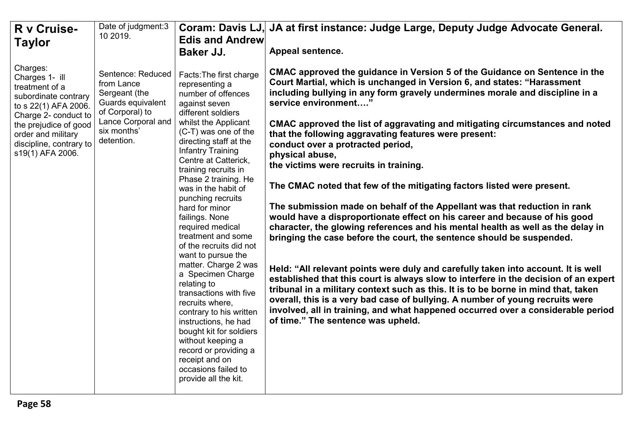| R v Cruise-                                                                                                                                                                                                        | Date of judgment:3<br>10 2019.                                                                                                              | <b>Edis and Andrew</b>                                                                                                                                                                                                                                                                                                                                                                                                                                                                                                                                                                                                                                                                                                                                         | Coram: Davis LJ, JA at first instance: Judge Large, Deputy Judge Advocate General.                                                                                                                                                                                                                                                                                                                                                                                                                                                                                                                                                                                                                                                                                                                                                                                                                                                                                                                                                                                                                                                                                                                                                                                                                                                                                                      |
|--------------------------------------------------------------------------------------------------------------------------------------------------------------------------------------------------------------------|---------------------------------------------------------------------------------------------------------------------------------------------|----------------------------------------------------------------------------------------------------------------------------------------------------------------------------------------------------------------------------------------------------------------------------------------------------------------------------------------------------------------------------------------------------------------------------------------------------------------------------------------------------------------------------------------------------------------------------------------------------------------------------------------------------------------------------------------------------------------------------------------------------------------|-----------------------------------------------------------------------------------------------------------------------------------------------------------------------------------------------------------------------------------------------------------------------------------------------------------------------------------------------------------------------------------------------------------------------------------------------------------------------------------------------------------------------------------------------------------------------------------------------------------------------------------------------------------------------------------------------------------------------------------------------------------------------------------------------------------------------------------------------------------------------------------------------------------------------------------------------------------------------------------------------------------------------------------------------------------------------------------------------------------------------------------------------------------------------------------------------------------------------------------------------------------------------------------------------------------------------------------------------------------------------------------------|
| <b>Taylor</b>                                                                                                                                                                                                      |                                                                                                                                             | <b>Baker JJ.</b>                                                                                                                                                                                                                                                                                                                                                                                                                                                                                                                                                                                                                                                                                                                                               | Appeal sentence.                                                                                                                                                                                                                                                                                                                                                                                                                                                                                                                                                                                                                                                                                                                                                                                                                                                                                                                                                                                                                                                                                                                                                                                                                                                                                                                                                                        |
| Charges:<br>Charges 1- ill<br>treatment of a<br>subordinate contrary<br>to s 22(1) AFA 2006.<br>Charge 2- conduct to<br>the prejudice of good<br>order and military<br>discipline, contrary to<br>s19(1) AFA 2006. | Sentence: Reduced<br>from Lance<br>Sergeant (the<br>Guards equivalent<br>of Corporal) to<br>Lance Corporal and<br>six months'<br>detention. | Facts: The first charge<br>representing a<br>number of offences<br>against seven<br>different soldiers<br>whilst the Applicant<br>(C-T) was one of the<br>directing staff at the<br>Infantry Training<br>Centre at Catterick,<br>training recruits in<br>Phase 2 training. He<br>was in the habit of<br>punching recruits<br>hard for minor<br>failings. None<br>required medical<br>treatment and some<br>of the recruits did not<br>want to pursue the<br>matter. Charge 2 was<br>a Specimen Charge<br>relating to<br>transactions with five<br>recruits where,<br>contrary to his written<br>instructions, he had<br>bought kit for soldiers<br>without keeping a<br>record or providing a<br>receipt and on<br>occasions failed to<br>provide all the kit. | CMAC approved the guidance in Version 5 of the Guidance on Sentence in the<br>Court Martial, which is unchanged in Version 6, and states: "Harassment<br>including bullying in any form gravely undermines morale and discipline in a<br>service environment"<br>CMAC approved the list of aggravating and mitigating circumstances and noted<br>that the following aggravating features were present:<br>conduct over a protracted period,<br>physical abuse,<br>the victims were recruits in training.<br>The CMAC noted that few of the mitigating factors listed were present.<br>The submission made on behalf of the Appellant was that reduction in rank<br>would have a disproportionate effect on his career and because of his good<br>character, the glowing references and his mental health as well as the delay in<br>bringing the case before the court, the sentence should be suspended.<br>Held: "All relevant points were duly and carefully taken into account. It is well<br>established that this court is always slow to interfere in the decision of an expert<br>tribunal in a military context such as this. It is to be borne in mind that, taken<br>overall, this is a very bad case of bullying. A number of young recruits were<br>involved, all in training, and what happened occurred over a considerable period<br>of time." The sentence was upheld. |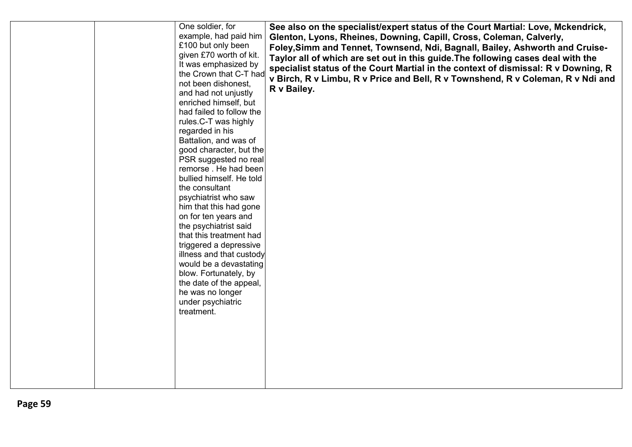| One soldier, for<br>example, had paid him<br>£100 but only been<br>given £70 worth of kit.<br>It was emphasized by<br>the Crown that C-T had<br>not been dishonest,<br>and had not unjustly<br>enriched himself, but<br>had failed to follow the<br>rules.C-T was highly<br>regarded in his<br>Battalion, and was of<br>good character, but the<br>PSR suggested no real<br>remorse. He had been<br>bullied himself. He told<br>the consultant<br>psychiatrist who saw<br>him that this had gone<br>on for ten years and<br>the psychiatrist said<br>that this treatment had<br>triggered a depressive<br>illness and that custody<br>would be a devastating<br>blow. Fortunately, by<br>the date of the appeal,<br>he was no longer<br>under psychiatric<br>treatment. | See also on the specialist/expert status of the Court Martial: Love, Mckendrick,<br>Glenton, Lyons, Rheines, Downing, Capill, Cross, Coleman, Calverly,<br>Foley, Simm and Tennet, Townsend, Ndi, Bagnall, Bailey, Ashworth and Cruise-<br>Taylor all of which are set out in this guide. The following cases deal with the<br>specialist status of the Court Martial in the context of dismissal: R v Downing, R<br>v Birch, R v Limbu, R v Price and Bell, R v Townshend, R v Coleman, R v Ndi and<br>R v Bailey. |
|-------------------------------------------------------------------------------------------------------------------------------------------------------------------------------------------------------------------------------------------------------------------------------------------------------------------------------------------------------------------------------------------------------------------------------------------------------------------------------------------------------------------------------------------------------------------------------------------------------------------------------------------------------------------------------------------------------------------------------------------------------------------------|---------------------------------------------------------------------------------------------------------------------------------------------------------------------------------------------------------------------------------------------------------------------------------------------------------------------------------------------------------------------------------------------------------------------------------------------------------------------------------------------------------------------|
|-------------------------------------------------------------------------------------------------------------------------------------------------------------------------------------------------------------------------------------------------------------------------------------------------------------------------------------------------------------------------------------------------------------------------------------------------------------------------------------------------------------------------------------------------------------------------------------------------------------------------------------------------------------------------------------------------------------------------------------------------------------------------|---------------------------------------------------------------------------------------------------------------------------------------------------------------------------------------------------------------------------------------------------------------------------------------------------------------------------------------------------------------------------------------------------------------------------------------------------------------------------------------------------------------------|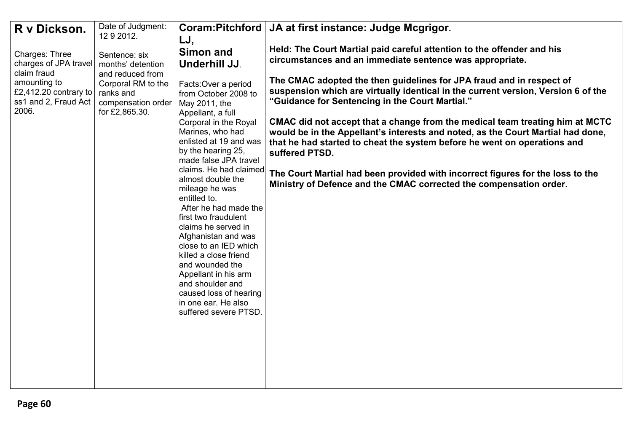| R v Dickson.          | Date of Judgment:                  | Coram:Pitchford                            | JA at first instance: Judge Mcgrigor.                                                      |
|-----------------------|------------------------------------|--------------------------------------------|--------------------------------------------------------------------------------------------|
|                       | 12 9 2012.                         | LJ,                                        |                                                                                            |
| Charges: Three        |                                    | <b>Simon and</b>                           | Held: The Court Martial paid careful attention to the offender and his                     |
| charges of JPA travel | Sentence: six<br>months' detention | Underhill JJ.                              | circumstances and an immediate sentence was appropriate.                                   |
| claim fraud           | and reduced from                   |                                            |                                                                                            |
| amounting to          | Corporal RM to the                 | Facts: Over a period                       | The CMAC adopted the then guidelines for JPA fraud and in respect of                       |
| £2,412.20 contrary to | ranks and                          | from October 2008 to                       | suspension which are virtually identical in the current version, Version 6 of the          |
| ss1 and 2, Fraud Act  | compensation order                 | May 2011, the                              | "Guidance for Sentencing in the Court Martial."                                            |
| 2006.                 | for £2,865.30.                     | Appellant, a full                          |                                                                                            |
|                       |                                    | Corporal in the Royal                      | CMAC did not accept that a change from the medical team treating him at MCTC               |
|                       |                                    | Marines, who had<br>enlisted at 19 and was | would be in the Appellant's interests and noted, as the Court Martial had done,            |
|                       |                                    | by the hearing 25,                         | that he had started to cheat the system before he went on operations and<br>suffered PTSD. |
|                       |                                    | made false JPA travel                      |                                                                                            |
|                       |                                    | claims. He had claimed                     | The Court Martial had been provided with incorrect figures for the loss to the             |
|                       |                                    | almost double the                          | Ministry of Defence and the CMAC corrected the compensation order.                         |
|                       |                                    | mileage he was                             |                                                                                            |
|                       |                                    | entitled to.<br>After he had made the      |                                                                                            |
|                       |                                    | first two fraudulent                       |                                                                                            |
|                       |                                    | claims he served in                        |                                                                                            |
|                       |                                    | Afghanistan and was                        |                                                                                            |
|                       |                                    | close to an IED which                      |                                                                                            |
|                       |                                    | killed a close friend                      |                                                                                            |
|                       |                                    | and wounded the<br>Appellant in his arm    |                                                                                            |
|                       |                                    | and shoulder and                           |                                                                                            |
|                       |                                    | caused loss of hearing                     |                                                                                            |
|                       |                                    | in one ear. He also                        |                                                                                            |
|                       |                                    | suffered severe PTSD.                      |                                                                                            |
|                       |                                    |                                            |                                                                                            |
|                       |                                    |                                            |                                                                                            |
|                       |                                    |                                            |                                                                                            |
|                       |                                    |                                            |                                                                                            |
|                       |                                    |                                            |                                                                                            |
|                       |                                    |                                            |                                                                                            |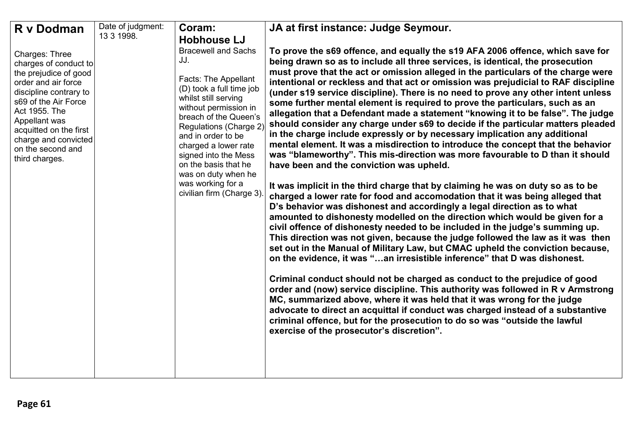| R v Dodman                                                                                                                                                                                                                                                           | Date of judgment: | Coram:                                                                                                                                                                                                                                                                                                                                                          | JA at first instance: Judge Seymour.                                                                                                                                                                                                                                                                                                                                                                                                                                                                                                                                                                                                                                                                                                                                                                                                                                                                                                                                                                                                                                                                                                                                                                                                                                                                                                                                                                                                                                                                                                                                                                                                                                                                                                                                                                                                                                                                                                                                                                                                                                                                               |
|----------------------------------------------------------------------------------------------------------------------------------------------------------------------------------------------------------------------------------------------------------------------|-------------------|-----------------------------------------------------------------------------------------------------------------------------------------------------------------------------------------------------------------------------------------------------------------------------------------------------------------------------------------------------------------|--------------------------------------------------------------------------------------------------------------------------------------------------------------------------------------------------------------------------------------------------------------------------------------------------------------------------------------------------------------------------------------------------------------------------------------------------------------------------------------------------------------------------------------------------------------------------------------------------------------------------------------------------------------------------------------------------------------------------------------------------------------------------------------------------------------------------------------------------------------------------------------------------------------------------------------------------------------------------------------------------------------------------------------------------------------------------------------------------------------------------------------------------------------------------------------------------------------------------------------------------------------------------------------------------------------------------------------------------------------------------------------------------------------------------------------------------------------------------------------------------------------------------------------------------------------------------------------------------------------------------------------------------------------------------------------------------------------------------------------------------------------------------------------------------------------------------------------------------------------------------------------------------------------------------------------------------------------------------------------------------------------------------------------------------------------------------------------------------------------------|
|                                                                                                                                                                                                                                                                      | 13 3 1998.        | <b>Hobhouse LJ</b>                                                                                                                                                                                                                                                                                                                                              |                                                                                                                                                                                                                                                                                                                                                                                                                                                                                                                                                                                                                                                                                                                                                                                                                                                                                                                                                                                                                                                                                                                                                                                                                                                                                                                                                                                                                                                                                                                                                                                                                                                                                                                                                                                                                                                                                                                                                                                                                                                                                                                    |
| Charges: Three<br>charges of conduct to<br>the prejudice of good<br>order and air force<br>discipline contrary to<br>s69 of the Air Force<br>Act 1955. The<br>Appellant was<br>acquitted on the first<br>charge and convicted<br>on the second and<br>third charges. |                   | <b>Bracewell and Sachs</b><br>JJ.<br>Facts: The Appellant<br>(D) took a full time job<br>whilst still serving<br>without permission in<br>breach of the Queen's<br>Regulations (Charge 2)<br>and in order to be<br>charged a lower rate<br>signed into the Mess<br>on the basis that he<br>was on duty when he<br>was working for a<br>civilian firm (Charge 3) | To prove the s69 offence, and equally the s19 AFA 2006 offence, which save for<br>being drawn so as to include all three services, is identical, the prosecution<br>must prove that the act or omission alleged in the particulars of the charge were<br>intentional or reckless and that act or omission was prejudicial to RAF discipline<br>(under s19 service discipline). There is no need to prove any other intent unless<br>some further mental element is required to prove the particulars, such as an<br>allegation that a Defendant made a statement "knowing it to be false". The judge<br>should consider any charge under s69 to decide if the particular matters pleaded<br>in the charge include expressly or by necessary implication any additional<br>mental element. It was a misdirection to introduce the concept that the behavior<br>was "blameworthy". This mis-direction was more favourable to D than it should<br>have been and the conviction was upheld.<br>It was implicit in the third charge that by claiming he was on duty so as to be<br>charged a lower rate for food and accomodation that it was being alleged that<br>D's behavior was dishonest and accordingly a legal direction as to what<br>amounted to dishonesty modelled on the direction which would be given for a<br>civil offence of dishonesty needed to be included in the judge's summing up.<br>This direction was not given, because the judge followed the law as it was then<br>set out in the Manual of Military Law, but CMAC upheld the conviction because,<br>on the evidence, it was "an irresistible inference" that D was dishonest.<br>Criminal conduct should not be charged as conduct to the prejudice of good<br>order and (now) service discipline. This authority was followed in R v Armstrong<br>MC, summarized above, where it was held that it was wrong for the judge<br>advocate to direct an acquittal if conduct was charged instead of a substantive<br>criminal offence, but for the prosecution to do so was "outside the lawful<br>exercise of the prosecutor's discretion". |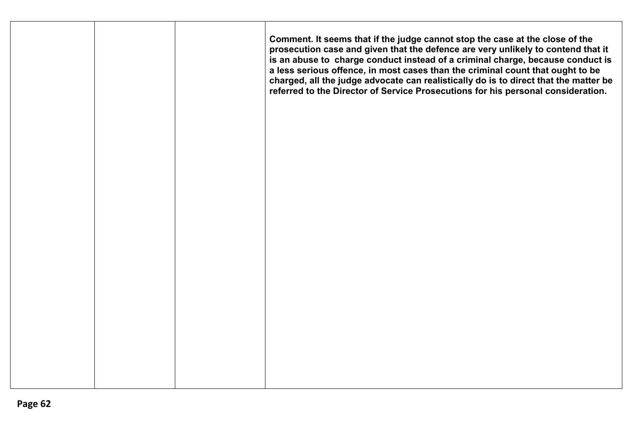| Comment. It seems that if the judge cannot stop the case at the close of the<br>prosecution case and given that the defence are very unlikely to contend that it<br>is an abuse to charge conduct instead of a criminal charge, because conduct is<br>a less serious offence, in most cases than the criminal count that ought to be<br>charged, all the judge advocate can realistically do is to direct that the matter be<br>referred to the Director of Service Prosecutions for his personal consideration. |  |
|------------------------------------------------------------------------------------------------------------------------------------------------------------------------------------------------------------------------------------------------------------------------------------------------------------------------------------------------------------------------------------------------------------------------------------------------------------------------------------------------------------------|--|
|                                                                                                                                                                                                                                                                                                                                                                                                                                                                                                                  |  |
|                                                                                                                                                                                                                                                                                                                                                                                                                                                                                                                  |  |
|                                                                                                                                                                                                                                                                                                                                                                                                                                                                                                                  |  |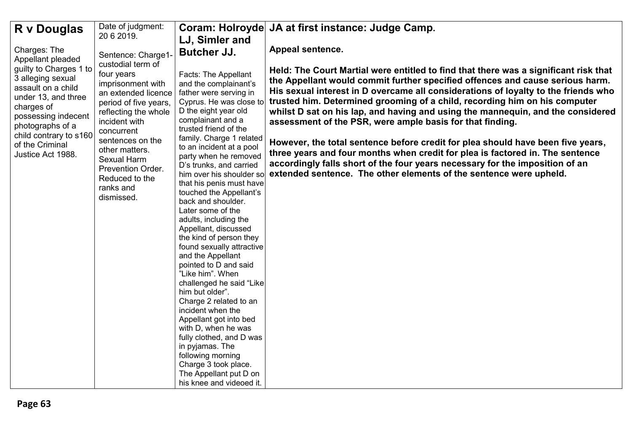| R v Douglas                                                                                                                                                                                                                              | Date of judgment:                                                                                                                                                                                                                                                                  |                                                                                                                                                                                                                                                                                                                                                                                                                                                                                                                                                                                                                                                                                                                                                                                                                  | Coram: Holroyde JA at first instance: Judge Camp.                                                                                                                                                                                                                                                                                                                                                                                                                                                                                                                                                                                                                                                                                                                                                                   |
|------------------------------------------------------------------------------------------------------------------------------------------------------------------------------------------------------------------------------------------|------------------------------------------------------------------------------------------------------------------------------------------------------------------------------------------------------------------------------------------------------------------------------------|------------------------------------------------------------------------------------------------------------------------------------------------------------------------------------------------------------------------------------------------------------------------------------------------------------------------------------------------------------------------------------------------------------------------------------------------------------------------------------------------------------------------------------------------------------------------------------------------------------------------------------------------------------------------------------------------------------------------------------------------------------------------------------------------------------------|---------------------------------------------------------------------------------------------------------------------------------------------------------------------------------------------------------------------------------------------------------------------------------------------------------------------------------------------------------------------------------------------------------------------------------------------------------------------------------------------------------------------------------------------------------------------------------------------------------------------------------------------------------------------------------------------------------------------------------------------------------------------------------------------------------------------|
|                                                                                                                                                                                                                                          | 20 6 2019.                                                                                                                                                                                                                                                                         | LJ, Simler and                                                                                                                                                                                                                                                                                                                                                                                                                                                                                                                                                                                                                                                                                                                                                                                                   |                                                                                                                                                                                                                                                                                                                                                                                                                                                                                                                                                                                                                                                                                                                                                                                                                     |
| Charges: The                                                                                                                                                                                                                             | Sentence: Charge1-                                                                                                                                                                                                                                                                 | <b>Butcher JJ.</b>                                                                                                                                                                                                                                                                                                                                                                                                                                                                                                                                                                                                                                                                                                                                                                                               | Appeal sentence.                                                                                                                                                                                                                                                                                                                                                                                                                                                                                                                                                                                                                                                                                                                                                                                                    |
| Appellant pleaded<br>guilty to Charges 1 to<br>3 alleging sexual<br>assault on a child<br>under 13, and three<br>charges of<br>possessing indecent<br>photographs of a<br>child contrary to s160<br>of the Criminal<br>Justice Act 1988. | custodial term of<br>four years<br>imprisonment with<br>an extended licence<br>period of five years,<br>reflecting the whole<br>incident with<br>concurrent<br>sentences on the<br>other matters.<br>Sexual Harm<br>Prevention Order.<br>Reduced to the<br>ranks and<br>dismissed. | Facts: The Appellant<br>and the complainant's<br>father were serving in<br>Cyprus. He was close to<br>D the eight year old<br>complainant and a<br>trusted friend of the<br>family. Charge 1 related<br>to an incident at a pool<br>party when he removed<br>D's trunks, and carried<br>him over his shoulder so<br>that his penis must have<br>touched the Appellant's<br>back and shoulder.<br>Later some of the<br>adults, including the<br>Appellant, discussed<br>the kind of person they<br>found sexually attractive<br>and the Appellant<br>pointed to D and said<br>"Like him". When<br>challenged he said "Like<br>him but older".<br>Charge 2 related to an<br>incident when the<br>Appellant got into bed<br>with D, when he was<br>fully clothed, and D was<br>in pyjamas. The<br>following morning | Held: The Court Martial were entitled to find that there was a significant risk that<br>the Appellant would commit further specified offences and cause serious harm.<br>His sexual interest in D overcame all considerations of loyalty to the friends who<br>trusted him. Determined grooming of a child, recording him on his computer<br>whilst D sat on his lap, and having and using the mannequin, and the considered<br>assessment of the PSR, were ample basis for that finding.<br>However, the total sentence before credit for plea should have been five years,<br>three years and four months when credit for plea is factored in. The sentence<br>accordingly falls short of the four years necessary for the imposition of an<br>extended sentence. The other elements of the sentence were upheld. |
|                                                                                                                                                                                                                                          |                                                                                                                                                                                                                                                                                    | Charge 3 took place.<br>The Appellant put D on                                                                                                                                                                                                                                                                                                                                                                                                                                                                                                                                                                                                                                                                                                                                                                   |                                                                                                                                                                                                                                                                                                                                                                                                                                                                                                                                                                                                                                                                                                                                                                                                                     |
|                                                                                                                                                                                                                                          |                                                                                                                                                                                                                                                                                    | his knee and videoed it.                                                                                                                                                                                                                                                                                                                                                                                                                                                                                                                                                                                                                                                                                                                                                                                         |                                                                                                                                                                                                                                                                                                                                                                                                                                                                                                                                                                                                                                                                                                                                                                                                                     |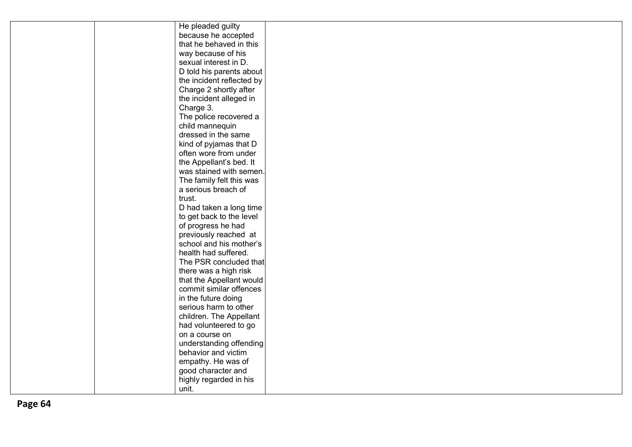|  | He pleaded guilty         |  |
|--|---------------------------|--|
|  | because he accepted       |  |
|  | that he behaved in this   |  |
|  | way because of his        |  |
|  | sexual interest in D.     |  |
|  | D told his parents about  |  |
|  | the incident reflected by |  |
|  | Charge 2 shortly after    |  |
|  | the incident alleged in   |  |
|  | Charge 3.                 |  |
|  | The police recovered a    |  |
|  | child mannequin           |  |
|  | dressed in the same       |  |
|  | kind of pyjamas that D    |  |
|  | often wore from under     |  |
|  | the Appellant's bed. It   |  |
|  | was stained with semen.   |  |
|  | The family felt this was  |  |
|  | a serious breach of       |  |
|  | trust.                    |  |
|  | D had taken a long time   |  |
|  | to get back to the level  |  |
|  | of progress he had        |  |
|  | previously reached at     |  |
|  | school and his mother's   |  |
|  | health had suffered.      |  |
|  | The PSR concluded that    |  |
|  | there was a high risk     |  |
|  | that the Appellant would  |  |
|  | commit similar offences   |  |
|  | in the future doing       |  |
|  | serious harm to other     |  |
|  | children. The Appellant   |  |
|  | had volunteered to go     |  |
|  | on a course on            |  |
|  | understanding offending   |  |
|  | behavior and victim       |  |
|  | empathy. He was of        |  |
|  | good character and        |  |
|  | highly regarded in his    |  |
|  | unit.                     |  |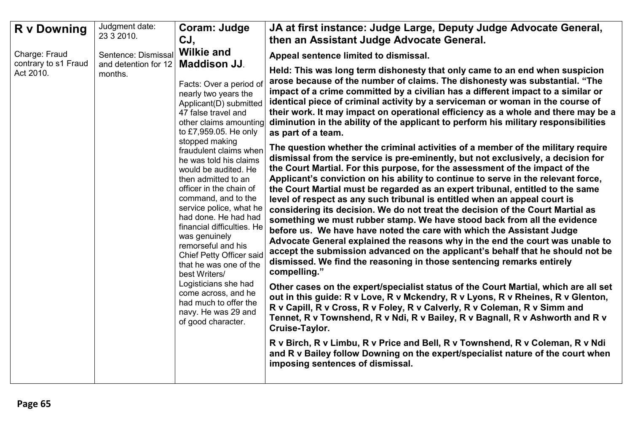| <b>R</b> v Downing                | Judgment date:<br>23 3 2010.    | Coram: Judge<br>CJ,                                                                                                                                                                                                                                                                                                                                                                                                                                                                                                                                                                                                                                                   | JA at first instance: Judge Large, Deputy Judge Advocate General,<br>then an Assistant Judge Advocate General.                                                                                                                                                                                                                                                                                                                                                                                                                                                                                                                                                                                                                                                                                                                                                                                                                                                                                                                                                                                                                                                                                                                                                                                                                                                                                                                                                                                                                                                                                                                                                                                                                                                                                                                                                                                                                                                                                                                                                                                                      |
|-----------------------------------|---------------------------------|-----------------------------------------------------------------------------------------------------------------------------------------------------------------------------------------------------------------------------------------------------------------------------------------------------------------------------------------------------------------------------------------------------------------------------------------------------------------------------------------------------------------------------------------------------------------------------------------------------------------------------------------------------------------------|---------------------------------------------------------------------------------------------------------------------------------------------------------------------------------------------------------------------------------------------------------------------------------------------------------------------------------------------------------------------------------------------------------------------------------------------------------------------------------------------------------------------------------------------------------------------------------------------------------------------------------------------------------------------------------------------------------------------------------------------------------------------------------------------------------------------------------------------------------------------------------------------------------------------------------------------------------------------------------------------------------------------------------------------------------------------------------------------------------------------------------------------------------------------------------------------------------------------------------------------------------------------------------------------------------------------------------------------------------------------------------------------------------------------------------------------------------------------------------------------------------------------------------------------------------------------------------------------------------------------------------------------------------------------------------------------------------------------------------------------------------------------------------------------------------------------------------------------------------------------------------------------------------------------------------------------------------------------------------------------------------------------------------------------------------------------------------------------------------------------|
| Charge: Fraud                     | Sentence: Dismissal             | <b>Wilkie and</b>                                                                                                                                                                                                                                                                                                                                                                                                                                                                                                                                                                                                                                                     | Appeal sentence limited to dismissal.                                                                                                                                                                                                                                                                                                                                                                                                                                                                                                                                                                                                                                                                                                                                                                                                                                                                                                                                                                                                                                                                                                                                                                                                                                                                                                                                                                                                                                                                                                                                                                                                                                                                                                                                                                                                                                                                                                                                                                                                                                                                               |
| contrary to s1 Fraud<br>Act 2010. | and detention for 12<br>months. | <b>Maddison JJ.</b><br>Facts: Over a period of<br>nearly two years the<br>Applicant(D) submitted<br>47 false travel and<br>other claims amounting<br>to £7,959.05. He only<br>stopped making<br>fraudulent claims when<br>he was told his claims<br>would be audited. He<br>then admitted to an<br>officer in the chain of<br>command, and to the<br>service police, what he<br>had done. He had had<br>financial difficulties. He<br>was genuinely<br>remorseful and his<br>Chief Petty Officer said<br>that he was one of the<br>best Writers/<br>Logisticians she had<br>come across, and he<br>had much to offer the<br>navy. He was 29 and<br>of good character. | Held: This was long term dishonesty that only came to an end when suspicion<br>arose because of the number of claims. The dishonesty was substantial. "The<br>impact of a crime committed by a civilian has a different impact to a similar or<br>identical piece of criminal activity by a serviceman or woman in the course of<br>their work. It may impact on operational efficiency as a whole and there may be a<br>diminution in the ability of the applicant to perform his military responsibilities<br>as part of a team.<br>The question whether the criminal activities of a member of the military require<br>dismissal from the service is pre-eminently, but not exclusively, a decision for<br>the Court Martial. For this purpose, for the assessment of the impact of the<br>Applicant's conviction on his ability to continue to serve in the relevant force,<br>the Court Martial must be regarded as an expert tribunal, entitled to the same<br>level of respect as any such tribunal is entitled when an appeal court is<br>considering its decision. We do not treat the decision of the Court Martial as<br>something we must rubber stamp. We have stood back from all the evidence<br>before us. We have have noted the care with which the Assistant Judge<br>Advocate General explained the reasons why in the end the court was unable to<br>accept the submission advanced on the applicant's behalf that he should not be<br>dismissed. We find the reasoning in those sentencing remarks entirely<br>compelling."<br>Other cases on the expert/specialist status of the Court Martial, which are all set<br>out in this guide: R v Love, R v Mckendry, R v Lyons, R v Rheines, R v Glenton,<br>R v Capill, R v Cross, R v Foley, R v Calverly, R v Coleman, R v Simm and<br>Tennet, R v Townshend, R v Ndi, R v Bailey, R v Bagnall, R v Ashworth and R v<br>Cruise-Taylor.<br>R v Birch, R v Limbu, R v Price and Bell, R v Townshend, R v Coleman, R v Ndi<br>and R v Bailey follow Downing on the expert/specialist nature of the court when<br>imposing sentences of dismissal. |
|                                   |                                 |                                                                                                                                                                                                                                                                                                                                                                                                                                                                                                                                                                                                                                                                       |                                                                                                                                                                                                                                                                                                                                                                                                                                                                                                                                                                                                                                                                                                                                                                                                                                                                                                                                                                                                                                                                                                                                                                                                                                                                                                                                                                                                                                                                                                                                                                                                                                                                                                                                                                                                                                                                                                                                                                                                                                                                                                                     |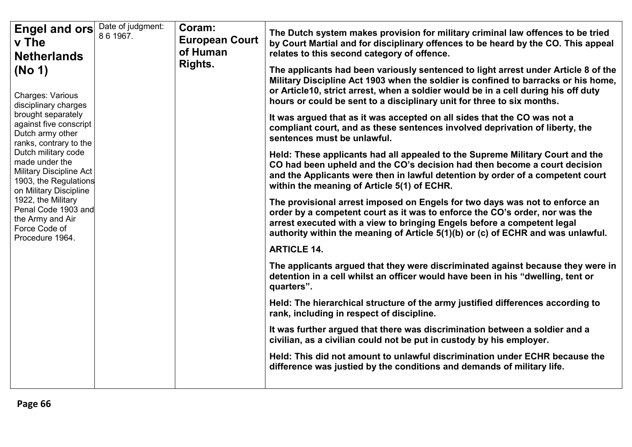| Engel and ors<br>v The<br><b>Netherlands</b><br>(No 1)                                                                                                                                                                                                                                                                                                                           | Date of judgment:<br>86 1967. | Coram:<br><b>European Court</b><br>of Human<br>Rights. | The Dutch system makes provision for military criminal law offences to be tried<br>by Court Martial and for disciplinary offences to be heard by the CO. This appeal<br>relates to this second category of offence.<br>The applicants had been variously sentenced to light arrest under Article 8 of the<br>Military Discipline Act 1903 when the soldier is confined to barracks or his home,<br>or Article10, strict arrest, when a soldier would be in a cell during his off duty |  |  |  |  |  |  |  |                                                                                                                              |
|----------------------------------------------------------------------------------------------------------------------------------------------------------------------------------------------------------------------------------------------------------------------------------------------------------------------------------------------------------------------------------|-------------------------------|--------------------------------------------------------|---------------------------------------------------------------------------------------------------------------------------------------------------------------------------------------------------------------------------------------------------------------------------------------------------------------------------------------------------------------------------------------------------------------------------------------------------------------------------------------|--|--|--|--|--|--|--|------------------------------------------------------------------------------------------------------------------------------|
| <b>Charges: Various</b><br>disciplinary charges<br>brought separately<br>against five conscript<br>Dutch army other<br>ranks, contrary to the<br>Dutch military code<br>made under the<br><b>Military Discipline Act</b><br>1903, the Regulations<br>on Military Discipline<br>1922, the Military<br>Penal Code 1903 and<br>the Army and Air<br>Force Code of<br>Procedure 1964. |                               |                                                        | hours or could be sent to a disciplinary unit for three to six months.<br>It was argued that as it was accepted on all sides that the CO was not a<br>compliant court, and as these sentences involved deprivation of liberty, the<br>sentences must be unlawful.                                                                                                                                                                                                                     |  |  |  |  |  |  |  |                                                                                                                              |
|                                                                                                                                                                                                                                                                                                                                                                                  |                               |                                                        | Held: These applicants had all appealed to the Supreme Military Court and the<br>CO had been upheld and the CO's decision had then become a court decision<br>and the Applicants were then in lawful detention by order of a competent court<br>within the meaning of Article 5(1) of ECHR.                                                                                                                                                                                           |  |  |  |  |  |  |  |                                                                                                                              |
|                                                                                                                                                                                                                                                                                                                                                                                  |                               |                                                        | The provisional arrest imposed on Engels for two days was not to enforce an<br>order by a competent court as it was to enforce the CO's order, nor was the<br>arrest executed with a view to bringing Engels before a competent legal<br>authority within the meaning of Article 5(1)(b) or (c) of ECHR and was unlawful.                                                                                                                                                             |  |  |  |  |  |  |  |                                                                                                                              |
|                                                                                                                                                                                                                                                                                                                                                                                  |                               |                                                        | <b>ARTICLE 14.</b>                                                                                                                                                                                                                                                                                                                                                                                                                                                                    |  |  |  |  |  |  |  |                                                                                                                              |
|                                                                                                                                                                                                                                                                                                                                                                                  |                               |                                                        | The applicants argued that they were discriminated against because they were in<br>detention in a cell whilst an officer would have been in his "dwelling, tent or<br>quarters".                                                                                                                                                                                                                                                                                                      |  |  |  |  |  |  |  |                                                                                                                              |
|                                                                                                                                                                                                                                                                                                                                                                                  |                               |                                                        |                                                                                                                                                                                                                                                                                                                                                                                                                                                                                       |  |  |  |  |  |  |  | Held: The hierarchical structure of the army justified differences according to<br>rank, including in respect of discipline. |
|                                                                                                                                                                                                                                                                                                                                                                                  |                               |                                                        | It was further argued that there was discrimination between a soldier and a<br>civilian, as a civilian could not be put in custody by his employer.                                                                                                                                                                                                                                                                                                                                   |  |  |  |  |  |  |  |                                                                                                                              |
|                                                                                                                                                                                                                                                                                                                                                                                  |                               |                                                        | Held: This did not amount to unlawful discrimination under ECHR because the<br>difference was justied by the conditions and demands of military life.                                                                                                                                                                                                                                                                                                                                 |  |  |  |  |  |  |  |                                                                                                                              |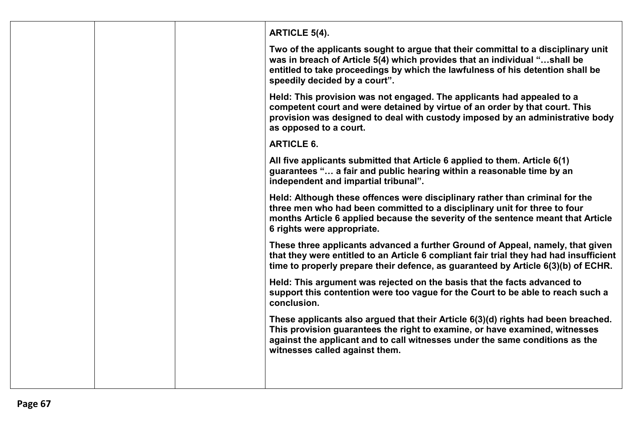|  | <b>ARTICLE 5(4).</b>                                                                                                                                                                                                                                                               |
|--|------------------------------------------------------------------------------------------------------------------------------------------------------------------------------------------------------------------------------------------------------------------------------------|
|  | Two of the applicants sought to argue that their committal to a disciplinary unit<br>was in breach of Article 5(4) which provides that an individual "shall be<br>entitled to take proceedings by which the lawfulness of his detention shall be<br>speedily decided by a court".  |
|  | Held: This provision was not engaged. The applicants had appealed to a<br>competent court and were detained by virtue of an order by that court. This<br>provision was designed to deal with custody imposed by an administrative body<br>as opposed to a court.                   |
|  | <b>ARTICLE 6.</b>                                                                                                                                                                                                                                                                  |
|  | All five applicants submitted that Article 6 applied to them. Article 6(1)<br>guarantees " a fair and public hearing within a reasonable time by an<br>independent and impartial tribunal".                                                                                        |
|  | Held: Although these offences were disciplinary rather than criminal for the<br>three men who had been committed to a disciplinary unit for three to four<br>months Article 6 applied because the severity of the sentence meant that Article<br>6 rights were appropriate.        |
|  | These three applicants advanced a further Ground of Appeal, namely, that given<br>that they were entitled to an Article 6 compliant fair trial they had had insufficient<br>time to properly prepare their defence, as guaranteed by Article 6(3)(b) of ECHR.                      |
|  | Held: This argument was rejected on the basis that the facts advanced to<br>support this contention were too vague for the Court to be able to reach such a<br>conclusion.                                                                                                         |
|  | These applicants also argued that their Article 6(3)(d) rights had been breached.<br>This provision guarantees the right to examine, or have examined, witnesses<br>against the applicant and to call witnesses under the same conditions as the<br>witnesses called against them. |
|  |                                                                                                                                                                                                                                                                                    |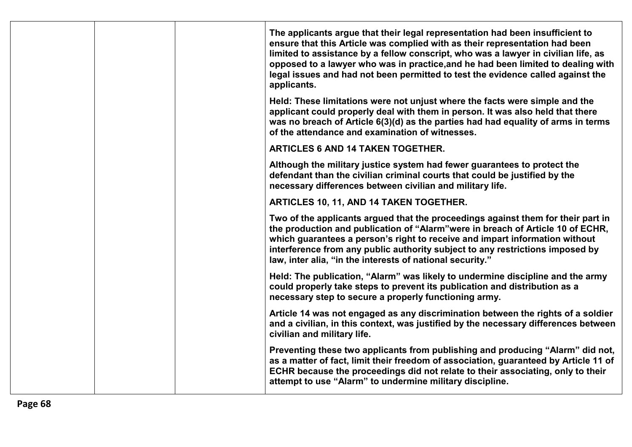|  |  | The applicants argue that their legal representation had been insufficient to<br>ensure that this Article was complied with as their representation had been<br>limited to assistance by a fellow conscript, who was a lawyer in civilian life, as<br>opposed to a lawyer who was in practice, and he had been limited to dealing with<br>legal issues and had not been permitted to test the evidence called against the<br>applicants. |
|--|--|------------------------------------------------------------------------------------------------------------------------------------------------------------------------------------------------------------------------------------------------------------------------------------------------------------------------------------------------------------------------------------------------------------------------------------------|
|  |  | Held: These limitations were not unjust where the facts were simple and the<br>applicant could properly deal with them in person. It was also held that there<br>was no breach of Article 6(3)(d) as the parties had had equality of arms in terms<br>of the attendance and examination of witnesses.                                                                                                                                    |
|  |  | <b>ARTICLES 6 AND 14 TAKEN TOGETHER.</b>                                                                                                                                                                                                                                                                                                                                                                                                 |
|  |  | Although the military justice system had fewer guarantees to protect the<br>defendant than the civilian criminal courts that could be justified by the<br>necessary differences between civilian and military life.                                                                                                                                                                                                                      |
|  |  | <b>ARTICLES 10, 11, AND 14 TAKEN TOGETHER.</b>                                                                                                                                                                                                                                                                                                                                                                                           |
|  |  | Two of the applicants argued that the proceedings against them for their part in<br>the production and publication of "Alarm" were in breach of Article 10 of ECHR,<br>which guarantees a person's right to receive and impart information without<br>interference from any public authority subject to any restrictions imposed by<br>law, inter alia, "in the interests of national security."                                         |
|  |  | Held: The publication, "Alarm" was likely to undermine discipline and the army<br>could properly take steps to prevent its publication and distribution as a<br>necessary step to secure a properly functioning army.                                                                                                                                                                                                                    |
|  |  | Article 14 was not engaged as any discrimination between the rights of a soldier<br>and a civilian, in this context, was justified by the necessary differences between<br>civilian and military life.                                                                                                                                                                                                                                   |
|  |  | Preventing these two applicants from publishing and producing "Alarm" did not,<br>as a matter of fact, limit their freedom of association, guaranteed by Article 11 of<br>ECHR because the proceedings did not relate to their associating, only to their<br>attempt to use "Alarm" to undermine military discipline.                                                                                                                    |
|  |  |                                                                                                                                                                                                                                                                                                                                                                                                                                          |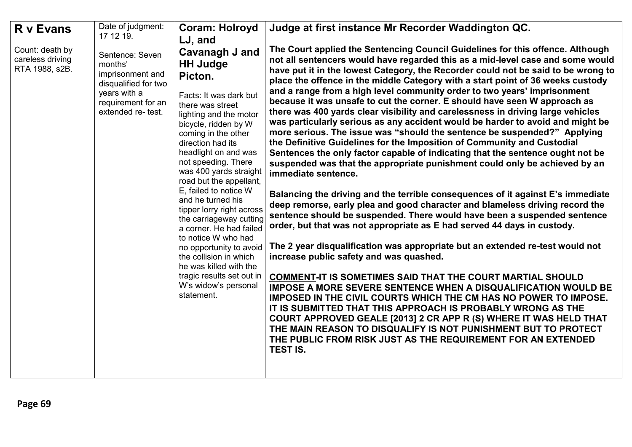| <b>R</b> v Evans                                      | Date of judgment:<br>17 12 19.                                                                                                     | <b>Coram: Holroyd</b>                                                                                                                                                                                                                                                                                                                                                                                                                                                                                                                                                                                             | Judge at first instance Mr Recorder Waddington QC.                                                                                                                                                                                                                                                                                                                                                                                                                                                                                                                                                                                                                                                                                                                                                                                                                                                                                                                                                                                                                                                                                                                                                                                                                                                                                                                                                                                                                                                                                                                                                                                                                                                                                                                                                                                                                                                                                                                      |
|-------------------------------------------------------|------------------------------------------------------------------------------------------------------------------------------------|-------------------------------------------------------------------------------------------------------------------------------------------------------------------------------------------------------------------------------------------------------------------------------------------------------------------------------------------------------------------------------------------------------------------------------------------------------------------------------------------------------------------------------------------------------------------------------------------------------------------|-------------------------------------------------------------------------------------------------------------------------------------------------------------------------------------------------------------------------------------------------------------------------------------------------------------------------------------------------------------------------------------------------------------------------------------------------------------------------------------------------------------------------------------------------------------------------------------------------------------------------------------------------------------------------------------------------------------------------------------------------------------------------------------------------------------------------------------------------------------------------------------------------------------------------------------------------------------------------------------------------------------------------------------------------------------------------------------------------------------------------------------------------------------------------------------------------------------------------------------------------------------------------------------------------------------------------------------------------------------------------------------------------------------------------------------------------------------------------------------------------------------------------------------------------------------------------------------------------------------------------------------------------------------------------------------------------------------------------------------------------------------------------------------------------------------------------------------------------------------------------------------------------------------------------------------------------------------------------|
| Count: death by<br>careless driving<br>RTA 1988, s2B. | Sentence: Seven<br>months'<br>imprisonment and<br>disqualified for two<br>years with a<br>requirement for an<br>extended re- test. | LJ, and<br>Cavanagh J and<br><b>HH Judge</b><br>Picton.<br>Facts: It was dark but<br>there was street<br>lighting and the motor<br>bicycle, ridden by W<br>coming in the other<br>direction had its<br>headlight on and was<br>not speeding. There<br>was 400 yards straight<br>road but the appellant,<br>E, failed to notice W<br>and he turned his<br>tipper lorry right across<br>the carriageway cutting<br>a corner. He had failed<br>to notice W who had<br>no opportunity to avoid<br>the collision in which<br>he was killed with the<br>tragic results set out in<br>W's widow's personal<br>statement. | The Court applied the Sentencing Council Guidelines for this offence. Although<br>not all sentencers would have regarded this as a mid-level case and some would<br>have put it in the lowest Category, the Recorder could not be said to be wrong to<br>place the offence in the middle Category with a start point of 36 weeks custody<br>and a range from a high level community order to two years' imprisonment<br>because it was unsafe to cut the corner. E should have seen W approach as<br>there was 400 yards clear visibility and carelessness in driving large vehicles<br>was particularly serious as any accident would be harder to avoid and might be<br>more serious. The issue was "should the sentence be suspended?" Applying<br>the Definitive Guidelines for the Imposition of Community and Custodial<br>Sentences the only factor capable of indicating that the sentence ought not be<br>suspended was that the appropriate punishment could only be achieved by an<br>immediate sentence.<br>Balancing the driving and the terrible consequences of it against E's immediate<br>deep remorse, early plea and good character and blameless driving record the<br>sentence should be suspended. There would have been a suspended sentence<br>order, but that was not appropriate as E had served 44 days in custody.<br>The 2 year disqualification was appropriate but an extended re-test would not<br>increase public safety and was quashed.<br>COMMENT-IT IS SOMETIMES SAID THAT THE COURT MARTIAL SHOULD<br>IMPOSE A MORE SEVERE SENTENCE WHEN A DISQUALIFICATION WOULD BE<br>IMPOSED IN THE CIVIL COURTS WHICH THE CM HAS NO POWER TO IMPOSE.<br>IT IS SUBMITTED THAT THIS APPROACH IS PROBABLY WRONG AS THE<br>COURT APPROVED GEALE [2013] 2 CR APP R (S) WHERE IT WAS HELD THAT<br>THE MAIN REASON TO DISQUALIFY IS NOT PUNISHMENT BUT TO PROTECT<br>THE PUBLIC FROM RISK JUST AS THE REQUIREMENT FOR AN EXTENDED<br><b>TEST IS.</b> |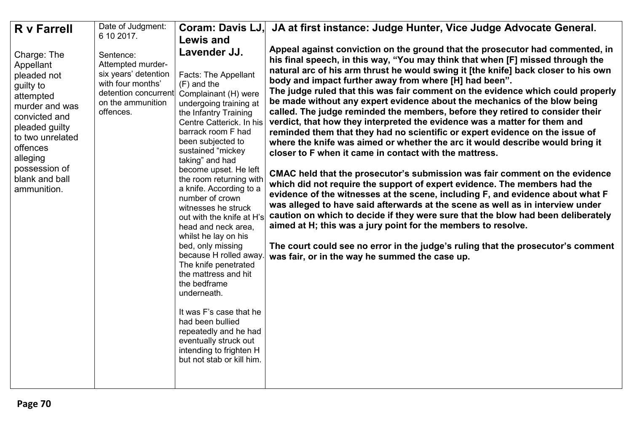| Date of Judgment:<br>Coram: Davis LJ.<br>JA at first instance: Judge Hunter, Vice Judge Advocate General.<br><b>R</b> v Farrell                                                                                                                                                                                                                                                                                                                                                                                                                                                                                                                                                                                                                                                                                                                                                                                                                                                                                                                                                                                                                                                                                                                                                                                                                                                                                                                                                                                                                                                                                                                                                                                                                                                                      |                                                                                                                                                                                                                                                                                                                                                                                                                                                                                                                                                                                                                                                                                                                                                                                                                                                      |
|------------------------------------------------------------------------------------------------------------------------------------------------------------------------------------------------------------------------------------------------------------------------------------------------------------------------------------------------------------------------------------------------------------------------------------------------------------------------------------------------------------------------------------------------------------------------------------------------------------------------------------------------------------------------------------------------------------------------------------------------------------------------------------------------------------------------------------------------------------------------------------------------------------------------------------------------------------------------------------------------------------------------------------------------------------------------------------------------------------------------------------------------------------------------------------------------------------------------------------------------------------------------------------------------------------------------------------------------------------------------------------------------------------------------------------------------------------------------------------------------------------------------------------------------------------------------------------------------------------------------------------------------------------------------------------------------------------------------------------------------------------------------------------------------------|------------------------------------------------------------------------------------------------------------------------------------------------------------------------------------------------------------------------------------------------------------------------------------------------------------------------------------------------------------------------------------------------------------------------------------------------------------------------------------------------------------------------------------------------------------------------------------------------------------------------------------------------------------------------------------------------------------------------------------------------------------------------------------------------------------------------------------------------------|
| 6 10 2017.<br><b>Lewis and</b><br>Lavender JJ.<br>Charge: The<br>Sentence:<br>Appellant<br>Attempted murder-<br>six years' detention<br><b>Facts: The Appellant</b><br>pleaded not<br>body and impact further away from where [H] had been".<br>with four months'<br>$(F)$ and the<br>guilty to<br>detention concurrent<br>Complainant (H) were<br>attempted<br>be made without any expert evidence about the mechanics of the blow being<br>on the ammunition<br>undergoing training at<br>murder and was<br>called. The judge reminded the members, before they retired to consider their<br>offences.<br>the Infantry Training<br>convicted and<br>verdict, that how they interpreted the evidence was a matter for them and<br>Centre Catterick. In his<br>pleaded guilty<br>barrack room F had<br>reminded them that they had no scientific or expert evidence on the issue of<br>to two unrelated<br>been subjected to<br>offences<br>sustained "mickey<br>closer to F when it came in contact with the mattress.<br>alleging<br>taking" and had<br>possession of<br>become upset. He left<br>blank and ball<br>the room returning with<br>which did not require the support of expert evidence. The members had the<br>a knife. According to a<br>ammunition.<br>number of crown<br>witnesses he struck<br>out with the knife at H's<br>aimed at H; this was a jury point for the members to resolve.<br>head and neck area,<br>whilst he lay on his<br>bed, only missing<br>because H rolled away.<br>was fair, or in the way he summed the case up.<br>The knife penetrated<br>the mattress and hit<br>the bedframe<br>underneath.<br>It was F's case that he<br>had been bullied<br>repeatedly and he had<br>eventually struck out<br>intending to frighten H<br>but not stab or kill him. | Appeal against conviction on the ground that the prosecutor had commented, in<br>his final speech, in this way, "You may think that when [F] missed through the<br>natural arc of his arm thrust he would swing it [the knife] back closer to his own<br>The judge ruled that this was fair comment on the evidence which could properly<br>where the knife was aimed or whether the arc it would describe would bring it<br>CMAC held that the prosecutor's submission was fair comment on the evidence<br>evidence of the witnesses at the scene, including F, and evidence about what F<br>was alleged to have said afterwards at the scene as well as in interview under<br>caution on which to decide if they were sure that the blow had been deliberately<br>The court could see no error in the judge's ruling that the prosecutor's comment |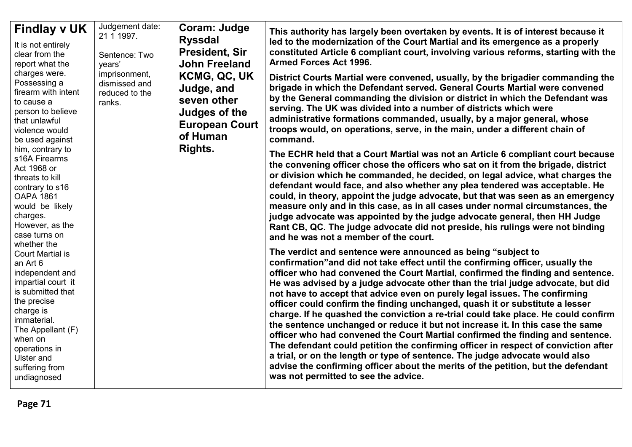| <b>Findlay v UK</b><br>It is not entirely<br>clear from the<br>report what the<br>charges were.<br>Possessing a<br>firearm with intent<br>to cause a<br>person to believe<br>that unlawful<br>violence would<br>be used against<br>him, contrary to<br>s16A Firearms<br>Act 1968 or<br>threats to kill<br>contrary to s16<br><b>OAPA 1861</b><br>would be likely<br>charges.<br>However, as the<br>case turns on<br>whether the<br><b>Court Martial is</b><br>an Art 6<br>independent and<br>impartial court it<br>is submitted that | Judgement date:<br>21 1 1 9 9 7.<br>Sentence: Two<br>years'<br>imprisonment,<br>dismissed and<br>reduced to the<br>ranks. | Coram: Judge<br><b>Ryssdal</b><br><b>President, Sir</b><br><b>John Freeland</b><br><b>KCMG, QC, UK</b><br>Judge, and<br>seven other<br><b>Judges of the</b><br><b>European Court</b><br>of Human<br>Rights. | This authority has largely been overtaken by events. It is of interest because it<br>led to the modernization of the Court Martial and its emergence as a properly<br>constituted Article 6 compliant court, involving various reforms, starting with the<br><b>Armed Forces Act 1996.</b><br>District Courts Martial were convened, usually, by the brigadier commanding the<br>brigade in which the Defendant served. General Courts Martial were convened<br>by the General commanding the division or district in which the Defendant was<br>serving. The UK was divided into a number of districts which were<br>administrative formations commanded, usually, by a major general, whose<br>troops would, on operations, serve, in the main, under a different chain of<br>command.<br>The ECHR held that a Court Martial was not an Article 6 compliant court because<br>the convening officer chose the officers who sat on it from the brigade, district<br>or division which he commanded, he decided, on legal advice, what charges the<br>defendant would face, and also whether any plea tendered was acceptable. He<br>could, in theory, appoint the judge advocate, but that was seen as an emergency<br>measure only and in this case, as in all cases under normal circumstances, the<br>judge advocate was appointed by the judge advocate general, then HH Judge<br>Rant CB, QC. The judge advocate did not preside, his rulings were not binding<br>and he was not a member of the court.<br>The verdict and sentence were announced as being "subject to<br>confirmation" and did not take effect until the confirming officer, usually the<br>officer who had convened the Court Martial, confirmed the finding and sentence.<br>He was advised by a judge advocate other than the trial judge advocate, but did<br>not have to accept that advice even on purely legal issues. The confirming |
|--------------------------------------------------------------------------------------------------------------------------------------------------------------------------------------------------------------------------------------------------------------------------------------------------------------------------------------------------------------------------------------------------------------------------------------------------------------------------------------------------------------------------------------|---------------------------------------------------------------------------------------------------------------------------|-------------------------------------------------------------------------------------------------------------------------------------------------------------------------------------------------------------|---------------------------------------------------------------------------------------------------------------------------------------------------------------------------------------------------------------------------------------------------------------------------------------------------------------------------------------------------------------------------------------------------------------------------------------------------------------------------------------------------------------------------------------------------------------------------------------------------------------------------------------------------------------------------------------------------------------------------------------------------------------------------------------------------------------------------------------------------------------------------------------------------------------------------------------------------------------------------------------------------------------------------------------------------------------------------------------------------------------------------------------------------------------------------------------------------------------------------------------------------------------------------------------------------------------------------------------------------------------------------------------------------------------------------------------------------------------------------------------------------------------------------------------------------------------------------------------------------------------------------------------------------------------------------------------------------------------------------------------------------------------------------------------------------------------------------------------------------------------------------------------------------------------------|
| the precise<br>charge is<br>immaterial.<br>The Appellant (F)<br>when on<br>operations in<br><b>Ulster and</b><br>suffering from<br>undiagnosed                                                                                                                                                                                                                                                                                                                                                                                       |                                                                                                                           |                                                                                                                                                                                                             | officer could confirm the finding unchanged, quash it or substitute a lesser<br>charge. If he quashed the conviction a re-trial could take place. He could confirm<br>the sentence unchanged or reduce it but not increase it. In this case the same<br>officer who had convened the Court Martial confirmed the finding and sentence.<br>The defendant could petition the confirming officer in respect of conviction after<br>a trial, or on the length or type of sentence. The judge advocate would also<br>advise the confirming officer about the merits of the petition, but the defendant<br>was not permitted to see the advice.                                                                                                                                                                                                                                                                                                                                                                                                                                                                                                                                                                                                                                                                                                                                                                                                                                                                                                                                                                                                                                                                                                                                                                                                                                                                           |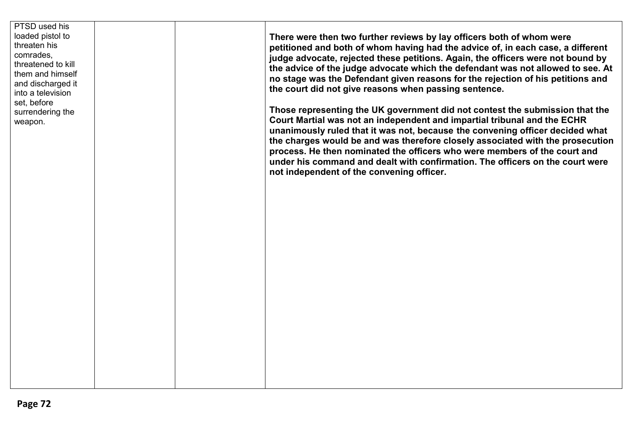| PTSD used his<br>loaded pistol to<br>threaten his<br>comrades,<br>threatened to kill<br>them and himself<br>and discharged it<br>into a television<br>set, before<br>surrendering the<br>weapon. |                                                                                                                                                                                                                                                                                                                                                                                                                                                                                                                                        | There were then two further reviews by lay officers both of whom were<br>petitioned and both of whom having had the advice of, in each case, a different<br>judge advocate, rejected these petitions. Again, the officers were not bound by<br>the advice of the judge advocate which the defendant was not allowed to see. At<br>no stage was the Defendant given reasons for the rejection of his petitions and<br>the court did not give reasons when passing sentence. |
|--------------------------------------------------------------------------------------------------------------------------------------------------------------------------------------------------|----------------------------------------------------------------------------------------------------------------------------------------------------------------------------------------------------------------------------------------------------------------------------------------------------------------------------------------------------------------------------------------------------------------------------------------------------------------------------------------------------------------------------------------|----------------------------------------------------------------------------------------------------------------------------------------------------------------------------------------------------------------------------------------------------------------------------------------------------------------------------------------------------------------------------------------------------------------------------------------------------------------------------|
|                                                                                                                                                                                                  | Those representing the UK government did not contest the submission that the<br>Court Martial was not an independent and impartial tribunal and the ECHR<br>unanimously ruled that it was not, because the convening officer decided what<br>the charges would be and was therefore closely associated with the prosecution<br>process. He then nominated the officers who were members of the court and<br>under his command and dealt with confirmation. The officers on the court were<br>not independent of the convening officer. |                                                                                                                                                                                                                                                                                                                                                                                                                                                                            |
|                                                                                                                                                                                                  |                                                                                                                                                                                                                                                                                                                                                                                                                                                                                                                                        |                                                                                                                                                                                                                                                                                                                                                                                                                                                                            |
|                                                                                                                                                                                                  |                                                                                                                                                                                                                                                                                                                                                                                                                                                                                                                                        |                                                                                                                                                                                                                                                                                                                                                                                                                                                                            |
|                                                                                                                                                                                                  |                                                                                                                                                                                                                                                                                                                                                                                                                                                                                                                                        |                                                                                                                                                                                                                                                                                                                                                                                                                                                                            |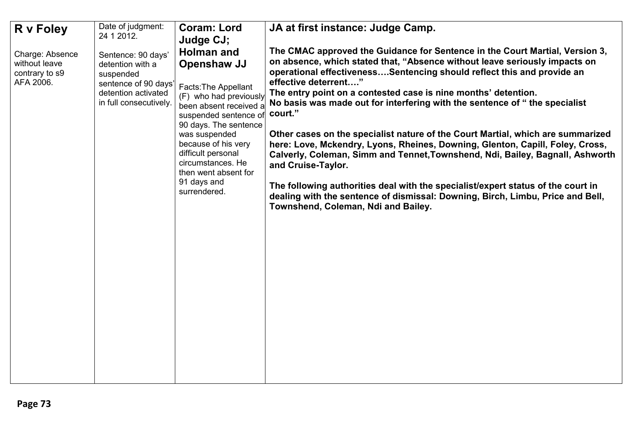| R v Foley                                                       | Date of judgment:<br>24 1 2012.                                                                                              | <b>Coram: Lord</b>                                                                                                                                                                                                                                                                                                           | JA at first instance: Judge Camp.                                                                                                                                                                                                                                                                                                                                                                                                                                                                                                                                                                                                                                                                                                                                                                                                                                                                               |
|-----------------------------------------------------------------|------------------------------------------------------------------------------------------------------------------------------|------------------------------------------------------------------------------------------------------------------------------------------------------------------------------------------------------------------------------------------------------------------------------------------------------------------------------|-----------------------------------------------------------------------------------------------------------------------------------------------------------------------------------------------------------------------------------------------------------------------------------------------------------------------------------------------------------------------------------------------------------------------------------------------------------------------------------------------------------------------------------------------------------------------------------------------------------------------------------------------------------------------------------------------------------------------------------------------------------------------------------------------------------------------------------------------------------------------------------------------------------------|
| Charge: Absence<br>without leave<br>contrary to s9<br>AFA 2006. | Sentence: 90 days'<br>detention with a<br>suspended<br>sentence of 90 days'<br>detention activated<br>in full consecutively. | Judge CJ;<br><b>Holman and</b><br>Openshaw JJ<br><b>Facts: The Appellant</b><br>(F) who had previously<br>been absent received a<br>suspended sentence of<br>90 days. The sentence<br>was suspended<br>because of his very<br>difficult personal<br>circumstances. He<br>then went absent for<br>91 days and<br>surrendered. | The CMAC approved the Guidance for Sentence in the Court Martial, Version 3,<br>on absence, which stated that, "Absence without leave seriously impacts on<br>operational effectivenessSentencing should reflect this and provide an<br>effective deterrent"<br>The entry point on a contested case is nine months' detention.<br>No basis was made out for interfering with the sentence of "the specialist<br>court."<br>Other cases on the specialist nature of the Court Martial, which are summarized<br>here: Love, Mckendry, Lyons, Rheines, Downing, Glenton, Capill, Foley, Cross,<br>Calverly, Coleman, Simm and Tennet, Townshend, Ndi, Bailey, Bagnall, Ashworth<br>and Cruise-Taylor.<br>The following authorities deal with the specialist/expert status of the court in<br>dealing with the sentence of dismissal: Downing, Birch, Limbu, Price and Bell,<br>Townshend, Coleman, Ndi and Bailey. |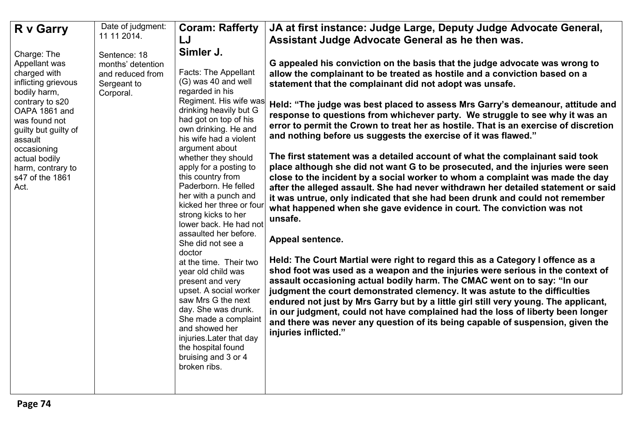| <b>R</b> v Garry                                                                                    | Date of judgment:<br>11 11 2014.                                                  | <b>Coram: Rafferty</b><br>LJ                                                                                                                                                                                                                                               | JA at first instance: Judge Large, Deputy Judge Advocate General,<br>Assistant Judge Advocate General as he then was.                                                                                                                                                                                                                                                                                                                                                                                                                                                                                          |
|-----------------------------------------------------------------------------------------------------|-----------------------------------------------------------------------------------|----------------------------------------------------------------------------------------------------------------------------------------------------------------------------------------------------------------------------------------------------------------------------|----------------------------------------------------------------------------------------------------------------------------------------------------------------------------------------------------------------------------------------------------------------------------------------------------------------------------------------------------------------------------------------------------------------------------------------------------------------------------------------------------------------------------------------------------------------------------------------------------------------|
| Charge: The                                                                                         |                                                                                   | Simler J.                                                                                                                                                                                                                                                                  |                                                                                                                                                                                                                                                                                                                                                                                                                                                                                                                                                                                                                |
| Appellant was<br>charged with<br>inflicting grievous<br>bodily harm,                                | Sentence: 18<br>months' detention<br>and reduced from<br>Sergeant to<br>Corporal. | Facts: The Appellant<br>(G) was 40 and well<br>regarded in his                                                                                                                                                                                                             | G appealed his conviction on the basis that the judge advocate was wrong to<br>allow the complainant to be treated as hostile and a conviction based on a<br>statement that the complainant did not adopt was unsafe.                                                                                                                                                                                                                                                                                                                                                                                          |
| contrary to s20<br>OAPA 1861 and<br>was found not<br>guilty but guilty of<br>assault<br>occasioning |                                                                                   | Regiment. His wife was<br>drinking heavily but G<br>had got on top of his<br>own drinking. He and<br>his wife had a violent<br>argument about                                                                                                                              | Held: "The judge was best placed to assess Mrs Garry's demeanour, attitude and<br>response to questions from whichever party. We struggle to see why it was an<br>error to permit the Crown to treat her as hostile. That is an exercise of discretion<br>and nothing before us suggests the exercise of it was flawed."                                                                                                                                                                                                                                                                                       |
| actual bodily<br>harm, contrary to<br>s47 of the 1861<br>Act.                                       |                                                                                   | whether they should<br>apply for a posting to<br>this country from<br>Paderborn. He felled<br>her with a punch and<br>kicked her three or four<br>strong kicks to her<br>lower back. He had not                                                                            | The first statement was a detailed account of what the complainant said took<br>place although she did not want G to be prosecuted, and the injuries were seen<br>close to the incident by a social worker to whom a complaint was made the day<br>after the alleged assault. She had never withdrawn her detailed statement or said<br>it was untrue, only indicated that she had been drunk and could not remember<br>what happened when she gave evidence in court. The conviction was not<br>unsafe.                                                                                                       |
|                                                                                                     |                                                                                   | assaulted her before.<br>She did not see a<br>doctor                                                                                                                                                                                                                       | Appeal sentence.                                                                                                                                                                                                                                                                                                                                                                                                                                                                                                                                                                                               |
|                                                                                                     |                                                                                   | at the time. Their two<br>year old child was<br>present and very<br>upset. A social worker<br>saw Mrs G the next<br>day. She was drunk.<br>She made a complaint<br>and showed her<br>injuries. Later that day<br>the hospital found<br>bruising and 3 or 4<br>broken ribs. | Held: The Court Martial were right to regard this as a Category I offence as a<br>shod foot was used as a weapon and the injuries were serious in the context of<br>assault occasioning actual bodily harm. The CMAC went on to say: "In our<br>judgment the court demonstrated clemency. It was astute to the difficulties<br>endured not just by Mrs Garry but by a little girl still very young. The applicant,<br>in our judgment, could not have complained had the loss of liberty been longer<br>and there was never any question of its being capable of suspension, given the<br>injuries inflicted." |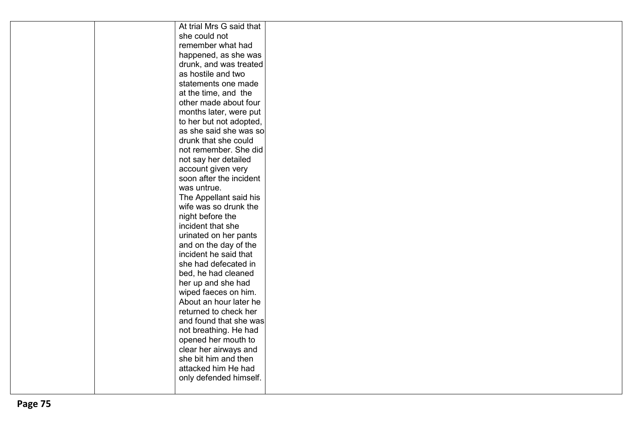| At trial Mrs G said that |  |
|--------------------------|--|
| she could not            |  |
| remember what had        |  |
| happened, as she was     |  |
| drunk, and was treated   |  |
| as hostile and two       |  |
| statements one made      |  |
| at the time, and the     |  |
| other made about four    |  |
| months later, were put   |  |
| to her but not adopted,  |  |
| as she said she was so   |  |
| drunk that she could     |  |
| not remember. She did    |  |
| not say her detailed     |  |
| account given very       |  |
| soon after the incident  |  |
| was untrue.              |  |
| The Appellant said his   |  |
| wife was so drunk the    |  |
| night before the         |  |
| incident that she        |  |
| urinated on her pants    |  |
| and on the day of the    |  |
| incident he said that    |  |
| she had defecated in     |  |
| bed, he had cleaned      |  |
| her up and she had       |  |
| wiped faeces on him.     |  |
| About an hour later he   |  |
| returned to check her    |  |
| and found that she was   |  |
| not breathing. He had    |  |
| opened her mouth to      |  |
| clear her airways and    |  |
| she bit him and then     |  |
| attacked him He had      |  |
| only defended himself.   |  |
|                          |  |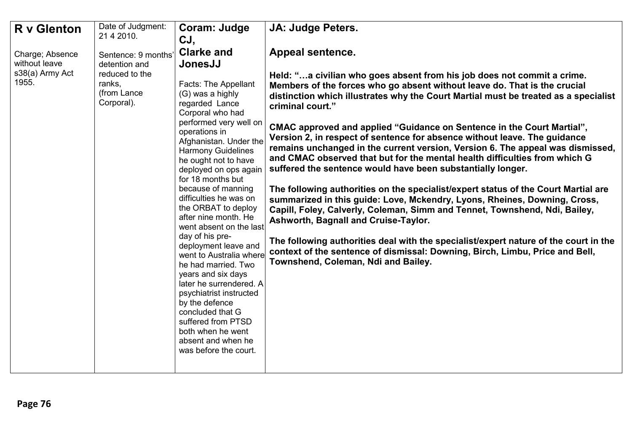| <b>R</b> v Glenton                                           | Date of Judgment:<br>21 4 2010.                                                               | Coram: Judge                                                                                                                                                                                                                                                                                                                                                                                                                                                                                                                                                                                                                                                                                                                     | JA: Judge Peters.                                                                                                                                                                                                                                                                                                                                                                                                                                                                                                                                                                                                                                                                                                                                                                                                                                                                                                                                                                                                                                                                                                                                                                        |
|--------------------------------------------------------------|-----------------------------------------------------------------------------------------------|----------------------------------------------------------------------------------------------------------------------------------------------------------------------------------------------------------------------------------------------------------------------------------------------------------------------------------------------------------------------------------------------------------------------------------------------------------------------------------------------------------------------------------------------------------------------------------------------------------------------------------------------------------------------------------------------------------------------------------|------------------------------------------------------------------------------------------------------------------------------------------------------------------------------------------------------------------------------------------------------------------------------------------------------------------------------------------------------------------------------------------------------------------------------------------------------------------------------------------------------------------------------------------------------------------------------------------------------------------------------------------------------------------------------------------------------------------------------------------------------------------------------------------------------------------------------------------------------------------------------------------------------------------------------------------------------------------------------------------------------------------------------------------------------------------------------------------------------------------------------------------------------------------------------------------|
| Charge; Absence<br>without leave<br>s38(a) Army Act<br>1955. | Sentence: 9 months'<br>detention and<br>reduced to the<br>ranks,<br>(from Lance<br>Corporal). | CJ,<br><b>Clarke and</b><br>JonesJJ<br>Facts: The Appellant<br>(G) was a highly<br>regarded Lance<br>Corporal who had<br>performed very well on<br>operations in<br>Afghanistan. Under the<br><b>Harmony Guidelines</b><br>he ought not to have<br>deployed on ops again<br>for 18 months but<br>because of manning<br>difficulties he was on<br>the ORBAT to deploy<br>after nine month. He<br>went absent on the last<br>day of his pre-<br>deployment leave and<br>went to Australia where<br>he had married. Two<br>years and six days<br>later he surrendered. A<br>psychiatrist instructed<br>by the defence<br>concluded that G<br>suffered from PTSD<br>both when he went<br>absent and when he<br>was before the court. | <b>Appeal sentence.</b><br>Held: "a civilian who goes absent from his job does not commit a crime.<br>Members of the forces who go absent without leave do. That is the crucial<br>distinction which illustrates why the Court Martial must be treated as a specialist<br>criminal court."<br>CMAC approved and applied "Guidance on Sentence in the Court Martial",<br>Version 2, in respect of sentence for absence without leave. The guidance<br>remains unchanged in the current version, Version 6. The appeal was dismissed,<br>and CMAC observed that but for the mental health difficulties from which G<br>suffered the sentence would have been substantially longer.<br>The following authorities on the specialist/expert status of the Court Martial are<br>summarized in this guide: Love, Mckendry, Lyons, Rheines, Downing, Cross,<br>Capill, Foley, Calverly, Coleman, Simm and Tennet, Townshend, Ndi, Bailey,<br>Ashworth, Bagnall and Cruise-Taylor.<br>The following authorities deal with the specialist/expert nature of the court in the<br>context of the sentence of dismissal: Downing, Birch, Limbu, Price and Bell,<br>Townshend, Coleman, Ndi and Bailey. |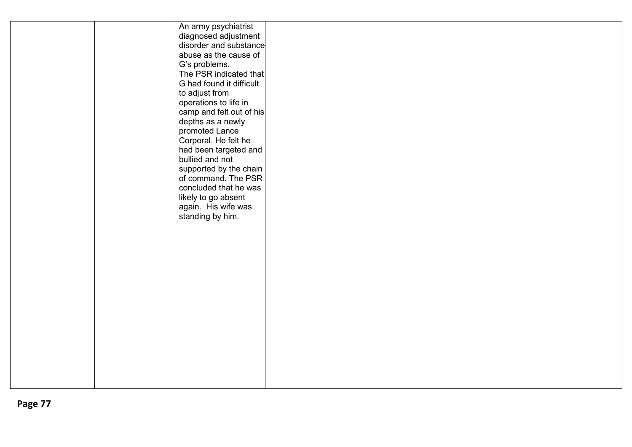|  | An army psychiatrist     |  |  |
|--|--------------------------|--|--|
|  | diagnosed adjustment     |  |  |
|  | disorder and substance   |  |  |
|  | abuse as the cause of    |  |  |
|  | G's problems.            |  |  |
|  | The PSR indicated that   |  |  |
|  | G had found it difficult |  |  |
|  | to adjust from           |  |  |
|  | operations to life in    |  |  |
|  | camp and felt out of his |  |  |
|  | depths as a newly        |  |  |
|  | promoted Lance           |  |  |
|  | Corporal. He felt he     |  |  |
|  | had been targeted and    |  |  |
|  | bullied and not          |  |  |
|  | supported by the chain   |  |  |
|  | of command. The PSR      |  |  |
|  | concluded that he was    |  |  |
|  | likely to go absent      |  |  |
|  | again. His wife was      |  |  |
|  | standing by him.         |  |  |
|  |                          |  |  |
|  |                          |  |  |
|  |                          |  |  |
|  |                          |  |  |
|  |                          |  |  |
|  |                          |  |  |
|  |                          |  |  |
|  |                          |  |  |
|  |                          |  |  |
|  |                          |  |  |
|  |                          |  |  |
|  |                          |  |  |
|  |                          |  |  |
|  |                          |  |  |
|  |                          |  |  |
|  |                          |  |  |
|  |                          |  |  |
|  |                          |  |  |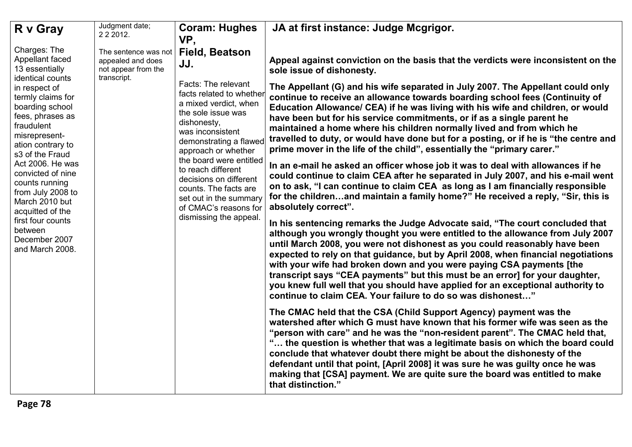| R v Gray                                                                                                                                                                                                                                                                                                                                   | Judgment date;<br>2 2 2 0 1 2.                                                  | <b>Coram: Hughes</b><br>VP,                                                                                                                                                                                                                                                                                                                                         | JA at first instance: Judge Mcgrigor.                                                                                                                                                                                                                                                                                                                                                                                                                                                                                                                                                                                                       |
|--------------------------------------------------------------------------------------------------------------------------------------------------------------------------------------------------------------------------------------------------------------------------------------------------------------------------------------------|---------------------------------------------------------------------------------|---------------------------------------------------------------------------------------------------------------------------------------------------------------------------------------------------------------------------------------------------------------------------------------------------------------------------------------------------------------------|---------------------------------------------------------------------------------------------------------------------------------------------------------------------------------------------------------------------------------------------------------------------------------------------------------------------------------------------------------------------------------------------------------------------------------------------------------------------------------------------------------------------------------------------------------------------------------------------------------------------------------------------|
| Charges: The<br>Appellant faced<br>13 essentially<br>identical counts                                                                                                                                                                                                                                                                      | The sentence was not<br>appealed and does<br>not appear from the<br>transcript. | <b>Field, Beatson</b><br>JJ.                                                                                                                                                                                                                                                                                                                                        | Appeal against conviction on the basis that the verdicts were inconsistent on the<br>sole issue of dishonesty.                                                                                                                                                                                                                                                                                                                                                                                                                                                                                                                              |
| in respect of<br>termly claims for<br>boarding school<br>fees, phrases as<br>fraudulent<br>misrepresent-<br>ation contrary to<br>s3 of the Fraud<br>Act 2006. He was<br>convicted of nine<br>counts running<br>from July 2008 to<br>March 2010 but<br>acquitted of the<br>first four counts<br>between<br>December 2007<br>and March 2008. |                                                                                 | Facts: The relevant<br>facts related to whether<br>a mixed verdict, when<br>the sole issue was<br>dishonesty,<br>was inconsistent<br>demonstrating a flawed<br>approach or whether<br>the board were entitled<br>to reach different<br>decisions on different<br>counts. The facts are<br>set out in the summary<br>of CMAC's reasons for<br>dismissing the appeal. | The Appellant (G) and his wife separated in July 2007. The Appellant could only<br>continue to receive an allowance towards boarding school fees (Continuity of<br>Education Allowance/ CEA) if he was living with his wife and children, or would<br>have been but for his service commitments, or if as a single parent he<br>maintained a home where his children normally lived and from which he<br>travelled to duty, or would have done but for a posting, or if he is "the centre and<br>prime mover in the life of the child", essentially the "primary carer."                                                                    |
|                                                                                                                                                                                                                                                                                                                                            |                                                                                 |                                                                                                                                                                                                                                                                                                                                                                     | In an e-mail he asked an officer whose job it was to deal with allowances if he<br>could continue to claim CEA after he separated in July 2007, and his e-mail went<br>on to ask, "I can continue to claim CEA as long as I am financially responsible<br>for the childrenand maintain a family home?" He received a reply, "Sir, this is<br>absolutely correct".                                                                                                                                                                                                                                                                           |
|                                                                                                                                                                                                                                                                                                                                            |                                                                                 |                                                                                                                                                                                                                                                                                                                                                                     | In his sentencing remarks the Judge Advocate said, "The court concluded that<br>although you wrongly thought you were entitled to the allowance from July 2007<br>until March 2008, you were not dishonest as you could reasonably have been<br>expected to rely on that guidance, but by April 2008, when financial negotiations<br>with your wife had broken down and you were paying CSA payments [the<br>transcript says "CEA payments" but this must be an error] for your daughter,<br>you knew full well that you should have applied for an exceptional authority to<br>continue to claim CEA. Your failure to do so was dishonest" |
|                                                                                                                                                                                                                                                                                                                                            |                                                                                 |                                                                                                                                                                                                                                                                                                                                                                     | The CMAC held that the CSA (Child Support Agency) payment was the<br>watershed after which G must have known that his former wife was seen as the<br>"person with care" and he was the "non-resident parent". The CMAC held that,<br>" the question is whether that was a legitimate basis on which the board could<br>conclude that whatever doubt there might be about the dishonesty of the<br>defendant until that point, [April 2008] it was sure he was guilty once he was<br>making that [CSA] payment. We are quite sure the board was entitled to make<br>that distinction."                                                       |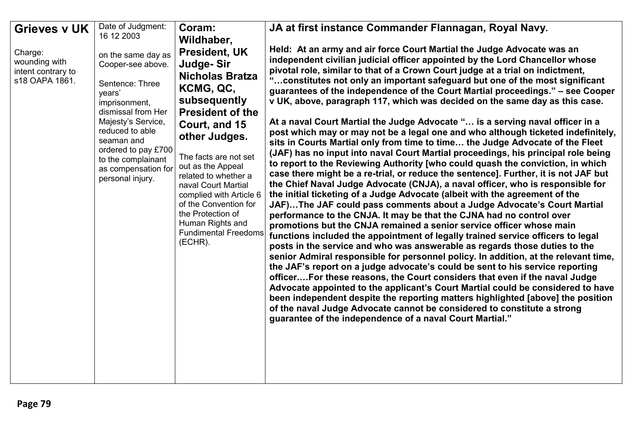| <b>Grieves v UK</b>                  | Date of Judgment:                         | Coram:                                         | JA at first instance Commander Flannagan, Royal Navy.                                                                                                                                                                                             |
|--------------------------------------|-------------------------------------------|------------------------------------------------|---------------------------------------------------------------------------------------------------------------------------------------------------------------------------------------------------------------------------------------------------|
|                                      | 16 12 2003                                | Wildhaber,                                     |                                                                                                                                                                                                                                                   |
| Charge:<br>wounding with             | on the same day as<br>Cooper-see above.   | <b>President, UK</b><br>Judge-Sir              | Held: At an army and air force Court Martial the Judge Advocate was an<br>independent civilian judicial officer appointed by the Lord Chancellor whose                                                                                            |
| intent contrary to<br>s18 OAPA 1861. | Sentence: Three<br>years'                 | <b>Nicholas Bratza</b><br>KCMG, QC,            | pivotal role, similar to that of a Crown Court judge at a trial on indictment,<br>" constitutes not only an important safeguard but one of the most significant<br>guarantees of the independence of the Court Martial proceedings." - see Cooper |
|                                      | imprisonment,                             | subsequently                                   | v UK, above, paragraph 117, which was decided on the same day as this case.                                                                                                                                                                       |
|                                      | dismissal from Her<br>Majesty's Service,  | <b>President of the</b>                        | At a naval Court Martial the Judge Advocate " is a serving naval officer in a                                                                                                                                                                     |
|                                      | reduced to able                           | Court, and 15<br>other Judges.                 | post which may or may not be a legal one and who although ticketed indefinitely,                                                                                                                                                                  |
|                                      | seaman and<br>ordered to pay £700         |                                                | sits in Courts Martial only from time to time the Judge Advocate of the Fleet<br>(JAF) has no input into naval Court Martial proceedings, his principal role being                                                                                |
|                                      | to the complainant<br>as compensation for | The facts are not set<br>out as the Appeal     | to report to the Reviewing Authority [who could quash the conviction, in which                                                                                                                                                                    |
|                                      | personal injury.                          | related to whether a                           | case there might be a re-trial, or reduce the sentence]. Further, it is not JAF but<br>the Chief Naval Judge Advocate (CNJA), a naval officer, who is responsible for                                                                             |
|                                      |                                           | naval Court Martial<br>complied with Article 6 | the initial ticketing of a Judge Advocate (albeit with the agreement of the                                                                                                                                                                       |
|                                      |                                           | of the Convention for<br>the Protection of     | JAF)The JAF could pass comments about a Judge Advocate's Court Martial                                                                                                                                                                            |
|                                      |                                           | Human Rights and                               | performance to the CNJA. It may be that the CJNA had no control over<br>promotions but the CNJA remained a senior service officer whose main                                                                                                      |
|                                      |                                           | <b>Fundimental Freedoms</b><br>(ECHR).         | functions included the appointment of legally trained service officers to legal                                                                                                                                                                   |
|                                      |                                           |                                                | posts in the service and who was answerable as regards those duties to the<br>senior Admiral responsible for personnel policy. In addition, at the relevant time,                                                                                 |
|                                      |                                           |                                                | the JAF's report on a judge advocate's could be sent to his service reporting                                                                                                                                                                     |
|                                      |                                           |                                                | officerFor these reasons, the Court considers that even if the naval Judge<br>Advocate appointed to the applicant's Court Martial could be considered to have                                                                                     |
|                                      |                                           |                                                | been independent despite the reporting matters highlighted [above] the position                                                                                                                                                                   |
|                                      |                                           |                                                | of the naval Judge Advocate cannot be considered to constitute a strong<br>guarantee of the independence of a naval Court Martial."                                                                                                               |
|                                      |                                           |                                                |                                                                                                                                                                                                                                                   |
|                                      |                                           |                                                |                                                                                                                                                                                                                                                   |
|                                      |                                           |                                                |                                                                                                                                                                                                                                                   |
|                                      |                                           |                                                |                                                                                                                                                                                                                                                   |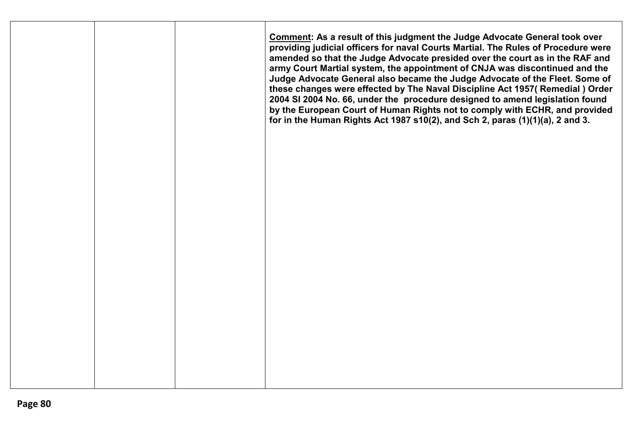|  | <b>Comment: As a result of this judgment the Judge Advocate General took over</b><br>providing judicial officers for naval Courts Martial. The Rules of Procedure were<br>amended so that the Judge Advocate presided over the court as in the RAF and<br>army Court Martial system, the appointment of CNJA was discontinued and the<br>Judge Advocate General also became the Judge Advocate of the Fleet. Some of<br>these changes were effected by The Naval Discipline Act 1957( Remedial ) Order<br>2004 SI 2004 No. 66, under the procedure designed to amend legislation found<br>by the European Court of Human Rights not to comply with ECHR, and provided<br>for in the Human Rights Act 1987 $s10(2)$ , and Sch 2, paras $(1)(1)(a)$ , 2 and 3. |
|--|--------------------------------------------------------------------------------------------------------------------------------------------------------------------------------------------------------------------------------------------------------------------------------------------------------------------------------------------------------------------------------------------------------------------------------------------------------------------------------------------------------------------------------------------------------------------------------------------------------------------------------------------------------------------------------------------------------------------------------------------------------------|
|  |                                                                                                                                                                                                                                                                                                                                                                                                                                                                                                                                                                                                                                                                                                                                                              |
|  |                                                                                                                                                                                                                                                                                                                                                                                                                                                                                                                                                                                                                                                                                                                                                              |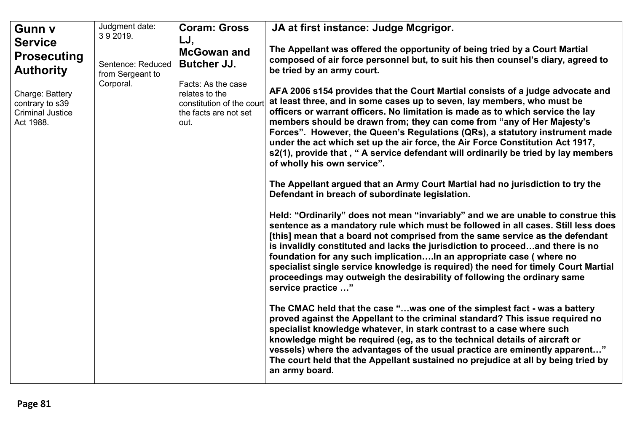| Gunn v                                                                                  | Judgment date:<br>392019.             | <b>Coram: Gross</b>                                                                                | JA at first instance: Judge Mcgrigor.                                                                                                                                                                                                                                                                                                                                                                                                                                                                                                                                                                         |
|-----------------------------------------------------------------------------------------|---------------------------------------|----------------------------------------------------------------------------------------------------|---------------------------------------------------------------------------------------------------------------------------------------------------------------------------------------------------------------------------------------------------------------------------------------------------------------------------------------------------------------------------------------------------------------------------------------------------------------------------------------------------------------------------------------------------------------------------------------------------------------|
| <b>Service</b><br><b>Prosecuting</b><br><b>Authority</b>                                | Sentence: Reduced<br>from Sergeant to | LJ,<br><b>McGowan and</b><br><b>Butcher JJ.</b>                                                    | The Appellant was offered the opportunity of being tried by a Court Martial<br>composed of air force personnel but, to suit his then counsel's diary, agreed to<br>be tried by an army court.                                                                                                                                                                                                                                                                                                                                                                                                                 |
| Corporal.<br>Charge: Battery<br>contrary to s39<br><b>Criminal Justice</b><br>Act 1988. |                                       | Facts: As the case<br>relates to the<br>constitution of the court<br>the facts are not set<br>out. | AFA 2006 s154 provides that the Court Martial consists of a judge advocate and<br>at least three, and in some cases up to seven, lay members, who must be<br>officers or warrant officers. No limitation is made as to which service the lay<br>members should be drawn from; they can come from "any of Her Majesty's<br>Forces". However, the Queen's Regulations (QRs), a statutory instrument made<br>under the act which set up the air force, the Air Force Constitution Act 1917,<br>s2(1), provide that, " A service defendant will ordinarily be tried by lay members<br>of wholly his own service". |
|                                                                                         |                                       |                                                                                                    | The Appellant argued that an Army Court Martial had no jurisdiction to try the<br>Defendant in breach of subordinate legislation.                                                                                                                                                                                                                                                                                                                                                                                                                                                                             |
|                                                                                         |                                       |                                                                                                    | Held: "Ordinarily" does not mean "invariably" and we are unable to construe this<br>sentence as a mandatory rule which must be followed in all cases. Still less does<br>[this] mean that a board not comprised from the same service as the defendant<br>is invalidly constituted and lacks the jurisdiction to proceedand there is no<br>foundation for any such implicationIn an appropriate case (where no<br>specialist single service knowledge is required) the need for timely Court Martial<br>proceedings may outweigh the desirability of following the ordinary same<br>service practice "        |
|                                                                                         |                                       |                                                                                                    | The CMAC held that the case "was one of the simplest fact - was a battery<br>proved against the Appellant to the criminal standard? This issue required no<br>specialist knowledge whatever, in stark contrast to a case where such<br>knowledge might be required (eg, as to the technical details of aircraft or<br>vessels) where the advantages of the usual practice are eminently apparent"<br>The court held that the Appellant sustained no prejudice at all by being tried by<br>an army board.                                                                                                      |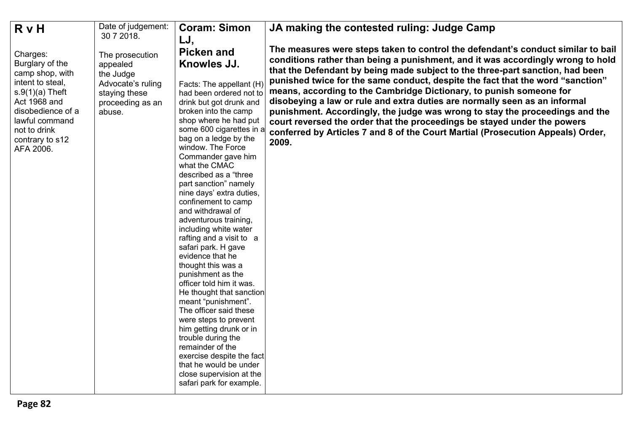| <b>R</b> v H                                                                                                                                                                                   | Date of judgement:                                                                                           | <b>Coram: Simon</b>                                                                                                                                                                                                                                                                                                                                                                                                                                                                                                                                                                                                                                                                                                                                                                                                                                                          | JA making the contested ruling: Judge Camp                                                                                                                                                                                                                                                                                                                                                                                                                                                                                                                                                                                                                                                                                                          |
|------------------------------------------------------------------------------------------------------------------------------------------------------------------------------------------------|--------------------------------------------------------------------------------------------------------------|------------------------------------------------------------------------------------------------------------------------------------------------------------------------------------------------------------------------------------------------------------------------------------------------------------------------------------------------------------------------------------------------------------------------------------------------------------------------------------------------------------------------------------------------------------------------------------------------------------------------------------------------------------------------------------------------------------------------------------------------------------------------------------------------------------------------------------------------------------------------------|-----------------------------------------------------------------------------------------------------------------------------------------------------------------------------------------------------------------------------------------------------------------------------------------------------------------------------------------------------------------------------------------------------------------------------------------------------------------------------------------------------------------------------------------------------------------------------------------------------------------------------------------------------------------------------------------------------------------------------------------------------|
|                                                                                                                                                                                                | 30 7 2018.                                                                                                   | LJ,                                                                                                                                                                                                                                                                                                                                                                                                                                                                                                                                                                                                                                                                                                                                                                                                                                                                          |                                                                                                                                                                                                                                                                                                                                                                                                                                                                                                                                                                                                                                                                                                                                                     |
| Charges:<br>Burglary of the<br>camp shop, with<br>intent to steal,<br>$s.9(1)(a)$ Theft<br>Act 1968 and<br>disobedience of a<br>lawful command<br>not to drink<br>contrary to s12<br>AFA 2006. | The prosecution<br>appealed<br>the Judge<br>Advocate's ruling<br>staying these<br>proceeding as an<br>abuse. | <b>Picken and</b><br>Knowles JJ.<br>Facts: The appellant (H)<br>had been ordered not to<br>drink but got drunk and<br>broken into the camp<br>shop where he had put<br>some 600 cigarettes in a<br>bag on a ledge by the<br>window. The Force<br>Commander gave him<br>what the CMAC<br>described as a "three<br>part sanction" namely<br>nine days' extra duties,<br>confinement to camp<br>and withdrawal of<br>adventurous training,<br>including white water<br>rafting and a visit to a<br>safari park. H gave<br>evidence that he<br>thought this was a<br>punishment as the<br>officer told him it was.<br>He thought that sanction<br>meant "punishment".<br>The officer said these<br>were steps to prevent<br>him getting drunk or in<br>trouble during the<br>remainder of the<br>exercise despite the fact<br>that he would be under<br>close supervision at the | The measures were steps taken to control the defendant's conduct similar to bail<br>conditions rather than being a punishment, and it was accordingly wrong to hold<br>that the Defendant by being made subject to the three-part sanction, had been<br>punished twice for the same conduct, despite the fact that the word "sanction"<br>means, according to the Cambridge Dictionary, to punish someone for<br>disobeying a law or rule and extra duties are normally seen as an informal<br>punishment. Accordingly, the judge was wrong to stay the proceedings and the<br>court reversed the order that the proceedings be stayed under the powers<br>conferred by Articles 7 and 8 of the Court Martial (Prosecution Appeals) Order,<br>2009. |
|                                                                                                                                                                                                |                                                                                                              | safari park for example.                                                                                                                                                                                                                                                                                                                                                                                                                                                                                                                                                                                                                                                                                                                                                                                                                                                     |                                                                                                                                                                                                                                                                                                                                                                                                                                                                                                                                                                                                                                                                                                                                                     |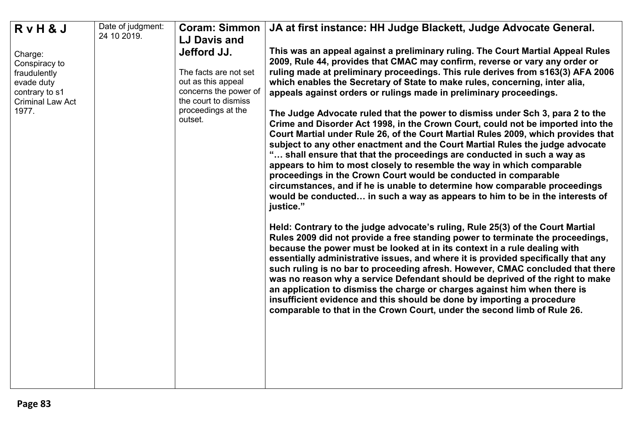| RvH&J                                                                                               | Date of judgment:<br>24 10 2019. | <b>Coram: Simmon</b>                                                                                        | JA at first instance: HH Judge Blackett, Judge Advocate General.                                                                                                                                                                                                                                                                                                                                                                                                                                                                                                                                                                                                                                                                          |
|-----------------------------------------------------------------------------------------------------|----------------------------------|-------------------------------------------------------------------------------------------------------------|-------------------------------------------------------------------------------------------------------------------------------------------------------------------------------------------------------------------------------------------------------------------------------------------------------------------------------------------------------------------------------------------------------------------------------------------------------------------------------------------------------------------------------------------------------------------------------------------------------------------------------------------------------------------------------------------------------------------------------------------|
|                                                                                                     |                                  | <b>LJ Davis and</b>                                                                                         |                                                                                                                                                                                                                                                                                                                                                                                                                                                                                                                                                                                                                                                                                                                                           |
| Charge:<br>Conspiracy to<br>fraudulently<br>evade duty<br>contrary to s1<br><b>Criminal Law Act</b> |                                  | Jefford JJ.<br>The facts are not set<br>out as this appeal<br>concerns the power of<br>the court to dismiss | This was an appeal against a preliminary ruling. The Court Martial Appeal Rules<br>2009, Rule 44, provides that CMAC may confirm, reverse or vary any order or<br>ruling made at preliminary proceedings. This rule derives from s163(3) AFA 2006<br>which enables the Secretary of State to make rules, concerning, inter alia,<br>appeals against orders or rulings made in preliminary proceedings.                                                                                                                                                                                                                                                                                                                                    |
| 1977.                                                                                               |                                  | proceedings at the<br>outset.                                                                               | The Judge Advocate ruled that the power to dismiss under Sch 3, para 2 to the<br>Crime and Disorder Act 1998, in the Crown Court, could not be imported into the<br>Court Martial under Rule 26, of the Court Martial Rules 2009, which provides that<br>subject to any other enactment and the Court Martial Rules the judge advocate<br>" shall ensure that that the proceedings are conducted in such a way as<br>appears to him to most closely to resemble the way in which comparable<br>proceedings in the Crown Court would be conducted in comparable<br>circumstances, and if he is unable to determine how comparable proceedings<br>would be conducted in such a way as appears to him to be in the interests of<br>justice." |
|                                                                                                     |                                  |                                                                                                             | Held: Contrary to the judge advocate's ruling, Rule 25(3) of the Court Martial<br>Rules 2009 did not provide a free standing power to terminate the proceedings,<br>because the power must be looked at in its context in a rule dealing with<br>essentially administrative issues, and where it is provided specifically that any<br>such ruling is no bar to proceeding afresh. However, CMAC concluded that there<br>was no reason why a service Defendant should be deprived of the right to make<br>an application to dismiss the charge or charges against him when there is<br>insufficient evidence and this should be done by importing a procedure<br>comparable to that in the Crown Court, under the second limb of Rule 26.  |
|                                                                                                     |                                  |                                                                                                             |                                                                                                                                                                                                                                                                                                                                                                                                                                                                                                                                                                                                                                                                                                                                           |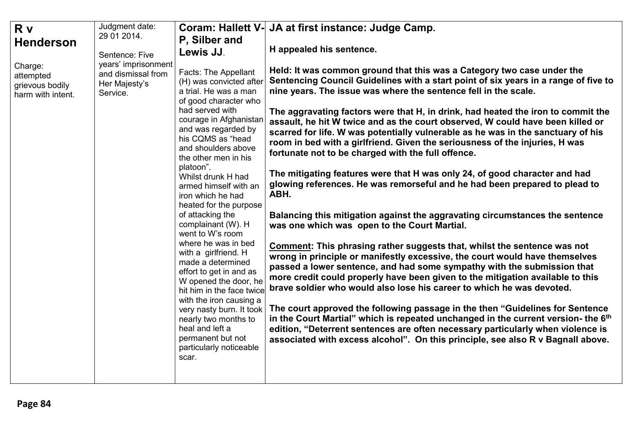| 29 01 2014.<br>P, Silber and<br><b>Henderson</b><br>H appealed his sentence.<br>Lewis JJ.<br>Sentence: Five<br>years' imprisonment<br>Charge:<br>Held: It was common ground that this was a Category two case under the<br>Facts: The Appellant<br>and dismissal from<br>attempted<br>(H) was convicted after<br>Her Majesty's<br>grievous bodily<br>nine years. The issue was where the sentence fell in the scale.<br>a trial. He was a man<br>Service.<br>harm with intent.<br>of good character who<br>had served with<br>courage in Afghanistan<br>and was regarded by<br>his CQMS as "head<br>room in bed with a girlfriend. Given the seriousness of the injuries, H was<br>and shoulders above<br>fortunate not to be charged with the full offence.<br>the other men in his<br>platoon".<br>The mitigating features were that H was only 24, of good character and had<br>Whilst drunk H had<br>armed himself with an<br>ABH.<br>iron which he had<br>heated for the purpose<br>of attacking the<br>complainant (W). H<br>was one which was open to the Court Martial.<br>went to W's room<br>where he was in bed<br><b>Comment: This phrasing rather suggests that, whilst the sentence was not</b><br>with a girlfriend. H | R v | Judgment date: | <b>Coram: Hallett V-</b> | JA at first instance: Judge Camp.                                                                                                                                                                                                                                                                                                                                                                                                                                                                                                                                                                                                                                                                                                                                                                                                                                                                                                                                                                                                                                                                    |
|---------------------------------------------------------------------------------------------------------------------------------------------------------------------------------------------------------------------------------------------------------------------------------------------------------------------------------------------------------------------------------------------------------------------------------------------------------------------------------------------------------------------------------------------------------------------------------------------------------------------------------------------------------------------------------------------------------------------------------------------------------------------------------------------------------------------------------------------------------------------------------------------------------------------------------------------------------------------------------------------------------------------------------------------------------------------------------------------------------------------------------------------------------------------------------------------------------------------------------------|-----|----------------|--------------------------|------------------------------------------------------------------------------------------------------------------------------------------------------------------------------------------------------------------------------------------------------------------------------------------------------------------------------------------------------------------------------------------------------------------------------------------------------------------------------------------------------------------------------------------------------------------------------------------------------------------------------------------------------------------------------------------------------------------------------------------------------------------------------------------------------------------------------------------------------------------------------------------------------------------------------------------------------------------------------------------------------------------------------------------------------------------------------------------------------|
|                                                                                                                                                                                                                                                                                                                                                                                                                                                                                                                                                                                                                                                                                                                                                                                                                                                                                                                                                                                                                                                                                                                                                                                                                                       |     |                |                          |                                                                                                                                                                                                                                                                                                                                                                                                                                                                                                                                                                                                                                                                                                                                                                                                                                                                                                                                                                                                                                                                                                      |
|                                                                                                                                                                                                                                                                                                                                                                                                                                                                                                                                                                                                                                                                                                                                                                                                                                                                                                                                                                                                                                                                                                                                                                                                                                       |     |                |                          |                                                                                                                                                                                                                                                                                                                                                                                                                                                                                                                                                                                                                                                                                                                                                                                                                                                                                                                                                                                                                                                                                                      |
| effort to get in and as<br>W opened the door, he<br>brave soldier who would also lose his career to which he was devoted.<br>hit him in the face twice<br>with the iron causing a<br>very nasty burn. It took<br>nearly two months to<br>heal and left a<br>permanent but not<br>particularly noticeable<br>scar.                                                                                                                                                                                                                                                                                                                                                                                                                                                                                                                                                                                                                                                                                                                                                                                                                                                                                                                     |     |                | made a determined        | Sentencing Council Guidelines with a start point of six years in a range of five to<br>The aggravating factors were that H, in drink, had heated the iron to commit the<br>assault, he hit W twice and as the court observed, W could have been killed or<br>scarred for life. W was potentially vulnerable as he was in the sanctuary of his<br>glowing references. He was remorseful and he had been prepared to plead to<br>Balancing this mitigation against the aggravating circumstances the sentence<br>wrong in principle or manifestly excessive, the court would have themselves<br>passed a lower sentence, and had some sympathy with the submission that<br>more credit could properly have been given to the mitigation available to this<br>The court approved the following passage in the then "Guidelines for Sentence"<br>in the Court Martial" which is repeated unchanged in the current version- the 6th<br>edition, "Deterrent sentences are often necessary particularly when violence is<br>associated with excess alcohol". On this principle, see also R v Bagnall above. |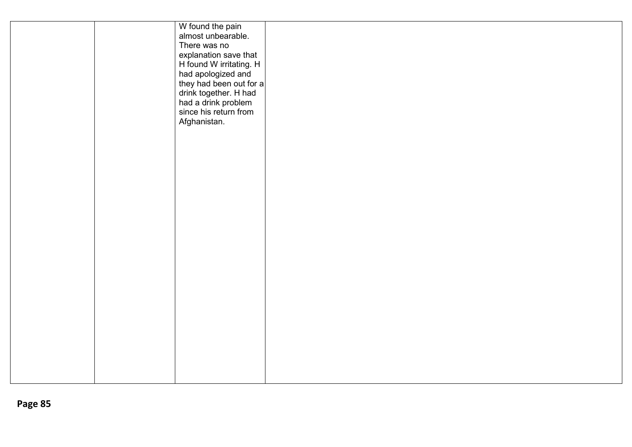|  | W found the pain                                                                                 |  |
|--|--------------------------------------------------------------------------------------------------|--|
|  | almost unbearable.                                                                               |  |
|  | There was no                                                                                     |  |
|  |                                                                                                  |  |
|  |                                                                                                  |  |
|  | explanation save that<br>H found W irritating. H<br>had apologized and                           |  |
|  |                                                                                                  |  |
|  |                                                                                                  |  |
|  | they had been out for a<br>drink together. H had<br>had a drink problem<br>since his return from |  |
|  |                                                                                                  |  |
|  | Afghanistan.                                                                                     |  |
|  |                                                                                                  |  |
|  |                                                                                                  |  |
|  |                                                                                                  |  |
|  |                                                                                                  |  |
|  |                                                                                                  |  |
|  |                                                                                                  |  |
|  |                                                                                                  |  |
|  |                                                                                                  |  |
|  |                                                                                                  |  |
|  |                                                                                                  |  |
|  |                                                                                                  |  |
|  |                                                                                                  |  |
|  |                                                                                                  |  |
|  |                                                                                                  |  |
|  |                                                                                                  |  |
|  |                                                                                                  |  |
|  |                                                                                                  |  |
|  |                                                                                                  |  |
|  |                                                                                                  |  |
|  |                                                                                                  |  |
|  |                                                                                                  |  |
|  |                                                                                                  |  |
|  |                                                                                                  |  |
|  |                                                                                                  |  |
|  |                                                                                                  |  |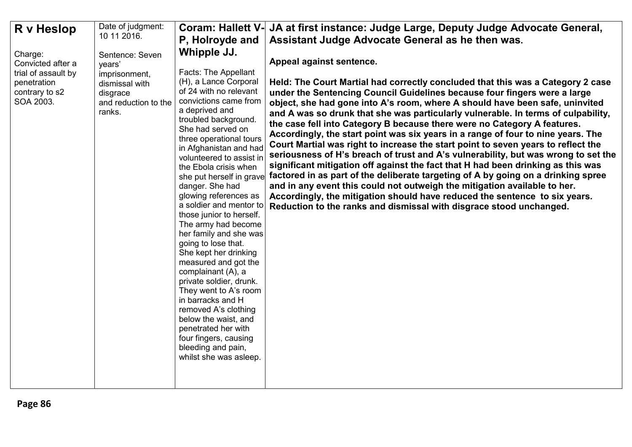| R v Heslop                                                                                        | Date of judgment:                                                                                          | <b>Coram: Hallett V-</b>                                                                                                                                                                                                                                                                                                                                                                                                                                                                                                                                                                                                                                                                                                                                                                               | JA at first instance: Judge Large, Deputy Judge Advocate General,                                                                                                                                                                                                                                                                                                                                                                                                                                                                                                                                                                                                                                                                                                                                                                                                                                                                                                                                                                                                                                                   |
|---------------------------------------------------------------------------------------------------|------------------------------------------------------------------------------------------------------------|--------------------------------------------------------------------------------------------------------------------------------------------------------------------------------------------------------------------------------------------------------------------------------------------------------------------------------------------------------------------------------------------------------------------------------------------------------------------------------------------------------------------------------------------------------------------------------------------------------------------------------------------------------------------------------------------------------------------------------------------------------------------------------------------------------|---------------------------------------------------------------------------------------------------------------------------------------------------------------------------------------------------------------------------------------------------------------------------------------------------------------------------------------------------------------------------------------------------------------------------------------------------------------------------------------------------------------------------------------------------------------------------------------------------------------------------------------------------------------------------------------------------------------------------------------------------------------------------------------------------------------------------------------------------------------------------------------------------------------------------------------------------------------------------------------------------------------------------------------------------------------------------------------------------------------------|
|                                                                                                   | 10 11 2016.                                                                                                | P, Holroyde and                                                                                                                                                                                                                                                                                                                                                                                                                                                                                                                                                                                                                                                                                                                                                                                        | Assistant Judge Advocate General as he then was.                                                                                                                                                                                                                                                                                                                                                                                                                                                                                                                                                                                                                                                                                                                                                                                                                                                                                                                                                                                                                                                                    |
| Charge:<br>Convicted after a<br>trial of assault by<br>penetration<br>contrary to s2<br>SOA 2003. | Sentence: Seven<br>years'<br>imprisonment,<br>dismissal with<br>disgrace<br>and reduction to the<br>ranks. | Whipple JJ.<br><b>Facts: The Appellant</b><br>(H), a Lance Corporal<br>of 24 with no relevant<br>convictions came from<br>a deprived and<br>troubled background.<br>She had served on<br>three operational tours<br>in Afghanistan and had<br>volunteered to assist in<br>the Ebola crisis when<br>she put herself in grave<br>danger. She had<br>glowing references as<br>a soldier and mentor to<br>those junior to herself.<br>The army had become<br>her family and she was<br>going to lose that.<br>She kept her drinking<br>measured and got the<br>complainant (A), a<br>private soldier, drunk.<br>They went to A's room<br>in barracks and H<br>removed A's clothing<br>below the waist, and<br>penetrated her with<br>four fingers, causing<br>bleeding and pain,<br>whilst she was asleep. | Appeal against sentence.<br>Held: The Court Martial had correctly concluded that this was a Category 2 case<br>under the Sentencing Council Guidelines because four fingers were a large<br>object, she had gone into A's room, where A should have been safe, uninvited<br>and A was so drunk that she was particularly vulnerable. In terms of culpability,<br>the case fell into Category B because there were no Category A features.<br>Accordingly, the start point was six years in a range of four to nine years. The<br>Court Martial was right to increase the start point to seven years to reflect the<br>seriousness of H's breach of trust and A's vulnerability, but was wrong to set the<br>significant mitigation off against the fact that H had been drinking as this was<br>factored in as part of the deliberate targeting of A by going on a drinking spree<br>and in any event this could not outweigh the mitigation available to her.<br>Accordingly, the mitigation should have reduced the sentence to six years.<br>Reduction to the ranks and dismissal with disgrace stood unchanged. |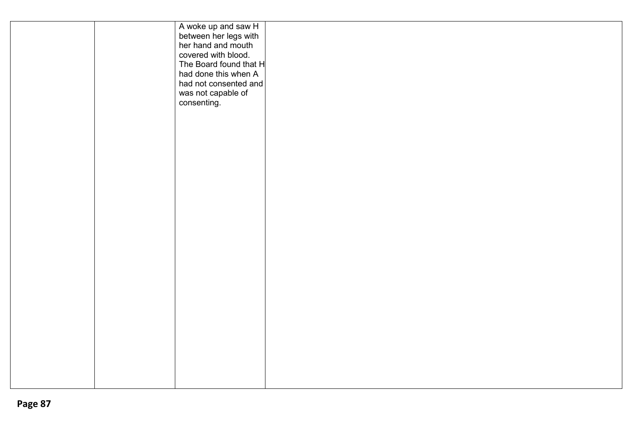| A woke up and saw H<br>between her legs with<br>her hand and mouth<br>covered with blood.<br>The Board found that H<br>had done this when A<br>had not consented and<br>was not capable of<br>consenting. |  |
|-----------------------------------------------------------------------------------------------------------------------------------------------------------------------------------------------------------|--|
|                                                                                                                                                                                                           |  |
|                                                                                                                                                                                                           |  |
|                                                                                                                                                                                                           |  |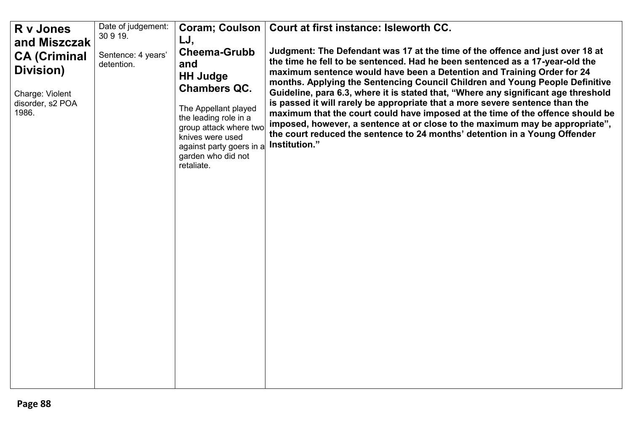| Date of judgement:<br>Coram; Coulson   Court at first instance: Isleworth CC.<br>R v Jones<br>30 9 19.                                                                                                                                                                                                                                                                                                                                                                                                                                                                                                                                                                                                                                                                                                                                                                                                                                                                                                                                                                                                                                               |  |
|------------------------------------------------------------------------------------------------------------------------------------------------------------------------------------------------------------------------------------------------------------------------------------------------------------------------------------------------------------------------------------------------------------------------------------------------------------------------------------------------------------------------------------------------------------------------------------------------------------------------------------------------------------------------------------------------------------------------------------------------------------------------------------------------------------------------------------------------------------------------------------------------------------------------------------------------------------------------------------------------------------------------------------------------------------------------------------------------------------------------------------------------------|--|
| LJ,<br>and Miszczak<br>Judgment: The Defendant was 17 at the time of the offence and just over 18 at<br><b>Cheema-Grubb</b><br>Sentence: 4 years'<br><b>CA (Criminal</b><br>the time he fell to be sentenced. Had he been sentenced as a 17-year-old the<br>and<br>detention.<br>Division)<br>maximum sentence would have been a Detention and Training Order for 24<br><b>HH Judge</b><br>months. Applying the Sentencing Council Children and Young People Definitive<br><b>Chambers QC.</b><br>Guideline, para 6.3, where it is stated that, "Where any significant age threshold<br>Charge: Violent<br>is passed it will rarely be appropriate that a more severe sentence than the<br>disorder, s2 POA<br>The Appellant played<br>1986.<br>maximum that the court could have imposed at the time of the offence should be<br>the leading role in a<br>imposed, however, a sentence at or close to the maximum may be appropriate",<br>group attack where two<br>the court reduced the sentence to 24 months' detention in a Young Offender<br>knives were used<br>Institution."<br>against party goers in a<br>garden who did not<br>retaliate. |  |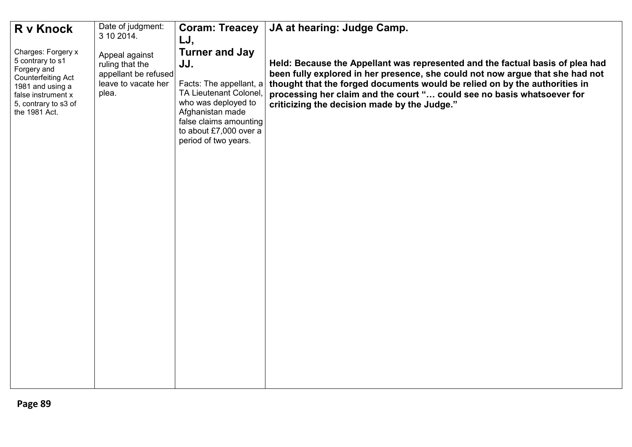| Held: Because the Appellant was represented and the factual basis of plea had<br>been fully explored in her presence, she could not now argue that she had not<br>thought that the forged documents would be relied on by the authorities in<br>processing her claim and the court " could see no basis whatsoever for |
|------------------------------------------------------------------------------------------------------------------------------------------------------------------------------------------------------------------------------------------------------------------------------------------------------------------------|
|                                                                                                                                                                                                                                                                                                                        |
|                                                                                                                                                                                                                                                                                                                        |
|                                                                                                                                                                                                                                                                                                                        |
|                                                                                                                                                                                                                                                                                                                        |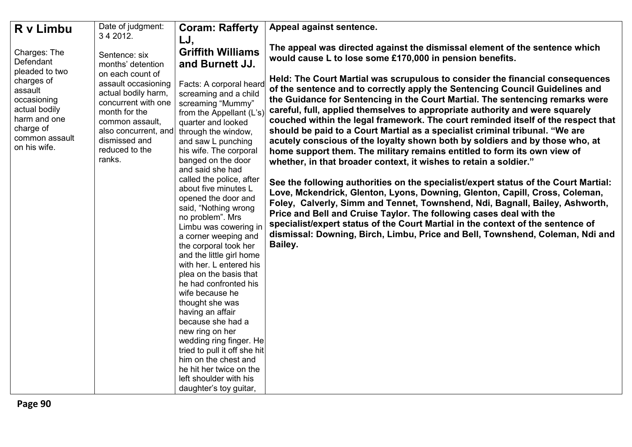| R v Limbu                                                                                                            | Date of judgment:                                                                                                                                                                              | <b>Coram: Rafferty</b>                                                                                                                                                                                                                                                                                                                                                                                                                                                                                                                                                                                                                                                                                                                                                                                                  | Appeal against sentence.                                                                                                                                                                                                                                                                                                                                                                                                                                                                                                                                                                                                                                                                                                                                                                                                                                                                                                                                                                                                                                                                                                                                                                                                                         |
|----------------------------------------------------------------------------------------------------------------------|------------------------------------------------------------------------------------------------------------------------------------------------------------------------------------------------|-------------------------------------------------------------------------------------------------------------------------------------------------------------------------------------------------------------------------------------------------------------------------------------------------------------------------------------------------------------------------------------------------------------------------------------------------------------------------------------------------------------------------------------------------------------------------------------------------------------------------------------------------------------------------------------------------------------------------------------------------------------------------------------------------------------------------|--------------------------------------------------------------------------------------------------------------------------------------------------------------------------------------------------------------------------------------------------------------------------------------------------------------------------------------------------------------------------------------------------------------------------------------------------------------------------------------------------------------------------------------------------------------------------------------------------------------------------------------------------------------------------------------------------------------------------------------------------------------------------------------------------------------------------------------------------------------------------------------------------------------------------------------------------------------------------------------------------------------------------------------------------------------------------------------------------------------------------------------------------------------------------------------------------------------------------------------------------|
| Charges: The<br>Defendant<br>pleaded to two                                                                          | 3 4 2012.<br>Sentence: six<br>months' detention                                                                                                                                                | LJ,<br><b>Griffith Williams</b><br>and Burnett JJ.                                                                                                                                                                                                                                                                                                                                                                                                                                                                                                                                                                                                                                                                                                                                                                      | The appeal was directed against the dismissal element of the sentence which<br>would cause L to lose some £170,000 in pension benefits.                                                                                                                                                                                                                                                                                                                                                                                                                                                                                                                                                                                                                                                                                                                                                                                                                                                                                                                                                                                                                                                                                                          |
| charges of<br>assault<br>occasioning<br>actual bodily<br>harm and one<br>charge of<br>common assault<br>on his wife. | on each count of<br>assault occasioning<br>actual bodily harm,<br>concurrent with one<br>month for the<br>common assault,<br>also concurrent, and<br>dismissed and<br>reduced to the<br>ranks. | Facts: A corporal heard<br>screaming and a child<br>screaming "Mummy"<br>from the Appellant (L's)<br>quarter and looked<br>through the window,<br>and saw L punching<br>his wife. The corporal<br>banged on the door<br>and said she had<br>called the police, after<br>about five minutes L<br>opened the door and<br>said, "Nothing wrong<br>no problem". Mrs<br>Limbu was cowering in<br>a corner weeping and<br>the corporal took her<br>and the little girl home<br>with her. L entered his<br>plea on the basis that<br>he had confronted his<br>wife because he<br>thought she was<br>having an affair<br>because she had a<br>new ring on her<br>wedding ring finger. He<br>tried to pull it off she hit<br>him on the chest and<br>he hit her twice on the<br>left shoulder with his<br>daughter's toy guitar, | Held: The Court Martial was scrupulous to consider the financial consequences<br>of the sentence and to correctly apply the Sentencing Council Guidelines and<br>the Guidance for Sentencing in the Court Martial. The sentencing remarks were<br>careful, full, applied themselves to appropriate authority and were squarely<br>couched within the legal framework. The court reminded itself of the respect that<br>should be paid to a Court Martial as a specialist criminal tribunal. "We are<br>acutely conscious of the loyalty shown both by soldiers and by those who, at<br>home support them. The military remains entitled to form its own view of<br>whether, in that broader context, it wishes to retain a soldier."<br>See the following authorities on the specialist/expert status of the Court Martial:<br>Love, Mckendrick, Glenton, Lyons, Downing, Glenton, Capill, Cross, Coleman,<br>Foley, Calverly, Simm and Tennet, Townshend, Ndi, Bagnall, Bailey, Ashworth,<br>Price and Bell and Cruise Taylor. The following cases deal with the<br>specialist/expert status of the Court Martial in the context of the sentence of<br>dismissal: Downing, Birch, Limbu, Price and Bell, Townshend, Coleman, Ndi and<br>Bailey. |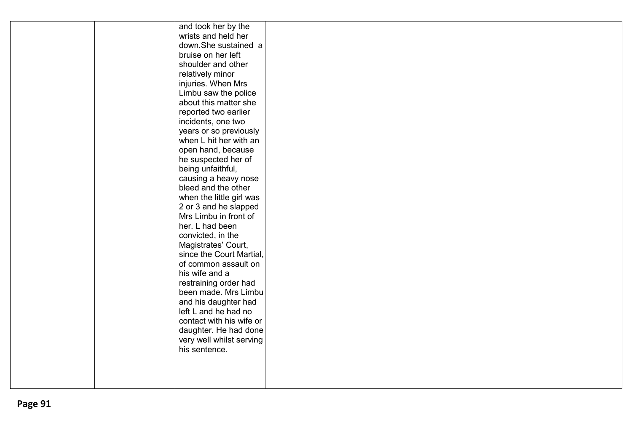| and took her by the                           |  |
|-----------------------------------------------|--|
| wrists and held her                           |  |
| down.She sustained a                          |  |
| bruise on her left                            |  |
| shoulder and other                            |  |
| relatively minor                              |  |
| injuries. When Mrs                            |  |
| Limbu saw the police                          |  |
| about this matter she                         |  |
| reported two earlier                          |  |
| incidents, one two                            |  |
| years or so previously                        |  |
| when L hit her with an                        |  |
| open hand, because                            |  |
| he suspected her of                           |  |
| being unfaithful,                             |  |
| causing a heavy nose                          |  |
| bleed and the other                           |  |
| when the little girl was                      |  |
| 2 or 3 and he slapped                         |  |
| Mrs Limbu in front of                         |  |
| her. L had been                               |  |
| convicted, in the                             |  |
| Magistrates' Court,                           |  |
| since the Court Martial,                      |  |
| of common assault on                          |  |
| his wife and a                                |  |
| restraining order had<br>been made. Mrs Limbu |  |
|                                               |  |
| and his daughter had<br>left L and he had no  |  |
| contact with his wife or                      |  |
| daughter. He had done                         |  |
| very well whilst serving                      |  |
| his sentence.                                 |  |
|                                               |  |
|                                               |  |
|                                               |  |
|                                               |  |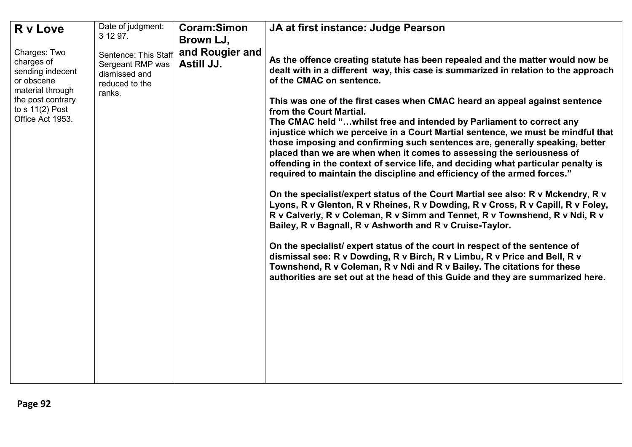| R v Love                                                                                              | Date of judgment:<br>3 12 97.                                                         | Coram:Simon<br>Brown LJ,      | JA at first instance: Judge Pearson                                                                                                                                                                                                                                                                                                                                                                                                                                                                                                                                                          |
|-------------------------------------------------------------------------------------------------------|---------------------------------------------------------------------------------------|-------------------------------|----------------------------------------------------------------------------------------------------------------------------------------------------------------------------------------------------------------------------------------------------------------------------------------------------------------------------------------------------------------------------------------------------------------------------------------------------------------------------------------------------------------------------------------------------------------------------------------------|
| Charges: Two<br>charges of<br>sending indecent<br>or obscene<br>material through<br>the post contrary | Sentence: This Staff<br>Sergeant RMP was<br>dismissed and<br>reduced to the<br>ranks. | and Rougier and<br>Astill JJ. | As the offence creating statute has been repealed and the matter would now be<br>dealt with in a different way, this case is summarized in relation to the approach<br>of the CMAC on sentence.                                                                                                                                                                                                                                                                                                                                                                                              |
| to $s$ 11(2) Post<br>Office Act 1953.                                                                 |                                                                                       |                               | This was one of the first cases when CMAC heard an appeal against sentence<br>from the Court Martial.<br>The CMAC held " whilst free and intended by Parliament to correct any<br>injustice which we perceive in a Court Martial sentence, we must be mindful that<br>those imposing and confirming such sentences are, generally speaking, better<br>placed than we are when when it comes to assessing the seriousness of<br>offending in the context of service life, and deciding what particular penalty is<br>required to maintain the discipline and efficiency of the armed forces." |
|                                                                                                       |                                                                                       |                               | On the specialist/expert status of the Court Martial see also: R v Mckendry, R v<br>Lyons, R v Glenton, R v Rheines, R v Dowding, R v Cross, R v Capill, R v Foley,<br>R v Calverly, R v Coleman, R v Simm and Tennet, R v Townshend, R v Ndi, R v<br>Bailey, R v Bagnall, R v Ashworth and R v Cruise-Taylor.                                                                                                                                                                                                                                                                               |
|                                                                                                       |                                                                                       |                               | On the specialist/ expert status of the court in respect of the sentence of<br>dismissal see: R v Dowding, R v Birch, R v Limbu, R v Price and Bell, R v<br>Townshend, R v Coleman, R v Ndi and R v Bailey. The citations for these<br>authorities are set out at the head of this Guide and they are summarized here.                                                                                                                                                                                                                                                                       |
|                                                                                                       |                                                                                       |                               |                                                                                                                                                                                                                                                                                                                                                                                                                                                                                                                                                                                              |
|                                                                                                       |                                                                                       |                               |                                                                                                                                                                                                                                                                                                                                                                                                                                                                                                                                                                                              |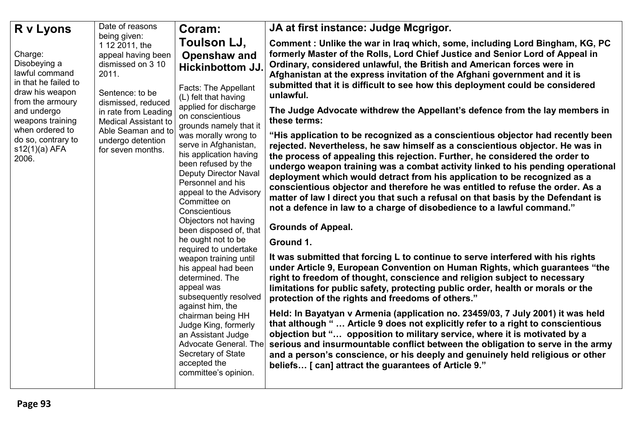| R v Lyons                                                                                                                | Date of reasons                                                                                                                                              | Coram:                                                                                                                                                                                                                                                                                                                                                                                                                                                                                                                                                                                    | JA at first instance: Judge Mcgrigor.                                                                                                                                                                                                                                                                                                                                                                                                                                                                                                                                                                                                                                                                                                                                                                                                                                                                                                                                                                                                                                                                                                                                                                                                                                                                                                                                                |
|--------------------------------------------------------------------------------------------------------------------------|--------------------------------------------------------------------------------------------------------------------------------------------------------------|-------------------------------------------------------------------------------------------------------------------------------------------------------------------------------------------------------------------------------------------------------------------------------------------------------------------------------------------------------------------------------------------------------------------------------------------------------------------------------------------------------------------------------------------------------------------------------------------|--------------------------------------------------------------------------------------------------------------------------------------------------------------------------------------------------------------------------------------------------------------------------------------------------------------------------------------------------------------------------------------------------------------------------------------------------------------------------------------------------------------------------------------------------------------------------------------------------------------------------------------------------------------------------------------------------------------------------------------------------------------------------------------------------------------------------------------------------------------------------------------------------------------------------------------------------------------------------------------------------------------------------------------------------------------------------------------------------------------------------------------------------------------------------------------------------------------------------------------------------------------------------------------------------------------------------------------------------------------------------------------|
| Charge:<br>Disobeying a<br>lawful command<br>in that he failed to<br>draw his weapon                                     | being given:<br>1 12 2011, the<br>appeal having been<br>dismissed on 3 10<br>2011.                                                                           | Toulson LJ,<br>Openshaw and<br><b>Hickinbottom JJ.</b><br>Facts: The Appellant                                                                                                                                                                                                                                                                                                                                                                                                                                                                                                            | Comment: Unlike the war in Iraq which, some, including Lord Bingham, KG, PC<br>formerly Master of the Rolls, Lord Chief Justice and Senior Lord of Appeal in<br>Ordinary, considered unlawful, the British and American forces were in<br>Afghanistan at the express invitation of the Afghani government and it is<br>submitted that it is difficult to see how this deployment could be considered                                                                                                                                                                                                                                                                                                                                                                                                                                                                                                                                                                                                                                                                                                                                                                                                                                                                                                                                                                                 |
| from the armoury<br>and undergo<br>weapons training<br>when ordered to<br>do so, contrary to<br>$s12(1)(a)$ AFA<br>2006. | Sentence: to be<br>dismissed, reduced<br>in rate from Leading<br><b>Medical Assistant to</b><br>Able Seaman and to<br>undergo detention<br>for seven months. | (L) felt that having<br>applied for discharge<br>on conscientious<br>grounds namely that it<br>was morally wrong to<br>serve in Afghanistan,<br>his application having<br>been refused by the<br><b>Deputy Director Naval</b><br>Personnel and his<br>appeal to the Advisory<br>Committee on<br>Conscientious<br>Objectors not having<br>been disposed of, that<br>he ought not to be<br>required to undertake<br>weapon training until<br>his appeal had been<br>determined. The<br>appeal was<br>subsequently resolved<br>against him, the<br>chairman being HH<br>Judge King, formerly | unlawful.<br>The Judge Advocate withdrew the Appellant's defence from the lay members in<br>these terms:<br>"His application to be recognized as a conscientious objector had recently been<br>rejected. Nevertheless, he saw himself as a conscientious objector. He was in<br>the process of appealing this rejection. Further, he considered the order to<br>undergo weapon training was a combat activity linked to his pending operational<br>deployment which would detract from his application to be recognized as a<br>conscientious objector and therefore he was entitled to refuse the order. As a<br>matter of law I direct you that such a refusal on that basis by the Defendant is<br>not a defence in law to a charge of disobedience to a lawful command."<br><b>Grounds of Appeal.</b><br>Ground 1.<br>It was submitted that forcing L to continue to serve interfered with his rights<br>under Article 9, European Convention on Human Rights, which guarantees "the<br>right to freedom of thought, conscience and religion subject to necessary<br>limitations for public safety, protecting public order, health or morals or the<br>protection of the rights and freedoms of others."<br>Held: In Bayatyan v Armenia (application no. 23459/03, 7 July 2001) it was held<br>that although "  Article 9 does not explicitly refer to a right to conscientious |
|                                                                                                                          |                                                                                                                                                              | an Assistant Judge<br>Advocate General. The<br>Secretary of State<br>accepted the<br>committee's opinion.                                                                                                                                                                                                                                                                                                                                                                                                                                                                                 | objection but " opposition to military service, where it is motivated by a<br>serious and insurmountable conflict between the obligation to serve in the army<br>and a person's conscience, or his deeply and genuinely held religious or other<br>beliefs [ can] attract the guarantees of Article 9."                                                                                                                                                                                                                                                                                                                                                                                                                                                                                                                                                                                                                                                                                                                                                                                                                                                                                                                                                                                                                                                                              |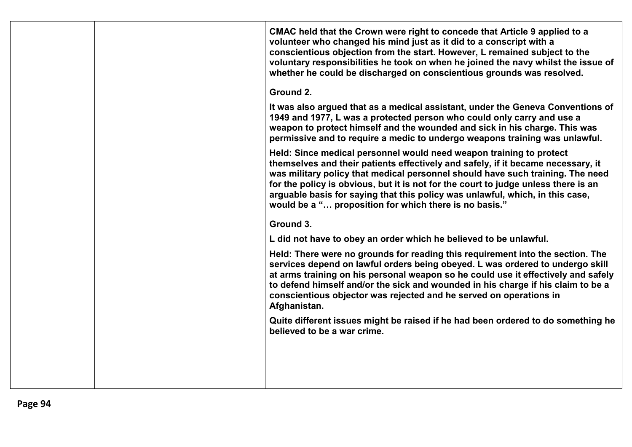|  | CMAC held that the Crown were right to concede that Article 9 applied to a<br>volunteer who changed his mind just as it did to a conscript with a<br>conscientious objection from the start. However, L remained subject to the<br>voluntary responsibilities he took on when he joined the navy whilst the issue of<br>whether he could be discharged on conscientious grounds was resolved.                                                                              |
|--|----------------------------------------------------------------------------------------------------------------------------------------------------------------------------------------------------------------------------------------------------------------------------------------------------------------------------------------------------------------------------------------------------------------------------------------------------------------------------|
|  | Ground 2.                                                                                                                                                                                                                                                                                                                                                                                                                                                                  |
|  | It was also argued that as a medical assistant, under the Geneva Conventions of<br>1949 and 1977, L was a protected person who could only carry and use a<br>weapon to protect himself and the wounded and sick in his charge. This was<br>permissive and to require a medic to undergo weapons training was unlawful.                                                                                                                                                     |
|  | Held: Since medical personnel would need weapon training to protect<br>themselves and their patients effectively and safely, if it became necessary, it<br>was military policy that medical personnel should have such training. The need<br>for the policy is obvious, but it is not for the court to judge unless there is an<br>arguable basis for saying that this policy was unlawful, which, in this case,<br>would be a " proposition for which there is no basis." |
|  | Ground 3.                                                                                                                                                                                                                                                                                                                                                                                                                                                                  |
|  | L did not have to obey an order which he believed to be unlawful.                                                                                                                                                                                                                                                                                                                                                                                                          |
|  | Held: There were no grounds for reading this requirement into the section. The<br>services depend on lawful orders being obeyed. L was ordered to undergo skill<br>at arms training on his personal weapon so he could use it effectively and safely<br>to defend himself and/or the sick and wounded in his charge if his claim to be a<br>conscientious objector was rejected and he served on operations in<br>Afghanistan.                                             |
|  | Quite different issues might be raised if he had been ordered to do something he<br>believed to be a war crime.                                                                                                                                                                                                                                                                                                                                                            |
|  |                                                                                                                                                                                                                                                                                                                                                                                                                                                                            |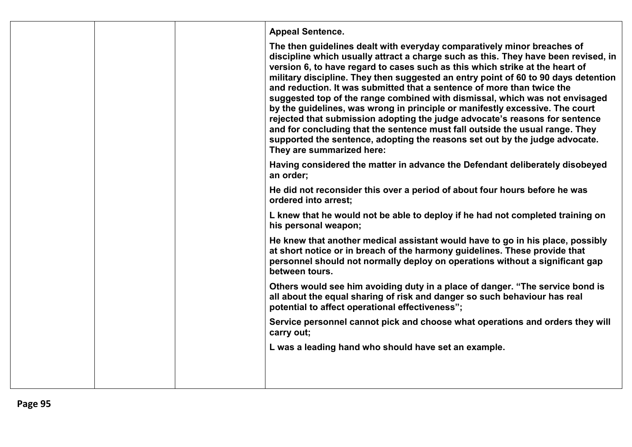|  | <b>Appeal Sentence.</b>                                                                                                                                                                                                                                                                                                                                                                                                                                                                                                                                                                                                                                                                                                                                                                                                                                 |
|--|---------------------------------------------------------------------------------------------------------------------------------------------------------------------------------------------------------------------------------------------------------------------------------------------------------------------------------------------------------------------------------------------------------------------------------------------------------------------------------------------------------------------------------------------------------------------------------------------------------------------------------------------------------------------------------------------------------------------------------------------------------------------------------------------------------------------------------------------------------|
|  | The then guidelines dealt with everyday comparatively minor breaches of<br>discipline which usually attract a charge such as this. They have been revised, in<br>version 6, to have regard to cases such as this which strike at the heart of<br>military discipline. They then suggested an entry point of 60 to 90 days detention<br>and reduction. It was submitted that a sentence of more than twice the<br>suggested top of the range combined with dismissal, which was not envisaged<br>by the guidelines, was wrong in principle or manifestly excessive. The court<br>rejected that submission adopting the judge advocate's reasons for sentence<br>and for concluding that the sentence must fall outside the usual range. They<br>supported the sentence, adopting the reasons set out by the judge advocate.<br>They are summarized here: |
|  | Having considered the matter in advance the Defendant deliberately disobeyed<br>an order;                                                                                                                                                                                                                                                                                                                                                                                                                                                                                                                                                                                                                                                                                                                                                               |
|  | He did not reconsider this over a period of about four hours before he was<br>ordered into arrest;                                                                                                                                                                                                                                                                                                                                                                                                                                                                                                                                                                                                                                                                                                                                                      |
|  | L knew that he would not be able to deploy if he had not completed training on<br>his personal weapon;                                                                                                                                                                                                                                                                                                                                                                                                                                                                                                                                                                                                                                                                                                                                                  |
|  | He knew that another medical assistant would have to go in his place, possibly<br>at short notice or in breach of the harmony guidelines. These provide that<br>personnel should not normally deploy on operations without a significant gap<br>between tours.                                                                                                                                                                                                                                                                                                                                                                                                                                                                                                                                                                                          |
|  | Others would see him avoiding duty in a place of danger. "The service bond is<br>all about the equal sharing of risk and danger so such behaviour has real<br>potential to affect operational effectiveness";                                                                                                                                                                                                                                                                                                                                                                                                                                                                                                                                                                                                                                           |
|  | Service personnel cannot pick and choose what operations and orders they will<br>carry out;                                                                                                                                                                                                                                                                                                                                                                                                                                                                                                                                                                                                                                                                                                                                                             |
|  | L was a leading hand who should have set an example.                                                                                                                                                                                                                                                                                                                                                                                                                                                                                                                                                                                                                                                                                                                                                                                                    |
|  |                                                                                                                                                                                                                                                                                                                                                                                                                                                                                                                                                                                                                                                                                                                                                                                                                                                         |
|  |                                                                                                                                                                                                                                                                                                                                                                                                                                                                                                                                                                                                                                                                                                                                                                                                                                                         |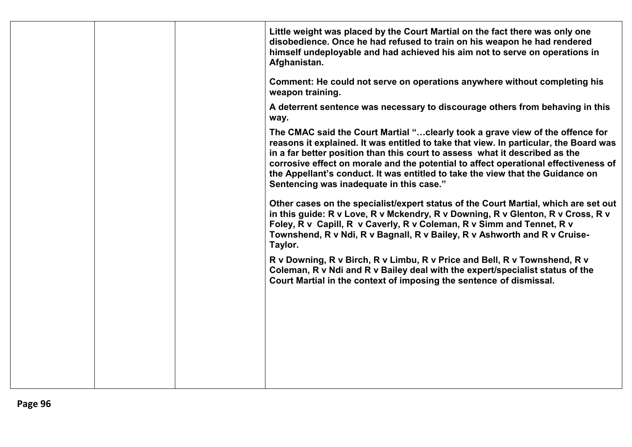| disobedience. Once he had refused to train on his weapon he had rendered<br>himself undeployable and had achieved his aim not to serve on operations in<br>Afghanistan.                                                                                                                                                                                                                                                                                                     |  |
|-----------------------------------------------------------------------------------------------------------------------------------------------------------------------------------------------------------------------------------------------------------------------------------------------------------------------------------------------------------------------------------------------------------------------------------------------------------------------------|--|
| Comment: He could not serve on operations anywhere without completing his<br>weapon training.                                                                                                                                                                                                                                                                                                                                                                               |  |
| A deterrent sentence was necessary to discourage others from behaving in this<br>way.                                                                                                                                                                                                                                                                                                                                                                                       |  |
| The CMAC said the Court Martial " clearly took a grave view of the offence for<br>reasons it explained. It was entitled to take that view. In particular, the Board was<br>in a far better position than this court to assess what it described as the<br>corrosive effect on morale and the potential to affect operational effectiveness of<br>the Appellant's conduct. It was entitled to take the view that the Guidance on<br>Sentencing was inadequate in this case." |  |
| Other cases on the specialist/expert status of the Court Martial, which are set out<br>in this guide: R v Love, R v Mckendry, R v Downing, R v Glenton, R v Cross, R v<br>Foley, R v Capill, R v Caverly, R v Coleman, R v Simm and Tennet, R v<br>Townshend, R v Ndi, R v Bagnall, R v Bailey, R v Ashworth and R v Cruise-<br>Taylor.                                                                                                                                     |  |
| R v Downing, R v Birch, R v Limbu, R v Price and Bell, R v Townshend, R v<br>Coleman, R v Ndi and R v Bailey deal with the expert/specialist status of the<br>Court Martial in the context of imposing the sentence of dismissal.                                                                                                                                                                                                                                           |  |
|                                                                                                                                                                                                                                                                                                                                                                                                                                                                             |  |
|                                                                                                                                                                                                                                                                                                                                                                                                                                                                             |  |
|                                                                                                                                                                                                                                                                                                                                                                                                                                                                             |  |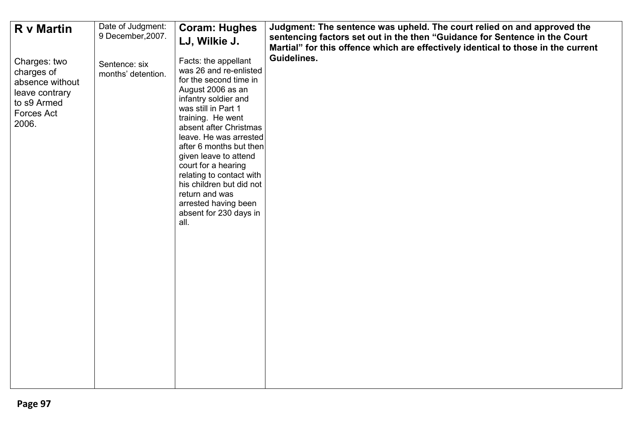| <b>R</b> v Martin                                                                                     | Date of Judgment:<br>9 December, 2007. | <b>Coram: Hughes</b><br>LJ, Wilkie J.                                                                                                                                                                                                                                                                                                                                                                                                | Judgment: The sentence was upheld. The court relied on and approved the<br>sentencing factors set out in the then "Guidance for Sentence in the Court<br>Martial" for this offence which are effectively identical to those in the current |
|-------------------------------------------------------------------------------------------------------|----------------------------------------|--------------------------------------------------------------------------------------------------------------------------------------------------------------------------------------------------------------------------------------------------------------------------------------------------------------------------------------------------------------------------------------------------------------------------------------|--------------------------------------------------------------------------------------------------------------------------------------------------------------------------------------------------------------------------------------------|
| Charges: two<br>charges of<br>absence without<br>leave contrary<br>to s9 Armed<br>Forces Act<br>2006. | Sentence: six<br>months' detention.    | Facts: the appellant<br>was 26 and re-enlisted<br>for the second time in<br>August 2006 as an<br>infantry soldier and<br>was still in Part 1<br>training. He went<br>absent after Christmas<br>leave. He was arrested<br>after 6 months but then<br>given leave to attend<br>court for a hearing<br>relating to contact with<br>his children but did not<br>return and was<br>arrested having been<br>absent for 230 days in<br>all. | Guidelines.                                                                                                                                                                                                                                |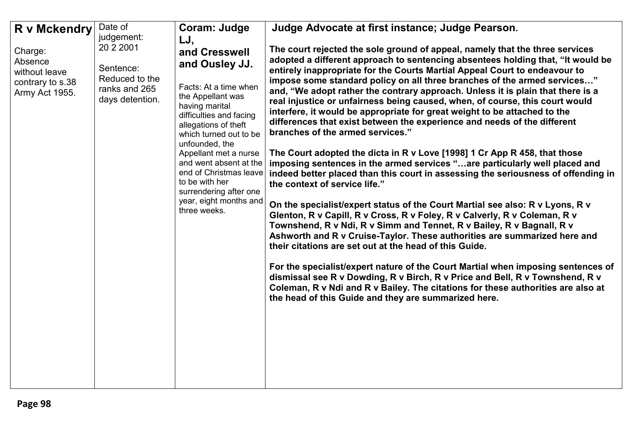| <b>R</b> v Mckendry                                                       | Date of                                                                                    | Coram: Judge                                                                                                                                                                                                                                                                                                                                                             | Judge Advocate at first instance; Judge Pearson.                                                                                                                                                                                                                                                                                                                                                                                                                                                                                                                                                                                                                                                                                                                                                                                                                                                                                                                                                                                                                                                                                                                                                                                                                                                                                                                                                                                                                                                                                                                                                                                                                         |
|---------------------------------------------------------------------------|--------------------------------------------------------------------------------------------|--------------------------------------------------------------------------------------------------------------------------------------------------------------------------------------------------------------------------------------------------------------------------------------------------------------------------------------------------------------------------|--------------------------------------------------------------------------------------------------------------------------------------------------------------------------------------------------------------------------------------------------------------------------------------------------------------------------------------------------------------------------------------------------------------------------------------------------------------------------------------------------------------------------------------------------------------------------------------------------------------------------------------------------------------------------------------------------------------------------------------------------------------------------------------------------------------------------------------------------------------------------------------------------------------------------------------------------------------------------------------------------------------------------------------------------------------------------------------------------------------------------------------------------------------------------------------------------------------------------------------------------------------------------------------------------------------------------------------------------------------------------------------------------------------------------------------------------------------------------------------------------------------------------------------------------------------------------------------------------------------------------------------------------------------------------|
| Charge:<br>Absence<br>without leave<br>contrary to s.38<br>Army Act 1955. | judgement:<br>20 2 2001<br>Sentence:<br>Reduced to the<br>ranks and 265<br>days detention. | LJ,<br>and Cresswell<br>and Ousley JJ.<br>Facts: At a time when<br>the Appellant was<br>having marital<br>difficulties and facing<br>allegations of theft<br>which turned out to be<br>unfounded, the<br>Appellant met a nurse<br>and went absent at the<br>end of Christmas leave<br>to be with her<br>surrendering after one<br>year, eight months and<br>three weeks. | The court rejected the sole ground of appeal, namely that the three services<br>adopted a different approach to sentencing absentees holding that, "It would be<br>entirely inappropriate for the Courts Martial Appeal Court to endeavour to<br>impose some standard policy on all three branches of the armed services"<br>and, "We adopt rather the contrary approach. Unless it is plain that there is a<br>real injustice or unfairness being caused, when, of course, this court would<br>interfere, it would be appropriate for great weight to be attached to the<br>differences that exist between the experience and needs of the different<br>branches of the armed services."<br>The Court adopted the dicta in R v Love [1998] 1 Cr App R 458, that those<br>imposing sentences in the armed services "are particularly well placed and<br>indeed better placed than this court in assessing the seriousness of offending in<br>the context of service life."<br>On the specialist/expert status of the Court Martial see also: R v Lyons, R v<br>Glenton, R v Capill, R v Cross, R v Foley, R v Calverly, R v Coleman, R v<br>Townshend, R v Ndi, R v Simm and Tennet, R v Bailey, R v Bagnall, R v<br>Ashworth and R v Cruise-Taylor. These authorities are summarized here and<br>their citations are set out at the head of this Guide.<br>For the specialist/expert nature of the Court Martial when imposing sentences of<br>dismissal see R v Dowding, R v Birch, R v Price and Bell, R v Townshend, R v<br>Coleman, R v Ndi and R v Bailey. The citations for these authorities are also at<br>the head of this Guide and they are summarized here. |
|                                                                           |                                                                                            |                                                                                                                                                                                                                                                                                                                                                                          |                                                                                                                                                                                                                                                                                                                                                                                                                                                                                                                                                                                                                                                                                                                                                                                                                                                                                                                                                                                                                                                                                                                                                                                                                                                                                                                                                                                                                                                                                                                                                                                                                                                                          |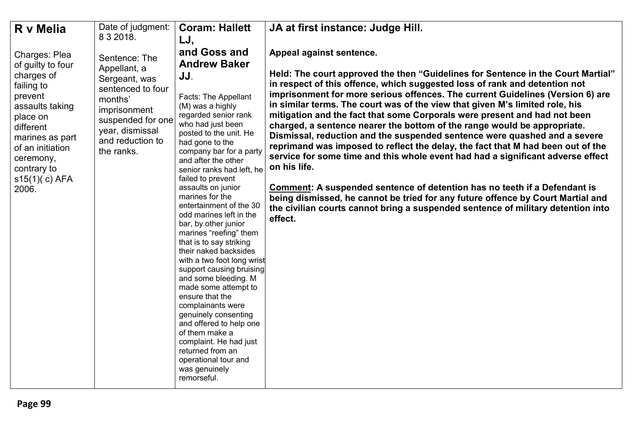| R v Melia                                                                                                                                                                                                          | Date of judgment:<br>8 3 2018.                                                                                                                                           | <b>Coram: Hallett</b>                                                                                                                                                                                                                                                                                                                                                                                                                                                                                                                                                                                                                                                                                                                                                                                                         | JA at first instance: Judge Hill.                                                                                                                                                                                                                                                                                                                                                                                                                                                                                                                                                                                                                                                                                                                                                                                                                                                                                                                                                                                                                       |
|--------------------------------------------------------------------------------------------------------------------------------------------------------------------------------------------------------------------|--------------------------------------------------------------------------------------------------------------------------------------------------------------------------|-------------------------------------------------------------------------------------------------------------------------------------------------------------------------------------------------------------------------------------------------------------------------------------------------------------------------------------------------------------------------------------------------------------------------------------------------------------------------------------------------------------------------------------------------------------------------------------------------------------------------------------------------------------------------------------------------------------------------------------------------------------------------------------------------------------------------------|---------------------------------------------------------------------------------------------------------------------------------------------------------------------------------------------------------------------------------------------------------------------------------------------------------------------------------------------------------------------------------------------------------------------------------------------------------------------------------------------------------------------------------------------------------------------------------------------------------------------------------------------------------------------------------------------------------------------------------------------------------------------------------------------------------------------------------------------------------------------------------------------------------------------------------------------------------------------------------------------------------------------------------------------------------|
| Charges: Plea<br>of guilty to four<br>charges of<br>failing to<br>prevent<br>assaults taking<br>place on<br>different<br>marines as part<br>of an initiation<br>ceremony,<br>contrary to<br>s15(1)(c) AFA<br>2006. | Sentence: The<br>Appellant, a<br>Sergeant, was<br>sentenced to four<br>months'<br>imprisonment<br>suspended for one<br>year, dismissal<br>and reduction to<br>the ranks. | LJ,<br>and Goss and<br><b>Andrew Baker</b><br>JJ.<br>Facts: The Appellant<br>(M) was a highly<br>regarded senior rank<br>who had just been<br>posted to the unit. He<br>had gone to the<br>company bar for a party<br>and after the other<br>senior ranks had left, he<br>failed to prevent<br>assaults on junior<br>marines for the<br>entertainment of the 30<br>odd marines left in the<br>bar, by other junior<br>marines "reefing" them<br>that is to say striking<br>their naked backsides<br>with a two foot long wrist<br>support causing bruising<br>and some bleeding. M<br>made some attempt to<br>ensure that the<br>complainants were<br>genuinely consenting<br>and offered to help one<br>of them make a<br>complaint. He had just<br>returned from an<br>operational tour and<br>was genuinely<br>remorseful. | Appeal against sentence.<br>Held: The court approved the then "Guidelines for Sentence in the Court Martial"<br>in respect of this offence, which suggested loss of rank and detention not<br>imprisonment for more serious offences. The current Guidelines (Version 6) are<br>in similar terms. The court was of the view that given M's limited role, his<br>mitigation and the fact that some Corporals were present and had not been<br>charged, a sentence nearer the bottom of the range would be appropriate.<br>Dismissal, reduction and the suspended sentence were quashed and a severe<br>reprimand was imposed to reflect the delay, the fact that M had been out of the<br>service for some time and this whole event had had a significant adverse effect<br>on his life.<br>Comment: A suspended sentence of detention has no teeth if a Defendant is<br>being dismissed, he cannot be tried for any future offence by Court Martial and<br>the civilian courts cannot bring a suspended sentence of military detention into<br>effect. |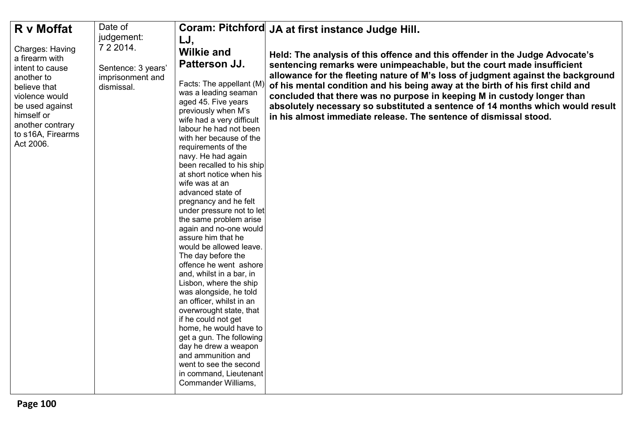| R v Moffat                                                                                                                                                                                         | Date of                                                              |                                                                                                                                                                                                                                                                                                                                                                                                                                                                                                                                                                                                                                                                                                                                                                                                                                                                                                             | Coram: Pitchford JA at first instance Judge Hill.                                                                                                                                                                                                                                                                                                                                                                                                                                                                                                              |
|----------------------------------------------------------------------------------------------------------------------------------------------------------------------------------------------------|----------------------------------------------------------------------|-------------------------------------------------------------------------------------------------------------------------------------------------------------------------------------------------------------------------------------------------------------------------------------------------------------------------------------------------------------------------------------------------------------------------------------------------------------------------------------------------------------------------------------------------------------------------------------------------------------------------------------------------------------------------------------------------------------------------------------------------------------------------------------------------------------------------------------------------------------------------------------------------------------|----------------------------------------------------------------------------------------------------------------------------------------------------------------------------------------------------------------------------------------------------------------------------------------------------------------------------------------------------------------------------------------------------------------------------------------------------------------------------------------------------------------------------------------------------------------|
|                                                                                                                                                                                                    | judgement:                                                           |                                                                                                                                                                                                                                                                                                                                                                                                                                                                                                                                                                                                                                                                                                                                                                                                                                                                                                             |                                                                                                                                                                                                                                                                                                                                                                                                                                                                                                                                                                |
| <b>Charges: Having</b><br>a firearm with<br>intent to cause<br>another to<br>believe that<br>violence would<br>be used against<br>himself or<br>another contrary<br>to s16A, Firearms<br>Act 2006. | 7 2 2 0 1 4.<br>Sentence: 3 years'<br>imprisonment and<br>dismissal. | LJ,<br><b>Wilkie and</b><br>Patterson JJ.<br>Facts: The appellant (M)<br>was a leading seaman<br>aged 45. Five years<br>previously when M's<br>wife had a very difficult<br>labour he had not been<br>with her because of the<br>requirements of the<br>navy. He had again<br>been recalled to his ship<br>at short notice when his<br>wife was at an<br>advanced state of<br>pregnancy and he felt<br>under pressure not to let<br>the same problem arise<br>again and no-one would<br>assure him that he<br>would be allowed leave.<br>The day before the<br>offence he went ashore<br>and, whilst in a bar, in<br>Lisbon, where the ship<br>was alongside, he told<br>an officer, whilst in an<br>overwrought state, that<br>if he could not get<br>home, he would have to<br>get a gun. The following<br>day he drew a weapon<br>and ammunition and<br>went to see the second<br>in command, Lieutenant | Held: The analysis of this offence and this offender in the Judge Advocate's<br>sentencing remarks were unimpeachable, but the court made insufficient<br>allowance for the fleeting nature of M's loss of judgment against the background<br>of his mental condition and his being away at the birth of his first child and<br>concluded that there was no purpose in keeping M in custody longer than<br>absolutely necessary so substituted a sentence of 14 months which would result<br>in his almost immediate release. The sentence of dismissal stood. |
|                                                                                                                                                                                                    |                                                                      | Commander Williams,                                                                                                                                                                                                                                                                                                                                                                                                                                                                                                                                                                                                                                                                                                                                                                                                                                                                                         |                                                                                                                                                                                                                                                                                                                                                                                                                                                                                                                                                                |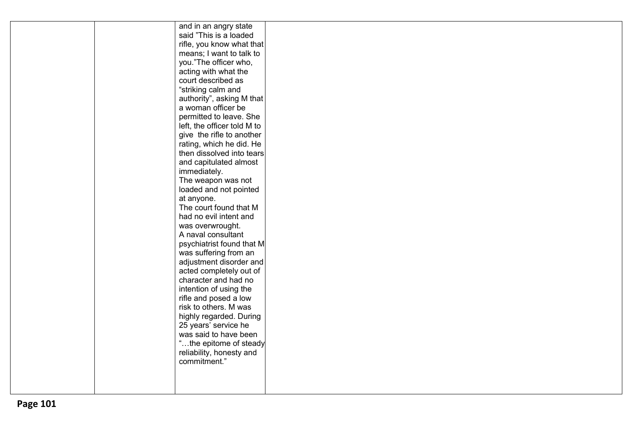|  | and in an angry state       |  |
|--|-----------------------------|--|
|  | said "This is a loaded      |  |
|  | rifle, you know what that   |  |
|  | means; I want to talk to    |  |
|  | you."The officer who,       |  |
|  | acting with what the        |  |
|  | court described as          |  |
|  | "striking calm and          |  |
|  | authority", asking M that   |  |
|  | a woman officer be          |  |
|  | permitted to leave. She     |  |
|  | left, the officer told M to |  |
|  | give the rifle to another   |  |
|  | rating, which he did. He    |  |
|  | then dissolved into tears   |  |
|  | and capitulated almost      |  |
|  | immediately.                |  |
|  | The weapon was not          |  |
|  | loaded and not pointed      |  |
|  | at anyone.                  |  |
|  | The court found that M      |  |
|  | had no evil intent and      |  |
|  | was overwrought.            |  |
|  | A naval consultant          |  |
|  | psychiatrist found that M   |  |
|  | was suffering from an       |  |
|  | adjustment disorder and     |  |
|  | acted completely out of     |  |
|  | character and had no        |  |
|  | intention of using the      |  |
|  | rifle and posed a low       |  |
|  | risk to others. M was       |  |
|  | highly regarded. During     |  |
|  | 25 years' service he        |  |
|  | was said to have been       |  |
|  | "the epitome of steady      |  |
|  | reliability, honesty and    |  |
|  | commitment."                |  |
|  |                             |  |
|  |                             |  |
|  |                             |  |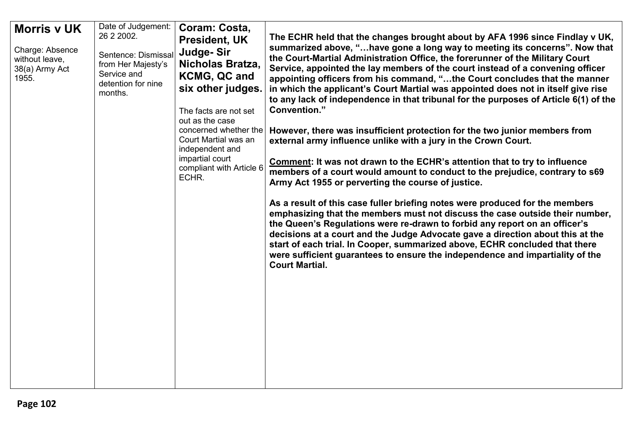| Date of Judgement:<br><b>Morris v UK</b><br>26 2 2002.<br>Charge: Absence<br>Sentence: Dismissal<br>without leave,<br>from Her Majesty's<br>38(a) Army Act<br>Service and<br>1955.<br>detention for nine<br>months. | Coram: Costa,<br><b>President, UK</b><br>Judge-Sir<br>Nicholas Bratza,<br><b>KCMG, QC and</b><br>six other judges.<br>The facts are not set<br>out as the case<br>concerned whether the<br>Court Martial was an<br>independent and<br>impartial court<br>compliant with Article 6<br>ECHR. | The ECHR held that the changes brought about by AFA 1996 since Findlay v UK,<br>summarized above, "have gone a long way to meeting its concerns". Now that<br>the Court-Martial Administration Office, the forerunner of the Military Court<br>Service, appointed the lay members of the court instead of a convening officer<br>appointing officers from his command, "the Court concludes that the manner<br>in which the applicant's Court Martial was appointed does not in itself give rise<br>to any lack of independence in that tribunal for the purposes of Article 6(1) of the<br>Convention."<br>However, there was insufficient protection for the two junior members from<br>external army influence unlike with a jury in the Crown Court.<br>Comment: It was not drawn to the ECHR's attention that to try to influence<br>members of a court would amount to conduct to the prejudice, contrary to s69<br>Army Act 1955 or perverting the course of justice.<br>As a result of this case fuller briefing notes were produced for the members<br>emphasizing that the members must not discuss the case outside their number,<br>the Queen's Regulations were re-drawn to forbid any report on an officer's<br>decisions at a court and the Judge Advocate gave a direction about this at the<br>start of each trial. In Cooper, summarized above, ECHR concluded that there<br>were sufficient guarantees to ensure the independence and impartiality of the<br><b>Court Martial.</b> |
|---------------------------------------------------------------------------------------------------------------------------------------------------------------------------------------------------------------------|--------------------------------------------------------------------------------------------------------------------------------------------------------------------------------------------------------------------------------------------------------------------------------------------|-------------------------------------------------------------------------------------------------------------------------------------------------------------------------------------------------------------------------------------------------------------------------------------------------------------------------------------------------------------------------------------------------------------------------------------------------------------------------------------------------------------------------------------------------------------------------------------------------------------------------------------------------------------------------------------------------------------------------------------------------------------------------------------------------------------------------------------------------------------------------------------------------------------------------------------------------------------------------------------------------------------------------------------------------------------------------------------------------------------------------------------------------------------------------------------------------------------------------------------------------------------------------------------------------------------------------------------------------------------------------------------------------------------------------------------------------------------------------------------------------------|
|---------------------------------------------------------------------------------------------------------------------------------------------------------------------------------------------------------------------|--------------------------------------------------------------------------------------------------------------------------------------------------------------------------------------------------------------------------------------------------------------------------------------------|-------------------------------------------------------------------------------------------------------------------------------------------------------------------------------------------------------------------------------------------------------------------------------------------------------------------------------------------------------------------------------------------------------------------------------------------------------------------------------------------------------------------------------------------------------------------------------------------------------------------------------------------------------------------------------------------------------------------------------------------------------------------------------------------------------------------------------------------------------------------------------------------------------------------------------------------------------------------------------------------------------------------------------------------------------------------------------------------------------------------------------------------------------------------------------------------------------------------------------------------------------------------------------------------------------------------------------------------------------------------------------------------------------------------------------------------------------------------------------------------------------|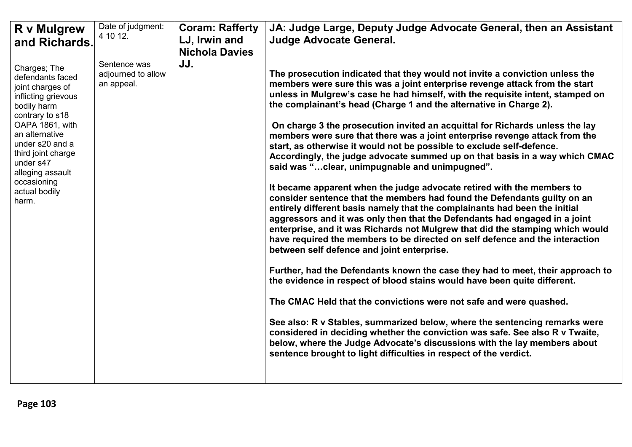| <b>R</b> v Mulgrew<br>and Richards.                                                                                                                                                                                                                                   | Date of judgment:<br>4 10 12.                    | <b>Coram: Rafferty</b><br>LJ, Irwin and<br><b>Nichola Davies</b> | JA: Judge Large, Deputy Judge Advocate General, then an Assistant<br><b>Judge Advocate General.</b>                                                                                                                                                                                                                                                                                                                                                                                                                                                                                                                                                                                                                                                                                                                                                                                                                                                                                                                                                                                                                                                                                                                                                                                                                                                                                                                                                                                                                                                                                                                                                                                                                                                                              |
|-----------------------------------------------------------------------------------------------------------------------------------------------------------------------------------------------------------------------------------------------------------------------|--------------------------------------------------|------------------------------------------------------------------|----------------------------------------------------------------------------------------------------------------------------------------------------------------------------------------------------------------------------------------------------------------------------------------------------------------------------------------------------------------------------------------------------------------------------------------------------------------------------------------------------------------------------------------------------------------------------------------------------------------------------------------------------------------------------------------------------------------------------------------------------------------------------------------------------------------------------------------------------------------------------------------------------------------------------------------------------------------------------------------------------------------------------------------------------------------------------------------------------------------------------------------------------------------------------------------------------------------------------------------------------------------------------------------------------------------------------------------------------------------------------------------------------------------------------------------------------------------------------------------------------------------------------------------------------------------------------------------------------------------------------------------------------------------------------------------------------------------------------------------------------------------------------------|
| Charges; The<br>defendants faced<br>joint charges of<br>inflicting grievous<br>bodily harm<br>contrary to s18<br>OAPA 1861, with<br>an alternative<br>under s20 and a<br>third joint charge<br>under s47<br>alleging assault<br>occasioning<br>actual bodily<br>harm. | Sentence was<br>adjourned to allow<br>an appeal. | JJ.                                                              | The prosecution indicated that they would not invite a conviction unless the<br>members were sure this was a joint enterprise revenge attack from the start<br>unless in Mulgrew's case he had himself, with the requisite intent, stamped on<br>the complainant's head (Charge 1 and the alternative in Charge 2).<br>On charge 3 the prosecution invited an acquittal for Richards unless the lay<br>members were sure that there was a joint enterprise revenge attack from the<br>start, as otherwise it would not be possible to exclude self-defence.<br>Accordingly, the judge advocate summed up on that basis in a way which CMAC<br>said was "clear, unimpugnable and unimpugned".<br>It became apparent when the judge advocate retired with the members to<br>consider sentence that the members had found the Defendants guilty on an<br>entirely different basis namely that the complainants had been the initial<br>aggressors and it was only then that the Defendants had engaged in a joint<br>enterprise, and it was Richards not Mulgrew that did the stamping which would<br>have required the members to be directed on self defence and the interaction<br>between self defence and joint enterprise.<br>Further, had the Defendants known the case they had to meet, their approach to<br>the evidence in respect of blood stains would have been quite different.<br>The CMAC Held that the convictions were not safe and were quashed.<br>See also: R v Stables, summarized below, where the sentencing remarks were<br>considered in deciding whether the conviction was safe. See also R v Twaite,<br>below, where the Judge Advocate's discussions with the lay members about<br>sentence brought to light difficulties in respect of the verdict. |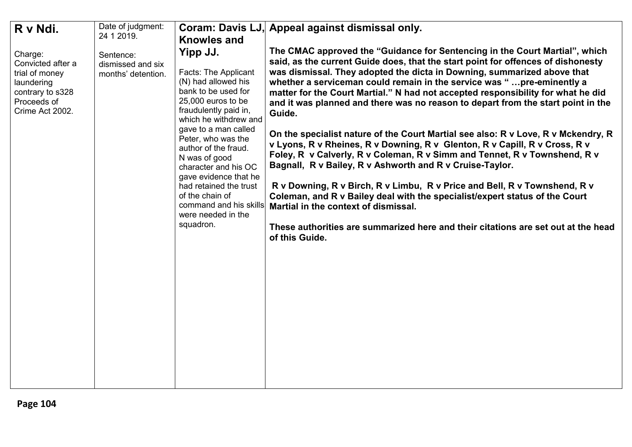| R v Ndi.                                                                                                           | Date of judgment:<br>24 1 2019.                      | Coram: Davis LJ,<br><b>Knowles and</b>                                                                                                                                                                                                                                                                                                                                                                          | Appeal against dismissal only.                                                                                                                                                                                                                                                                                                                                                                                                                                                                                                                                                                                                                                                                                                                                                                                                                                                                                                                                                                                                                                                                                               |
|--------------------------------------------------------------------------------------------------------------------|------------------------------------------------------|-----------------------------------------------------------------------------------------------------------------------------------------------------------------------------------------------------------------------------------------------------------------------------------------------------------------------------------------------------------------------------------------------------------------|------------------------------------------------------------------------------------------------------------------------------------------------------------------------------------------------------------------------------------------------------------------------------------------------------------------------------------------------------------------------------------------------------------------------------------------------------------------------------------------------------------------------------------------------------------------------------------------------------------------------------------------------------------------------------------------------------------------------------------------------------------------------------------------------------------------------------------------------------------------------------------------------------------------------------------------------------------------------------------------------------------------------------------------------------------------------------------------------------------------------------|
| Charge:<br>Convicted after a<br>trial of money<br>laundering<br>contrary to s328<br>Proceeds of<br>Crime Act 2002. | Sentence:<br>dismissed and six<br>months' detention. | Yipp JJ.<br><b>Facts: The Applicant</b><br>(N) had allowed his<br>bank to be used for<br>25,000 euros to be<br>fraudulently paid in,<br>which he withdrew and<br>gave to a man called<br>Peter, who was the<br>author of the fraud.<br>N was of good<br>character and his OC<br>gave evidence that he<br>had retained the trust<br>of the chain of<br>command and his skills<br>were needed in the<br>squadron. | The CMAC approved the "Guidance for Sentencing in the Court Martial", which<br>said, as the current Guide does, that the start point for offences of dishonesty<br>was dismissal. They adopted the dicta in Downing, summarized above that<br>whether a serviceman could remain in the service was "pre-eminently a<br>matter for the Court Martial." N had not accepted responsibility for what he did<br>and it was planned and there was no reason to depart from the start point in the<br>Guide.<br>On the specialist nature of the Court Martial see also: R v Love, R v Mckendry, R<br>v Lyons, R v Rheines, R v Downing, R v Glenton, R v Capill, R v Cross, R v<br>Foley, R v Calverly, R v Coleman, R v Simm and Tennet, R v Townshend, R v<br>Bagnall, R v Bailey, R v Ashworth and R v Cruise-Taylor.<br>R v Downing, R v Birch, R v Limbu, R v Price and Bell, R v Townshend, R v<br>Coleman, and R v Bailey deal with the specialist/expert status of the Court<br>Martial in the context of dismissal.<br>These authorities are summarized here and their citations are set out at the head<br>of this Guide. |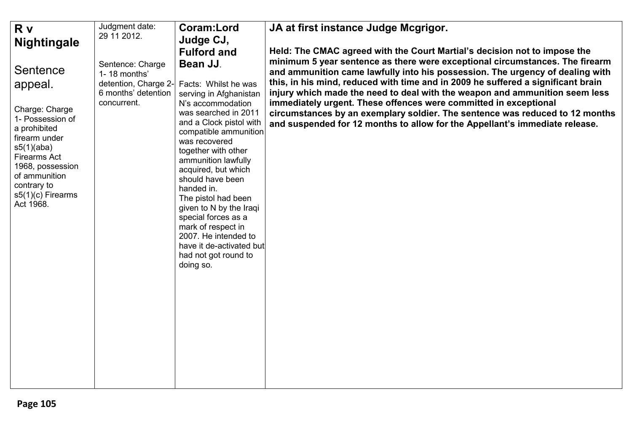| <b>R</b> v                                       | Judgment date:                              | <b>Coram:Lord</b>                                                    | JA at first instance Judge Mcgrigor.                                                                                                                            |
|--------------------------------------------------|---------------------------------------------|----------------------------------------------------------------------|-----------------------------------------------------------------------------------------------------------------------------------------------------------------|
| <b>Nightingale</b>                               | 29 11 2012.                                 | Judge CJ,                                                            |                                                                                                                                                                 |
|                                                  |                                             | <b>Fulford and</b>                                                   | Held: The CMAC agreed with the Court Martial's decision not to impose the                                                                                       |
| Sentence                                         | Sentence: Charge<br>1-18 months'            | Bean JJ.                                                             | minimum 5 year sentence as there were exceptional circumstances. The firearm<br>and ammunition came lawfully into his possession. The urgency of dealing with   |
| appeal.                                          | detention, Charge 2-<br>6 months' detention | Facts: Whilst he was<br>serving in Afghanistan                       | this, in his mind, reduced with time and in 2009 he suffered a significant brain<br>injury which made the need to deal with the weapon and ammunition seem less |
| Charge: Charge<br>1- Possession of               | concurrent.                                 | N's accommodation<br>was searched in 2011                            | immediately urgent. These offences were committed in exceptional<br>circumstances by an exemplary soldier. The sentence was reduced to 12 months                |
| a prohibited<br>firearm under                    |                                             | and a Clock pistol with<br>compatible ammunition<br>was recovered    | and suspended for 12 months to allow for the Appellant's immediate release.                                                                                     |
| s5(1)(aba)<br><b>Firearms Act</b>                |                                             | together with other<br>ammunition lawfully                           |                                                                                                                                                                 |
| 1968, possession<br>of ammunition<br>contrary to |                                             | acquired, but which<br>should have been                              |                                                                                                                                                                 |
| s5(1)(c) Firearms<br>Act 1968.                   |                                             | handed in.<br>The pistol had been                                    |                                                                                                                                                                 |
|                                                  |                                             | given to N by the Iraqi<br>special forces as a<br>mark of respect in |                                                                                                                                                                 |
|                                                  |                                             | 2007. He intended to<br>have it de-activated but                     |                                                                                                                                                                 |
|                                                  |                                             | had not got round to<br>doing so.                                    |                                                                                                                                                                 |
|                                                  |                                             |                                                                      |                                                                                                                                                                 |
|                                                  |                                             |                                                                      |                                                                                                                                                                 |
|                                                  |                                             |                                                                      |                                                                                                                                                                 |
|                                                  |                                             |                                                                      |                                                                                                                                                                 |
|                                                  |                                             |                                                                      |                                                                                                                                                                 |
|                                                  |                                             |                                                                      |                                                                                                                                                                 |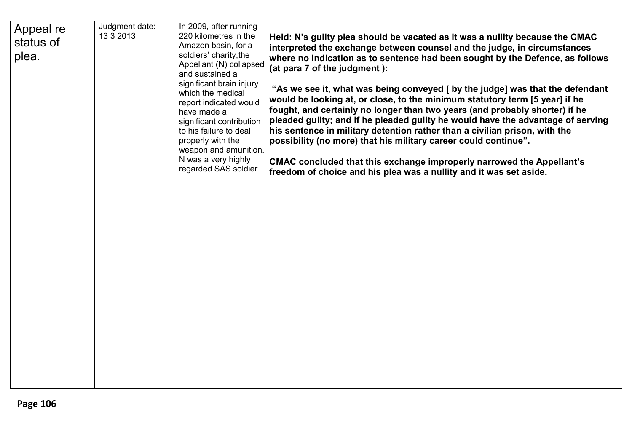| Appeal re | Judgment date:<br>13 3 2013 | In 2009, after running<br>220 kilometres in the                                                                                                                                                                                            | Held: N's guilty plea should be vacated as it was a nullity because the CMAC                                                                                                                                                                                                                                                                                                                                                                                                                                                                                                                                                   |
|-----------|-----------------------------|--------------------------------------------------------------------------------------------------------------------------------------------------------------------------------------------------------------------------------------------|--------------------------------------------------------------------------------------------------------------------------------------------------------------------------------------------------------------------------------------------------------------------------------------------------------------------------------------------------------------------------------------------------------------------------------------------------------------------------------------------------------------------------------------------------------------------------------------------------------------------------------|
| status of |                             | Amazon basin, for a                                                                                                                                                                                                                        | interpreted the exchange between counsel and the judge, in circumstances                                                                                                                                                                                                                                                                                                                                                                                                                                                                                                                                                       |
| plea.     |                             | soldiers' charity, the                                                                                                                                                                                                                     | where no indication as to sentence had been sought by the Defence, as follows                                                                                                                                                                                                                                                                                                                                                                                                                                                                                                                                                  |
|           |                             | Appellant (N) collapsed<br>and sustained a                                                                                                                                                                                                 | (at para 7 of the judgment):                                                                                                                                                                                                                                                                                                                                                                                                                                                                                                                                                                                                   |
|           |                             | significant brain injury<br>which the medical<br>report indicated would<br>have made a<br>significant contribution<br>to his failure to deal<br>properly with the<br>weapon and amunition.<br>N was a very highly<br>regarded SAS soldier. | "As we see it, what was being conveyed [ by the judge] was that the defendant<br>would be looking at, or close, to the minimum statutory term [5 year] if he<br>fought, and certainly no longer than two years (and probably shorter) if he<br>pleaded guilty; and if he pleaded guilty he would have the advantage of serving<br>his sentence in military detention rather than a civilian prison, with the<br>possibility (no more) that his military career could continue".<br>CMAC concluded that this exchange improperly narrowed the Appellant's<br>freedom of choice and his plea was a nullity and it was set aside. |
|           |                             |                                                                                                                                                                                                                                            |                                                                                                                                                                                                                                                                                                                                                                                                                                                                                                                                                                                                                                |
|           |                             |                                                                                                                                                                                                                                            |                                                                                                                                                                                                                                                                                                                                                                                                                                                                                                                                                                                                                                |
|           |                             |                                                                                                                                                                                                                                            |                                                                                                                                                                                                                                                                                                                                                                                                                                                                                                                                                                                                                                |
|           |                             |                                                                                                                                                                                                                                            |                                                                                                                                                                                                                                                                                                                                                                                                                                                                                                                                                                                                                                |
|           |                             |                                                                                                                                                                                                                                            |                                                                                                                                                                                                                                                                                                                                                                                                                                                                                                                                                                                                                                |
|           |                             |                                                                                                                                                                                                                                            |                                                                                                                                                                                                                                                                                                                                                                                                                                                                                                                                                                                                                                |
|           |                             |                                                                                                                                                                                                                                            |                                                                                                                                                                                                                                                                                                                                                                                                                                                                                                                                                                                                                                |
|           |                             |                                                                                                                                                                                                                                            |                                                                                                                                                                                                                                                                                                                                                                                                                                                                                                                                                                                                                                |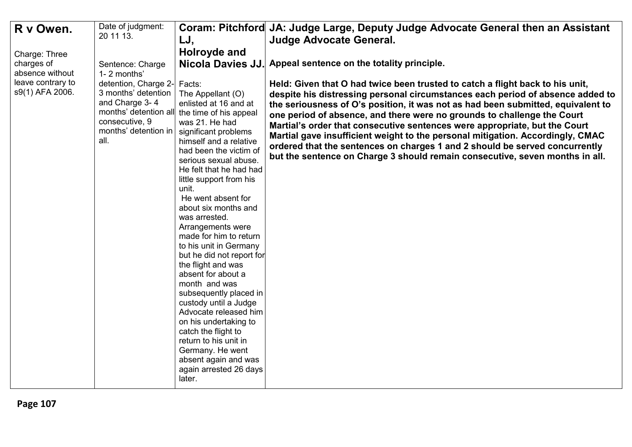| R v Owen.         | Date of judgment:<br>20 11 13.          |                                              | Coram: Pitchford JA: Judge Large, Deputy Judge Advocate General then an Assistant |
|-------------------|-----------------------------------------|----------------------------------------------|-----------------------------------------------------------------------------------|
|                   |                                         | LJ,                                          | <b>Judge Advocate General.</b>                                                    |
| Charge: Three     |                                         | Holroyde and                                 |                                                                                   |
| charges of        | Sentence: Charge                        | <b>Nicola Davies JJ.</b>                     | Appeal sentence on the totality principle.                                        |
| absence without   | 1-2 months'                             |                                              |                                                                                   |
| leave contrary to | detention, Charge 2-                    | Facts:                                       | Held: Given that O had twice been trusted to catch a flight back to his unit,     |
| s9(1) AFA 2006.   | 3 months' detention                     | The Appellant (O)                            | despite his distressing personal circumstances each period of absence added to    |
|                   | and Charge 3-4                          | enlisted at 16 and at                        | the seriousness of O's position, it was not as had been submitted, equivalent to  |
|                   | months' detention all<br>consecutive, 9 | the time of his appeal                       | one period of absence, and there were no grounds to challenge the Court           |
|                   | months' detention in                    | was 21. He had<br>significant problems       | Martial's order that consecutive sentences were appropriate, but the Court        |
|                   | all.                                    | himself and a relative                       | Martial gave insufficient weight to the personal mitigation. Accordingly, CMAC    |
|                   |                                         | had been the victim of                       | ordered that the sentences on charges 1 and 2 should be served concurrently       |
|                   |                                         | serious sexual abuse.                        | but the sentence on Charge 3 should remain consecutive, seven months in all.      |
|                   |                                         | He felt that he had had                      |                                                                                   |
|                   |                                         | little support from his                      |                                                                                   |
|                   |                                         | unit.                                        |                                                                                   |
|                   |                                         | He went absent for                           |                                                                                   |
|                   |                                         | about six months and                         |                                                                                   |
|                   |                                         | was arrested.                                |                                                                                   |
|                   |                                         | Arrangements were<br>made for him to return  |                                                                                   |
|                   |                                         | to his unit in Germany                       |                                                                                   |
|                   |                                         | but he did not report for                    |                                                                                   |
|                   |                                         | the flight and was                           |                                                                                   |
|                   |                                         | absent for about a                           |                                                                                   |
|                   |                                         | month and was                                |                                                                                   |
|                   |                                         | subsequently placed in                       |                                                                                   |
|                   |                                         | custody until a Judge                        |                                                                                   |
|                   |                                         | Advocate released him                        |                                                                                   |
|                   |                                         | on his undertaking to                        |                                                                                   |
|                   |                                         | catch the flight to<br>return to his unit in |                                                                                   |
|                   |                                         | Germany. He went                             |                                                                                   |
|                   |                                         | absent again and was                         |                                                                                   |
|                   |                                         | again arrested 26 days                       |                                                                                   |
|                   |                                         | later.                                       |                                                                                   |
|                   |                                         |                                              |                                                                                   |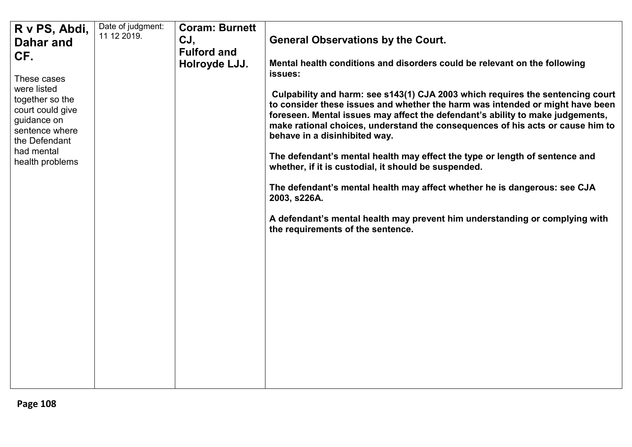| R v PS, Abdi,                   | Date of judgment: | <b>Coram: Burnett</b> |                                                                                                                                                                 |
|---------------------------------|-------------------|-----------------------|-----------------------------------------------------------------------------------------------------------------------------------------------------------------|
| Dahar and                       | 11 12 2019.       | CJ,                   | <b>General Observations by the Court.</b>                                                                                                                       |
| CF.                             |                   | <b>Fulford and</b>    |                                                                                                                                                                 |
|                                 |                   | Holroyde LJJ.         | Mental health conditions and disorders could be relevant on the following                                                                                       |
| These cases                     |                   |                       | issues:                                                                                                                                                         |
| were listed                     |                   |                       |                                                                                                                                                                 |
| together so the                 |                   |                       | Culpability and harm: see s143(1) CJA 2003 which requires the sentencing court<br>to consider these issues and whether the harm was intended or might have been |
| court could give                |                   |                       | foreseen. Mental issues may affect the defendant's ability to make judgements,                                                                                  |
| guidance on                     |                   |                       | make rational choices, understand the consequences of his acts or cause him to                                                                                  |
| sentence where<br>the Defendant |                   |                       | behave in a disinhibited way.                                                                                                                                   |
| had mental                      |                   |                       |                                                                                                                                                                 |
| health problems                 |                   |                       | The defendant's mental health may effect the type or length of sentence and<br>whether, if it is custodial, it should be suspended.                             |
|                                 |                   |                       |                                                                                                                                                                 |
|                                 |                   |                       | The defendant's mental health may affect whether he is dangerous: see CJA                                                                                       |
|                                 |                   |                       | 2003, s226A.                                                                                                                                                    |
|                                 |                   |                       |                                                                                                                                                                 |
|                                 |                   |                       | A defendant's mental health may prevent him understanding or complying with<br>the requirements of the sentence.                                                |
|                                 |                   |                       |                                                                                                                                                                 |
|                                 |                   |                       |                                                                                                                                                                 |
|                                 |                   |                       |                                                                                                                                                                 |
|                                 |                   |                       |                                                                                                                                                                 |
|                                 |                   |                       |                                                                                                                                                                 |
|                                 |                   |                       |                                                                                                                                                                 |
|                                 |                   |                       |                                                                                                                                                                 |
|                                 |                   |                       |                                                                                                                                                                 |
|                                 |                   |                       |                                                                                                                                                                 |
|                                 |                   |                       |                                                                                                                                                                 |
|                                 |                   |                       |                                                                                                                                                                 |
|                                 |                   |                       |                                                                                                                                                                 |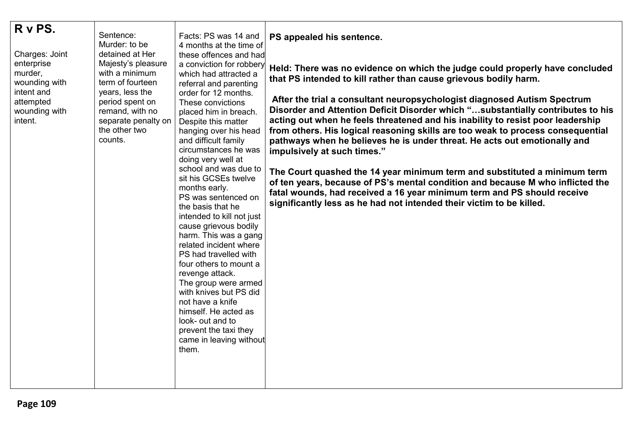| R v PS.<br>Charges: Joint<br>enterprise<br>murder,<br>wounding with<br>intent and<br>attempted<br>wounding with<br>intent. | Sentence:<br>Murder: to be<br>detained at Her<br>Majesty's pleasure<br>with a minimum<br>term of fourteen<br>years, less the<br>period spent on<br>remand, with no<br>separate penalty on<br>the other two<br>counts. | Facts: PS was 14 and<br>4 months at the time of<br>these offences and had<br>a conviction for robbery<br>which had attracted a<br>referral and parenting<br>order for 12 months.<br>These convictions<br>placed him in breach.<br>Despite this matter<br>hanging over his head<br>and difficult family<br>circumstances he was<br>doing very well at<br>school and was due to<br>sit his GCSEs twelve<br>months early.<br>PS was sentenced on<br>the basis that he<br>intended to kill not just<br>cause grievous bodily<br>harm. This was a gang<br>related incident where<br>PS had travelled with<br>four others to mount a<br>revenge attack.<br>The group were armed<br>with knives but PS did<br>not have a knife<br>himself. He acted as<br>look- out and to<br>prevent the taxi they<br>came in leaving without<br>them. | PS appealed his sentence.<br>Held: There was no evidence on which the judge could properly have concluded<br>that PS intended to kill rather than cause grievous bodily harm.<br>After the trial a consultant neuropsychologist diagnosed Autism Spectrum<br>Disorder and Attention Deficit Disorder which "substantially contributes to his<br>acting out when he feels threatened and his inability to resist poor leadership<br>from others. His logical reasoning skills are too weak to process consequential<br>pathways when he believes he is under threat. He acts out emotionally and<br>impulsively at such times."<br>The Court quashed the 14 year minimum term and substituted a minimum term<br>of ten years, because of PS's mental condition and because M who inflicted the<br>fatal wounds, had received a 16 year minimum term and PS should receive<br>significantly less as he had not intended their victim to be killed. |
|----------------------------------------------------------------------------------------------------------------------------|-----------------------------------------------------------------------------------------------------------------------------------------------------------------------------------------------------------------------|----------------------------------------------------------------------------------------------------------------------------------------------------------------------------------------------------------------------------------------------------------------------------------------------------------------------------------------------------------------------------------------------------------------------------------------------------------------------------------------------------------------------------------------------------------------------------------------------------------------------------------------------------------------------------------------------------------------------------------------------------------------------------------------------------------------------------------|--------------------------------------------------------------------------------------------------------------------------------------------------------------------------------------------------------------------------------------------------------------------------------------------------------------------------------------------------------------------------------------------------------------------------------------------------------------------------------------------------------------------------------------------------------------------------------------------------------------------------------------------------------------------------------------------------------------------------------------------------------------------------------------------------------------------------------------------------------------------------------------------------------------------------------------------------|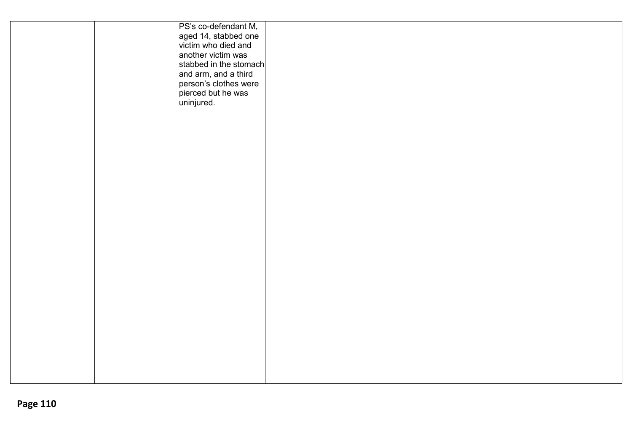|  | PS's co-defendant M,<br>aged 14, stabbed one<br>victim who died and<br>another victim was<br>stabbed in the stomach<br>and arm, and a third<br>person's clothes were<br>pierced but he was<br>uninjured. |
|--|----------------------------------------------------------------------------------------------------------------------------------------------------------------------------------------------------------|
|  |                                                                                                                                                                                                          |
|  |                                                                                                                                                                                                          |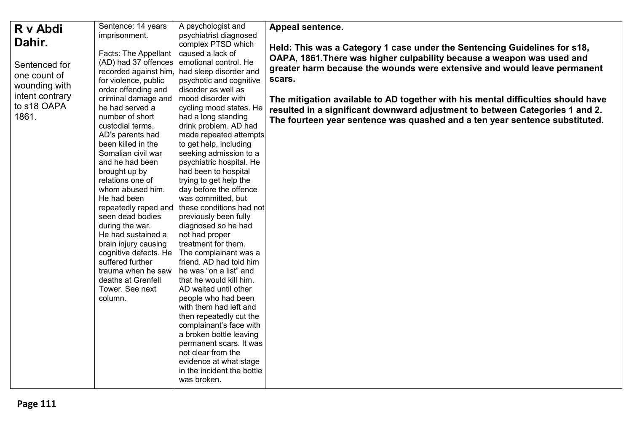| R v Abdi                                                                                  | Sentence: 14 years                                                                                                                                                                                                                                                                                                                                                                                                                                                                                                                                                                                                    | A psychologist and                                                                                                                                                                                                                                                                                                                                                                                                                                                                                                                                                                                                                                                                                                                                                                                                                                    | Appeal sentence.                                                                                                                                                                                                                                                                                                                                                                                                                                                                             |
|-------------------------------------------------------------------------------------------|-----------------------------------------------------------------------------------------------------------------------------------------------------------------------------------------------------------------------------------------------------------------------------------------------------------------------------------------------------------------------------------------------------------------------------------------------------------------------------------------------------------------------------------------------------------------------------------------------------------------------|-------------------------------------------------------------------------------------------------------------------------------------------------------------------------------------------------------------------------------------------------------------------------------------------------------------------------------------------------------------------------------------------------------------------------------------------------------------------------------------------------------------------------------------------------------------------------------------------------------------------------------------------------------------------------------------------------------------------------------------------------------------------------------------------------------------------------------------------------------|----------------------------------------------------------------------------------------------------------------------------------------------------------------------------------------------------------------------------------------------------------------------------------------------------------------------------------------------------------------------------------------------------------------------------------------------------------------------------------------------|
| Dahir.                                                                                    |                                                                                                                                                                                                                                                                                                                                                                                                                                                                                                                                                                                                                       | complex PTSD which                                                                                                                                                                                                                                                                                                                                                                                                                                                                                                                                                                                                                                                                                                                                                                                                                                    |                                                                                                                                                                                                                                                                                                                                                                                                                                                                                              |
| Sentenced for<br>one count of<br>wounding with<br>intent contrary<br>to s18 OAPA<br>1861. | imprisonment.<br>Facts: The Appellant<br>(AD) had 37 offences<br>recorded against him,<br>for violence, public<br>order offending and<br>criminal damage and<br>he had served a<br>number of short<br>custodial terms.<br>AD's parents had<br>been killed in the<br>Somalian civil war<br>and he had been<br>brought up by<br>relations one of<br>whom abused him.<br>He had been<br>repeatedly raped and<br>seen dead bodies<br>during the war.<br>He had sustained a<br>brain injury causing<br>cognitive defects. He<br>suffered further<br>trauma when he saw<br>deaths at Grenfell<br>Tower. See next<br>column. | psychiatrist diagnosed<br>caused a lack of<br>emotional control. He<br>had sleep disorder and<br>psychotic and cognitive<br>disorder as well as<br>mood disorder with<br>cycling mood states. He<br>had a long standing<br>drink problem. AD had<br>made repeated attempts<br>to get help, including<br>seeking admission to a<br>psychiatric hospital. He<br>had been to hospital<br>trying to get help the<br>day before the offence<br>was committed, but<br>these conditions had not<br>previously been fully<br>diagnosed so he had<br>not had proper<br>treatment for them.<br>The complainant was a<br>friend. AD had told him<br>he was "on a list" and<br>that he would kill him.<br>AD waited until other<br>people who had been<br>with them had left and<br>then repeatedly cut the<br>complainant's face with<br>a broken bottle leaving | Held: This was a Category 1 case under the Sentencing Guidelines for s18,<br>OAPA, 1861. There was higher culpability because a weapon was used and<br>greater harm because the wounds were extensive and would leave permanent<br>scars.<br>The mitigation available to AD together with his mental difficulties should have<br>resulted in a significant downward adjustment to between Categories 1 and 2.<br>The fourteen year sentence was quashed and a ten year sentence substituted. |
|                                                                                           |                                                                                                                                                                                                                                                                                                                                                                                                                                                                                                                                                                                                                       | permanent scars. It was<br>not clear from the<br>evidence at what stage<br>in the incident the bottle<br>was broken.                                                                                                                                                                                                                                                                                                                                                                                                                                                                                                                                                                                                                                                                                                                                  |                                                                                                                                                                                                                                                                                                                                                                                                                                                                                              |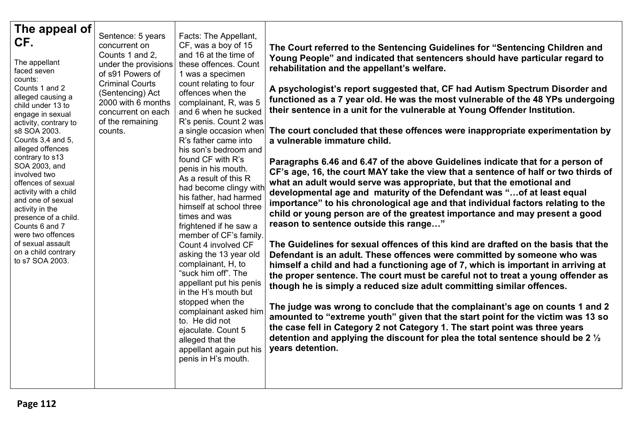| The appeal of<br>CF.<br>The appellant<br>faced seven<br>counts:<br>Counts 1 and 2<br>alleged causing a<br>child under 13 to<br>engage in sexual<br>activity, contrary to<br>s8 SOA 2003.<br>Counts 3,4 and 5,<br>alleged offences<br>contrary to s13<br>SOA 2003, and<br>involved two<br>offences of sexual<br>activity with a child<br>and one of sexual<br>activity in the<br>presence of a child.<br>Counts 6 and 7<br>were two offences<br>of sexual assault<br>on a child contrary<br>to s7 SOA 2003. | Sentence: 5 years<br>concurrent on<br>Counts 1 and 2,<br>under the provisions<br>of s91 Powers of<br><b>Criminal Courts</b><br>(Sentencing) Act<br>2000 with 6 months<br>concurrent on each<br>of the remaining<br>counts. | Facts: The Appellant,<br>CF, was a boy of 15<br>and 16 at the time of<br>these offences. Count<br>1 was a specimen<br>count relating to four<br>offences when the<br>complainant, R, was 5<br>and 6 when he sucked<br>R's penis. Count 2 was<br>a single occasion when<br>R's father came into<br>his son's bedroom and<br>found CF with R's<br>penis in his mouth.<br>As a result of this R<br>had become clingy with<br>his father, had harmed<br>himself at school three<br>times and was<br>frightened if he saw a<br>member of CF's family.<br>Count 4 involved CF<br>asking the 13 year old<br>complainant, H, to<br>"suck him off". The<br>appellant put his penis<br>in the H's mouth but<br>stopped when the<br>complainant asked him<br>to. He did not<br>ejaculate. Count 5<br>alleged that the<br>appellant again put his<br>penis in H's mouth. | The Court referred to the Sentencing Guidelines for "Sentencing Children and<br>Young People" and indicated that sentencers should have particular regard to<br>rehabilitation and the appellant's welfare.<br>A psychologist's report suggested that, CF had Autism Spectrum Disorder and<br>functioned as a 7 year old. He was the most vulnerable of the 48 YPs undergoing<br>their sentence in a unit for the vulnerable at Young Offender Institution.<br>The court concluded that these offences were inappropriate experimentation by<br>a vulnerable immature child.<br>Paragraphs 6.46 and 6.47 of the above Guidelines indicate that for a person of<br>CF's age, 16, the court MAY take the view that a sentence of half or two thirds of<br>what an adult would serve was appropriate, but that the emotional and<br>developmental age and maturity of the Defendant was " of at least equal<br>importance" to his chronological age and that individual factors relating to the<br>child or young person are of the greatest importance and may present a good<br>reason to sentence outside this range"<br>The Guidelines for sexual offences of this kind are drafted on the basis that the<br>Defendant is an adult. These offences were committed by someone who was<br>himself a child and had a functioning age of 7, which is important in arriving at<br>the proper sentence. The court must be careful not to treat a young offender as<br>though he is simply a reduced size adult committing similar offences.<br>The judge was wrong to conclude that the complainant's age on counts 1 and 2<br>amounted to "extreme youth" given that the start point for the victim was 13 so<br>the case fell in Category 2 not Category 1. The start point was three years<br>detention and applying the discount for plea the total sentence should be 2 $\frac{1}{2}$<br>years detention. |
|------------------------------------------------------------------------------------------------------------------------------------------------------------------------------------------------------------------------------------------------------------------------------------------------------------------------------------------------------------------------------------------------------------------------------------------------------------------------------------------------------------|----------------------------------------------------------------------------------------------------------------------------------------------------------------------------------------------------------------------------|--------------------------------------------------------------------------------------------------------------------------------------------------------------------------------------------------------------------------------------------------------------------------------------------------------------------------------------------------------------------------------------------------------------------------------------------------------------------------------------------------------------------------------------------------------------------------------------------------------------------------------------------------------------------------------------------------------------------------------------------------------------------------------------------------------------------------------------------------------------|-----------------------------------------------------------------------------------------------------------------------------------------------------------------------------------------------------------------------------------------------------------------------------------------------------------------------------------------------------------------------------------------------------------------------------------------------------------------------------------------------------------------------------------------------------------------------------------------------------------------------------------------------------------------------------------------------------------------------------------------------------------------------------------------------------------------------------------------------------------------------------------------------------------------------------------------------------------------------------------------------------------------------------------------------------------------------------------------------------------------------------------------------------------------------------------------------------------------------------------------------------------------------------------------------------------------------------------------------------------------------------------------------------------------------------------------------------------------------------------------------------------------------------------------------------------------------------------------------------------------------------------------------------------------------------------------------------------------------------------------------------------------------------------------------------------------------------------------------------------------------------------------------------------|
|------------------------------------------------------------------------------------------------------------------------------------------------------------------------------------------------------------------------------------------------------------------------------------------------------------------------------------------------------------------------------------------------------------------------------------------------------------------------------------------------------------|----------------------------------------------------------------------------------------------------------------------------------------------------------------------------------------------------------------------------|--------------------------------------------------------------------------------------------------------------------------------------------------------------------------------------------------------------------------------------------------------------------------------------------------------------------------------------------------------------------------------------------------------------------------------------------------------------------------------------------------------------------------------------------------------------------------------------------------------------------------------------------------------------------------------------------------------------------------------------------------------------------------------------------------------------------------------------------------------------|-----------------------------------------------------------------------------------------------------------------------------------------------------------------------------------------------------------------------------------------------------------------------------------------------------------------------------------------------------------------------------------------------------------------------------------------------------------------------------------------------------------------------------------------------------------------------------------------------------------------------------------------------------------------------------------------------------------------------------------------------------------------------------------------------------------------------------------------------------------------------------------------------------------------------------------------------------------------------------------------------------------------------------------------------------------------------------------------------------------------------------------------------------------------------------------------------------------------------------------------------------------------------------------------------------------------------------------------------------------------------------------------------------------------------------------------------------------------------------------------------------------------------------------------------------------------------------------------------------------------------------------------------------------------------------------------------------------------------------------------------------------------------------------------------------------------------------------------------------------------------------------------------------------|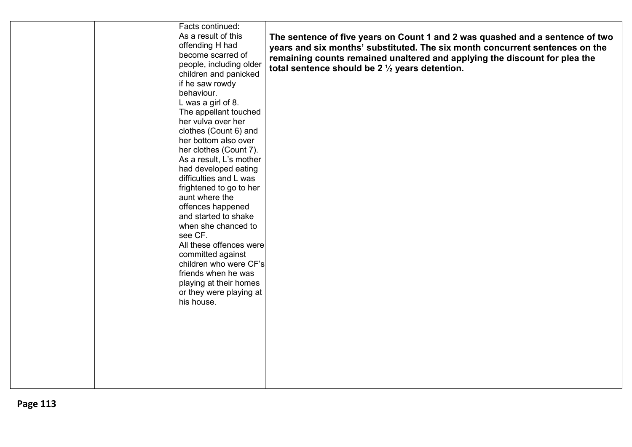|  | Facts continued:        |                                                                               |
|--|-------------------------|-------------------------------------------------------------------------------|
|  | As a result of this     | The sentence of five years on Count 1 and 2 was quashed and a sentence of two |
|  | offending H had         | years and six months' substituted. The six month concurrent sentences on the  |
|  | become scarred of       | remaining counts remained unaltered and applying the discount for plea the    |
|  | people, including older | total sentence should be 2 $\frac{1}{2}$ years detention.                     |
|  | children and panicked   |                                                                               |
|  | if he saw rowdy         |                                                                               |
|  | behaviour.              |                                                                               |
|  | L was a girl of 8.      |                                                                               |
|  | The appellant touched   |                                                                               |
|  | her vulva over her      |                                                                               |
|  | clothes (Count 6) and   |                                                                               |
|  | her bottom also over    |                                                                               |
|  | her clothes (Count 7).  |                                                                               |
|  | As a result, L's mother |                                                                               |
|  | had developed eating    |                                                                               |
|  | difficulties and L was  |                                                                               |
|  | frightened to go to her |                                                                               |
|  | aunt where the          |                                                                               |
|  |                         |                                                                               |
|  | offences happened       |                                                                               |
|  | and started to shake    |                                                                               |
|  | when she chanced to     |                                                                               |
|  | see CF.                 |                                                                               |
|  | All these offences were |                                                                               |
|  | committed against       |                                                                               |
|  | children who were CF's  |                                                                               |
|  | friends when he was     |                                                                               |
|  | playing at their homes  |                                                                               |
|  | or they were playing at |                                                                               |
|  | his house.              |                                                                               |
|  |                         |                                                                               |
|  |                         |                                                                               |
|  |                         |                                                                               |
|  |                         |                                                                               |
|  |                         |                                                                               |
|  |                         |                                                                               |
|  |                         |                                                                               |
|  |                         |                                                                               |
|  |                         |                                                                               |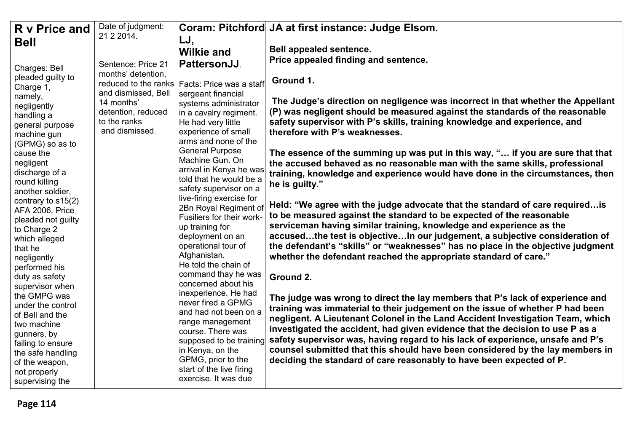| Date of judgment:<br>R v Price and                                                                                                                                                                                                                                                                                                                                                                                                                                                                                                                                                                                                                                                                                                             |                                                                                                                                                                                                                                                                                                                                                                                                                                                                                                                                                                                                                                                                                                                                                                                    | Coram: Pitchford JA at first instance: Judge Elsom.                                                                                                                                                                                                                                                                                                                                                                                                                                                                                                                                                                                                                                                                                                                                                                                                                                                                                                                                                                                                                                                                                                                                                                                                                                                                                                                                                                                                                                                                                                                                                                                |
|------------------------------------------------------------------------------------------------------------------------------------------------------------------------------------------------------------------------------------------------------------------------------------------------------------------------------------------------------------------------------------------------------------------------------------------------------------------------------------------------------------------------------------------------------------------------------------------------------------------------------------------------------------------------------------------------------------------------------------------------|------------------------------------------------------------------------------------------------------------------------------------------------------------------------------------------------------------------------------------------------------------------------------------------------------------------------------------------------------------------------------------------------------------------------------------------------------------------------------------------------------------------------------------------------------------------------------------------------------------------------------------------------------------------------------------------------------------------------------------------------------------------------------------|------------------------------------------------------------------------------------------------------------------------------------------------------------------------------------------------------------------------------------------------------------------------------------------------------------------------------------------------------------------------------------------------------------------------------------------------------------------------------------------------------------------------------------------------------------------------------------------------------------------------------------------------------------------------------------------------------------------------------------------------------------------------------------------------------------------------------------------------------------------------------------------------------------------------------------------------------------------------------------------------------------------------------------------------------------------------------------------------------------------------------------------------------------------------------------------------------------------------------------------------------------------------------------------------------------------------------------------------------------------------------------------------------------------------------------------------------------------------------------------------------------------------------------------------------------------------------------------------------------------------------------|
| 21 2 2014.<br><b>Bell</b>                                                                                                                                                                                                                                                                                                                                                                                                                                                                                                                                                                                                                                                                                                                      | LJ,                                                                                                                                                                                                                                                                                                                                                                                                                                                                                                                                                                                                                                                                                                                                                                                |                                                                                                                                                                                                                                                                                                                                                                                                                                                                                                                                                                                                                                                                                                                                                                                                                                                                                                                                                                                                                                                                                                                                                                                                                                                                                                                                                                                                                                                                                                                                                                                                                                    |
|                                                                                                                                                                                                                                                                                                                                                                                                                                                                                                                                                                                                                                                                                                                                                | <b>Wilkie and</b>                                                                                                                                                                                                                                                                                                                                                                                                                                                                                                                                                                                                                                                                                                                                                                  | Bell appealed sentence.                                                                                                                                                                                                                                                                                                                                                                                                                                                                                                                                                                                                                                                                                                                                                                                                                                                                                                                                                                                                                                                                                                                                                                                                                                                                                                                                                                                                                                                                                                                                                                                                            |
| Sentence: Price 21                                                                                                                                                                                                                                                                                                                                                                                                                                                                                                                                                                                                                                                                                                                             | <b>PattersonJJ.</b>                                                                                                                                                                                                                                                                                                                                                                                                                                                                                                                                                                                                                                                                                                                                                                | Price appealed finding and sentence.                                                                                                                                                                                                                                                                                                                                                                                                                                                                                                                                                                                                                                                                                                                                                                                                                                                                                                                                                                                                                                                                                                                                                                                                                                                                                                                                                                                                                                                                                                                                                                                               |
| Charges: Bell<br>months' detention,<br>pleaded guilty to<br>reduced to the ranks<br>Charge 1,<br>and dismissed, Bell<br>namely,<br>14 months'<br>negligently<br>detention, reduced<br>handling a<br>to the ranks<br>general purpose<br>and dismissed.<br>machine gun<br>(GPMG) so as to<br>cause the<br>negligent<br>discharge of a<br>round killing<br>another soldier,<br>contrary to $s15(2)$<br>AFA 2006. Price<br>pleaded not guilty<br>to Charge 2<br>which alleged<br>that he<br>negligently<br>performed his<br>duty as safety<br>supervisor when<br>the GMPG was<br>under the control<br>of Bell and the<br>two machine<br>gunners, by<br>failing to ensure<br>the safe handling<br>of the weapon,<br>not properly<br>supervising the | Facts: Price was a staff<br>sergeant financial<br>systems administrator<br>in a cavalry regiment.<br>He had very little<br>experience of small<br>arms and none of the<br><b>General Purpose</b><br>Machine Gun. On<br>arrival in Kenya he was<br>told that he would be a<br>safety supervisor on a<br>live-firing exercise for<br>2Bn Royal Regiment of<br>Fusiliers for their work-<br>up training for<br>deployment on an<br>operational tour of<br>Afghanistan.<br>He told the chain of<br>command thay he was<br>concerned about his<br>inexperience. He had<br>never fired a GPMG<br>and had not been on a<br>range management<br>course. There was<br>supposed to be training<br>in Kenya, on the<br>GPMG, prior to the<br>start of the live firing<br>exercise. It was due | Ground 1.<br>The Judge's direction on negligence was incorrect in that whether the Appellant<br>(P) was negligent should be measured against the standards of the reasonable<br>safety supervisor with P's skills, training knowledge and experience, and<br>therefore with P's weaknesses.<br>The essence of the summing up was put in this way, " if you are sure that that<br>the accused behaved as no reasonable man with the same skills, professional<br>training, knowledge and experience would have done in the circumstances, then<br>he is guilty."<br>Held: "We agree with the judge advocate that the standard of care required is<br>to be measured against the standard to be expected of the reasonable<br>serviceman having similar training, knowledge and experience as the<br>accusedthe test is objectiveIn our judgement, a subjective consideration of<br>the defendant's "skills" or "weaknesses" has no place in the objective judgment<br>whether the defendant reached the appropriate standard of care."<br>Ground 2.<br>The judge was wrong to direct the lay members that P's lack of experience and<br>training was immaterial to their judgement on the issue of whether P had been<br>negligent. A Lieutenant Colonel in the Land Accident Investigation Team, which<br>investigated the accident, had given evidence that the decision to use P as a<br>safety supervisor was, having regard to his lack of experience, unsafe and P's<br>counsel submitted that this should have been considered by the lay members in<br>deciding the standard of care reasonably to have been expected of P. |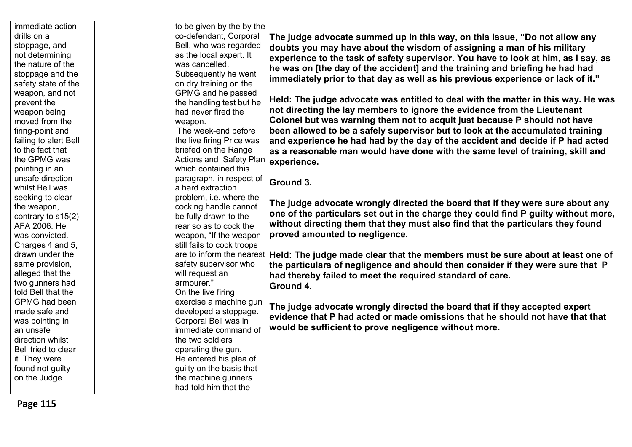| immediate action      | to be given by the by the      |                                                                                     |
|-----------------------|--------------------------------|-------------------------------------------------------------------------------------|
| drills on a           | co-defendant, Corporal         | The judge advocate summed up in this way, on this issue, "Do not allow any          |
| stoppage, and         | Bell, who was regarded         | doubts you may have about the wisdom of assigning a man of his military             |
| not determining       | as the local expert. It        | experience to the task of safety supervisor. You have to look at him, as I say, as  |
| the nature of the     | was cancelled.                 | he was on [the day of the accident] and the training and briefing he had had        |
| stoppage and the      | Subsequently he went           | immediately prior to that day as well as his previous experience or lack of it."    |
| safety state of the   | on dry training on the         |                                                                                     |
| weapon, and not       | <b>GPMG</b> and he passed      |                                                                                     |
| prevent the           | the handling test but he       | Held: The judge advocate was entitled to deal with the matter in this way. He was   |
| weapon being          | had never fired the            | not directing the lay members to ignore the evidence from the Lieutenant            |
| moved from the        | weapon.                        | Colonel but was warning them not to acquit just because P should not have           |
| firing-point and      | The week-end before            | been allowed to be a safely supervisor but to look at the accumulated training      |
| failing to alert Bell | the live firing Price was      | and experience he had had by the day of the accident and decide if P had acted      |
| to the fact that      | briefed on the Range           | as a reasonable man would have done with the same level of training, skill and      |
| the GPMG was          | <b>Actions and Safety Plan</b> | experience.                                                                         |
| pointing in an        | which contained this           |                                                                                     |
| unsafe direction      | paragraph, in respect of       | Ground 3.                                                                           |
| whilst Bell was       | a hard extraction              |                                                                                     |
| seeking to clear      | problem, i.e. where the        |                                                                                     |
| the weapon,           | cocking handle cannot          | The judge advocate wrongly directed the board that if they were sure about any      |
| contrary to s15(2)    | be fully drawn to the          | one of the particulars set out in the charge they could find P guilty without more, |
| AFA 2006. He          | rear so as to cock the         | without directing them that they must also find that the particulars they found     |
| was convicted.        | weapon, "If the weapon         | proved amounted to negligence.                                                      |
| Charges 4 and 5,      | still fails to cock troops     |                                                                                     |
| drawn under the       | are to inform the nearest      | Held: The judge made clear that the members must be sure about at least one of      |
| same provision,       | safety supervisor who          | the particulars of negligence and should then consider if they were sure that P     |
| alleged that the      | will request an                | had thereby failed to meet the required standard of care.                           |
| two gunners had       | armourer."                     | Ground 4.                                                                           |
| told Bell that the    | On the live firing             |                                                                                     |
| <b>GPMG</b> had been  | exercise a machine gun         | The judge advocate wrongly directed the board that if they accepted expert          |
| made safe and         | developed a stoppage.          | evidence that P had acted or made omissions that he should not have that that       |
| was pointing in       | Corporal Bell was in           |                                                                                     |
| an unsafe             | immediate command of           | would be sufficient to prove negligence without more.                               |
| direction whilst      | the two soldiers               |                                                                                     |
| Bell tried to clear   | operating the gun.             |                                                                                     |
| it. They were         | He entered his plea of         |                                                                                     |
| found not guilty      | guilty on the basis that       |                                                                                     |
| on the Judge          | the machine gunners            |                                                                                     |
|                       | had told him that the          |                                                                                     |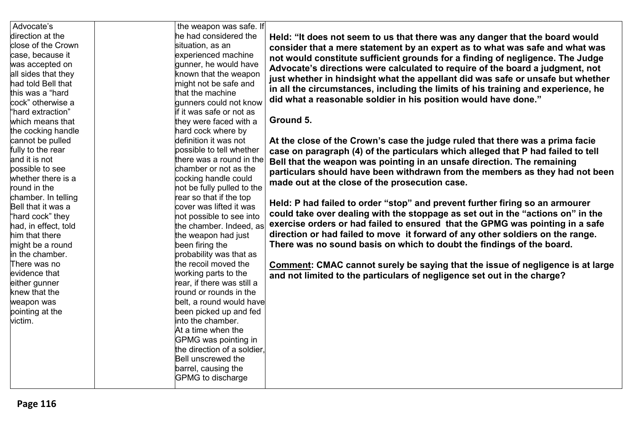| Advocate's           | the weapon was safe. If     |                                                                                       |
|----------------------|-----------------------------|---------------------------------------------------------------------------------------|
| direction at the     | he had considered the       | Held: "It does not seem to us that there was any danger that the board would          |
| close of the Crown   | situation, as an            | consider that a mere statement by an expert as to what was safe and what was          |
| case, because it     | experienced machine         |                                                                                       |
| was accepted on      | gunner, he would have       | not would constitute sufficient grounds for a finding of negligence. The Judge        |
| all sides that they  | known that the weapon       | Advocate's directions were calculated to require of the board a judgment, not         |
| had told Bell that   | might not be safe and       | just whether in hindsight what the appellant did was safe or unsafe but whether       |
| this was a "hard     | that the machine            | in all the circumstances, including the limits of his training and experience, he     |
| cock" otherwise a    | gunners could not know      | did what a reasonable soldier in his position would have done."                       |
| "hard extraction"    | if it was safe or not as    |                                                                                       |
| which means that     | they were faced with a      | Ground 5.                                                                             |
| the cocking handle   | hard cock where by          |                                                                                       |
| cannot be pulled     | definition it was not       | At the close of the Crown's case the judge ruled that there was a prima facie         |
| fully to the rear    | possible to tell whether    | case on paragraph (4) of the particulars which alleged that P had failed to tell      |
| and it is not        | there was a round in the    | Bell that the weapon was pointing in an unsafe direction. The remaining               |
| possible to see      | chamber or not as the       | particulars should have been withdrawn from the members as they had not been          |
| whether there is a   | cocking handle could        |                                                                                       |
| round in the         | not be fully pulled to the  | made out at the close of the prosecution case.                                        |
| chamber. In telling  | rear so that if the top     |                                                                                       |
| Bell that it was a   | cover was lifted it was     | Held: P had failed to order "stop" and prevent further firing so an armourer          |
| "hard cock" they     | not possible to see into    | could take over dealing with the stoppage as set out in the "actions on" in the       |
| had, in effect, told | the chamber. Indeed, as     | exercise orders or had failed to ensured that the GPMG was pointing in a safe         |
| him that there       | the weapon had just         | direction or had failed to move it forward of any other soldiers on the range.        |
| might be a round     | been firing the             | There was no sound basis on which to doubt the findings of the board.                 |
| in the chamber.      | probability was that as     |                                                                                       |
| There was no         | the recoil moved the        | <b>Comment: CMAC cannot surely be saying that the issue of negligence is at large</b> |
| evidence that        | working parts to the        | and not limited to the particulars of negligence set out in the charge?               |
| either gunner        | rear, if there was still a  |                                                                                       |
| knew that the        | round or rounds in the      |                                                                                       |
| weapon was           | belt, a round would have    |                                                                                       |
| pointing at the      | been picked up and fed      |                                                                                       |
| victim.              | into the chamber.           |                                                                                       |
|                      | At a time when the          |                                                                                       |
|                      | GPMG was pointing in        |                                                                                       |
|                      | the direction of a soldier. |                                                                                       |
|                      | Bell unscrewed the          |                                                                                       |
|                      | barrel, causing the         |                                                                                       |
|                      | GPMG to discharge           |                                                                                       |
|                      |                             |                                                                                       |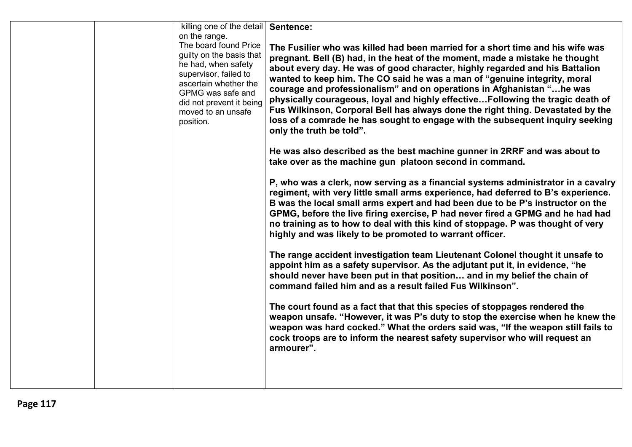|  | killing one of the detail   Sentence:<br>on the range.                                                                                                                                                         |                                                                                                                                                                                                                                                                                                                                                                                                                                                                                                                                                                                                                                                                                         |
|--|----------------------------------------------------------------------------------------------------------------------------------------------------------------------------------------------------------------|-----------------------------------------------------------------------------------------------------------------------------------------------------------------------------------------------------------------------------------------------------------------------------------------------------------------------------------------------------------------------------------------------------------------------------------------------------------------------------------------------------------------------------------------------------------------------------------------------------------------------------------------------------------------------------------------|
|  | The board found Price<br>guilty on the basis that<br>he had, when safety<br>supervisor, failed to<br>ascertain whether the<br>GPMG was safe and<br>did not prevent it being<br>moved to an unsafe<br>position. | The Fusilier who was killed had been married for a short time and his wife was<br>pregnant. Bell (B) had, in the heat of the moment, made a mistake he thought<br>about every day. He was of good character, highly regarded and his Battalion<br>wanted to keep him. The CO said he was a man of "genuine integrity, moral<br>courage and professionalism" and on operations in Afghanistan "he was<br>physically courageous, loyal and highly effective Following the tragic death of<br>Fus Wilkinson, Corporal Bell has always done the right thing. Devastated by the<br>loss of a comrade he has sought to engage with the subsequent inquiry seeking<br>only the truth be told". |
|  |                                                                                                                                                                                                                | He was also described as the best machine gunner in 2RRF and was about to<br>take over as the machine gun platoon second in command.                                                                                                                                                                                                                                                                                                                                                                                                                                                                                                                                                    |
|  |                                                                                                                                                                                                                | P, who was a clerk, now serving as a financial systems administrator in a cavalry<br>regiment, with very little small arms experience, had deferred to B's experience.<br>B was the local small arms expert and had been due to be P's instructor on the<br>GPMG, before the live firing exercise, P had never fired a GPMG and he had had<br>no training as to how to deal with this kind of stoppage. P was thought of very<br>highly and was likely to be promoted to warrant officer.                                                                                                                                                                                               |
|  |                                                                                                                                                                                                                | The range accident investigation team Lieutenant Colonel thought it unsafe to<br>appoint him as a safety supervisor. As the adjutant put it, in evidence, "he<br>should never have been put in that position and in my belief the chain of<br>command failed him and as a result failed Fus Wilkinson".                                                                                                                                                                                                                                                                                                                                                                                 |
|  |                                                                                                                                                                                                                | The court found as a fact that that this species of stoppages rendered the<br>weapon unsafe. "However, it was P's duty to stop the exercise when he knew the<br>weapon was hard cocked." What the orders said was, "If the weapon still fails to<br>cock troops are to inform the nearest safety supervisor who will request an<br>armourer".                                                                                                                                                                                                                                                                                                                                           |
|  |                                                                                                                                                                                                                |                                                                                                                                                                                                                                                                                                                                                                                                                                                                                                                                                                                                                                                                                         |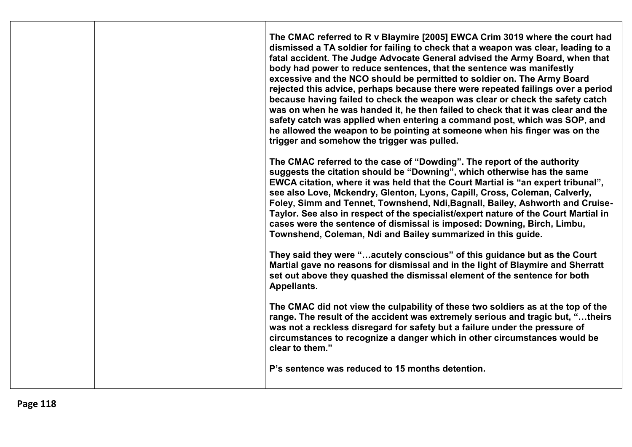|  | The CMAC referred to R v Blaymire [2005] EWCA Crim 3019 where the court had<br>dismissed a TA soldier for failing to check that a weapon was clear, leading to a<br>fatal accident. The Judge Advocate General advised the Army Board, when that<br>body had power to reduce sentences, that the sentence was manifestly<br>excessive and the NCO should be permitted to soldier on. The Army Board<br>rejected this advice, perhaps because there were repeated failings over a period<br>because having failed to check the weapon was clear or check the safety catch<br>was on when he was handed it, he then failed to check that it was clear and the<br>safety catch was applied when entering a command post, which was SOP, and<br>he allowed the weapon to be pointing at someone when his finger was on the<br>trigger and somehow the trigger was pulled.<br>The CMAC referred to the case of "Dowding". The report of the authority<br>suggests the citation should be "Downing", which otherwise has the same |
|--|-----------------------------------------------------------------------------------------------------------------------------------------------------------------------------------------------------------------------------------------------------------------------------------------------------------------------------------------------------------------------------------------------------------------------------------------------------------------------------------------------------------------------------------------------------------------------------------------------------------------------------------------------------------------------------------------------------------------------------------------------------------------------------------------------------------------------------------------------------------------------------------------------------------------------------------------------------------------------------------------------------------------------------|
|  | EWCA citation, where it was held that the Court Martial is "an expert tribunal",<br>see also Love, Mckendry, Glenton, Lyons, Capill, Cross, Coleman, Calverly,<br>Foley, Simm and Tennet, Townshend, Ndi, Bagnall, Bailey, Ashworth and Cruise-<br>Taylor. See also in respect of the specialist/expert nature of the Court Martial in<br>cases were the sentence of dismissal is imposed: Downing, Birch, Limbu,<br>Townshend, Coleman, Ndi and Bailey summarized in this guide.                                                                                                                                                                                                                                                                                                                                                                                                                                                                                                                                           |
|  | They said they were "acutely conscious" of this guidance but as the Court<br>Martial gave no reasons for dismissal and in the light of Blaymire and Sherratt<br>set out above they quashed the dismissal element of the sentence for both<br>Appellants.                                                                                                                                                                                                                                                                                                                                                                                                                                                                                                                                                                                                                                                                                                                                                                    |
|  | The CMAC did not view the culpability of these two soldiers as at the top of the<br>range. The result of the accident was extremely serious and tragic but, "theirs<br>was not a reckless disregard for safety but a failure under the pressure of<br>circumstances to recognize a danger which in other circumstances would be<br>clear to them."                                                                                                                                                                                                                                                                                                                                                                                                                                                                                                                                                                                                                                                                          |
|  | P's sentence was reduced to 15 months detention.                                                                                                                                                                                                                                                                                                                                                                                                                                                                                                                                                                                                                                                                                                                                                                                                                                                                                                                                                                            |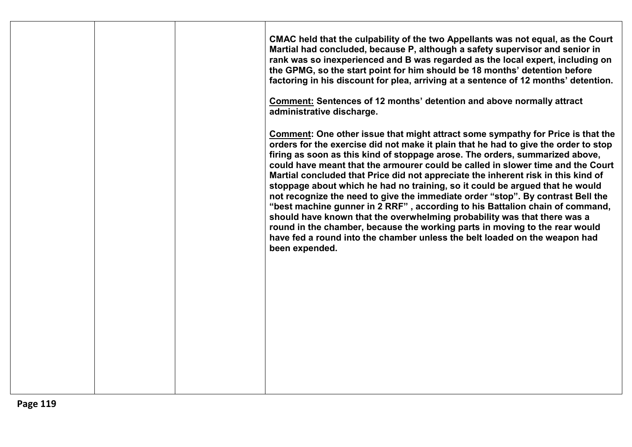|  |  |  | CMAC held that the culpability of the two Appellants was not equal, as the Court<br>Martial had concluded, because P, although a safety supervisor and senior in<br>rank was so inexperienced and B was regarded as the local expert, including on<br>the GPMG, so the start point for him should be 18 months' detention before<br>factoring in his discount for plea, arriving at a sentence of 12 months' detention.<br>Comment: Sentences of 12 months' detention and above normally attract<br>administrative discharge.<br><b>Comment: One other issue that might attract some sympathy for Price is that the</b><br>orders for the exercise did not make it plain that he had to give the order to stop<br>firing as soon as this kind of stoppage arose. The orders, summarized above,<br>could have meant that the armourer could be called in slower time and the Court<br>Martial concluded that Price did not appreciate the inherent risk in this kind of<br>stoppage about which he had no training, so it could be argued that he would<br>not recognize the need to give the immediate order "stop". By contrast Bell the<br>"best machine gunner in 2 RRF", according to his Battalion chain of command,<br>should have known that the overwhelming probability was that there was a<br>round in the chamber, because the working parts in moving to the rear would<br>have fed a round into the chamber unless the belt loaded on the weapon had<br>been expended. |
|--|--|--|--------------------------------------------------------------------------------------------------------------------------------------------------------------------------------------------------------------------------------------------------------------------------------------------------------------------------------------------------------------------------------------------------------------------------------------------------------------------------------------------------------------------------------------------------------------------------------------------------------------------------------------------------------------------------------------------------------------------------------------------------------------------------------------------------------------------------------------------------------------------------------------------------------------------------------------------------------------------------------------------------------------------------------------------------------------------------------------------------------------------------------------------------------------------------------------------------------------------------------------------------------------------------------------------------------------------------------------------------------------------------------------------------------------------------------------------------------------------------------------|
|--|--|--|--------------------------------------------------------------------------------------------------------------------------------------------------------------------------------------------------------------------------------------------------------------------------------------------------------------------------------------------------------------------------------------------------------------------------------------------------------------------------------------------------------------------------------------------------------------------------------------------------------------------------------------------------------------------------------------------------------------------------------------------------------------------------------------------------------------------------------------------------------------------------------------------------------------------------------------------------------------------------------------------------------------------------------------------------------------------------------------------------------------------------------------------------------------------------------------------------------------------------------------------------------------------------------------------------------------------------------------------------------------------------------------------------------------------------------------------------------------------------------------|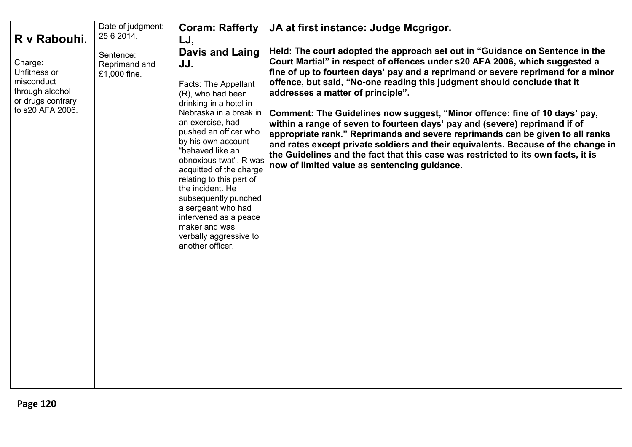|                                                                                                                   | Date of judgment:                                        | <b>Coram: Rafferty</b>                                                                                                                                                                                                                                                                                                                                                                                                                                                  | JA at first instance: Judge Mcgrigor.                                                                                                                                                                                                                                                                                                                                                                                                                                                                                                                                                                                                                                                                                                                                                                                                   |
|-------------------------------------------------------------------------------------------------------------------|----------------------------------------------------------|-------------------------------------------------------------------------------------------------------------------------------------------------------------------------------------------------------------------------------------------------------------------------------------------------------------------------------------------------------------------------------------------------------------------------------------------------------------------------|-----------------------------------------------------------------------------------------------------------------------------------------------------------------------------------------------------------------------------------------------------------------------------------------------------------------------------------------------------------------------------------------------------------------------------------------------------------------------------------------------------------------------------------------------------------------------------------------------------------------------------------------------------------------------------------------------------------------------------------------------------------------------------------------------------------------------------------------|
|                                                                                                                   |                                                          |                                                                                                                                                                                                                                                                                                                                                                                                                                                                         |                                                                                                                                                                                                                                                                                                                                                                                                                                                                                                                                                                                                                                                                                                                                                                                                                                         |
| R v Rabouhi.<br>Charge:<br>Unfitness or<br>misconduct<br>through alcohol<br>or drugs contrary<br>to s20 AFA 2006. | 25 6 2014.<br>Sentence:<br>Reprimand and<br>£1,000 fine. | LJ,<br>Davis and Laing<br>JJ.<br><b>Facts: The Appellant</b><br>(R), who had been<br>drinking in a hotel in<br>Nebraska in a break in<br>an exercise, had<br>pushed an officer who<br>by his own account<br>"behaved like an<br>obnoxious twat". R was<br>acquitted of the charge<br>relating to this part of<br>the incident. He<br>subsequently punched<br>a sergeant who had<br>intervened as a peace<br>maker and was<br>verbally aggressive to<br>another officer. | Held: The court adopted the approach set out in "Guidance on Sentence in the<br>Court Martial" in respect of offences under s20 AFA 2006, which suggested a<br>fine of up to fourteen days' pay and a reprimand or severe reprimand for a minor<br>offence, but said, "No-one reading this judgment should conclude that it<br>addresses a matter of principle".<br>Comment: The Guidelines now suggest, "Minor offence: fine of 10 days' pay,<br>within a range of seven to fourteen days' pay and (severe) reprimand if of<br>appropriate rank." Reprimands and severe reprimands can be given to all ranks<br>and rates except private soldiers and their equivalents. Because of the change in<br>the Guidelines and the fact that this case was restricted to its own facts, it is<br>now of limited value as sentencing guidance. |
|                                                                                                                   |                                                          |                                                                                                                                                                                                                                                                                                                                                                                                                                                                         |                                                                                                                                                                                                                                                                                                                                                                                                                                                                                                                                                                                                                                                                                                                                                                                                                                         |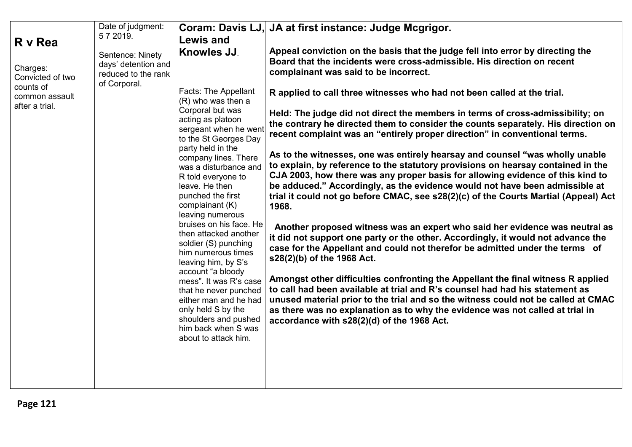|                                               | Date of judgment:                                                              |                                                                                                                                                                                            | Coram: Davis LJ, JA at first instance: Judge Mcgrigor.                                                                                                                                                                                                                                                                                                                                                                             |
|-----------------------------------------------|--------------------------------------------------------------------------------|--------------------------------------------------------------------------------------------------------------------------------------------------------------------------------------------|------------------------------------------------------------------------------------------------------------------------------------------------------------------------------------------------------------------------------------------------------------------------------------------------------------------------------------------------------------------------------------------------------------------------------------|
| R v Rea                                       | 572019.                                                                        | <b>Lewis and</b>                                                                                                                                                                           |                                                                                                                                                                                                                                                                                                                                                                                                                                    |
| Charges:<br>Convicted of two                  | Sentence: Ninety<br>days' detention and<br>reduced to the rank<br>of Corporal. | Knowles JJ.                                                                                                                                                                                | Appeal conviction on the basis that the judge fell into error by directing the<br>Board that the incidents were cross-admissible. His direction on recent<br>complainant was said to be incorrect.                                                                                                                                                                                                                                 |
| counts of<br>common assault<br>after a trial. |                                                                                | Facts: The Appellant<br>(R) who was then a                                                                                                                                                 | R applied to call three witnesses who had not been called at the trial.                                                                                                                                                                                                                                                                                                                                                            |
|                                               |                                                                                | Corporal but was<br>acting as platoon<br>sergeant when he went<br>to the St Georges Day                                                                                                    | Held: The judge did not direct the members in terms of cross-admissibility; on<br>the contrary he directed them to consider the counts separately. His direction on<br>recent complaint was an "entirely proper direction" in conventional terms.                                                                                                                                                                                  |
|                                               |                                                                                | party held in the<br>company lines. There<br>was a disturbance and<br>R told everyone to<br>leave. He then<br>punched the first<br>complainant (K)<br>leaving numerous                     | As to the witnesses, one was entirely hearsay and counsel "was wholly unable"<br>to explain, by reference to the statutory provisions on hearsay contained in the<br>CJA 2003, how there was any proper basis for allowing evidence of this kind to<br>be adduced." Accordingly, as the evidence would not have been admissible at<br>trial it could not go before CMAC, see s28(2)(c) of the Courts Martial (Appeal) Act<br>1968. |
|                                               |                                                                                | bruises on his face. He<br>then attacked another<br>soldier (S) punching<br>him numerous times<br>leaving him, by S's                                                                      | Another proposed witness was an expert who said her evidence was neutral as<br>it did not support one party or the other. Accordingly, it would not advance the<br>case for the Appellant and could not therefor be admitted under the terms of<br>s28(2)(b) of the 1968 Act.                                                                                                                                                      |
|                                               |                                                                                | account "a bloody<br>mess". It was R's case<br>that he never punched<br>either man and he had<br>only held S by the<br>shoulders and pushed<br>him back when S was<br>about to attack him. | Amongst other difficulties confronting the Appellant the final witness R applied<br>to call had been available at trial and R's counsel had had his statement as<br>unused material prior to the trial and so the witness could not be called at CMAC<br>as there was no explanation as to why the evidence was not called at trial in<br>accordance with s28(2)(d) of the 1968 Act.                                               |
|                                               |                                                                                |                                                                                                                                                                                            |                                                                                                                                                                                                                                                                                                                                                                                                                                    |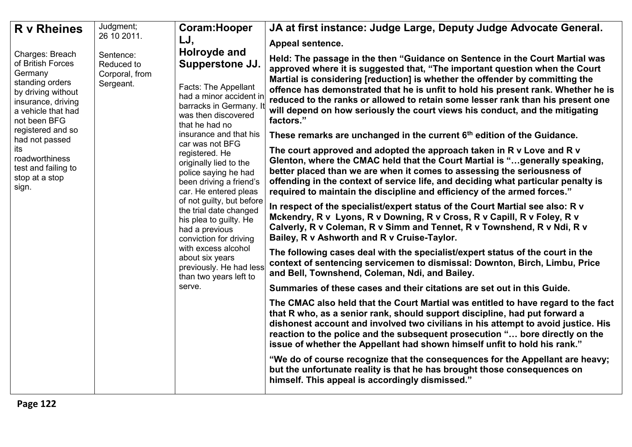| <b>R</b> v Rheines                                                                                                                                   | Judgment;                                              | Coram: Hooper                                                                                                                                                                                                                                                                                                                                                       | JA at first instance: Judge Large, Deputy Judge Advocate General.                                                                                                                                                                                                                                                                                                                                                                                                                                                |
|------------------------------------------------------------------------------------------------------------------------------------------------------|--------------------------------------------------------|---------------------------------------------------------------------------------------------------------------------------------------------------------------------------------------------------------------------------------------------------------------------------------------------------------------------------------------------------------------------|------------------------------------------------------------------------------------------------------------------------------------------------------------------------------------------------------------------------------------------------------------------------------------------------------------------------------------------------------------------------------------------------------------------------------------------------------------------------------------------------------------------|
|                                                                                                                                                      | 26 10 2011.                                            | LJ,                                                                                                                                                                                                                                                                                                                                                                 | Appeal sentence.                                                                                                                                                                                                                                                                                                                                                                                                                                                                                                 |
| Charges: Breach<br>of British Forces<br>Germany<br>standing orders<br>by driving without<br>insurance, driving<br>a vehicle that had<br>not been BFG | Sentence:<br>Reduced to<br>Corporal, from<br>Sergeant. | Holroyde and<br>Supperstone JJ.<br>Facts: The Appellant<br>had a minor accident in<br>barracks in Germany. It<br>was then discovered<br>that he had no                                                                                                                                                                                                              | Held: The passage in the then "Guidance on Sentence in the Court Martial was<br>approved where it is suggested that, "The important question when the Court<br>Martial is considering [reduction] is whether the offender by committing the<br>offence has demonstrated that he is unfit to hold his present rank. Whether he is<br>reduced to the ranks or allowed to retain some lesser rank than his present one<br>will depend on how seriously the court views his conduct, and the mitigating<br>factors." |
| registered and so<br>had not passed                                                                                                                  |                                                        | insurance and that his                                                                                                                                                                                                                                                                                                                                              | These remarks are unchanged in the current 6 <sup>th</sup> edition of the Guidance.                                                                                                                                                                                                                                                                                                                                                                                                                              |
| its<br>roadworthiness<br>test and failing to<br>stop at a stop<br>sign.                                                                              |                                                        | car was not BFG<br>registered. He<br>originally lied to the<br>police saying he had<br>been driving a friend's<br>car. He entered pleas<br>of not guilty, but before<br>the trial date changed<br>his plea to guilty. He<br>had a previous<br>conviction for driving<br>with excess alcohol<br>about six years<br>previously. He had less<br>than two years left to | The court approved and adopted the approach taken in R v Love and R v<br>Glenton, where the CMAC held that the Court Martial is "generally speaking,<br>better placed than we are when it comes to assessing the seriousness of<br>offending in the context of service life, and deciding what particular penalty is<br>required to maintain the discipline and efficiency of the armed forces."                                                                                                                 |
|                                                                                                                                                      |                                                        |                                                                                                                                                                                                                                                                                                                                                                     | In respect of the specialist/expert status of the Court Martial see also: R v<br>Mckendry, R v Lyons, R v Downing, R v Cross, R v Capill, R v Foley, R v<br>Calverly, R v Coleman, R v Simm and Tennet, R v Townshend, R v Ndi, R v<br>Bailey, R v Ashworth and R v Cruise-Taylor.                                                                                                                                                                                                                               |
|                                                                                                                                                      |                                                        |                                                                                                                                                                                                                                                                                                                                                                     | The following cases deal with the specialist/expert status of the court in the<br>context of sentencing servicemen to dismissal: Downton, Birch, Limbu, Price<br>and Bell, Townshend, Coleman, Ndi, and Bailey.                                                                                                                                                                                                                                                                                                  |
|                                                                                                                                                      |                                                        | serve.                                                                                                                                                                                                                                                                                                                                                              | Summaries of these cases and their citations are set out in this Guide.                                                                                                                                                                                                                                                                                                                                                                                                                                          |
|                                                                                                                                                      |                                                        |                                                                                                                                                                                                                                                                                                                                                                     | The CMAC also held that the Court Martial was entitled to have regard to the fact<br>that R who, as a senior rank, should support discipline, had put forward a<br>dishonest account and involved two civilians in his attempt to avoid justice. His<br>reaction to the police and the subsequent prosecution " bore directly on the<br>issue of whether the Appellant had shown himself unfit to hold his rank."                                                                                                |
|                                                                                                                                                      |                                                        |                                                                                                                                                                                                                                                                                                                                                                     | "We do of course recognize that the consequences for the Appellant are heavy;<br>but the unfortunate reality is that he has brought those consequences on<br>himself. This appeal is accordingly dismissed."                                                                                                                                                                                                                                                                                                     |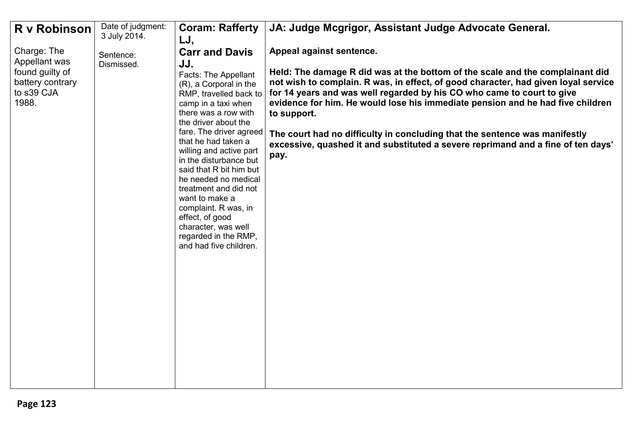| R v Robinson                                                                | Date of judgment: | <b>Coram: Rafferty</b>                                                                                                                                                                                                                                                                                                                                                                                                                                                          | JA: Judge Mcgrigor, Assistant Judge Advocate General.                                                                                                                                                                                                                                                                                                                                                                                                                                                                    |
|-----------------------------------------------------------------------------|-------------------|---------------------------------------------------------------------------------------------------------------------------------------------------------------------------------------------------------------------------------------------------------------------------------------------------------------------------------------------------------------------------------------------------------------------------------------------------------------------------------|--------------------------------------------------------------------------------------------------------------------------------------------------------------------------------------------------------------------------------------------------------------------------------------------------------------------------------------------------------------------------------------------------------------------------------------------------------------------------------------------------------------------------|
|                                                                             | 3 July 2014.      | LJ,                                                                                                                                                                                                                                                                                                                                                                                                                                                                             |                                                                                                                                                                                                                                                                                                                                                                                                                                                                                                                          |
| Charge: The                                                                 | Sentence:         | <b>Carr and Davis</b>                                                                                                                                                                                                                                                                                                                                                                                                                                                           | Appeal against sentence.                                                                                                                                                                                                                                                                                                                                                                                                                                                                                                 |
| Appellant was<br>found guilty of<br>battery contrary<br>to s39 CJA<br>1988. | Dismissed.        | JJ.<br>Facts: The Appellant<br>(R), a Corporal in the<br>RMP, travelled back to<br>camp in a taxi when<br>there was a row with<br>the driver about the<br>fare. The driver agreed<br>that he had taken a<br>willing and active part<br>in the disturbance but<br>said that R bit him but<br>he needed no medical<br>treatment and did not<br>want to make a<br>complaint. R was, in<br>effect, of good<br>character, was well<br>regarded in the RMP,<br>and had five children. | Held: The damage R did was at the bottom of the scale and the complainant did<br>not wish to complain. R was, in effect, of good character, had given loyal service<br>for 14 years and was well regarded by his CO who came to court to give<br>evidence for him. He would lose his immediate pension and he had five children<br>to support.<br>The court had no difficulty in concluding that the sentence was manifestly<br>excessive, quashed it and substituted a severe reprimand and a fine of ten days'<br>pay. |
|                                                                             |                   |                                                                                                                                                                                                                                                                                                                                                                                                                                                                                 |                                                                                                                                                                                                                                                                                                                                                                                                                                                                                                                          |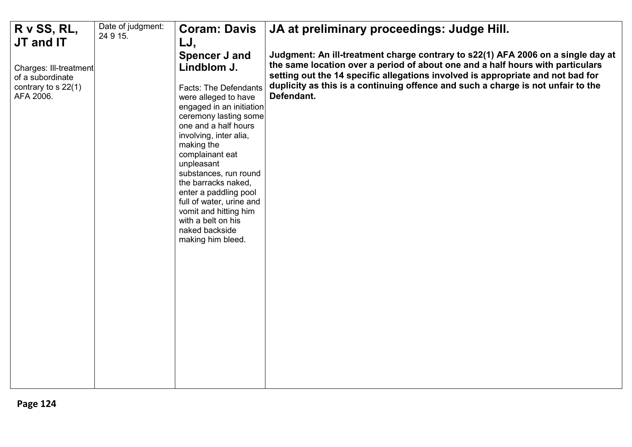| R v SS, RL,                                | Date of judgment: | <b>Coram: Davis</b>                                                                                                                                                                                                                                                                                                                                                                                   | JA at preliminary proceedings: Judge Hill.                                                                                                                        |
|--------------------------------------------|-------------------|-------------------------------------------------------------------------------------------------------------------------------------------------------------------------------------------------------------------------------------------------------------------------------------------------------------------------------------------------------------------------------------------------------|-------------------------------------------------------------------------------------------------------------------------------------------------------------------|
| JT and IT                                  | 24 9 15.          | LJ,                                                                                                                                                                                                                                                                                                                                                                                                   |                                                                                                                                                                   |
|                                            |                   | <b>Spencer J and</b>                                                                                                                                                                                                                                                                                                                                                                                  | Judgment: An ill-treatment charge contrary to s22(1) AFA 2006 on a single day at                                                                                  |
| Charges: Ill-treatment<br>of a subordinate |                   | Lindblom J.                                                                                                                                                                                                                                                                                                                                                                                           | the same location over a period of about one and a half hours with particulars<br>setting out the 14 specific allegations involved is appropriate and not bad for |
| contrary to s 22(1)<br>AFA 2006.           |                   | <b>Facts: The Defendants</b><br>were alleged to have<br>engaged in an initiation<br>ceremony lasting some<br>one and a half hours<br>involving, inter alia,<br>making the<br>complainant eat<br>unpleasant<br>substances, run round<br>the barracks naked,<br>enter a paddling pool<br>full of water, urine and<br>vomit and hitting him<br>with a belt on his<br>naked backside<br>making him bleed. | duplicity as this is a continuing offence and such a charge is not unfair to the<br>Defendant.                                                                    |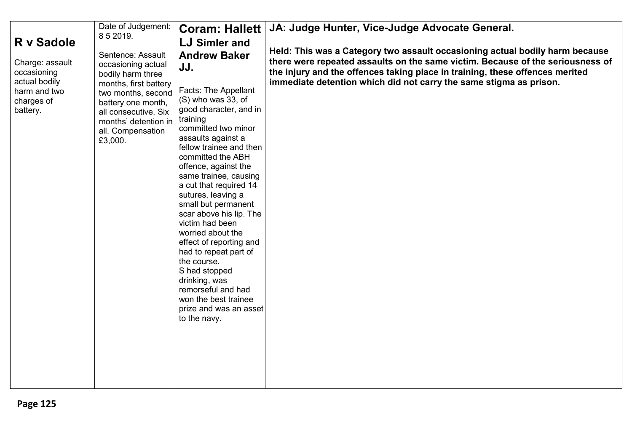|                                                                                                         | Date of Judgement:                                                                                                                                                                                                | <b>Coram: Hallett</b>                                                                                                                                                                                                                                                                                                                                                                                                                                                                                                                                                                                                  | JA: Judge Hunter, Vice-Judge Advocate General.                                                                                                                                                                                                                                                                       |
|---------------------------------------------------------------------------------------------------------|-------------------------------------------------------------------------------------------------------------------------------------------------------------------------------------------------------------------|------------------------------------------------------------------------------------------------------------------------------------------------------------------------------------------------------------------------------------------------------------------------------------------------------------------------------------------------------------------------------------------------------------------------------------------------------------------------------------------------------------------------------------------------------------------------------------------------------------------------|----------------------------------------------------------------------------------------------------------------------------------------------------------------------------------------------------------------------------------------------------------------------------------------------------------------------|
|                                                                                                         | 8 5 2019.                                                                                                                                                                                                         |                                                                                                                                                                                                                                                                                                                                                                                                                                                                                                                                                                                                                        |                                                                                                                                                                                                                                                                                                                      |
| R v Sadole<br>Charge: assault<br>occasioning<br>actual bodily<br>harm and two<br>charges of<br>battery. | Sentence: Assault<br>occasioning actual<br>bodily harm three<br>months, first battery<br>two months, second<br>battery one month,<br>all consecutive. Six<br>months' detention in<br>all. Compensation<br>£3,000. | LJ Simler and<br><b>Andrew Baker</b><br>JJ.<br>Facts: The Appellant<br>$(S)$ who was 33, of<br>good character, and in<br>training<br>committed two minor<br>assaults against a<br>fellow trainee and then<br>committed the ABH<br>offence, against the<br>same trainee, causing<br>a cut that required 14<br>sutures, leaving a<br>small but permanent<br>scar above his lip. The<br>victim had been<br>worried about the<br>effect of reporting and<br>had to repeat part of<br>the course.<br>S had stopped<br>drinking, was<br>remorseful and had<br>won the best trainee<br>prize and was an asset<br>to the navy. | Held: This was a Category two assault occasioning actual bodily harm because<br>there were repeated assaults on the same victim. Because of the seriousness of<br>the injury and the offences taking place in training, these offences merited<br>immediate detention which did not carry the same stigma as prison. |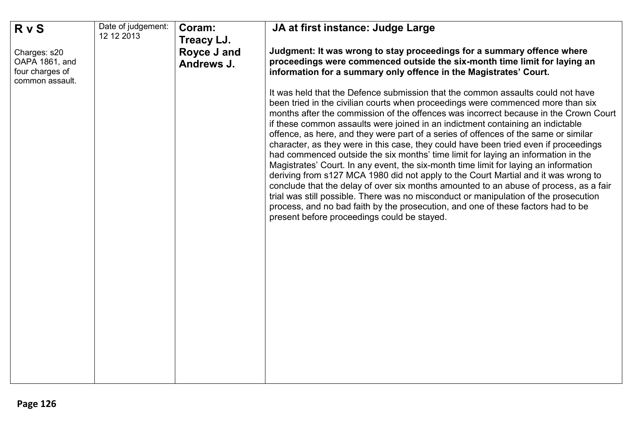| <b>RvS</b>                                                           | Date of judgement: | Coram:                    | JA at first instance: Judge Large                                                                                                                                                                                                                                                                                                                                                                                                                                                                                                                                                                                                                                                                                                                                                                                                                                                                                                                                                                                                                                                                                  |
|----------------------------------------------------------------------|--------------------|---------------------------|--------------------------------------------------------------------------------------------------------------------------------------------------------------------------------------------------------------------------------------------------------------------------------------------------------------------------------------------------------------------------------------------------------------------------------------------------------------------------------------------------------------------------------------------------------------------------------------------------------------------------------------------------------------------------------------------------------------------------------------------------------------------------------------------------------------------------------------------------------------------------------------------------------------------------------------------------------------------------------------------------------------------------------------------------------------------------------------------------------------------|
|                                                                      | 12 12 2013         | Treacy LJ.                |                                                                                                                                                                                                                                                                                                                                                                                                                                                                                                                                                                                                                                                                                                                                                                                                                                                                                                                                                                                                                                                                                                                    |
| Charges: s20<br>OAPA 1861, and<br>four charges of<br>common assault. |                    | Royce J and<br>Andrews J. | Judgment: It was wrong to stay proceedings for a summary offence where<br>proceedings were commenced outside the six-month time limit for laying an<br>information for a summary only offence in the Magistrates' Court.                                                                                                                                                                                                                                                                                                                                                                                                                                                                                                                                                                                                                                                                                                                                                                                                                                                                                           |
|                                                                      |                    |                           | It was held that the Defence submission that the common assaults could not have<br>been tried in the civilian courts when proceedings were commenced more than six<br>months after the commission of the offences was incorrect because in the Crown Court<br>if these common assaults were joined in an indictment containing an indictable<br>offence, as here, and they were part of a series of offences of the same or similar<br>character, as they were in this case, they could have been tried even if proceedings<br>had commenced outside the six months' time limit for laying an information in the<br>Magistrates' Court. In any event, the six-month time limit for laying an information<br>deriving from s127 MCA 1980 did not apply to the Court Martial and it was wrong to<br>conclude that the delay of over six months amounted to an abuse of process, as a fair<br>trial was still possible. There was no misconduct or manipulation of the prosecution<br>process, and no bad faith by the prosecution, and one of these factors had to be<br>present before proceedings could be stayed. |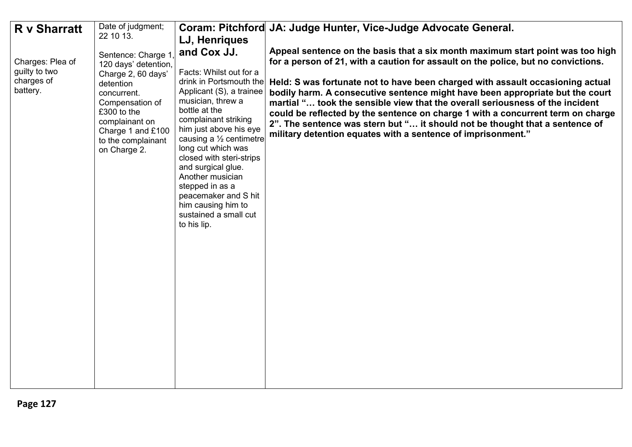|                                                                                    | Date of judgment;                                                                                                                                                                                                        |                                                                                                                                                                                                                                                                                                                                                                                                                                  | Coram: Pitchford JA: Judge Hunter, Vice-Judge Advocate General.                                                                                                                                                                                                                                                                                                                                                                                                                                                                                                                                                                                            |
|------------------------------------------------------------------------------------|--------------------------------------------------------------------------------------------------------------------------------------------------------------------------------------------------------------------------|----------------------------------------------------------------------------------------------------------------------------------------------------------------------------------------------------------------------------------------------------------------------------------------------------------------------------------------------------------------------------------------------------------------------------------|------------------------------------------------------------------------------------------------------------------------------------------------------------------------------------------------------------------------------------------------------------------------------------------------------------------------------------------------------------------------------------------------------------------------------------------------------------------------------------------------------------------------------------------------------------------------------------------------------------------------------------------------------------|
|                                                                                    |                                                                                                                                                                                                                          | LJ, Henriques                                                                                                                                                                                                                                                                                                                                                                                                                    |                                                                                                                                                                                                                                                                                                                                                                                                                                                                                                                                                                                                                                                            |
| <b>R</b> v Sharratt<br>Charges: Plea of<br>guilty to two<br>charges of<br>battery. | 22 10 13.<br>Sentence: Charge 1<br>120 days' detention,<br>Charge 2, 60 days'<br>detention<br>concurrent.<br>Compensation of<br>£300 to the<br>complainant on<br>Charge 1 and £100<br>to the complainant<br>on Charge 2. | and Cox JJ.<br>Facts: Whilst out for a<br>drink in Portsmouth the<br>Applicant (S), a trainee<br>musician, threw a<br>bottle at the<br>complainant striking<br>him just above his eye<br>causing a $\frac{1}{2}$ centimetre<br>long cut which was<br>closed with steri-strips<br>and surgical glue.<br>Another musician<br>stepped in as a<br>peacemaker and S hit<br>him causing him to<br>sustained a small cut<br>to his lip. | Appeal sentence on the basis that a six month maximum start point was too high<br>for a person of 21, with a caution for assault on the police, but no convictions.<br>Held: S was fortunate not to have been charged with assault occasioning actual<br>bodily harm. A consecutive sentence might have been appropriate but the court<br>martial " took the sensible view that the overall seriousness of the incident<br>could be reflected by the sentence on charge 1 with a concurrent term on charge<br>2". The sentence was stern but " it should not be thought that a sentence of<br>military detention equates with a sentence of imprisonment." |
|                                                                                    |                                                                                                                                                                                                                          |                                                                                                                                                                                                                                                                                                                                                                                                                                  |                                                                                                                                                                                                                                                                                                                                                                                                                                                                                                                                                                                                                                                            |
|                                                                                    |                                                                                                                                                                                                                          |                                                                                                                                                                                                                                                                                                                                                                                                                                  |                                                                                                                                                                                                                                                                                                                                                                                                                                                                                                                                                                                                                                                            |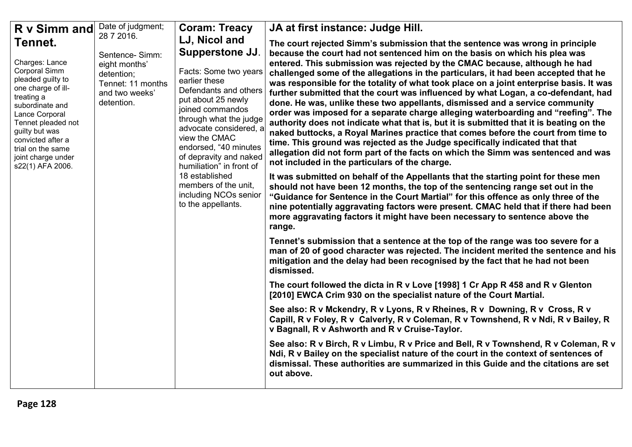| R v Simm and<br>Tennet.<br>Charges: Lance<br>Corporal Simm<br>pleaded guilty to<br>one charge of ill-<br>treating a<br>subordinate and<br>Lance Corporal<br>Tennet pleaded not<br>guilty but was<br>convicted after a<br>trial on the same<br>joint charge under<br>s22(1) AFA 2006. | Date of judgment;<br>28 7 2016.<br>Sentence-Simm:<br>eight months'<br>detention;<br>Tennet: 11 months<br>and two weeks'<br>detention. | <b>Coram: Treacy</b><br>LJ, Nicol and<br><b>Supperstone JJ.</b><br>Facts: Some two years<br>earlier these<br>Defendants and others<br>put about 25 newly<br>joined commandos<br>through what the judge<br>advocate considered, a<br>view the CMAC<br>endorsed, "40 minutes<br>of depravity and naked<br>humiliation" in front of<br>18 established<br>members of the unit.<br>including NCOs senior<br>to the appellants. | JA at first instance: Judge Hill.<br>The court rejected Simm's submission that the sentence was wrong in principle<br>because the court had not sentenced him on the basis on which his plea was<br>entered. This submission was rejected by the CMAC because, although he had<br>challenged some of the allegations in the particulars, it had been accepted that he<br>was responsible for the totality of what took place on a joint enterprise basis. It was<br>further submitted that the court was influenced by what Logan, a co-defendant, had<br>done. He was, unlike these two appellants, dismissed and a service community<br>order was imposed for a separate charge alleging waterboarding and "reefing". The<br>authority does not indicate what that is, but it is submitted that it is beating on the<br>naked buttocks, a Royal Marines practice that comes before the court from time to<br>time. This ground was rejected as the Judge specifically indicated that that<br>allegation did not form part of the facts on which the Simm was sentenced and was<br>not included in the particulars of the charge.<br>It was submitted on behalf of the Appellants that the starting point for these men |
|--------------------------------------------------------------------------------------------------------------------------------------------------------------------------------------------------------------------------------------------------------------------------------------|---------------------------------------------------------------------------------------------------------------------------------------|---------------------------------------------------------------------------------------------------------------------------------------------------------------------------------------------------------------------------------------------------------------------------------------------------------------------------------------------------------------------------------------------------------------------------|--------------------------------------------------------------------------------------------------------------------------------------------------------------------------------------------------------------------------------------------------------------------------------------------------------------------------------------------------------------------------------------------------------------------------------------------------------------------------------------------------------------------------------------------------------------------------------------------------------------------------------------------------------------------------------------------------------------------------------------------------------------------------------------------------------------------------------------------------------------------------------------------------------------------------------------------------------------------------------------------------------------------------------------------------------------------------------------------------------------------------------------------------------------------------------------------------------------------------|
|                                                                                                                                                                                                                                                                                      |                                                                                                                                       |                                                                                                                                                                                                                                                                                                                                                                                                                           | should not have been 12 months, the top of the sentencing range set out in the<br>"Guidance for Sentence in the Court Martial" for this offence as only three of the<br>nine potentially aggravating factors were present. CMAC held that if there had been<br>more aggravating factors it might have been necessary to sentence above the<br>range.<br>Tennet's submission that a sentence at the top of the range was too severe for a<br>man of 20 of good character was rejected. The incident merited the sentence and his                                                                                                                                                                                                                                                                                                                                                                                                                                                                                                                                                                                                                                                                                          |
|                                                                                                                                                                                                                                                                                      |                                                                                                                                       |                                                                                                                                                                                                                                                                                                                                                                                                                           | mitigation and the delay had been recognised by the fact that he had not been<br>dismissed.                                                                                                                                                                                                                                                                                                                                                                                                                                                                                                                                                                                                                                                                                                                                                                                                                                                                                                                                                                                                                                                                                                                              |
|                                                                                                                                                                                                                                                                                      |                                                                                                                                       |                                                                                                                                                                                                                                                                                                                                                                                                                           | The court followed the dicta in R v Love [1998] 1 Cr App R 458 and R v Glenton<br>[2010] EWCA Crim 930 on the specialist nature of the Court Martial.                                                                                                                                                                                                                                                                                                                                                                                                                                                                                                                                                                                                                                                                                                                                                                                                                                                                                                                                                                                                                                                                    |
|                                                                                                                                                                                                                                                                                      |                                                                                                                                       |                                                                                                                                                                                                                                                                                                                                                                                                                           | See also: R v Mckendry, R v Lyons, R v Rheines, R v Downing, R v Cross, R v<br>Capill, R v Foley, R v Calverly, R v Coleman, R v Townshend, R v Ndi, R v Bailey, R<br>v Bagnall, R v Ashworth and R v Cruise-Taylor.                                                                                                                                                                                                                                                                                                                                                                                                                                                                                                                                                                                                                                                                                                                                                                                                                                                                                                                                                                                                     |
|                                                                                                                                                                                                                                                                                      |                                                                                                                                       |                                                                                                                                                                                                                                                                                                                                                                                                                           | See also: R v Birch, R v Limbu, R v Price and Bell, R v Townshend, R v Coleman, R v<br>Ndi, R v Bailey on the specialist nature of the court in the context of sentences of<br>dismissal. These authorities are summarized in this Guide and the citations are set<br>out above.                                                                                                                                                                                                                                                                                                                                                                                                                                                                                                                                                                                                                                                                                                                                                                                                                                                                                                                                         |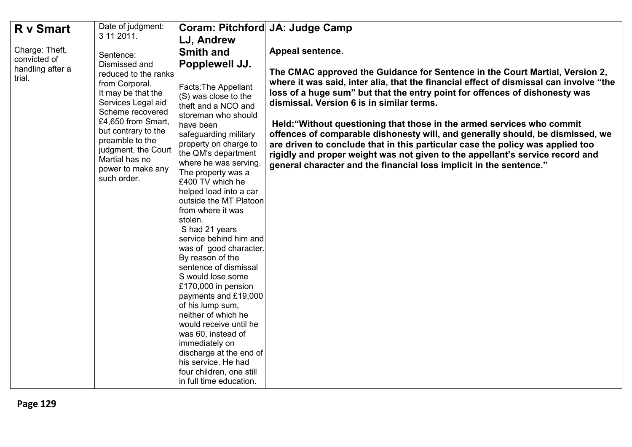| R v Smart                      | Date of judgment:                                                                                                                                                                                                                                                    | Coram: Pitchford JA: Judge Camp                                                                                                                                                                                                                                                                                                                                                                                                                                                                                                                                                                                                                                                                                                                                        |                                                                                                                                                                                                                                                                                                                                                                                                                                                                                                                                                                                                                                                                                                          |
|--------------------------------|----------------------------------------------------------------------------------------------------------------------------------------------------------------------------------------------------------------------------------------------------------------------|------------------------------------------------------------------------------------------------------------------------------------------------------------------------------------------------------------------------------------------------------------------------------------------------------------------------------------------------------------------------------------------------------------------------------------------------------------------------------------------------------------------------------------------------------------------------------------------------------------------------------------------------------------------------------------------------------------------------------------------------------------------------|----------------------------------------------------------------------------------------------------------------------------------------------------------------------------------------------------------------------------------------------------------------------------------------------------------------------------------------------------------------------------------------------------------------------------------------------------------------------------------------------------------------------------------------------------------------------------------------------------------------------------------------------------------------------------------------------------------|
|                                | 3 11 2011.                                                                                                                                                                                                                                                           | LJ, Andrew                                                                                                                                                                                                                                                                                                                                                                                                                                                                                                                                                                                                                                                                                                                                                             |                                                                                                                                                                                                                                                                                                                                                                                                                                                                                                                                                                                                                                                                                                          |
| Charge: Theft,<br>convicted of | Sentence:                                                                                                                                                                                                                                                            | <b>Smith and</b>                                                                                                                                                                                                                                                                                                                                                                                                                                                                                                                                                                                                                                                                                                                                                       | Appeal sentence.                                                                                                                                                                                                                                                                                                                                                                                                                                                                                                                                                                                                                                                                                         |
| handling after a<br>trial.     | Dismissed and<br>reduced to the ranks<br>from Corporal.<br>It may be that the<br>Services Legal aid<br>Scheme recovered<br>£4,650 from Smart,<br>but contrary to the<br>preamble to the<br>judgment, the Court<br>Martial has no<br>power to make any<br>such order. | Popplewell JJ.<br>Facts: The Appellant<br>(S) was close to the<br>theft and a NCO and<br>storeman who should<br>have been<br>safeguarding military<br>property on charge to<br>the QM's department<br>where he was serving.<br>The property was a<br>£400 TV which he<br>helped load into a car<br>outside the MT Platoon<br>from where it was<br>stolen.<br>S had 21 years<br>service behind him and<br>was of good character.<br>By reason of the<br>sentence of dismissal<br>S would lose some<br>£170,000 in pension<br>payments and £19,000<br>of his lump sum,<br>neither of which he<br>would receive until he<br>was 60, instead of<br>immediately on<br>discharge at the end of<br>his service. He had<br>four children, one still<br>in full time education. | The CMAC approved the Guidance for Sentence in the Court Martial, Version 2,<br>where it was said, inter alia, that the financial effect of dismissal can involve "the<br>loss of a huge sum" but that the entry point for offences of dishonesty was<br>dismissal. Version 6 is in similar terms.<br>Held: "Without questioning that those in the armed services who commit<br>offences of comparable dishonesty will, and generally should, be dismissed, we<br>are driven to conclude that in this particular case the policy was applied too<br>rigidly and proper weight was not given to the appellant's service record and<br>general character and the financial loss implicit in the sentence." |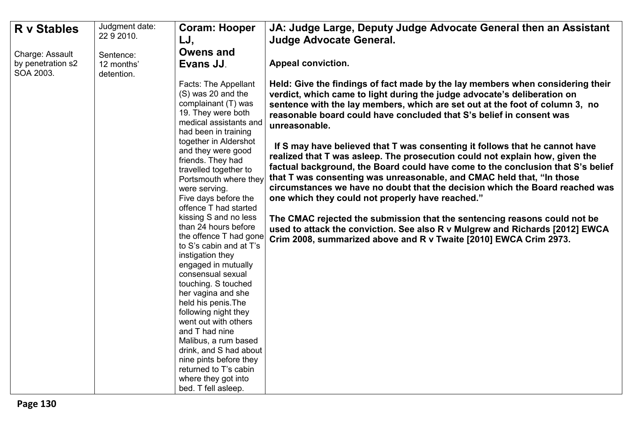| <b>R</b> v Stables             | Judgment date:<br>22 9 2010. | <b>Coram: Hooper</b>                                                                                                                                                                                                                                                                                                                                                                                                                                                                                                                                                                                                                                                                                                                                                      | JA: Judge Large, Deputy Judge Advocate General then an Assistant                                                                                                                                                                                                                                                                                                                                                                                                                                                                                                                                                                                                                                                                                                                                                                                                                                                                                                                                                                     |
|--------------------------------|------------------------------|---------------------------------------------------------------------------------------------------------------------------------------------------------------------------------------------------------------------------------------------------------------------------------------------------------------------------------------------------------------------------------------------------------------------------------------------------------------------------------------------------------------------------------------------------------------------------------------------------------------------------------------------------------------------------------------------------------------------------------------------------------------------------|--------------------------------------------------------------------------------------------------------------------------------------------------------------------------------------------------------------------------------------------------------------------------------------------------------------------------------------------------------------------------------------------------------------------------------------------------------------------------------------------------------------------------------------------------------------------------------------------------------------------------------------------------------------------------------------------------------------------------------------------------------------------------------------------------------------------------------------------------------------------------------------------------------------------------------------------------------------------------------------------------------------------------------------|
|                                |                              | LJ,                                                                                                                                                                                                                                                                                                                                                                                                                                                                                                                                                                                                                                                                                                                                                                       | <b>Judge Advocate General.</b>                                                                                                                                                                                                                                                                                                                                                                                                                                                                                                                                                                                                                                                                                                                                                                                                                                                                                                                                                                                                       |
| Charge: Assault                | Sentence:                    | <b>Owens and</b>                                                                                                                                                                                                                                                                                                                                                                                                                                                                                                                                                                                                                                                                                                                                                          |                                                                                                                                                                                                                                                                                                                                                                                                                                                                                                                                                                                                                                                                                                                                                                                                                                                                                                                                                                                                                                      |
| by penetration s2<br>SOA 2003. | 12 months'<br>detention.     | Evans JJ.                                                                                                                                                                                                                                                                                                                                                                                                                                                                                                                                                                                                                                                                                                                                                                 | <b>Appeal conviction.</b>                                                                                                                                                                                                                                                                                                                                                                                                                                                                                                                                                                                                                                                                                                                                                                                                                                                                                                                                                                                                            |
|                                |                              | Facts: The Appellant<br>(S) was 20 and the<br>complainant (T) was<br>19. They were both<br>medical assistants and<br>had been in training<br>together in Aldershot<br>and they were good<br>friends. They had<br>travelled together to<br>Portsmouth where they<br>were serving.<br>Five days before the<br>offence T had started<br>kissing S and no less<br>than 24 hours before<br>the offence T had gone<br>to S's cabin and at T's<br>instigation they<br>engaged in mutually<br>consensual sexual<br>touching. S touched<br>her vagina and she<br>held his penis. The<br>following night they<br>went out with others<br>and T had nine<br>Malibus, a rum based<br>drink, and S had about<br>nine pints before they<br>returned to T's cabin<br>where they got into | Held: Give the findings of fact made by the lay members when considering their<br>verdict, which came to light during the judge advocate's deliberation on<br>sentence with the lay members, which are set out at the foot of column 3, no<br>reasonable board could have concluded that S's belief in consent was<br>unreasonable.<br>If S may have believed that T was consenting it follows that he cannot have<br>realized that T was asleep. The prosecution could not explain how, given the<br>factual background, the Board could have come to the conclusion that S's belief<br>that T was consenting was unreasonable, and CMAC held that, "In those<br>circumstances we have no doubt that the decision which the Board reached was<br>one which they could not properly have reached."<br>The CMAC rejected the submission that the sentencing reasons could not be<br>used to attack the conviction. See also R v Mulgrew and Richards [2012] EWCA<br>Crim 2008, summarized above and R v Twaite [2010] EWCA Crim 2973. |
|                                |                              | bed. T fell asleep.                                                                                                                                                                                                                                                                                                                                                                                                                                                                                                                                                                                                                                                                                                                                                       |                                                                                                                                                                                                                                                                                                                                                                                                                                                                                                                                                                                                                                                                                                                                                                                                                                                                                                                                                                                                                                      |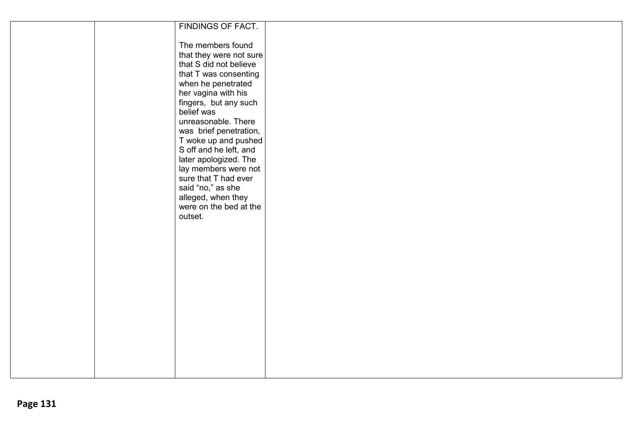|  | FINDINGS OF FACT.       |  |
|--|-------------------------|--|
|  |                         |  |
|  |                         |  |
|  | The members found       |  |
|  | that they were not sure |  |
|  |                         |  |
|  | that S did not believe  |  |
|  | that T was consenting   |  |
|  | when he penetrated      |  |
|  |                         |  |
|  | her vagina with his     |  |
|  | fingers, but any such   |  |
|  | belief was              |  |
|  | unreasonable. There     |  |
|  |                         |  |
|  | was brief penetration,  |  |
|  | T woke up and pushed    |  |
|  | S off and he left, and  |  |
|  |                         |  |
|  | later apologized. The   |  |
|  | lay members were not    |  |
|  | sure that T had ever    |  |
|  | said "no," as she       |  |
|  |                         |  |
|  | alleged, when they      |  |
|  | were on the bed at the  |  |
|  | outset.                 |  |
|  |                         |  |
|  |                         |  |
|  |                         |  |
|  |                         |  |
|  |                         |  |
|  |                         |  |
|  |                         |  |
|  |                         |  |
|  |                         |  |
|  |                         |  |
|  |                         |  |
|  |                         |  |
|  |                         |  |
|  |                         |  |
|  |                         |  |
|  |                         |  |
|  |                         |  |
|  |                         |  |
|  |                         |  |
|  |                         |  |
|  |                         |  |
|  |                         |  |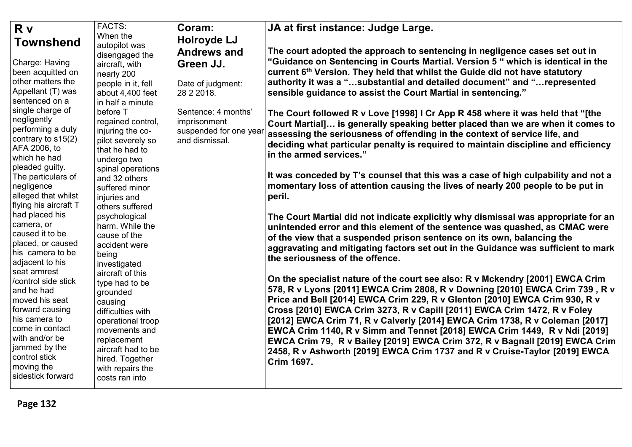| <b>R</b> v                          | <b>FACTS:</b>                     | Coram:                 | JA at first instance: Judge Large.                                                      |
|-------------------------------------|-----------------------------------|------------------------|-----------------------------------------------------------------------------------------|
| <b>Townshend</b>                    | When the                          | <b>Holroyde LJ</b>     |                                                                                         |
|                                     | autopilot was                     | <b>Andrews and</b>     | The court adopted the approach to sentencing in negligence cases set out in             |
| Charge: Having                      | disengaged the<br>aircraft, with  | Green JJ.              | "Guidance on Sentencing in Courts Martial. Version 5 " which is identical in the        |
| been acquitted on                   | nearly 200                        |                        | current 6 <sup>th</sup> Version. They held that whilst the Guide did not have statutory |
| other matters the                   | people in it, fell                | Date of judgment:      | authority it was a "substantial and detailed document" and "represented                 |
| Appellant (T) was                   | about 4,400 feet                  | 28 2 2018.             | sensible guidance to assist the Court Martial in sentencing."                           |
| sentenced on a                      | in half a minute                  |                        |                                                                                         |
| single charge of                    | before T                          | Sentence: 4 months'    | The Court followed R v Love [1998] I Cr App R 458 where it was held that "[the          |
| negligently                         | regained control,                 | imprisonment           | Court Martial] is generally speaking better placed than we are when it comes to         |
| performing a duty                   | injuring the co-                  | suspended for one year | assessing the seriousness of offending in the context of service life, and              |
| contrary to s15(2)                  | pilot severely so                 | and dismissal.         |                                                                                         |
| AFA 2006, to                        | that he had to                    |                        | deciding what particular penalty is required to maintain discipline and efficiency      |
| which he had                        | undergo two                       |                        | in the armed services."                                                                 |
| pleaded guilty.                     | spinal operations                 |                        |                                                                                         |
| The particulars of                  | and 32 others                     |                        | It was conceded by T's counsel that this was a case of high culpability and not a       |
| negligence                          | suffered minor                    |                        | momentary loss of attention causing the lives of nearly 200 people to be put in         |
| alleged that whilst                 | injuries and                      |                        | peril.                                                                                  |
| flying his aircraft T               | others suffered                   |                        |                                                                                         |
| had placed his                      | psychological                     |                        | The Court Martial did not indicate explicitly why dismissal was appropriate for an      |
| camera, or                          | harm. While the                   |                        | unintended error and this element of the sentence was quashed, as CMAC were             |
| caused it to be                     | cause of the                      |                        | of the view that a suspended prison sentence on its own, balancing the                  |
| placed, or caused                   | accident were                     |                        | aggravating and mitigating factors set out in the Guidance was sufficient to mark       |
| his camera to be                    | being                             |                        | the seriousness of the offence.                                                         |
| adjacent to his                     | investigated                      |                        |                                                                                         |
| seat armrest<br>/control side stick | aircraft of this                  |                        | On the specialist nature of the court see also: R v Mckendry [2001] EWCA Crim           |
| and he had                          | type had to be                    |                        | 578, R v Lyons [2011] EWCA Crim 2808, R v Downing [2010] EWCA Crim 739, R v             |
| moved his seat                      | grounded                          |                        | Price and Bell [2014] EWCA Crim 229, R v Glenton [2010] EWCA Crim 930, R v              |
| forward causing                     | causing                           |                        | Cross [2010] EWCA Crim 3273, R v Capill [2011] EWCA Crim 1472, R v Foley                |
| his camera to                       | difficulties with                 |                        |                                                                                         |
| come in contact                     | operational troop                 |                        | [2012] EWCA Crim 71, R v Calverly [2014] EWCA Crim 1738, R v Coleman [2017]             |
| with and/or be                      | movements and                     |                        | EWCA Crim 1140, R v Simm and Tennet [2018] EWCA Crim 1449, R v Ndi [2019]               |
| jammed by the                       | replacement<br>aircraft had to be |                        | EWCA Crim 79, R v Bailey [2019] EWCA Crim 372, R v Bagnall [2019] EWCA Crim             |
| control stick                       | hired. Together                   |                        | 2458, R v Ashworth [2019] EWCA Crim 1737 and R v Cruise-Taylor [2019] EWCA              |
| moving the                          | with repairs the                  |                        | <b>Crim 1697.</b>                                                                       |
| sidestick forward                   | costs ran into                    |                        |                                                                                         |
|                                     |                                   |                        |                                                                                         |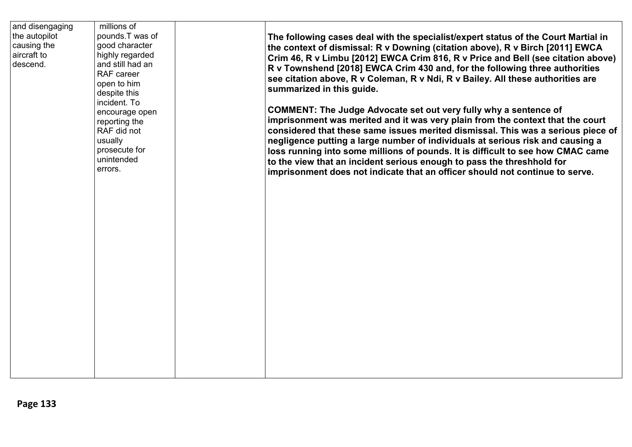| and disengaging<br>the autopilot<br>causing the<br>aircraft to<br>descend. | millions of<br>pounds.T was of<br>good character<br>highly regarded<br>and still had an<br>RAF career<br>open to him<br>despite this<br>incident. To<br>encourage open<br>reporting the<br>RAF did not<br>usually<br>prosecute for<br>unintended<br>errors. | The following cases deal with the specialist/expert status of the Court Martial in<br>the context of dismissal: R v Downing (citation above), R v Birch [2011] EWCA<br>Crim 46, R v Limbu [2012] EWCA Crim 816, R v Price and Bell (see citation above)<br>R v Townshend [2018] EWCA Crim 430 and, for the following three authorities<br>see citation above, R v Coleman, R v Ndi, R v Bailey. All these authorities are<br>summarized in this guide.                                                                                                                       |
|----------------------------------------------------------------------------|-------------------------------------------------------------------------------------------------------------------------------------------------------------------------------------------------------------------------------------------------------------|------------------------------------------------------------------------------------------------------------------------------------------------------------------------------------------------------------------------------------------------------------------------------------------------------------------------------------------------------------------------------------------------------------------------------------------------------------------------------------------------------------------------------------------------------------------------------|
|                                                                            |                                                                                                                                                                                                                                                             | <b>COMMENT: The Judge Advocate set out very fully why a sentence of</b><br>imprisonment was merited and it was very plain from the context that the court<br>considered that these same issues merited dismissal. This was a serious piece of<br>negligence putting a large number of individuals at serious risk and causing a<br>loss running into some millions of pounds. It is difficult to see how CMAC came<br>to the view that an incident serious enough to pass the threshhold for<br>imprisonment does not indicate that an officer should not continue to serve. |
|                                                                            |                                                                                                                                                                                                                                                             |                                                                                                                                                                                                                                                                                                                                                                                                                                                                                                                                                                              |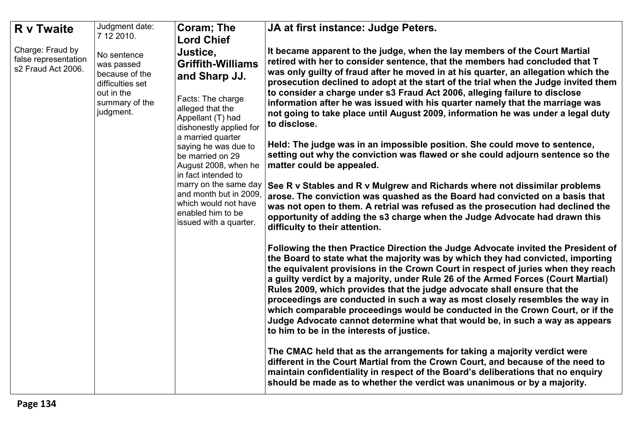| <b>R</b> v Twaite                                              | Judgment date:                                                                                               | <b>Coram: The</b>                                                                                                                                                                                                                                                                                                                                                                        | JA at first instance: Judge Peters.                                                                                                                                                                                                                                                                                                                                                                                                                                                                                                                                                                                                                                                                                                                                                                                                                                                                                                                                                                                                                                                                                                                                      |
|----------------------------------------------------------------|--------------------------------------------------------------------------------------------------------------|------------------------------------------------------------------------------------------------------------------------------------------------------------------------------------------------------------------------------------------------------------------------------------------------------------------------------------------------------------------------------------------|--------------------------------------------------------------------------------------------------------------------------------------------------------------------------------------------------------------------------------------------------------------------------------------------------------------------------------------------------------------------------------------------------------------------------------------------------------------------------------------------------------------------------------------------------------------------------------------------------------------------------------------------------------------------------------------------------------------------------------------------------------------------------------------------------------------------------------------------------------------------------------------------------------------------------------------------------------------------------------------------------------------------------------------------------------------------------------------------------------------------------------------------------------------------------|
|                                                                | 7 12 2010.                                                                                                   | <b>Lord Chief</b>                                                                                                                                                                                                                                                                                                                                                                        |                                                                                                                                                                                                                                                                                                                                                                                                                                                                                                                                                                                                                                                                                                                                                                                                                                                                                                                                                                                                                                                                                                                                                                          |
| Charge: Fraud by<br>false representation<br>s2 Fraud Act 2006. | No sentence<br>was passed<br>because of the<br>difficulties set<br>out in the<br>summary of the<br>judgment. | Justice,<br><b>Griffith-Williams</b><br>and Sharp JJ.<br>Facts: The charge<br>alleged that the<br>Appellant (T) had<br>dishonestly applied for<br>a married quarter<br>saying he was due to<br>be married on 29<br>August 2008, when he<br>in fact intended to<br>marry on the same day<br>and month but in 2009,<br>which would not have<br>enabled him to be<br>issued with a quarter. | It became apparent to the judge, when the lay members of the Court Martial<br>retired with her to consider sentence, that the members had concluded that T<br>was only guilty of fraud after he moved in at his quarter, an allegation which the<br>prosecution declined to adopt at the start of the trial when the Judge invited them<br>to consider a charge under s3 Fraud Act 2006, alleging failure to disclose<br>information after he was issued with his quarter namely that the marriage was<br>not going to take place until August 2009, information he was under a legal duty<br>to disclose.<br>Held: The judge was in an impossible position. She could move to sentence,<br>setting out why the conviction was flawed or she could adjourn sentence so the<br>matter could be appealed.<br>See R v Stables and R v Mulgrew and Richards where not dissimilar problems<br>arose. The conviction was quashed as the Board had convicted on a basis that<br>was not open to them. A retrial was refused as the prosecution had declined the                                                                                                                 |
|                                                                |                                                                                                              |                                                                                                                                                                                                                                                                                                                                                                                          | opportunity of adding the s3 charge when the Judge Advocate had drawn this<br>difficulty to their attention.<br>Following the then Practice Direction the Judge Advocate invited the President of<br>the Board to state what the majority was by which they had convicted, importing<br>the equivalent provisions in the Crown Court in respect of juries when they reach<br>a guilty verdict by a majority, under Rule 26 of the Armed Forces (Court Martial)<br>Rules 2009, which provides that the judge advocate shall ensure that the<br>proceedings are conducted in such a way as most closely resembles the way in<br>which comparable proceedings would be conducted in the Crown Court, or if the<br>Judge Advocate cannot determine what that would be, in such a way as appears<br>to him to be in the interests of justice.<br>The CMAC held that as the arrangements for taking a majority verdict were<br>different in the Court Martial from the Crown Court, and because of the need to<br>maintain confidentiality in respect of the Board's deliberations that no enquiry<br>should be made as to whether the verdict was unanimous or by a majority. |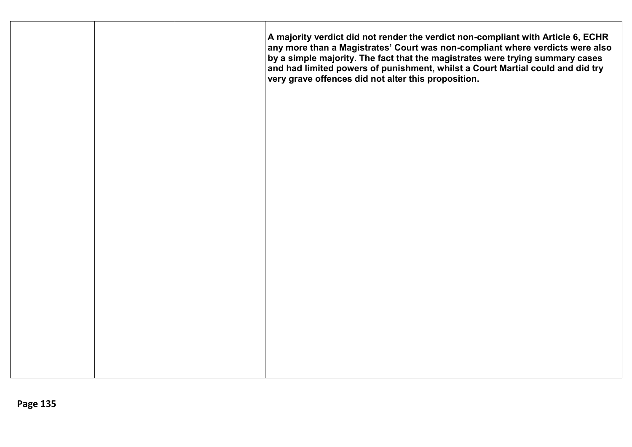|  | A majority verdict did not render the verdict non-compliant with Article 6, ECHR<br>any more than a Magistrates' Court was non-compliant where verdicts were also<br>by a simple majority. The fact that the magistrates were trying summary cases<br>and had limited powers of punishment, whilst a Court Martial could and did try<br>very grave offences did not alter this proposition. |
|--|---------------------------------------------------------------------------------------------------------------------------------------------------------------------------------------------------------------------------------------------------------------------------------------------------------------------------------------------------------------------------------------------|
|  |                                                                                                                                                                                                                                                                                                                                                                                             |
|  |                                                                                                                                                                                                                                                                                                                                                                                             |
|  |                                                                                                                                                                                                                                                                                                                                                                                             |
|  |                                                                                                                                                                                                                                                                                                                                                                                             |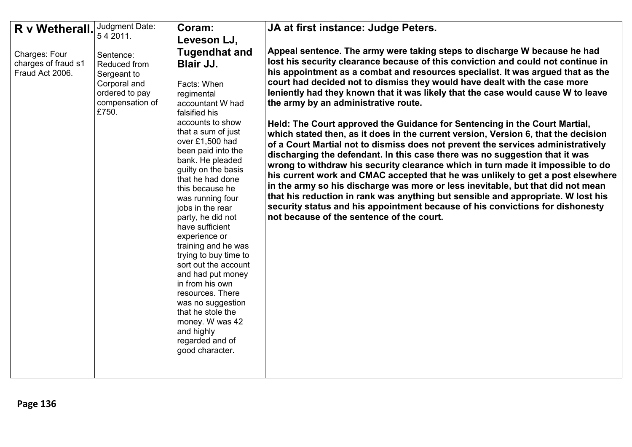| R v Wetherall.                                          | Judgment Date:                                                                                         | Coram:                                                                                                                                                                                                                                                                                                                                                                                                                                                                                                                                                                                                                                | JA at first instance: Judge Peters.                                                                                                                                                                                                                                                                                                                                                                                                                                                                                                                                                                                                                                                                                                                                                                                                                                                                                                                                                                                                                                                                                                                                                                                                                                         |
|---------------------------------------------------------|--------------------------------------------------------------------------------------------------------|---------------------------------------------------------------------------------------------------------------------------------------------------------------------------------------------------------------------------------------------------------------------------------------------------------------------------------------------------------------------------------------------------------------------------------------------------------------------------------------------------------------------------------------------------------------------------------------------------------------------------------------|-----------------------------------------------------------------------------------------------------------------------------------------------------------------------------------------------------------------------------------------------------------------------------------------------------------------------------------------------------------------------------------------------------------------------------------------------------------------------------------------------------------------------------------------------------------------------------------------------------------------------------------------------------------------------------------------------------------------------------------------------------------------------------------------------------------------------------------------------------------------------------------------------------------------------------------------------------------------------------------------------------------------------------------------------------------------------------------------------------------------------------------------------------------------------------------------------------------------------------------------------------------------------------|
|                                                         | 54 2011.                                                                                               | Leveson LJ,                                                                                                                                                                                                                                                                                                                                                                                                                                                                                                                                                                                                                           |                                                                                                                                                                                                                                                                                                                                                                                                                                                                                                                                                                                                                                                                                                                                                                                                                                                                                                                                                                                                                                                                                                                                                                                                                                                                             |
| Charges: Four<br>charges of fraud s1<br>Fraud Act 2006. | Sentence:<br>Reduced from<br>Sergeant to<br>Corporal and<br>ordered to pay<br>compensation of<br>£750. | <b>Tugendhat and</b><br><b>Blair JJ.</b><br>Facts: When<br>regimental<br>accountant W had<br>falsified his<br>accounts to show<br>that a sum of just<br>over £1,500 had<br>been paid into the<br>bank. He pleaded<br>guilty on the basis<br>that he had done<br>this because he<br>was running four<br>jobs in the rear<br>party, he did not<br>have sufficient<br>experience or<br>training and he was<br>trying to buy time to<br>sort out the account<br>and had put money<br>in from his own<br>resources. There<br>was no suggestion<br>that he stole the<br>money. W was 42<br>and highly<br>regarded and of<br>good character. | Appeal sentence. The army were taking steps to discharge W because he had<br>lost his security clearance because of this conviction and could not continue in<br>his appointment as a combat and resources specialist. It was argued that as the<br>court had decided not to dismiss they would have dealt with the case more<br>leniently had they known that it was likely that the case would cause W to leave<br>the army by an administrative route.<br>Held: The Court approved the Guidance for Sentencing in the Court Martial,<br>which stated then, as it does in the current version, Version 6, that the decision<br>of a Court Martial not to dismiss does not prevent the services administratively<br>discharging the defendant. In this case there was no suggestion that it was<br>wrong to withdraw his security clearance which in turn made it impossible to do<br>his current work and CMAC accepted that he was unlikely to get a post elsewhere<br>in the army so his discharge was more or less inevitable, but that did not mean<br>that his reduction in rank was anything but sensible and appropriate. W lost his<br>security status and his appointment because of his convictions for dishonesty<br>not because of the sentence of the court. |
|                                                         |                                                                                                        |                                                                                                                                                                                                                                                                                                                                                                                                                                                                                                                                                                                                                                       |                                                                                                                                                                                                                                                                                                                                                                                                                                                                                                                                                                                                                                                                                                                                                                                                                                                                                                                                                                                                                                                                                                                                                                                                                                                                             |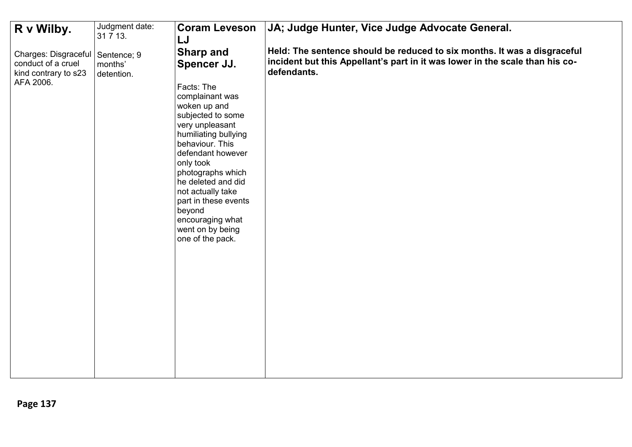| R v Wilby.                                                                                    | Judgment date:<br>31 7 13. | <b>Coram Leveson</b>                                                      | JA; Judge Hunter, Vice Judge Advocate General.                                              |
|-----------------------------------------------------------------------------------------------|----------------------------|---------------------------------------------------------------------------|---------------------------------------------------------------------------------------------|
|                                                                                               |                            | LJ<br><b>Sharp and</b>                                                    | Held: The sentence should be reduced to six months. It was a disgraceful                    |
| Charges: Disgraceful   Sentence; 9<br>conduct of a cruel<br>kind contrary to s23<br>AFA 2006. | months'<br>detention.      | Spencer JJ.<br>Facts: The                                                 | incident but this Appellant's part in it was lower in the scale than his co-<br>defendants. |
|                                                                                               |                            | complainant was<br>woken up and<br>subjected to some<br>very unpleasant   |                                                                                             |
|                                                                                               |                            | humiliating bullying<br>behaviour. This<br>defendant however<br>only took |                                                                                             |
|                                                                                               |                            | photographs which<br>he deleted and did<br>not actually take              |                                                                                             |
|                                                                                               |                            | part in these events<br>beyond<br>encouraging what<br>went on by being    |                                                                                             |
|                                                                                               |                            | one of the pack.                                                          |                                                                                             |
|                                                                                               |                            |                                                                           |                                                                                             |
|                                                                                               |                            |                                                                           |                                                                                             |
|                                                                                               |                            |                                                                           |                                                                                             |